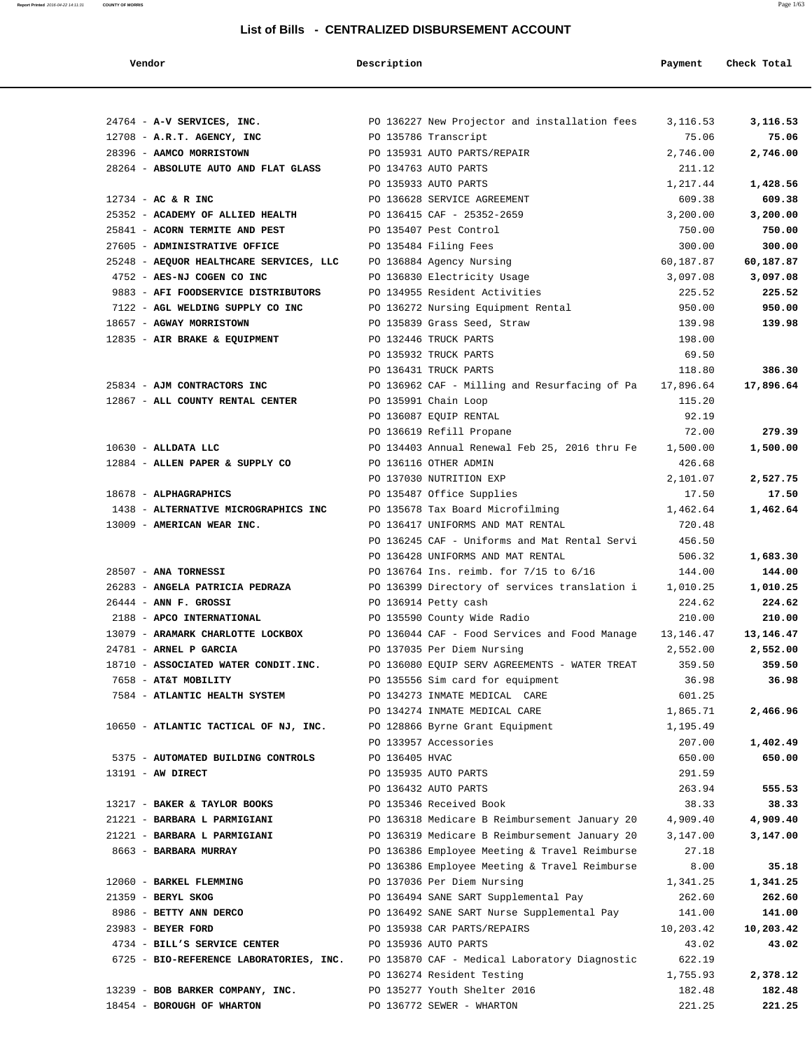| Vendor                                                                | Description          |                                                                                                | Payment            | Check Total        |
|-----------------------------------------------------------------------|----------------------|------------------------------------------------------------------------------------------------|--------------------|--------------------|
|                                                                       |                      |                                                                                                |                    |                    |
| 24764 - A-V SERVICES, INC.                                            |                      | PO 136227 New Projector and installation fees                                                  | 3,116.53           | 3,116.53           |
| 12708 - A.R.T. AGENCY, INC                                            | PO 135786 Transcript |                                                                                                | 75.06              | 75.06              |
| 28396 - AAMCO MORRISTOWN                                              |                      | PO 135931 AUTO PARTS/REPAIR                                                                    | 2,746.00           | 2,746.00           |
| 28264 - ABSOLUTE AUTO AND FLAT GLASS                                  |                      | PO 134763 AUTO PARTS                                                                           | 211.12             |                    |
|                                                                       |                      | PO 135933 AUTO PARTS                                                                           | 1,217.44           | 1,428.56           |
| 12734 - AC & R INC                                                    |                      | PO 136628 SERVICE AGREEMENT                                                                    | 609.38             | 609.38             |
| 25352 - ACADEMY OF ALLIED HEALTH                                      |                      | PO 136415 CAF - 25352-2659                                                                     | 3,200.00           | 3,200.00           |
| 25841 - ACORN TERMITE AND PEST                                        |                      | PO 135407 Pest Control                                                                         | 750.00             | 750.00             |
| 27605 - ADMINISTRATIVE OFFICE                                         |                      | PO 135484 Filing Fees                                                                          | 300.00             | 300.00             |
| 25248 - AEQUOR HEALTHCARE SERVICES, LLC                               |                      | PO 136884 Agency Nursing                                                                       | 60,187.87          | 60,187.87          |
| 4752 - AES-NJ COGEN CO INC                                            |                      | PO 136830 Electricity Usage                                                                    | 3,097.08           | 3,097.08           |
| 9883 - AFI FOODSERVICE DISTRIBUTORS                                   |                      | PO 134955 Resident Activities                                                                  | 225.52             | 225.52             |
| 7122 - AGL WELDING SUPPLY CO INC                                      |                      | PO 136272 Nursing Equipment Rental                                                             | 950.00             | 950.00             |
| 18657 - AGWAY MORRISTOWN                                              |                      | PO 135839 Grass Seed, Straw                                                                    | 139.98             | 139.98             |
| 12835 - AIR BRAKE & EQUIPMENT                                         |                      | PO 132446 TRUCK PARTS                                                                          | 198.00             |                    |
|                                                                       |                      | PO 135932 TRUCK PARTS                                                                          | 69.50              |                    |
|                                                                       |                      | PO 136431 TRUCK PARTS                                                                          | 118.80             | 386.30             |
| 25834 - AJM CONTRACTORS INC                                           |                      | PO 136962 CAF - Milling and Resurfacing of Pa                                                  | 17,896.64          | 17,896.64          |
| 12867 - ALL COUNTY RENTAL CENTER                                      |                      | PO 135991 Chain Loop                                                                           | 115.20             |                    |
|                                                                       |                      | PO 136087 EQUIP RENTAL                                                                         | 92.19              |                    |
|                                                                       |                      | PO 136619 Refill Propane                                                                       | 72.00              | 279.39             |
| $10630$ - ALLDATA LLC                                                 |                      | PO 134403 Annual Renewal Feb 25, 2016 thru Fe                                                  | 1,500.00           | 1,500.00           |
| 12884 - ALLEN PAPER & SUPPLY CO                                       |                      | PO 136116 OTHER ADMIN                                                                          | 426.68             |                    |
|                                                                       |                      | PO 137030 NUTRITION EXP                                                                        | 2,101.07           | 2,527.75           |
| 18678 - ALPHAGRAPHICS                                                 |                      | PO 135487 Office Supplies                                                                      | 17.50              | 17.50              |
| 1438 - ALTERNATIVE MICROGRAPHICS INC                                  |                      | PO 135678 Tax Board Microfilming                                                               | 1,462.64           | 1,462.64           |
| 13009 - AMERICAN WEAR INC.                                            |                      | PO 136417 UNIFORMS AND MAT RENTAL                                                              | 720.48             |                    |
|                                                                       |                      | PO 136245 CAF - Uniforms and Mat Rental Servi                                                  | 456.50             |                    |
|                                                                       |                      | PO 136428 UNIFORMS AND MAT RENTAL                                                              | 506.32             | 1,683.30           |
| 28507 - ANA TORNESSI                                                  |                      | PO 136764 Ins. reimb. for 7/15 to 6/16                                                         | 144.00             | 144.00             |
| 26283 - ANGELA PATRICIA PEDRAZA                                       |                      | PO 136399 Directory of services translation i                                                  | 1,010.25           | 1,010.25           |
| $26444$ - ANN F. GROSSI                                               |                      | PO 136914 Petty cash                                                                           | 224.62             | 224.62             |
| 2188 - APCO INTERNATIONAL                                             |                      | PO 135590 County Wide Radio                                                                    | 210.00             | 210.00             |
| 13079 - ARAMARK CHARLOTTE LOCKBOX                                     |                      | PO 136044 CAF - Food Services and Food Manage                                                  | 13, 146. 47        | 13,146.47          |
| 24781 - ARNEL P GARCIA                                                |                      | PO 137035 Per Diem Nursing                                                                     | 2,552.00           | 2,552.00           |
| 18710 - ASSOCIATED WATER CONDIT.INC.                                  |                      | PO 136080 EOUIP SERV AGREEMENTS - WATER TREAT                                                  | 359.50             | 359.50             |
| 7658 - AT&T MOBILITY                                                  |                      | PO 135556 Sim card for equipment                                                               | 36.98              | 36.98              |
| 7584 - ATLANTIC HEALTH SYSTEM                                         |                      | PO 134273 INMATE MEDICAL CARE                                                                  | 601.25             |                    |
|                                                                       |                      | PO 134274 INMATE MEDICAL CARE                                                                  | 1,865.71           | 2,466.96           |
| 10650 - ATLANTIC TACTICAL OF NJ, INC. PO 128866 Byrne Grant Equipment |                      |                                                                                                | 1,195.49           |                    |
|                                                                       |                      | PO 133957 Accessories                                                                          | 207.00             | 1,402.49           |
| 5375 - AUTOMATED BUILDING CONTROLS PO 136405 HVAC                     |                      |                                                                                                | 650.00             | 650.00             |
| 13191 - AW DIRECT                                                     |                      | PO 135935 AUTO PARTS                                                                           | 291.59             |                    |
|                                                                       |                      | PO 136432 AUTO PARTS                                                                           | 263.94             | 555.53             |
| 13217 - BAKER & TAYLOR BOOKS                                          |                      | PO 135346 Received Book                                                                        | 38.33              | 38.33              |
| 21221 - BARBARA L PARMIGIANI                                          |                      | PO 136318 Medicare B Reimbursement January 20 4,909.40                                         |                    | 4,909.40           |
| 21221 - BARBARA L PARMIGIANI                                          |                      | PO 136319 Medicare B Reimbursement January 20                                                  | 3,147.00           | 3,147.00           |
| 8663 - BARBARA MURRAY                                                 |                      |                                                                                                |                    |                    |
|                                                                       |                      | PO 136386 Employee Meeting & Travel Reimburse<br>PO 136386 Employee Meeting & Travel Reimburse | 27.18<br>8.00      | 35.18              |
| 12060 - BARKEL FLEMMING                                               |                      | PO 137036 Per Diem Nursing                                                                     |                    |                    |
| 21359 - BERYL SKOG                                                    |                      | PO 136494 SANE SART Supplemental Pay                                                           | 1,341.25<br>262.60 | 1,341.25<br>262.60 |
|                                                                       |                      |                                                                                                |                    |                    |
| 8986 - BETTY ANN DERCO                                                |                      | PO 136492 SANE SART Nurse Supplemental Pay                                                     | 141.00             | 141.00             |
| 23983 - BEYER FORD                                                    |                      | PO 135938 CAR PARTS/REPAIRS                                                                    | 10,203.42          | 10,203.42          |
| 4734 - BILL'S SERVICE CENTER                                          |                      | PO 135936 AUTO PARTS                                                                           | 43.02              | 43.02              |
| 6725 - BIO-REFERENCE LABORATORIES, INC.                               |                      | PO 135870 CAF - Medical Laboratory Diagnostic                                                  | 622.19             |                    |
|                                                                       |                      | PO 136274 Resident Testing                                                                     | 1,755.93           | 2,378.12           |
| 13239 - BOB BARKER COMPANY, INC.                                      |                      | PO 135277 Youth Shelter 2016                                                                   | 182.48             | 182.48             |
| 18454 - BOROUGH OF WHARTON                                            |                      | PO 136772 SEWER - WHARTON                                                                      | 221.25             | 221.25             |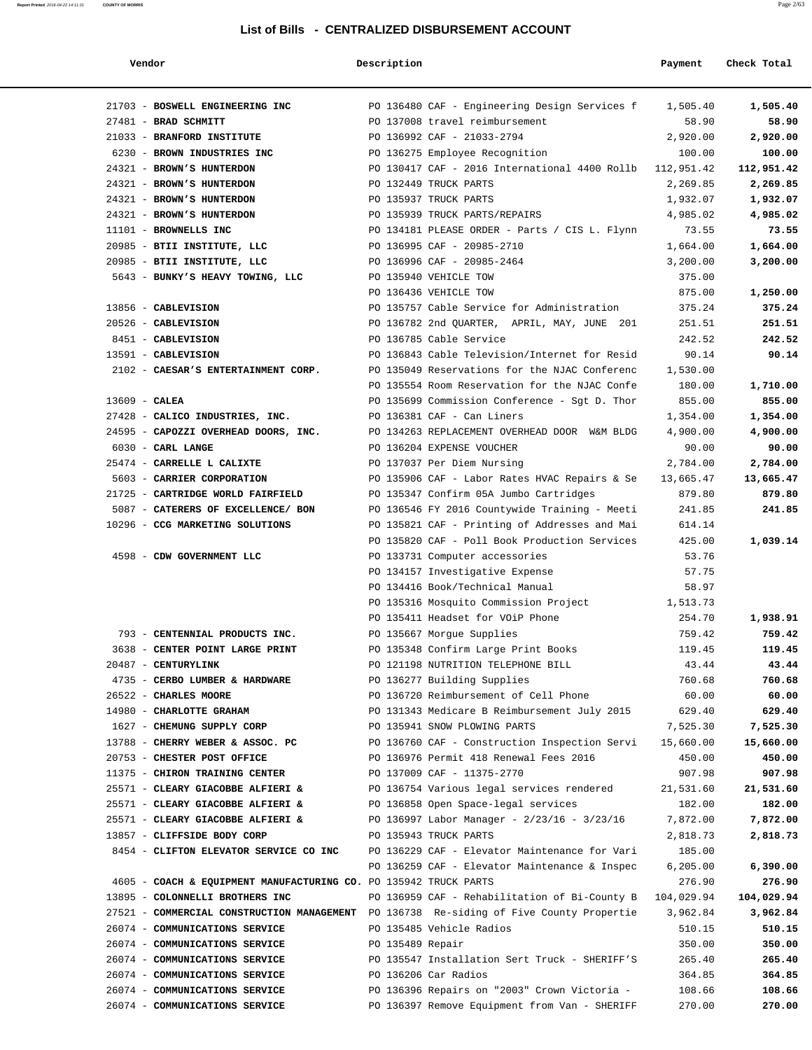| Vendor | Description | Payment | Check Total |
|--------|-------------|---------|-------------|

| 21703 - BOSWELL ENGINEERING INC                                                         |                  | PO 136480 CAF - Engineering Design Services f 1,505.40                    |                    | 1,505.40          |
|-----------------------------------------------------------------------------------------|------------------|---------------------------------------------------------------------------|--------------------|-------------------|
| 27481 - BRAD SCHMITT<br>21033 - BRANFORD INSTITUTE                                      |                  | PO 137008 travel reimbursement<br>PO 136992 CAF - 21033-2794              | 58.90<br>2,920.00  | 58.90<br>2,920.00 |
| 6230 - BROWN INDUSTRIES INC                                                             |                  | PO 136275 Employee Recognition                                            | 100.00             | 100.00            |
| 24321 - BROWN'S HUNTERDON                                                               |                  | PO 130417 CAF - 2016 International 4400 Rollb 112,951.42                  |                    | 112,951.42        |
| 24321 - BROWN'S HUNTERDON                                                               |                  | PO 132449 TRUCK PARTS                                                     | 2,269.85           | 2,269.85          |
| 24321 - BROWN'S HUNTERDON                                                               |                  | PO 135937 TRUCK PARTS                                                     | 1,932.07           | 1,932.07          |
| 24321 - BROWN'S HUNTERDON                                                               |                  | PO 135939 TRUCK PARTS/REPAIRS                                             | 4,985.02           | 4,985.02          |
| 11101 - BROWNELLS INC                                                                   |                  | PO 134181 PLEASE ORDER - Parts / CIS L. Flynn                             | 73.55              | 73.55             |
| 20985 - BTII INSTITUTE, LLC                                                             |                  | PO 136995 CAF - 20985-2710                                                | 1,664.00           | 1,664.00          |
| 20985 - BTII INSTITUTE, LLC                                                             |                  | PO 136996 CAF - 20985-2464                                                | 3,200.00           | 3,200.00          |
| 5643 - BUNKY'S HEAVY TOWING, LLC                                                        |                  | PO 135940 VEHICLE TOW                                                     | 375.00             |                   |
|                                                                                         |                  | PO 136436 VEHICLE TOW                                                     | 875.00             | 1,250.00          |
| 13856 - CABLEVISION                                                                     |                  | PO 135757 Cable Service for Administration                                | 375.24             | 375.24            |
| 20526 - CABLEVISION                                                                     |                  | PO 136782 2nd QUARTER, APRIL, MAY, JUNE 201                               | 251.51             | 251.51            |
| 8451 - CABLEVISION                                                                      |                  | PO 136785 Cable Service                                                   | 242.52             | 242.52            |
| 13591 - CABLEVISION                                                                     |                  | PO 136843 Cable Television/Internet for Resid                             | 90.14              | 90.14             |
| 2102 - CAESAR'S ENTERTAINMENT CORP.                                                     |                  | PO 135049 Reservations for the NJAC Conferenc                             | 1,530.00           |                   |
|                                                                                         |                  | PO 135554 Room Reservation for the NJAC Confe                             | 180.00             | 1,710.00          |
| $13609$ - CALEA                                                                         |                  | PO 135699 Commission Conference - Sgt D. Thor                             | 855.00             | 855.00            |
| 27428 - CALICO INDUSTRIES, INC.                                                         |                  | PO 136381 CAF - Can Liners                                                | 1,354.00           | 1,354.00          |
| 24595 - CAPOZZI OVERHEAD DOORS, INC.                                                    |                  | PO 134263 REPLACEMENT OVERHEAD DOOR W&M BLDG                              | 4,900.00           | 4,900.00          |
| $6030$ - CARL LANGE                                                                     |                  | PO 136204 EXPENSE VOUCHER                                                 | 90.00              | 90.00             |
| 25474 - CARRELLE L CALIXTE                                                              |                  | PO 137037 Per Diem Nursing                                                | 2,784.00           | 2,784.00          |
| 5603 - CARRIER CORPORATION                                                              |                  | PO 135906 CAF - Labor Rates HVAC Repairs & Se                             | 13,665.47          | 13,665.47         |
| 21725 - CARTRIDGE WORLD FAIRFIELD                                                       |                  | PO 135347 Confirm 05A Jumbo Cartridges                                    | 879.80             | 879.80            |
| 5087 - CATERERS OF EXCELLENCE/ BON                                                      |                  | PO 136546 FY 2016 Countywide Training - Meeti                             | 241.85             | 241.85            |
| 10296 - CCG MARKETING SOLUTIONS                                                         |                  | PO 135821 CAF - Printing of Addresses and Mai                             | 614.14             |                   |
|                                                                                         |                  | PO 135820 CAF - Poll Book Production Services                             | 425.00             | 1,039.14          |
| 4598 - CDW GOVERNMENT LLC                                                               |                  | PO 133731 Computer accessories                                            | 53.76              |                   |
|                                                                                         |                  | PO 134157 Investigative Expense                                           | 57.75              |                   |
|                                                                                         |                  | PO 134416 Book/Technical Manual                                           | 58.97              |                   |
|                                                                                         |                  | PO 135316 Mosquito Commission Project<br>PO 135411 Headset for VOiP Phone | 1,513.73<br>254.70 | 1,938.91          |
| 793 - CENTENNIAL PRODUCTS INC.                                                          |                  | PO 135667 Morgue Supplies                                                 | 759.42             | 759.42            |
| 3638 - CENTER POINT LARGE PRINT                                                         |                  | PO 135348 Confirm Large Print Books                                       | 119.45             | 119.45            |
| 20487 - CENTURYLINK                                                                     |                  | PO 121198 NUTRITION TELEPHONE BILL                                        | 43.44              | 43.44             |
| 4735 - CERBO LUMBER & HARDWARE                                                          |                  | PO 136277 Building Supplies                                               | 760.68             | 760.68            |
| 26522 - CHARLES MOORE                                                                   |                  | PO 136720 Reimbursement of Cell Phone                                     | 60.00              | 60.00             |
| 14980 - CHARLOTTE GRAHAM                                                                |                  | PO 131343 Medicare B Reimbursement July 2015                              | 629.40             | 629.40            |
| 1627 - CHEMUNG SUPPLY CORP                                                              |                  | PO 135941 SNOW PLOWING PARTS                                              | 7,525.30           | 7,525.30          |
| 13788 - CHERRY WEBER & ASSOC. PC                                                        |                  | PO 136760 CAF - Construction Inspection Servi                             | 15,660.00          | 15,660.00         |
| 20753 - CHESTER POST OFFICE                                                             |                  | PO 136976 Permit 418 Renewal Fees 2016                                    | 450.00             | 450.00            |
| 11375 - CHIRON TRAINING CENTER                                                          |                  | PO 137009 CAF - 11375-2770                                                | 907.98             | 907.98            |
| 25571 - CLEARY GIACOBBE ALFIERI &                                                       |                  | PO 136754 Various legal services rendered                                 | 21,531.60          | 21,531.60         |
| 25571 - CLEARY GIACOBBE ALFIERI &                                                       |                  | PO 136858 Open Space-legal services                                       | 182.00             | 182.00            |
| 25571 - CLEARY GIACOBBE ALFIERI &                                                       |                  | PO 136997 Labor Manager - 2/23/16 - 3/23/16                               | 7,872.00           | 7,872.00          |
| 13857 - CLIFFSIDE BODY CORP                                                             |                  | PO 135943 TRUCK PARTS                                                     | 2,818.73           | 2,818.73          |
| 8454 - CLIFTON ELEVATOR SERVICE CO INC                                                  |                  | PO 136229 CAF - Elevator Maintenance for Vari                             | 185.00             |                   |
|                                                                                         |                  | PO 136259 CAF - Elevator Maintenance & Inspec                             | 6,205.00           | 6,390.00          |
| 4605 - COACH & EQUIPMENT MANUFACTURING CO. PO 135942 TRUCK PARTS                        |                  |                                                                           | 276.90             | 276.90            |
| 13895 - COLONNELLI BROTHERS INC                                                         |                  | PO 136959 CAF - Rehabilitation of Bi-County B                             | 104,029.94         | 104,029.94        |
| 27521 - COMMERCIAL CONSTRUCTION MANAGEMENT PO 136738 Re-siding of Five County Propertie |                  |                                                                           | 3,962.84           | 3,962.84          |
| 26074 - COMMUNICATIONS SERVICE                                                          |                  | PO 135485 Vehicle Radios                                                  | 510.15             | 510.15            |
| 26074 - COMMUNICATIONS SERVICE                                                          | PO 135489 Repair |                                                                           | 350.00             | 350.00            |
| 26074 - COMMUNICATIONS SERVICE                                                          |                  | PO 135547 Installation Sert Truck - SHERIFF'S                             | 265.40             | 265.40            |
| 26074 - COMMUNICATIONS SERVICE<br>26074 - COMMUNICATIONS SERVICE                        |                  | PO 136206 Car Radios<br>PO 136396 Repairs on "2003" Crown Victoria -      | 364.85<br>108.66   | 364.85<br>108.66  |
| 26074 - COMMUNICATIONS SERVICE                                                          |                  | PO 136397 Remove Equipment from Van - SHERIFF                             | 270.00             | 270.00            |
|                                                                                         |                  |                                                                           |                    |                   |
|                                                                                         |                  |                                                                           |                    |                   |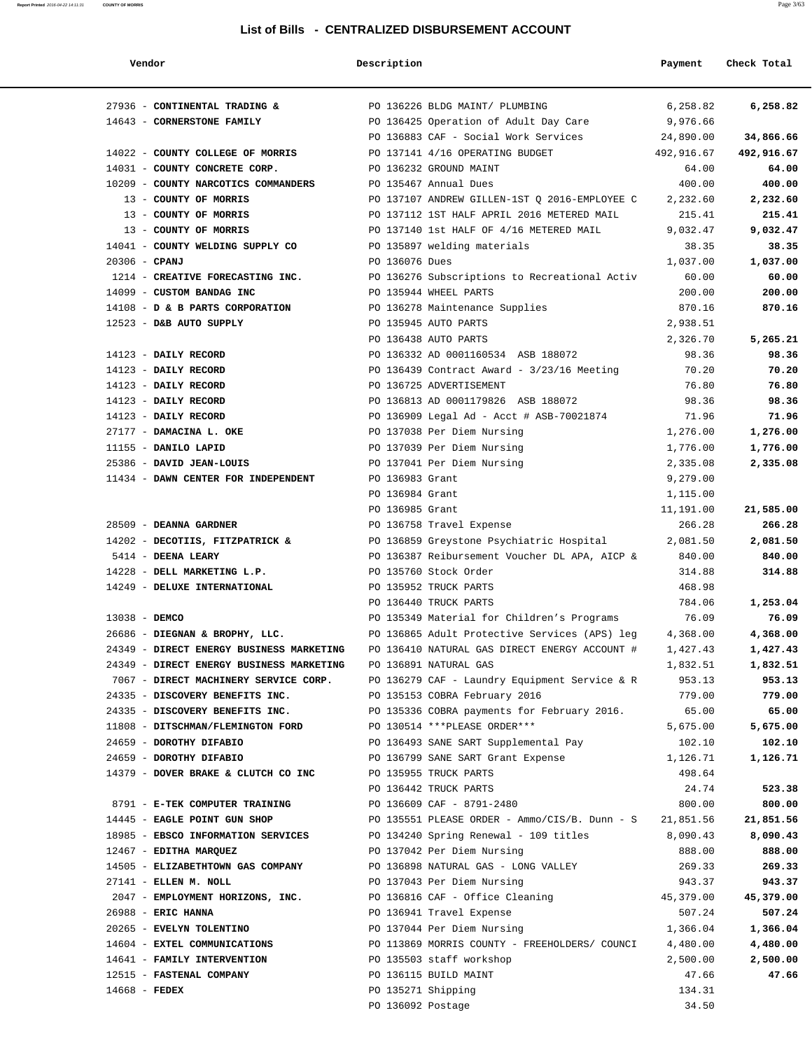| Vendor                                                         | Description           |                                                                                             | Payment              | Check Total          |
|----------------------------------------------------------------|-----------------------|---------------------------------------------------------------------------------------------|----------------------|----------------------|
| 27936 - CONTINENTAL TRADING &                                  |                       | PO 136226 BLDG MAINT/ PLUMBING                                                              | 6,258.82             | 6,258.82             |
| 14643 - CORNERSTONE FAMILY                                     |                       | PO 136425 Operation of Adult Day Care                                                       | 9,976.66             |                      |
|                                                                |                       | PO 136883 CAF - Social Work Services                                                        | 24,890.00            | 34,866.66            |
| 14022 - COUNTY COLLEGE OF MORRIS                               |                       | PO 137141 4/16 OPERATING BUDGET                                                             | 492,916.67           | 492,916.67           |
| 14031 - COUNTY CONCRETE CORP.                                  |                       | PO 136232 GROUND MAINT                                                                      | 64.00                | 64.00                |
| 10209 - COUNTY NARCOTICS COMMANDERS                            | PO 135467 Annual Dues |                                                                                             | 400.00               | 400.00               |
| 13 - COUNTY OF MORRIS                                          |                       | PO 137107 ANDREW GILLEN-1ST Q 2016-EMPLOYEE C                                               | 2,232.60             | 2,232.60             |
| 13 - COUNTY OF MORRIS                                          |                       | PO 137112 1ST HALF APRIL 2016 METERED MAIL                                                  | 215.41               | 215.41               |
| 13 - COUNTY OF MORRIS                                          |                       | PO 137140 1st HALF OF 4/16 METERED MAIL                                                     | 9,032.47             | 9,032.47             |
| 14041 - COUNTY WELDING SUPPLY CO                               |                       | PO 135897 welding materials                                                                 | 38.35                | 38.35                |
| $20306$ - CPANJ                                                | PO 136076 Dues        |                                                                                             | 1,037.00             | 1,037.00             |
| 1214 - CREATIVE FORECASTING INC.                               |                       | PO 136276 Subscriptions to Recreational Activ                                               | 60.00                | 60.00                |
| 14099 - CUSTOM BANDAG INC                                      |                       | PO 135944 WHEEL PARTS                                                                       | 200.00               | 200.00               |
| 14108 - D & B PARTS CORPORATION PO 136278 Maintenance Supplies |                       |                                                                                             | 870.16               | 870.16               |
| 12523 - D&B AUTO SUPPLY                                        |                       | PO 135945 AUTO PARTS                                                                        | 2,938.51             |                      |
|                                                                |                       | PO 136438 AUTO PARTS                                                                        | 2,326.70             | 5,265.21             |
| 14123 - DAILY RECORD                                           |                       | PO 136332 AD 0001160534 ASB 188072                                                          | 98.36                | 98.36                |
| 14123 - DAILY RECORD                                           |                       | PO 136439 Contract Award - $3/23/16$ Meeting                                                | 70.20                | 70.20                |
| 14123 - DAILY RECORD                                           |                       | PO 136725 ADVERTISEMENT                                                                     | 76.80                | 76.80                |
| 14123 - DAILY RECORD                                           |                       | PO 136813 AD 0001179826 ASB 188072                                                          | 98.36                | 98.36                |
| 14123 - DAILY RECORD                                           |                       | PO 136909 Legal Ad - Acct # ASB-70021874                                                    | 71.96                | 71.96                |
| 27177 - DAMACINA L. OKE                                        |                       | PO 137038 Per Diem Nursing                                                                  | 1,276.00             | 1,276.00             |
| 11155 - DANILO LAPID                                           |                       | PO 137039 Per Diem Nursing                                                                  | 1,776.00             | 1,776.00             |
| 25386 - DAVID JEAN-LOUIS                                       |                       | PO 137041 Per Diem Nursing                                                                  | 2,335.08             | 2,335.08             |
| 11434 - DAWN CENTER FOR INDEPENDENT                            | PO 136983 Grant       |                                                                                             | 9,279.00             |                      |
|                                                                | PO 136984 Grant       |                                                                                             | 1,115.00             |                      |
|                                                                | PO 136985 Grant       |                                                                                             | 11,191.00            | 21,585.00            |
| 28509 - DEANNA GARDNER                                         |                       | PO 136758 Travel Expense                                                                    | 266.28               | 266.28               |
| 14202 - DECOTIIS, FITZPATRICK &                                |                       | PO 136859 Greystone Psychiatric Hospital                                                    | 2,081.50             | 2,081.50             |
| 5414 - DEENA LEARY                                             |                       | PO 136387 Reibursement Voucher DL APA, AICP &                                               | 840.00               | 840.00               |
| 14228 - DELL MARKETING L.P.                                    |                       | PO 135760 Stock Order                                                                       | 314.88               | 314.88               |
| 14249 - DELUXE INTERNATIONAL                                   |                       | PO 135952 TRUCK PARTS                                                                       | 468.98               |                      |
|                                                                |                       | PO 136440 TRUCK PARTS                                                                       | 784.06               | 1,253.04             |
| 13038 - DEMCO<br>26686 - DIEGNAN & BROPHY, LLC.                |                       | PO 135349 Material for Children's Programs<br>PO 136865 Adult Protective Services (APS) leg | 76.09<br>4,368.00    | 76.09<br>4,368.00    |
| 24349 - DIRECT ENERGY BUSINESS MARKETING                       |                       |                                                                                             |                      |                      |
| 24349 - DIRECT ENERGY BUSINESS MARKETING                       |                       | PO 136410 NATURAL GAS DIRECT ENERGY ACCOUNT #<br>PO 136891 NATURAL GAS                      | 1,427.43<br>1,832.51 | 1,427.43<br>1,832.51 |
| 7067 - DIRECT MACHINERY SERVICE CORP.                          |                       | PO 136279 CAF - Laundry Equipment Service & R                                               | 953.13               | 953.13               |
| 24335 - DISCOVERY BENEFITS INC.                                |                       | PO 135153 COBRA February 2016                                                               | 779.00               | 779.00               |
| 24335 - DISCOVERY BENEFITS INC.                                |                       | PO 135336 COBRA payments for February 2016.                                                 | 65.00                | 65.00                |
| 11808 - DITSCHMAN/FLEMINGTON FORD                              |                       | PO 130514 *** PLEASE ORDER***                                                               | 5,675.00             | 5,675.00             |
| 24659 - DOROTHY DIFABIO                                        |                       | PO 136493 SANE SART Supplemental Pay                                                        | 102.10               | 102.10               |
| 24659 - DOROTHY DIFABIO                                        |                       | PO 136799 SANE SART Grant Expense                                                           | 1,126.71             | 1,126.71             |
| 14379 - DOVER BRAKE & CLUTCH CO INC                            |                       | PO 135955 TRUCK PARTS                                                                       | 498.64               |                      |
|                                                                |                       | PO 136442 TRUCK PARTS                                                                       | 24.74                | 523.38               |
| 8791 - E-TEK COMPUTER TRAINING                                 |                       | PO 136609 CAF - 8791-2480                                                                   | 800.00               | 800.00               |
| 14445 - EAGLE POINT GUN SHOP                                   |                       | PO 135551 PLEASE ORDER - Ammo/CIS/B. Dunn - S 21,851.56                                     |                      | 21,851.56            |
| 18985 - EBSCO INFORMATION SERVICES                             |                       | PO 134240 Spring Renewal - 109 titles                                                       | 8,090.43             | 8,090.43             |
| 12467 - EDITHA MARQUEZ                                         |                       | PO 137042 Per Diem Nursing                                                                  | 888.00               | 888.00               |
| 14505 - ELIZABETHTOWN GAS COMPANY                              |                       | PO 136898 NATURAL GAS - LONG VALLEY                                                         | 269.33               | 269.33               |
| 27141 - ELLEN M. NOLL                                          |                       | PO 137043 Per Diem Nursing                                                                  | 943.37               | 943.37               |
| 2047 - EMPLOYMENT HORIZONS, INC.                               |                       | PO 136816 CAF - Office Cleaning                                                             | 45,379.00            | 45,379.00            |
| 26988 - ERIC HANNA                                             |                       | PO 136941 Travel Expense                                                                    | 507.24               | 507.24               |
| 20265 - EVELYN TOLENTINO                                       |                       | PO 137044 Per Diem Nursing                                                                  | 1,366.04             | 1,366.04             |
| 14604 - EXTEL COMMUNICATIONS                                   |                       | PO 113869 MORRIS COUNTY - FREEHOLDERS/ COUNCI                                               | 4,480.00             | 4,480.00             |
| 14641 - FAMILY INTERVENTION                                    |                       | PO 135503 staff workshop                                                                    | 2,500.00             | 2,500.00             |
| 12515 - FASTENAL COMPANY                                       |                       | PO 136115 BUILD MAINT                                                                       | 47.66                | 47.66                |
| 14668 - FEDEX                                                  | PO 135271 Shipping    |                                                                                             | 134.31               |                      |
|                                                                | PO 136092 Postage     |                                                                                             | 34.50                |                      |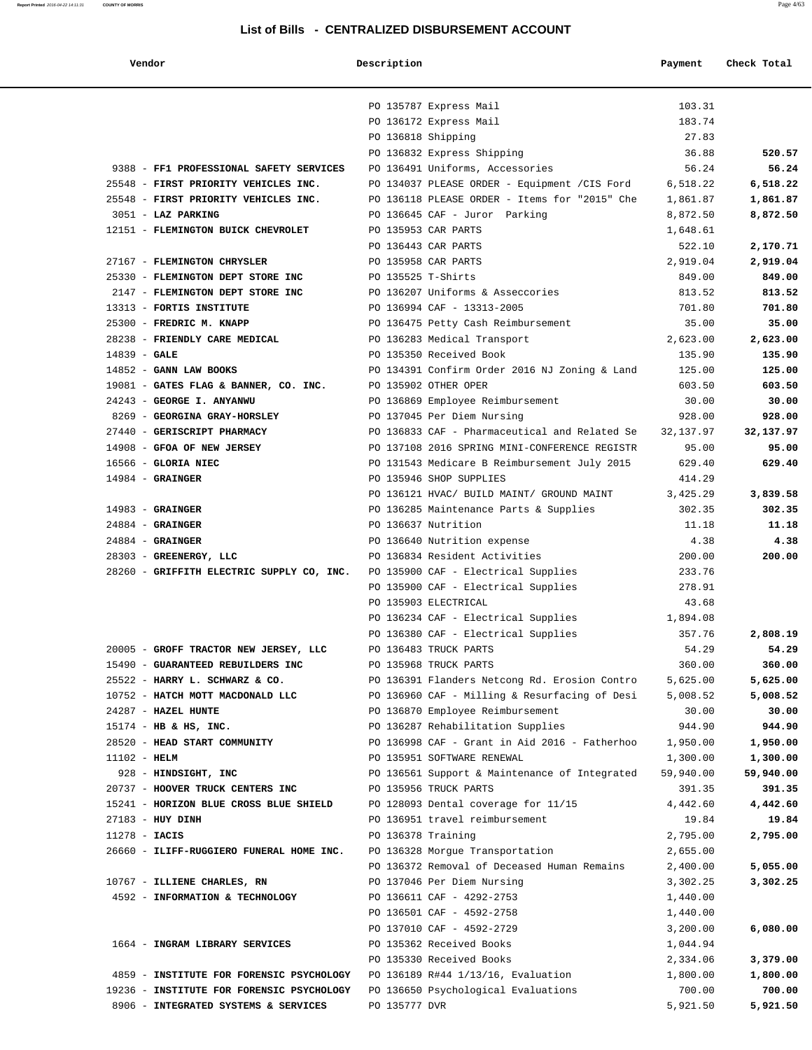| Vendor                                      | Description        |                                                                             | Payment               | Check Total           |
|---------------------------------------------|--------------------|-----------------------------------------------------------------------------|-----------------------|-----------------------|
|                                             |                    |                                                                             |                       |                       |
|                                             |                    | PO 135787 Express Mail                                                      | 103.31                |                       |
|                                             |                    | PO 136172 Express Mail                                                      | 183.74                |                       |
|                                             | PO 136818 Shipping |                                                                             | 27.83                 |                       |
|                                             |                    | PO 136832 Express Shipping                                                  | 36.88                 | 520.57                |
| 9388 - FF1 PROFESSIONAL SAFETY SERVICES     |                    | PO 136491 Uniforms, Accessories                                             | 56.24                 | 56.24                 |
| 25548 - FIRST PRIORITY VEHICLES INC.        |                    | PO 134037 PLEASE ORDER - Equipment / CIS Ford                               | 6,518.22              | 6,518.22              |
| 25548 - FIRST PRIORITY VEHICLES INC.        |                    | PO 136118 PLEASE ORDER - Items for "2015" Che                               | 1,861.87              | 1,861.87              |
| 3051 - LAZ PARKING                          |                    | PO 136645 CAF - Juror Parking                                               | 8,872.50              | 8,872.50              |
| 12151 - FLEMINGTON BUICK CHEVROLET          |                    | PO 135953 CAR PARTS                                                         | 1,648.61              |                       |
|                                             |                    | PO 136443 CAR PARTS                                                         | 522.10                | 2,170.71              |
| 27167 - FLEMINGTON CHRYSLER                 |                    | PO 135958 CAR PARTS                                                         | 2,919.04              | 2,919.04              |
| 25330 - FLEMINGTON DEPT STORE INC           | PO 135525 T-Shirts |                                                                             | 849.00                | 849.00                |
| 2147 - FLEMINGTON DEPT STORE INC            |                    | PO 136207 Uniforms & Asseccories                                            | 813.52                | 813.52                |
| 13313 - FORTIS INSTITUTE                    |                    | PO 136994 CAF - 13313-2005                                                  | 701.80                | 701.80                |
| 25300 - FREDRIC M. KNAPP                    |                    | PO 136475 Petty Cash Reimbursement                                          | 35.00                 | 35.00                 |
| 28238 - FRIENDLY CARE MEDICAL               |                    | PO 136283 Medical Transport                                                 | 2,623.00              | 2,623.00              |
| 14839 - GALE                                |                    | PO 135350 Received Book                                                     | 135.90                | 135.90                |
| 14852 - GANN LAW BOOKS                      |                    | PO 134391 Confirm Order 2016 NJ Zoning & Land                               | 125.00                | 125.00                |
| 19081 - GATES FLAG & BANNER, CO. INC.       |                    | PO 135902 OTHER OPER                                                        | 603.50                | 603.50                |
| 24243 - GEORGE I. ANYANWU                   |                    | PO 136869 Employee Reimbursement                                            | 30.00                 | 30.00                 |
| 8269 - GEORGINA GRAY-HORSLEY                |                    | PO 137045 Per Diem Nursing                                                  | 928.00                | 928.00                |
| 27440 - GERISCRIPT PHARMACY                 |                    | PO 136833 CAF - Pharmaceutical and Related Se                               | 32,137.97             | 32,137.97             |
| 14908 - GFOA OF NEW JERSEY                  |                    | PO 137108 2016 SPRING MINI-CONFERENCE REGISTR                               | 95.00<br>629.40       | 95.00<br>629.40       |
| $16566$ - GLORIA NIEC<br>$14984$ - GRAINGER |                    | PO 131543 Medicare B Reimbursement July 2015<br>PO 135946 SHOP SUPPLIES     | 414.29                |                       |
|                                             |                    | PO 136121 HVAC/ BUILD MAINT/ GROUND MAINT                                   | 3,425.29              | 3,839.58              |
| $14983$ - GRAINGER                          |                    | PO 136285 Maintenance Parts & Supplies                                      | 302.35                | 302.35                |
| $24884$ - GRAINGER                          |                    | PO 136637 Nutrition                                                         | 11.18                 | 11.18                 |
| $24884$ - GRAINGER                          |                    | PO 136640 Nutrition expense                                                 | 4.38                  | 4.38                  |
| 28303 - GREENERGY, LLC                      |                    | PO 136834 Resident Activities                                               | 200.00                | 200.00                |
| 28260 - GRIFFITH ELECTRIC SUPPLY CO, INC.   |                    | PO 135900 CAF - Electrical Supplies                                         | 233.76                |                       |
|                                             |                    | PO 135900 CAF - Electrical Supplies                                         | 278.91                |                       |
|                                             |                    | PO 135903 ELECTRICAL                                                        | 43.68                 |                       |
|                                             |                    | PO 136234 CAF - Electrical Supplies                                         | 1,894.08              |                       |
|                                             |                    | PO 136380 CAF - Electrical Supplies                                         | 357.76                | 2,808.19              |
| 20005 - GROFF TRACTOR NEW JERSEY, LLC       |                    | PO 136483 TRUCK PARTS                                                       | 54.29                 | 54.29                 |
| 15490 - GUARANTEED REBUILDERS INC           |                    | PO 135968 TRUCK PARTS                                                       | 360.00                | 360.00                |
| 25522 - HARRY L. SCHWARZ & CO.              |                    | PO 136391 Flanders Netcong Rd. Erosion Contro                               | 5,625.00              | 5,625.00              |
| 10752 - HATCH MOTT MACDONALD LLC            |                    | PO 136960 CAF - Milling & Resurfacing of Desi                               | 5,008.52              | 5,008.52              |
| 24287 - HAZEL HUNTE                         |                    | PO 136870 Employee Reimbursement                                            | 30.00                 | 30.00                 |
| 15174 - HB & HS, INC.                       |                    | PO 136287 Rehabilitation Supplies                                           | 944.90                | 944.90                |
| 28520 - HEAD START COMMUNITY                |                    | PO 136998 CAF - Grant in Aid 2016 - Fatherhoo                               | 1,950.00              | 1,950.00              |
| $11102 - HELM$<br>928 - HINDSIGHT, INC      |                    | PO 135951 SOFTWARE RENEWAL<br>PO 136561 Support & Maintenance of Integrated | 1,300.00<br>59,940.00 | 1,300.00<br>59,940.00 |
| 20737 - HOOVER TRUCK CENTERS INC            |                    | PO 135956 TRUCK PARTS                                                       | 391.35                | 391.35                |
| 15241 - HORIZON BLUE CROSS BLUE SHIELD      |                    | PO 128093 Dental coverage for 11/15                                         | 4,442.60              | 4,442.60              |
| 27183 - HUY DINH                            |                    | PO 136951 travel reimbursement                                              | 19.84                 | 19.84                 |
| $11278 - IACIS$                             | PO 136378 Training |                                                                             | 2,795.00              | 2,795.00              |
| 26660 - ILIFF-RUGGIERO FUNERAL HOME INC.    |                    | PO 136328 Morgue Transportation                                             | 2,655.00              |                       |
|                                             |                    | PO 136372 Removal of Deceased Human Remains                                 | 2,400.00              | 5,055.00              |
| 10767 - ILLIENE CHARLES, RN                 |                    | PO 137046 Per Diem Nursing                                                  | 3,302.25              | 3,302.25              |
| 4592 - INFORMATION & TECHNOLOGY             |                    | PO 136611 CAF - 4292-2753                                                   | 1,440.00              |                       |
|                                             |                    | PO 136501 CAF - 4592-2758                                                   | 1,440.00              |                       |
|                                             |                    | PO 137010 CAF - 4592-2729                                                   | 3,200.00              | 6,080.00              |
| 1664 - INGRAM LIBRARY SERVICES              |                    | PO 135362 Received Books                                                    | 1,044.94              |                       |
|                                             |                    | PO 135330 Received Books                                                    | 2,334.06              | 3,379.00              |
| 4859 - INSTITUTE FOR FORENSIC PSYCHOLOGY    |                    | PO 136189 R#44 1/13/16, Evaluation                                          | 1,800.00              | 1,800.00              |
| 19236 - INSTITUTE FOR FORENSIC PSYCHOLOGY   |                    | PO 136650 Psychological Evaluations                                         | 700.00                | 700.00                |
| 8906 - INTEGRATED SYSTEMS & SERVICES        | PO 135777 DVR      |                                                                             | 5,921.50              | 5,921.50              |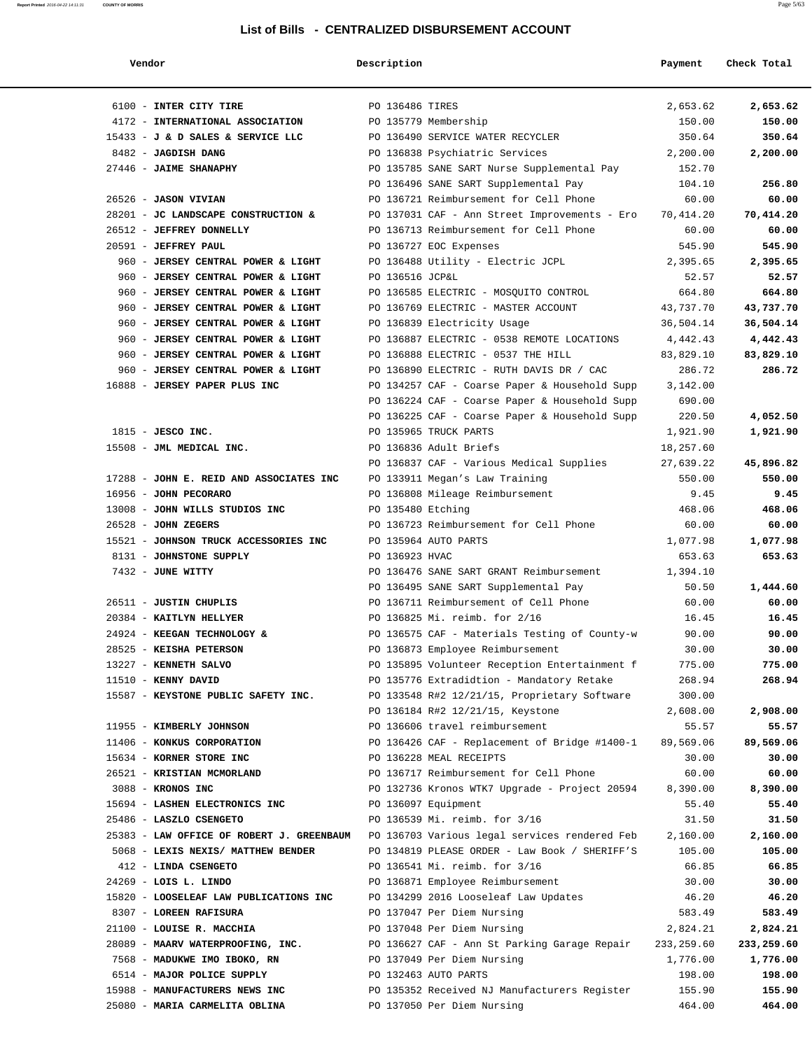| Vendor                                                                                  | Description       |                                                   | Payment     | Check Total |
|-----------------------------------------------------------------------------------------|-------------------|---------------------------------------------------|-------------|-------------|
|                                                                                         |                   |                                                   |             |             |
| 6100 - INTER CITY TIRE                                                                  | PO 136486 TIRES   |                                                   | 2,653.62    | 2,653.62    |
| 4172 - INTERNATIONAL ASSOCIATION                                                        |                   | PO 135779 Membership                              | 150.00      | 150.00      |
| $15433 - J$ & D SALES & SERVICE LLC                                                     |                   | PO 136490 SERVICE WATER RECYCLER                  | 350.64      | 350.64      |
| 8482 - JAGDISH DANG                                                                     |                   | PO 136838 Psychiatric Services                    | 2,200.00    | 2,200.00    |
| 27446 - JAIME SHANAPHY                                                                  |                   | PO 135785 SANE SART Nurse Supplemental Pay 152.70 |             |             |
|                                                                                         |                   | PO 136496 SANE SART Supplemental Pay              | 104.10      | 256.80      |
| 26526 - JASON VIVIAN                                                                    |                   | PO 136721 Reimbursement for Cell Phone            | 60.00       | 60.00       |
| 28201 - JC LANDSCAPE CONSTRUCTION &                                                     |                   | PO 137031 CAF - Ann Street Improvements - Ero     | 70,414.20   | 70,414.20   |
| 26512 - JEFFREY DONNELLY                                                                |                   | PO 136713 Reimbursement for Cell Phone            | 60.00       | 60.00       |
| 20591 - JEFFREY PAUL                                                                    |                   | PO 136727 EOC Expenses                            | 545.90      | 545.90      |
| 960 - JERSEY CENTRAL POWER & LIGHT                                                      |                   | PO 136488 Utility - Electric JCPL                 | 2,395.65    | 2,395.65    |
| 960 - JERSEY CENTRAL POWER & LIGHT                                                      | PO 136516 JCP&L   |                                                   | 52.57       | 52.57       |
| 960 - JERSEY CENTRAL POWER & LIGHT                                                      |                   | PO 136585 ELECTRIC - MOSQUITO CONTROL             | 664.80      | 664.80      |
| 960 - JERSEY CENTRAL POWER & LIGHT                                                      |                   | PO 136769 ELECTRIC - MASTER ACCOUNT               | 43,737.70   | 43,737.70   |
| 960 - JERSEY CENTRAL POWER & LIGHT                                                      |                   | PO 136839 Electricity Usage                       | 36,504.14   | 36,504.14   |
| 960 - JERSEY CENTRAL POWER & LIGHT                                                      |                   | PO 136887 ELECTRIC - 0538 REMOTE LOCATIONS        | 4,442.43    | 4,442.43    |
| 960 - JERSEY CENTRAL POWER & LIGHT                                                      |                   | PO 136888 ELECTRIC - 0537 THE HILL                | 83,829.10   | 83,829.10   |
| 960 - JERSEY CENTRAL POWER & LIGHT                                                      |                   | PO 136890 ELECTRIC - RUTH DAVIS DR / CAC          | 286.72      | 286.72      |
| 16888 - JERSEY PAPER PLUS INC                                                           |                   | PO 134257 CAF - Coarse Paper & Household Supp     | 3,142.00    |             |
|                                                                                         |                   | PO 136224 CAF - Coarse Paper & Household Supp     | 690.00      |             |
|                                                                                         |                   | PO 136225 CAF - Coarse Paper & Household Supp     | 220.50      | 4,052.50    |
| $1815$ - JESCO INC.                                                                     |                   | PO 135965 TRUCK PARTS                             | 1,921.90    | 1,921.90    |
| 15508 - JML MEDICAL INC.                                                                |                   | PO 136836 Adult Briefs                            | 18,257.60   |             |
|                                                                                         |                   | PO 136837 CAF - Various Medical Supplies          | 27,639.22   | 45,896.82   |
| 17288 - JOHN E. REID AND ASSOCIATES INC                                                 |                   | PO 133911 Megan's Law Training                    | 550.00      | 550.00      |
| 16956 - JOHN PECORARO                                                                   |                   | PO 136808 Mileage Reimbursement                   | 9.45        | 9.45        |
| 13008 - JOHN WILLS STUDIOS INC                                                          | PO 135480 Etching |                                                   | 468.06      | 468.06      |
| $26528$ - JOHN ZEGERS                                                                   |                   | PO 136723 Reimbursement for Cell Phone            | 60.00       | 60.00       |
| 15521 - JOHNSON TRUCK ACCESSORIES INC                                                   |                   | PO 135964 AUTO PARTS                              | 1,077.98    | 1,077.98    |
| 8131 - JOHNSTONE SUPPLY                                                                 | PO 136923 HVAC    |                                                   | 653.63      | 653.63      |
| 7432 - JUNE WITTY                                                                       |                   | PO 136476 SANE SART GRANT Reimbursement           | 1,394.10    |             |
|                                                                                         |                   | PO 136495 SANE SART Supplemental Pay              | 50.50       | 1,444.60    |
| 26511 - JUSTIN CHUPLIS                                                                  |                   | PO 136711 Reimbursement of Cell Phone             | 60.00       | 60.00       |
| 20384 - KAITLYN HELLYER                                                                 |                   | PO 136825 Mi. reimb. for 2/16                     | 16.45       | 16.45       |
| 24924 - KEEGAN TECHNOLOGY &                                                             |                   | PO 136575 CAF - Materials Testing of County-w     | 90.00       | 90.00       |
| 28525 - KEISHA PETERSON                                                                 |                   | PO 136873 Employee Reimbursement                  | 30.00       | 30.00       |
| 13227 - KENNETH SALVO                                                                   |                   | PO 135895 Volunteer Reception Entertainment f     | 775.00      | 775.00      |
| 11510 - KENNY DAVID                                                                     |                   | PO 135776 Extradidtion - Mandatory Retake         | 268.94      | 268.94      |
| 15587 - KEYSTONE PUBLIC SAFETY INC.                                                     |                   | PO 133548 R#2 12/21/15, Proprietary Software      | 300.00      |             |
|                                                                                         |                   | PO 136184 R#2 12/21/15, Keystone                  | 2,608.00    | 2,908.00    |
| 11955 - KIMBERLY JOHNSON                                                                |                   | PO 136606 travel reimbursement                    | 55.57       | 55.57       |
| 11406 - KONKUS CORPORATION                                                              |                   | PO 136426 CAF - Replacement of Bridge #1400-1     | 89,569.06   | 89,569.06   |
| 15634 - KORNER STORE INC                                                                |                   | PO 136228 MEAL RECEIPTS                           | 30.00       | 30.00       |
| 26521 - KRISTIAN MCMORLAND                                                              |                   | PO 136717 Reimbursement for Cell Phone            | 60.00       | 60.00       |
| 3088 - KRONOS INC                                                                       |                   | PO 132736 Kronos WTK7 Upgrade - Project 20594     | 8,390.00    | 8,390.00    |
| 15694 - LASHEN ELECTRONICS INC                                                          |                   | PO 136097 Equipment                               | 55.40       | 55.40       |
| 25486 - LASZLO CSENGETO                                                                 |                   | PO 136539 Mi. reimb. for 3/16                     | 31.50       | 31.50       |
| 25383 - LAW OFFICE OF ROBERT J. GREENBAUM PO 136703 Various legal services rendered Feb |                   |                                                   | 2,160.00    | 2,160.00    |
| 5068 - LEXIS NEXIS/ MATTHEW BENDER                                                      |                   | PO 134819 PLEASE ORDER - Law Book / SHERIFF'S     | 105.00      | 105.00      |
| 412 - LINDA CSENGETO                                                                    |                   | PO 136541 Mi. reimb. for 3/16                     | 66.85       | 66.85       |
| 24269 - LOIS L. LINDO                                                                   |                   | PO 136871 Employee Reimbursement                  | 30.00       | 30.00       |
| 15820 - LOOSELEAF LAW PUBLICATIONS INC                                                  |                   | PO 134299 2016 Looseleaf Law Updates              | 46.20       | 46.20       |
| 8307 - LOREEN RAFISURA                                                                  |                   | PO 137047 Per Diem Nursing                        | 583.49      | 583.49      |
| 21100 - LOUISE R. MACCHIA                                                               |                   | PO 137048 Per Diem Nursing                        | 2,824.21    | 2,824.21    |
| 28089 - MAARV WATERPROOFING, INC.                                                       |                   | PO 136627 CAF - Ann St Parking Garage Repair      | 233, 259.60 | 233,259.60  |
| 7568 - MADUKWE IMO IBOKO, RN                                                            |                   | PO 137049 Per Diem Nursing                        | 1,776.00    | 1,776.00    |
| 6514 - MAJOR POLICE SUPPLY                                                              |                   | PO 132463 AUTO PARTS                              | 198.00      | 198.00      |
| 15988 - MANUFACTURERS NEWS INC                                                          |                   | PO 135352 Received NJ Manufacturers Register      | 155.90      | 155.90      |
| 25080 - MARIA CARMELITA OBLINA                                                          |                   | PO 137050 Per Diem Nursing                        | 464.00      | 464.00      |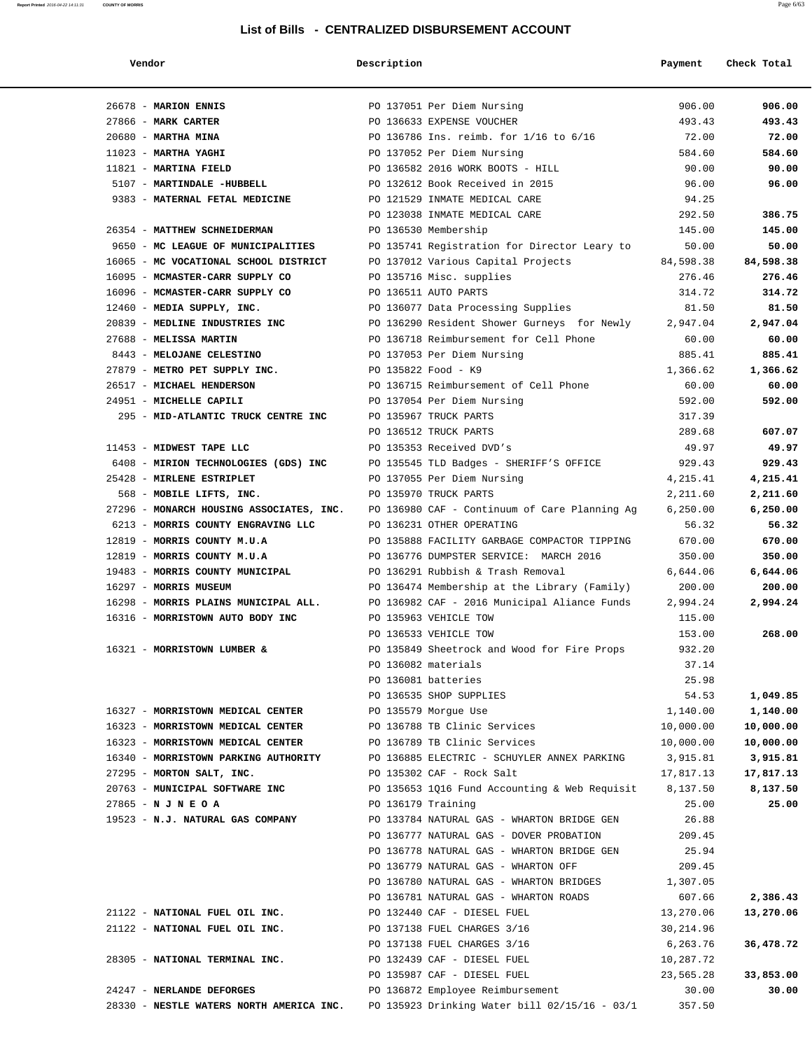| Vendor | Description | Pavment | Check Total |
|--------|-------------|---------|-------------|
|        |             |         |             |

| 26678 - MARION ENNIS                     | PO 137051 Per Diem Nursing                                                                  | 906.00<br>906.00       |
|------------------------------------------|---------------------------------------------------------------------------------------------|------------------------|
| 27866 - MARK CARTER                      | PO 136633 EXPENSE VOUCHER                                                                   | 493.43<br>493.43       |
| $20680$ - MARTHA MINA                    | PO 136786 Ins. reimb. for 1/16 to 6/16                                                      | 72.00<br>72.00         |
| $11023$ - MARTHA YAGHI                   | PO 137052 Per Diem Nursing                                                                  | 584.60<br>584.60       |
| 11821 - MARTINA FIELD                    | PO 136582 2016 WORK BOOTS - HILL                                                            | 90.00<br>90.00         |
| 5107 - MARTINDALE -HUBBELL               | PO 132612 Book Received in 2015                                                             | 96.00<br>96.00         |
| 9383 - MATERNAL FETAL MEDICINE           | PO 121529 INMATE MEDICAL CARE                                                               | 94.25                  |
|                                          | PO 123038 INMATE MEDICAL CARE                                                               | 292.50<br>386.75       |
| 26354 - MATTHEW SCHNEIDERMAN             | PO 136530 Membership                                                                        | 145.00<br>145.00       |
| 9650 - MC LEAGUE OF MUNICIPALITIES       | PO 135741 Registration for Director Leary to                                                | 50.00<br>50.00         |
| 16065 - MC VOCATIONAL SCHOOL DISTRICT    | PO 137012 Various Capital Projects<br>84,598.38                                             | 84,598.38              |
| 16095 - MCMASTER-CARR SUPPLY CO          | PO 135716 Misc. supplies                                                                    | 276.46<br>276.46       |
| 16096 - MCMASTER-CARR SUPPLY CO          | PO 136511 AUTO PARTS                                                                        | 314.72<br>314.72       |
| 12460 - MEDIA SUPPLY, INC.               | PO 136077 Data Processing Supplies                                                          | 81.50<br>81.50         |
|                                          | 20839 - MEDLINE INDUSTRIES INC <b>DEPENSION PO 136290</b> Resident Shower Gurneys for Newly | 2,947.04<br>2,947.04   |
| 27688 - MELISSA MARTIN                   | PO 136718 Reimbursement for Cell Phone                                                      | 60.00<br>60.00         |
| 8443 - MELOJANE CELESTINO                | PO 137053 Per Diem Nursing                                                                  | 885.41<br>885.41       |
| 27879 - METRO PET SUPPLY INC.            | PO 135822 Food - K9                                                                         | 1,366.62<br>1,366.62   |
| 26517 - MICHAEL HENDERSON                | PO 136715 Reimbursement of Cell Phone                                                       | 60.00<br>60.00         |
| 24951 - MICHELLE CAPILI                  | PO 137054 Per Diem Nursing                                                                  | 592.00<br>592.00       |
| 295 - MID-ATLANTIC TRUCK CENTRE INC      | PO 135967 TRUCK PARTS                                                                       | 317.39                 |
|                                          | PO 136512 TRUCK PARTS                                                                       | 289.68<br>607.07       |
| 11453 - MIDWEST TAPE LLC                 | PO 135353 Received DVD's                                                                    | 49.97<br>49.97         |
| 6408 - MIRION TECHNOLOGIES (GDS) INC     | PO 135545 TLD Badges - SHERIFF'S OFFICE                                                     | 929.43<br>929.43       |
| 25428 - MIRLENE ESTRIPLET                | PO 137055 Per Diem Nursing                                                                  | 4,215.41<br>4,215.41   |
| 568 - MOBILE LIFTS, INC.                 | PO 135970 TRUCK PARTS                                                                       | 2,211.60<br>2,211.60   |
| 27296 - MONARCH HOUSING ASSOCIATES, INC. | PO 136980 CAF - Continuum of Care Planning Ag                                               | 6,250.00<br>6,250.00   |
| 6213 - MORRIS COUNTY ENGRAVING LLC       | PO 136231 OTHER OPERATING                                                                   | 56.32<br>56.32         |
| 12819 - MORRIS COUNTY M.U.A              | PO 135888 FACILITY GARBAGE COMPACTOR TIPPING                                                | 670.00<br>670.00       |
| 12819 - MORRIS COUNTY M.U.A              | PO 136776 DUMPSTER SERVICE: MARCH 2016                                                      | 350.00<br>350.00       |
| 19483 - MORRIS COUNTY MUNICIPAL          | PO 136291 Rubbish & Trash Removal                                                           | 6,644.06<br>6,644.06   |
| 16297 - MORRIS MUSEUM                    | PO 136474 Membership at the Library (Family)                                                | 200.00<br>200.00       |
| 16298 - MORRIS PLAINS MUNICIPAL ALL.     | PO 136982 CAF - 2016 Municipal Aliance Funds                                                | 2,994.24<br>2,994.24   |
| 16316 - MORRISTOWN AUTO BODY INC         | PO 135963 VEHICLE TOW                                                                       | 115.00                 |
|                                          | PO 136533 VEHICLE TOW                                                                       | 153.00<br>268.00       |
| 16321 - MORRISTOWN LUMBER &              | PO 135849 Sheetrock and Wood for Fire Props                                                 | 932.20                 |
|                                          | PO 136082 materials                                                                         | 37.14                  |
|                                          | PO 136081 batteries                                                                         | 25.98                  |
|                                          | PO 136535 SHOP SUPPLIES                                                                     | 54.53<br>1,049.85      |
| 16327 - MORRISTOWN MEDICAL CENTER        | PO 135579 Morgue Use                                                                        | 1,140.00<br>1,140.00   |
| 16323 - MORRISTOWN MEDICAL CENTER        | PO 136788 TB Clinic Services                                                                | 10,000.00<br>10,000.00 |
| 16323 - MORRISTOWN MEDICAL CENTER        | PO 136789 TB Clinic Services                                                                | 10,000.00<br>10,000.00 |
| 16340 - MORRISTOWN PARKING AUTHORITY     | PO 136885 ELECTRIC - SCHUYLER ANNEX PARKING                                                 | 3,915.81<br>3,915.81   |
| 27295 - MORTON SALT, INC.                | PO 135302 CAF - Rock Salt                                                                   | 17,817.13<br>17,817.13 |
| 20763 - MUNICIPAL SOFTWARE INC           | PO 135653 1Q16 Fund Accounting & Web Requisit                                               | 8,137.50<br>8,137.50   |
| $27865 - N J N E O A$                    | PO 136179 Training                                                                          | 25.00<br>25.00         |
| 19523 - N.J. NATURAL GAS COMPANY         | PO 133784 NATURAL GAS - WHARTON BRIDGE GEN                                                  | 26.88                  |
|                                          | PO 136777 NATURAL GAS - DOVER PROBATION                                                     | 209.45                 |
|                                          | PO 136778 NATURAL GAS - WHARTON BRIDGE GEN                                                  | 25.94                  |
|                                          | PO 136779 NATURAL GAS - WHARTON OFF                                                         | 209.45                 |
|                                          | PO 136780 NATURAL GAS - WHARTON BRIDGES                                                     | 1,307.05               |
|                                          | PO 136781 NATURAL GAS - WHARTON ROADS                                                       | 607.66<br>2,386.43     |
| 21122 - NATIONAL FUEL OIL INC.           | PO 132440 CAF - DIESEL FUEL                                                                 | 13,270.06<br>13,270.06 |
| 21122 - NATIONAL FUEL OIL INC.           | PO 137138 FUEL CHARGES 3/16                                                                 | 30,214.96              |
|                                          | PO 137138 FUEL CHARGES 3/16                                                                 | 36,478.72<br>6,263.76  |
| 28305 - NATIONAL TERMINAL INC.           | PO 132439 CAF - DIESEL FUEL                                                                 | 10,287.72              |
|                                          | PO 135987 CAF - DIESEL FUEL                                                                 | 23,565.28<br>33,853.00 |
| 24247 - NERLANDE DEFORGES                | PO 136872 Employee Reimbursement                                                            | 30.00<br>30.00         |
| 28330 - NESTLE WATERS NORTH AMERICA INC. | PO 135923 Drinking Water bill 02/15/16 - 03/1                                               | 357.50                 |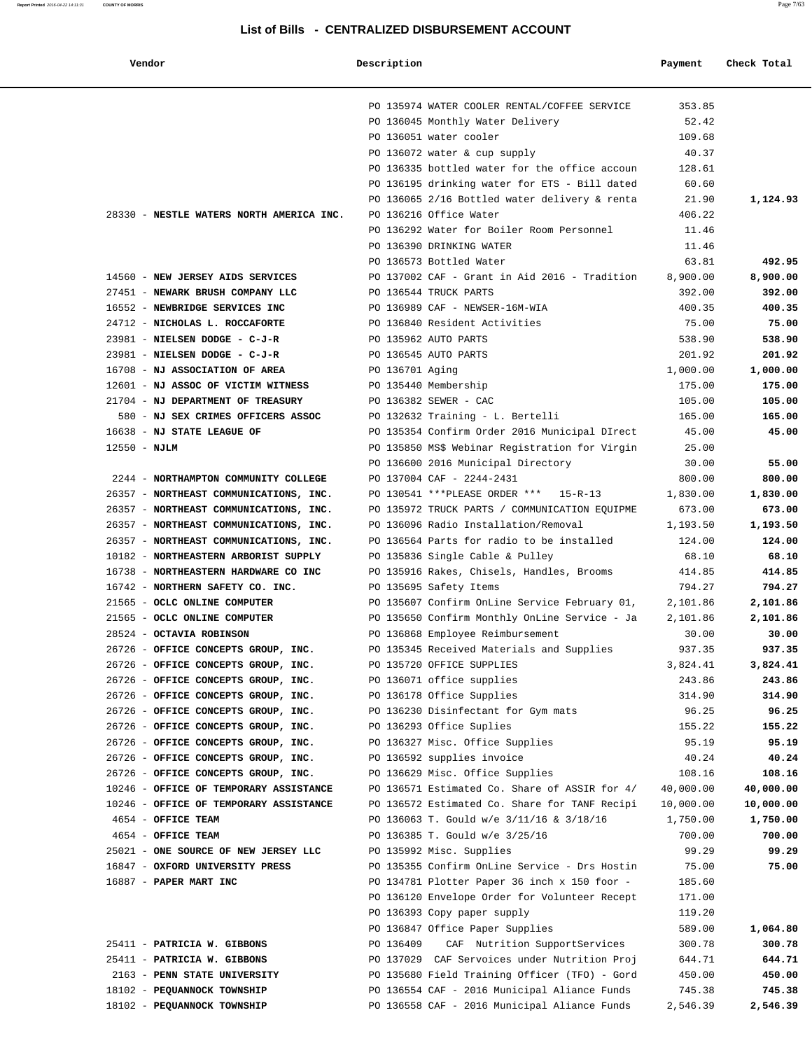| Vendor                                   | Description     |                                                | Payment   | Check Total |
|------------------------------------------|-----------------|------------------------------------------------|-----------|-------------|
|                                          |                 | PO 135974 WATER COOLER RENTAL/COFFEE SERVICE   | 353.85    |             |
|                                          |                 | PO 136045 Monthly Water Delivery               | 52.42     |             |
|                                          |                 | PO 136051 water cooler                         | 109.68    |             |
|                                          |                 | PO 136072 water & cup supply                   | 40.37     |             |
|                                          |                 | PO 136335 bottled water for the office accoun  | 128.61    |             |
|                                          |                 | PO 136195 drinking water for ETS - Bill dated  | 60.60     |             |
|                                          |                 | PO 136065 2/16 Bottled water delivery & renta  | 21.90     | 1,124.93    |
| 28330 - NESTLE WATERS NORTH AMERICA INC. |                 | PO 136216 Office Water                         | 406.22    |             |
|                                          |                 | PO 136292 Water for Boiler Room Personnel      | 11.46     |             |
|                                          |                 | PO 136390 DRINKING WATER                       | 11.46     |             |
|                                          |                 | PO 136573 Bottled Water                        | 63.81     | 492.95      |
| 14560 - NEW JERSEY AIDS SERVICES         |                 | PO 137002 CAF - Grant in Aid 2016 - Tradition  | 8,900.00  | 8,900.00    |
| 27451 - NEWARK BRUSH COMPANY LLC         |                 | PO 136544 TRUCK PARTS                          | 392.00    | 392.00      |
| 16552 - NEWBRIDGE SERVICES INC           |                 | PO 136989 CAF - NEWSER-16M-WIA                 | 400.35    | 400.35      |
| 24712 - NICHOLAS L. ROCCAFORTE           |                 | PO 136840 Resident Activities                  | 75.00     | 75.00       |
| 23981 - NIELSEN DODGE - C-J-R            |                 | PO 135962 AUTO PARTS                           | 538.90    | 538.90      |
| 23981 - NIELSEN DODGE - C-J-R            |                 | PO 136545 AUTO PARTS                           | 201.92    | 201.92      |
| 16708 - NJ ASSOCIATION OF AREA           | PO 136701 Aging |                                                | 1,000.00  | 1,000.00    |
| 12601 - NJ ASSOC OF VICTIM WITNESS       |                 | PO 135440 Membership                           | 175.00    | 175.00      |
| 21704 - NJ DEPARTMENT OF TREASURY        |                 | PO 136382 SEWER - CAC                          | 105.00    | 105.00      |
| 580 - NJ SEX CRIMES OFFICERS ASSOC       |                 | PO 132632 Training - L. Bertelli               | 165.00    | 165.00      |
| 16638 - NJ STATE LEAGUE OF               |                 | PO 135354 Confirm Order 2016 Municipal DIrect  | 45.00     | 45.00       |
| $12550 - NJLM$                           |                 | PO 135850 MS\$ Webinar Registration for Virgin | 25.00     |             |
|                                          |                 | PO 136600 2016 Municipal Directory             | 30.00     | 55.00       |
| 2244 - NORTHAMPTON COMMUNITY COLLEGE     |                 | PO 137004 CAF - 2244-2431                      | 800.00    | 800.00      |
| 26357 - NORTHEAST COMMUNICATIONS, INC.   |                 | PO 130541 *** PLEASE ORDER *** 15-R-13         | 1,830.00  | 1,830.00    |
| 26357 - NORTHEAST COMMUNICATIONS, INC.   |                 | PO 135972 TRUCK PARTS / COMMUNICATION EQUIPME  | 673.00    | 673.00      |
| 26357 - NORTHEAST COMMUNICATIONS, INC.   |                 | PO 136096 Radio Installation/Removal           | 1,193.50  | 1,193.50    |
| 26357 - NORTHEAST COMMUNICATIONS, INC.   |                 | PO 136564 Parts for radio to be installed      | 124.00    | 124.00      |
| 10182 - NORTHEASTERN ARBORIST SUPPLY     |                 | PO 135836 Single Cable & Pulley                | 68.10     | 68.10       |
| 16738 - NORTHEASTERN HARDWARE CO INC     |                 | PO 135916 Rakes, Chisels, Handles, Brooms      | 414.85    | 414.85      |
| 16742 - NORTHERN SAFETY CO. INC.         |                 | PO 135695 Safety Items                         | 794.27    | 794.27      |
| 21565 - OCLC ONLINE COMPUTER             |                 | PO 135607 Confirm OnLine Service February 01,  | 2,101.86  | 2,101.86    |
| 21565 - OCLC ONLINE COMPUTER             |                 | PO 135650 Confirm Monthly OnLine Service - Ja  | 2,101.86  | 2,101.86    |
| 28524 - OCTAVIA ROBINSON                 |                 | PO 136868 Employee Reimbursement               | 30.00     | 30.00       |
| 26726 - OFFICE CONCEPTS GROUP, INC.      |                 | PO 135345 Received Materials and Supplies      | 937.35    | 937.35      |
| 26726 - OFFICE CONCEPTS GROUP, INC.      |                 | PO 135720 OFFICE SUPPLIES                      | 3,824.41  | 3,824.41    |
| 26726 - OFFICE CONCEPTS GROUP, INC.      |                 | PO 136071 office supplies                      | 243.86    | 243.86      |
| 26726 - OFFICE CONCEPTS GROUP, INC.      |                 | PO 136178 Office Supplies                      | 314.90    | 314.90      |
| 26726 - OFFICE CONCEPTS GROUP, INC.      |                 | PO 136230 Disinfectant for Gym mats            | 96.25     | 96.25       |
| 26726 - OFFICE CONCEPTS GROUP, INC.      |                 | PO 136293 Office Suplies                       | 155.22    | 155.22      |
| 26726 - OFFICE CONCEPTS GROUP, INC.      |                 | PO 136327 Misc. Office Supplies                | 95.19     | 95.19       |
| 26726 - OFFICE CONCEPTS GROUP, INC.      |                 | PO 136592 supplies invoice                     | 40.24     | 40.24       |
| 26726 - OFFICE CONCEPTS GROUP, INC.      |                 | PO 136629 Misc. Office Supplies                | 108.16    | 108.16      |
| 10246 - OFFICE OF TEMPORARY ASSISTANCE   |                 | PO 136571 Estimated Co. Share of ASSIR for 4/  | 40,000.00 | 40,000.00   |
| 10246 - OFFICE OF TEMPORARY ASSISTANCE   |                 | PO 136572 Estimated Co. Share for TANF Recipi  | 10,000.00 | 10,000.00   |
| 4654 - OFFICE TEAM                       |                 | PO 136063 T. Gould w/e 3/11/16 & 3/18/16       | 1,750.00  | 1,750.00    |
| 4654 - OFFICE TEAM                       |                 | PO 136385 T. Gould w/e 3/25/16                 | 700.00    | 700.00      |
| 25021 - ONE SOURCE OF NEW JERSEY LLC     |                 | PO 135992 Misc. Supplies                       | 99.29     | 99.29       |
| 16847 - OXFORD UNIVERSITY PRESS          |                 | PO 135355 Confirm OnLine Service - Drs Hostin  | 75.00     | 75.00       |
| 16887 - PAPER MART INC                   |                 | PO 134781 Plotter Paper 36 inch x 150 foor -   | 185.60    |             |
|                                          |                 | PO 136120 Envelope Order for Volunteer Recept  | 171.00    |             |
|                                          |                 | PO 136393 Copy paper supply                    | 119.20    |             |
|                                          |                 | PO 136847 Office Paper Supplies                | 589.00    | 1,064.80    |
| 25411 - PATRICIA W. GIBBONS              | PO 136409       | CAF Nutrition SupportServices                  | 300.78    | 300.78      |
| 25411 - PATRICIA W. GIBBONS              |                 | PO 137029 CAF Servoices under Nutrition Proj   | 644.71    | 644.71      |
| 2163 - PENN STATE UNIVERSITY             |                 | PO 135680 Field Training Officer (TFO) - Gord  | 450.00    | 450.00      |
| 18102 - PEQUANNOCK TOWNSHIP              |                 | PO 136554 CAF - 2016 Municipal Aliance Funds   | 745.38    | 745.38      |
| 18102 - PEQUANNOCK TOWNSHIP              |                 | PO 136558 CAF - 2016 Municipal Aliance Funds   | 2,546.39  | 2,546.39    |
|                                          |                 |                                                |           |             |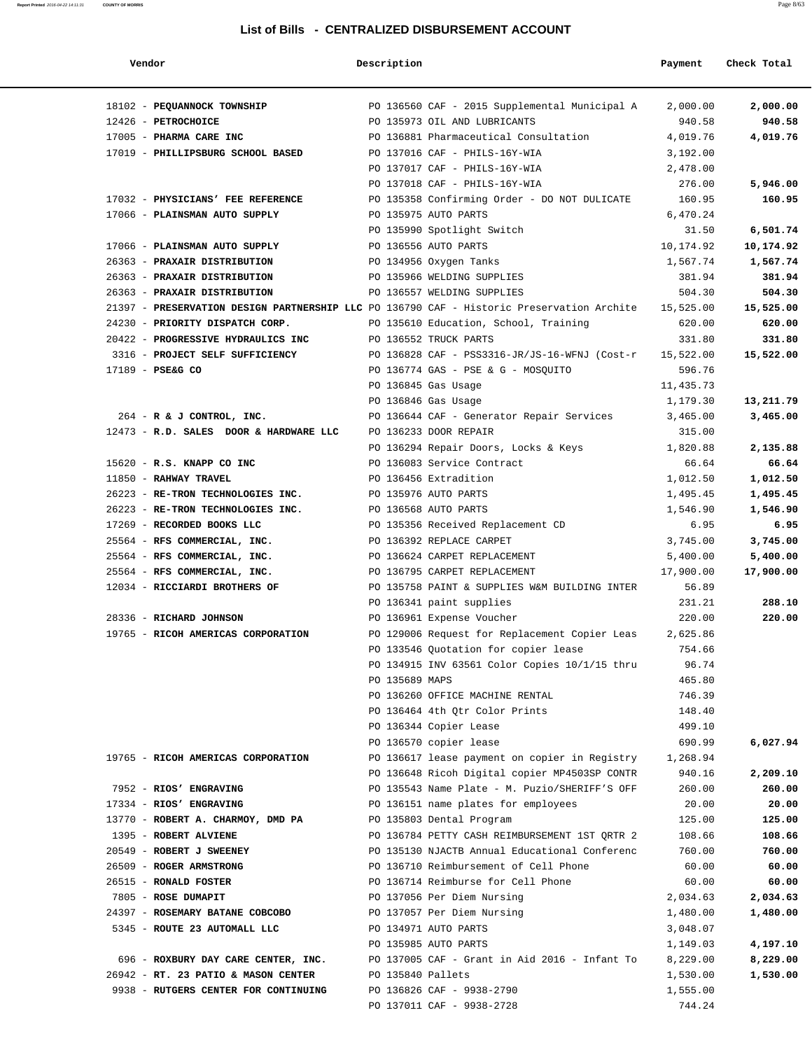**Report Printed** 2016-04-22 14:11:31 **COUNTY OF MORRIS** 

| Vendor                                                                                              | Description       |                                               | Payment   | Check Total |
|-----------------------------------------------------------------------------------------------------|-------------------|-----------------------------------------------|-----------|-------------|
|                                                                                                     |                   |                                               |           |             |
| 18102 - PEQUANNOCK TOWNSHIP 60 PO 136560 CAF - 2015 Supplemental Municipal A                        |                   |                                               | 2,000.00  | 2,000.00    |
| 12426 - PETROCHOICE                                                                                 |                   | PO 135973 OIL AND LUBRICANTS                  | 940.58    | 940.58      |
| 17005 - PHARMA CARE INC                                                                             |                   | PO 136881 Pharmaceutical Consultation         | 4,019.76  | 4,019.76    |
| 17019 - PHILLIPSBURG SCHOOL BASED                                                                   |                   | PO 137016 CAF - PHILS-16Y-WIA                 | 3,192.00  |             |
|                                                                                                     |                   | PO 137017 CAF - PHILS-16Y-WIA                 | 2,478.00  |             |
|                                                                                                     |                   | PO 137018 CAF - PHILS-16Y-WIA                 | 276.00    | 5,946.00    |
| 17032 - PHYSICIANS' FEE REFERENCE                                                                   |                   | PO 135358 Confirming Order - DO NOT DULICATE  | 160.95    | 160.95      |
| 17066 - PLAINSMAN AUTO SUPPLY                                                                       |                   | PO 135975 AUTO PARTS                          | 6,470.24  |             |
|                                                                                                     |                   | PO 135990 Spotlight Switch                    | 31.50     | 6,501.74    |
| 17066 - PLAINSMAN AUTO SUPPLY                                                                       |                   | PO 136556 AUTO PARTS                          | 10,174.92 | 10,174.92   |
| 26363 - PRAXAIR DISTRIBUTION                                                                        |                   | PO 134956 Oxygen Tanks                        | 1,567.74  | 1,567.74    |
| 26363 - PRAXAIR DISTRIBUTION                                                                        |                   | PO 135966 WELDING SUPPLIES                    | 381.94    | 381.94      |
| 26363 - PRAXAIR DISTRIBUTION                                                                        |                   | PO 136557 WELDING SUPPLIES                    | 504.30    | 504.30      |
| 21397 - PRESERVATION DESIGN PARTNERSHIP LLC PO 136790 CAF - Historic Preservation Archite 15,525.00 |                   |                                               |           | 15,525.00   |
| 24230 - PRIORITY DISPATCH CORP.                                                                     |                   | PO 135610 Education, School, Training         | 620.00    | 620.00      |
| 20422 - PROGRESSIVE HYDRAULICS INC THE PO 136552 TRUCK PARTS                                        |                   |                                               | 331.80    | 331.80      |
| 3316 - PROJECT SELF SUFFICIENCY                                                                     |                   | PO 136828 CAF - PSS3316-JR/JS-16-WFNJ (Cost-r | 15,522.00 | 15,522.00   |
| 17189 - PSE&G CO                                                                                    |                   | PO 136774 GAS - PSE & G - MOSQUITO            | 596.76    |             |
|                                                                                                     |                   | PO 136845 Gas Usage                           | 11,435.73 |             |
|                                                                                                     |                   | PO 136846 Gas Usage                           | 1,179.30  | 13,211.79   |
| 264 - R & J CONTROL, INC.                                                                           |                   | PO 136644 CAF - Generator Repair Services     | 3,465.00  | 3,465.00    |
| 12473 - R.D. SALES DOOR & HARDWARE LLC                                                              |                   | PO 136233 DOOR REPAIR                         | 315.00    |             |
|                                                                                                     |                   | PO 136294 Repair Doors, Locks & Keys          | 1,820.88  | 2,135.88    |
| 15620 - R.S. KNAPP CO INC                                                                           |                   | PO 136083 Service Contract                    | 66.64     | 66.64       |
| 11850 - RAHWAY TRAVEL                                                                               |                   | PO 136456 Extradition                         | 1,012.50  | 1,012.50    |
| 26223 - RE-TRON TECHNOLOGIES INC.                                                                   |                   | PO 135976 AUTO PARTS                          | 1,495.45  | 1,495.45    |
| 26223 - RE-TRON TECHNOLOGIES INC.                                                                   |                   | PO 136568 AUTO PARTS                          | 1,546.90  | 1,546.90    |
| 17269 - RECORDED BOOKS LLC                                                                          |                   | PO 135356 Received Replacement CD             | 6.95      | 6.95        |
| 25564 - RFS COMMERCIAL, INC.                                                                        |                   | PO 136392 REPLACE CARPET                      | 3,745.00  | 3,745.00    |
| 25564 - RFS COMMERCIAL, INC.                                                                        |                   | PO 136624 CARPET REPLACEMENT                  | 5,400.00  | 5,400.00    |
| 25564 - RFS COMMERCIAL, INC.                                                                        |                   | PO 136795 CARPET REPLACEMENT                  | 17,900.00 | 17,900.00   |
| 12034 - RICCIARDI BROTHERS OF                                                                       |                   | PO 135758 PAINT & SUPPLIES W&M BUILDING INTER | 56.89     |             |
|                                                                                                     |                   | PO 136341 paint supplies                      | 231.21    | 288.10      |
| 28336 - RICHARD JOHNSON                                                                             |                   | PO 136961 Expense Voucher                     | 220.00    | 220.00      |
| 19765 - RICOH AMERICAS CORPORATION                                                                  |                   | PO 129006 Request for Replacement Copier Leas | 2,625.86  |             |
|                                                                                                     |                   | PO 133546 Quotation for copier lease          | 754.66    |             |
|                                                                                                     |                   | PO 134915 INV 63561 Color Copies 10/1/15 thru | 96.74     |             |
|                                                                                                     | PO 135689 MAPS    |                                               | 465.80    |             |
|                                                                                                     |                   | PO 136260 OFFICE MACHINE RENTAL               | 746.39    |             |
|                                                                                                     |                   | PO 136464 4th Qtr Color Prints                | 148.40    |             |
|                                                                                                     |                   | PO 136344 Copier Lease                        | 499.10    |             |
|                                                                                                     |                   | PO 136570 copier lease                        | 690.99    | 6,027.94    |
| 19765 - RICOH AMERICAS CORPORATION                                                                  |                   | PO 136617 lease payment on copier in Registry | 1,268.94  |             |
|                                                                                                     |                   | PO 136648 Ricoh Digital copier MP4503SP CONTR | 940.16    | 2,209.10    |
| 7952 - RIOS' ENGRAVING                                                                              |                   | PO 135543 Name Plate - M. Puzio/SHERIFF'S OFF | 260.00    | 260.00      |
| 17334 - RIOS' ENGRAVING                                                                             |                   | PO 136151 name plates for employees           | 20.00     | 20.00       |
| 13770 - ROBERT A. CHARMOY, DMD PA                                                                   |                   | PO 135803 Dental Program                      | 125.00    | 125.00      |
| 1395 - ROBERT ALVIENE                                                                               |                   | PO 136784 PETTY CASH REIMBURSEMENT 1ST QRTR 2 | 108.66    | 108.66      |
| 20549 - ROBERT J SWEENEY                                                                            |                   | PO 135130 NJACTB Annual Educational Conferenc | 760.00    | 760.00      |
| 26509 - ROGER ARMSTRONG                                                                             |                   | PO 136710 Reimbursement of Cell Phone         | 60.00     | 60.00       |
| 26515 - RONALD FOSTER                                                                               |                   | PO 136714 Reimburse for Cell Phone            | 60.00     | 60.00       |
| 7805 - ROSE DUMAPIT                                                                                 |                   | PO 137056 Per Diem Nursing                    | 2,034.63  | 2,034.63    |
| 24397 - ROSEMARY BATANE COBCOBO                                                                     |                   | PO 137057 Per Diem Nursing                    | 1,480.00  | 1,480.00    |
| 5345 - ROUTE 23 AUTOMALL LLC                                                                        |                   | PO 134971 AUTO PARTS                          | 3,048.07  |             |
|                                                                                                     |                   | PO 135985 AUTO PARTS                          | 1,149.03  | 4,197.10    |
| 696 - ROXBURY DAY CARE CENTER, INC.                                                                 |                   | PO 137005 CAF - Grant in Aid 2016 - Infant To | 8,229.00  | 8,229.00    |
| 26942 - RT. 23 PATIO & MASON CENTER                                                                 | PO 135840 Pallets |                                               | 1,530.00  | 1,530.00    |
| 9938 - RUTGERS CENTER FOR CONTINUING                                                                |                   | PO 136826 CAF - 9938-2790                     | 1,555.00  |             |
|                                                                                                     |                   | PO 137011 CAF - 9938-2728                     | 744.24    |             |
|                                                                                                     |                   |                                               |           |             |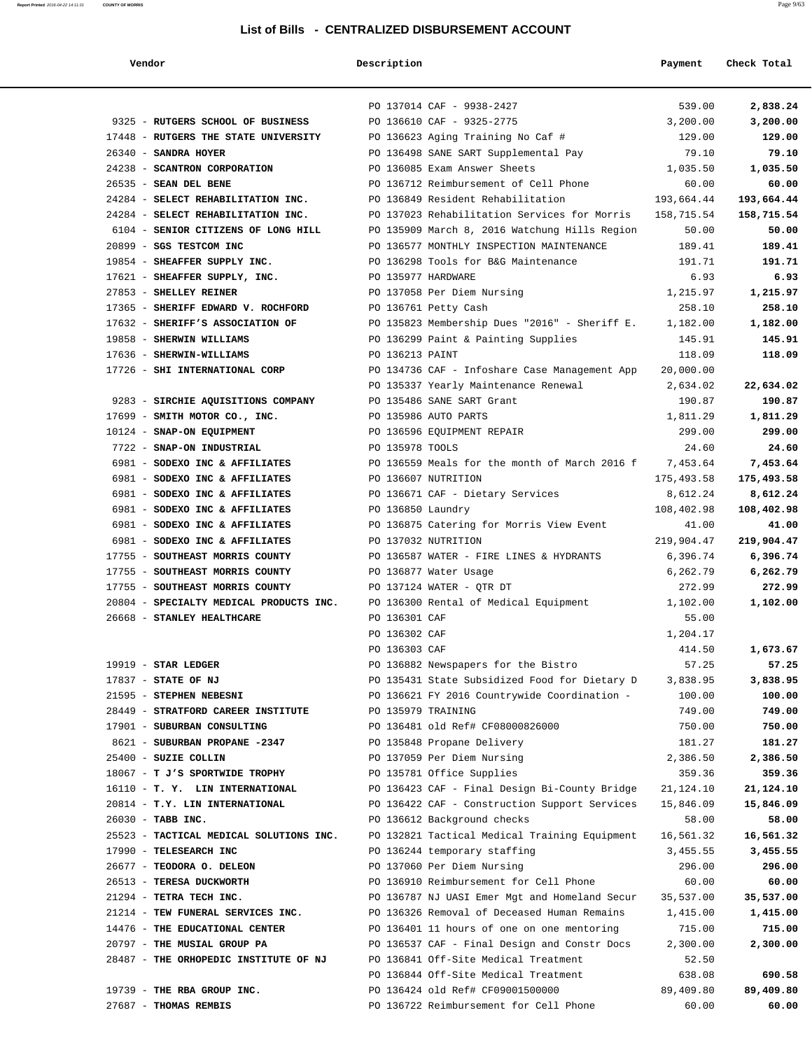| Vendor                                  | Description                                   | Payment                                                | Check Total |
|-----------------------------------------|-----------------------------------------------|--------------------------------------------------------|-------------|
|                                         | PO 137014 CAF - 9938-2427                     | 539.00                                                 | 2,838.24    |
| 9325 - RUTGERS SCHOOL OF BUSINESS       | PO 136610 CAF - 9325-2775                     | 3,200.00                                               | 3,200.00    |
| 17448 - RUTGERS THE STATE UNIVERSITY    | PO 136623 Aging Training No Caf #             | 129.00                                                 | 129.00      |
| 26340 - SANDRA HOYER                    | PO 136498 SANE SART Supplemental Pay          | 79.10                                                  | 79.10       |
| 24238 - SCANTRON CORPORATION            | PO 136085 Exam Answer Sheets                  | 1,035.50                                               | 1,035.50    |
| 26535 - SEAN DEL BENE                   | PO 136712 Reimbursement of Cell Phone         | 60.00                                                  | 60.00       |
| 24284 - SELECT REHABILITATION INC.      | PO 136849 Resident Rehabilitation             | 193,664.44                                             | 193,664.44  |
| 24284 - SELECT REHABILITATION INC.      | PO 137023 Rehabilitation Services for Morris  | 158,715.54                                             | 158,715.54  |
| 6104 - SENIOR CITIZENS OF LONG HILL     | PO 135909 March 8, 2016 Watchung Hills Region | 50.00                                                  | 50.00       |
| 20899 - SGS TESTCOM INC                 | PO 136577 MONTHLY INSPECTION MAINTENANCE      | 189.41                                                 | 189.41      |
| 19854 - SHEAFFER SUPPLY INC.            | PO 136298 Tools for B&G Maintenance           | 191.71                                                 | 191.71      |
| 17621 - SHEAFFER SUPPLY, INC.           | PO 135977 HARDWARE                            | 6.93                                                   | 6.93        |
| 27853 - SHELLEY REINER                  | PO 137058 Per Diem Nursing                    | 1,215.97                                               | 1,215.97    |
| 17365 - SHERIFF EDWARD V. ROCHFORD      | PO 136761 Petty Cash                          | 258.10                                                 | 258.10      |
| 17632 - SHERIFF'S ASSOCIATION OF        |                                               | PO 135823 Membership Dues "2016" - Sheriff E. 1,182.00 | 1,182.00    |
| 19858 - SHERWIN WILLIAMS                | PO 136299 Paint & Painting Supplies           | 145.91                                                 | 145.91      |
| 17636 - SHERWIN-WILLIAMS                | PO 136213 PAINT                               | 118.09                                                 | 118.09      |
| 17726 - SHI INTERNATIONAL CORP          | PO 134736 CAF - Infoshare Case Management App | 20,000.00                                              |             |
|                                         | PO 135337 Yearly Maintenance Renewal          | 2,634.02                                               | 22,634.02   |
| 9283 - SIRCHIE AQUISITIONS COMPANY      | PO 135486 SANE SART Grant                     | 190.87                                                 | 190.87      |
| 17699 - SMITH MOTOR CO., INC.           | PO 135986 AUTO PARTS                          | 1,811.29                                               | 1,811.29    |
| 10124 - SNAP-ON EQUIPMENT               | PO 136596 EQUIPMENT REPAIR                    | 299.00                                                 | 299.00      |
| 7722 - SNAP-ON INDUSTRIAL               | PO 135978 TOOLS                               | 24.60                                                  | 24.60       |
| 6981 - SODEXO INC & AFFILIATES          | PO 136559 Meals for the month of March 2016 f | 7,453.64                                               | 7,453.64    |
| 6981 - SODEXO INC & AFFILIATES          | PO 136607 NUTRITION                           | 175,493.58                                             | 175,493.58  |
| 6981 - SODEXO INC & AFFILIATES          | PO 136671 CAF - Dietary Services              | 8,612.24                                               | 8,612.24    |
| 6981 - SODEXO INC & AFFILIATES          | PO 136850 Laundry                             | 108,402.98                                             | 108,402.98  |
| 6981 - SODEXO INC & AFFILIATES          | PO 136875 Catering for Morris View Event      | 41.00                                                  | 41.00       |
| 6981 - SODEXO INC & AFFILIATES          | PO 137032 NUTRITION                           | 219,904.47                                             | 219,904.47  |
| 17755 - SOUTHEAST MORRIS COUNTY         | PO 136587 WATER - FIRE LINES & HYDRANTS       | 6,396.74                                               | 6,396.74    |
| 17755 - SOUTHEAST MORRIS COUNTY         | PO 136877 Water Usage                         | 6,262.79                                               | 6,262.79    |
| 17755 - SOUTHEAST MORRIS COUNTY         | PO 137124 WATER - QTR DT                      | 272.99                                                 | 272.99      |
| 20804 - SPECIALTY MEDICAL PRODUCTS INC. | PO 136300 Rental of Medical Equipment         | 1,102.00                                               | 1,102.00    |
| 26668 - STANLEY HEALTHCARE              | PO 136301 CAF                                 | 55.00                                                  |             |
|                                         | PO 136302 CAF                                 | 1,204.17                                               |             |
|                                         | PO 136303 CAF                                 | 414.50                                                 | 1,673.67    |
| $19919$ - STAR LEDGER                   | PO 136882 Newspapers for the Bistro           | 57.25                                                  | 57.25       |
| 17837 - STATE OF NJ                     | PO 135431 State Subsidized Food for Dietary D | 3,838.95                                               | 3,838.95    |
| 21595 - STEPHEN NEBESNI                 | PO 136621 FY 2016 Countrywide Coordination -  | 100.00                                                 | 100.00      |
| 28449 - STRATFORD CAREER INSTITUTE      | PO 135979 TRAINING                            | 749.00                                                 | 749.00      |
| 17901 - SUBURBAN CONSULTING             | PO 136481 old Ref# CF08000826000              | 750.00                                                 | 750.00      |
| 8621 - SUBURBAN PROPANE -2347           | PO 135848 Propane Delivery                    | 181.27                                                 | 181.27      |
| 25400 - SUZIE COLLIN                    | PO 137059 Per Diem Nursing                    | 2,386.50                                               | 2,386.50    |
| 18067 - T J'S SPORTWIDE TROPHY          | PO 135781 Office Supplies                     | 359.36                                                 | 359.36      |
| 16110 - T. Y. LIN INTERNATIONAL         | PO 136423 CAF - Final Design Bi-County Bridge | 21,124.10                                              | 21,124.10   |
| 20814 - T.Y. LIN INTERNATIONAL          | PO 136422 CAF - Construction Support Services | 15,846.09                                              | 15,846.09   |
| 26030 - TABB INC.                       | PO 136612 Background checks                   | 58.00                                                  | 58.00       |
| 25523 - TACTICAL MEDICAL SOLUTIONS INC. | PO 132821 Tactical Medical Training Equipment | 16,561.32                                              | 16,561.32   |
| 17990 - TELESEARCH INC                  | PO 136244 temporary staffing                  | 3,455.55                                               | 3,455.55    |
| 26677 - TEODORA O. DELEON               | PO 137060 Per Diem Nursing                    | 296.00                                                 | 296.00      |
| 26513 - TERESA DUCKWORTH                | PO 136910 Reimbursement for Cell Phone        | 60.00                                                  | 60.00       |
| 21294 - TETRA TECH INC.                 | PO 136787 NJ UASI Emer Mgt and Homeland Secur | 35,537.00                                              | 35,537.00   |
| 21214 - TEW FUNERAL SERVICES INC.       | PO 136326 Removal of Deceased Human Remains   | 1,415.00                                               | 1,415.00    |
| 14476 - THE EDUCATIONAL CENTER          | PO 136401 11 hours of one on one mentoring    | 715.00                                                 | 715.00      |
| 20797 - THE MUSIAL GROUP PA             | PO 136537 CAF - Final Design and Constr Docs  | 2,300.00                                               | 2,300.00    |
| 28487 - THE ORHOPEDIC INSTITUTE OF NJ   | PO 136841 Off-Site Medical Treatment          | 52.50                                                  |             |
|                                         | PO 136844 Off-Site Medical Treatment          | 638.08                                                 | 690.58      |
| 19739 - THE RBA GROUP INC.              | PO 136424 old Ref# CF09001500000              | 89,409.80                                              | 89,409.80   |

27687 - **THOMAS REMBIS** PO 136722 Reimbursement for Cell Phone 60.00 **60.00**

**Report Printed** 2016-04-22 14:11:31 **COUNTY OF MORRIS** Page 9/63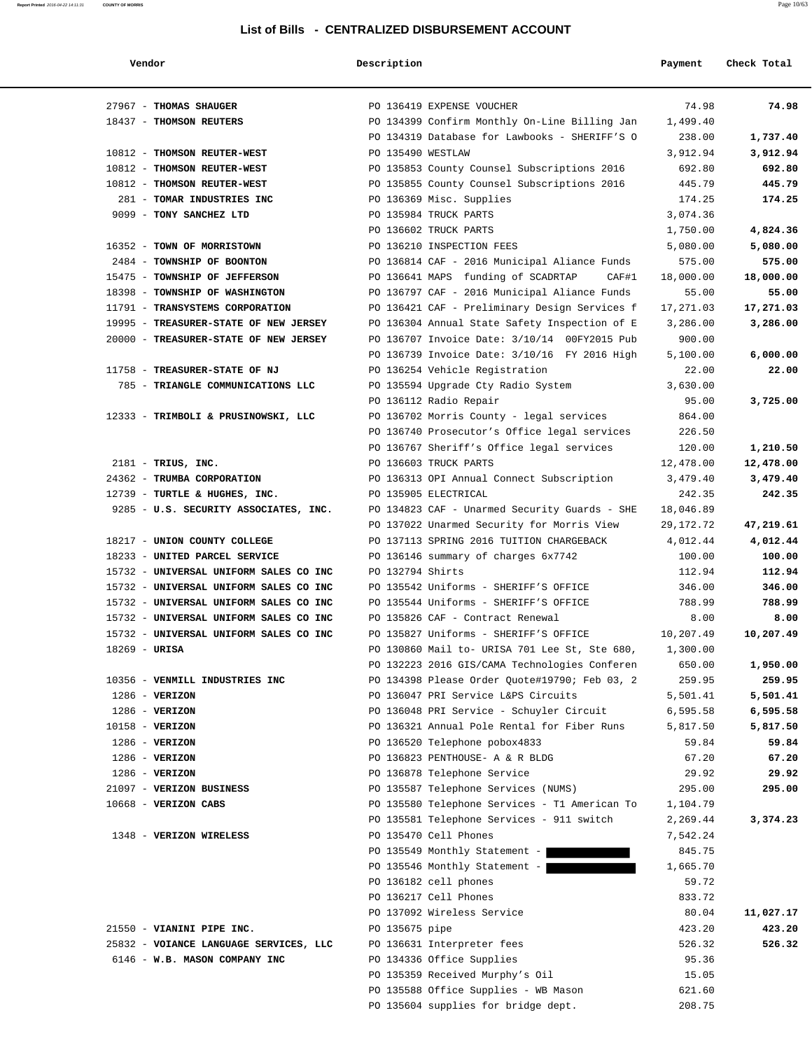| Vendor                                 | Description       |                                               | Payment   | Check Total |
|----------------------------------------|-------------------|-----------------------------------------------|-----------|-------------|
| 27967 - THOMAS SHAUGER                 |                   | PO 136419 EXPENSE VOUCHER                     | 74.98     | 74.98       |
| 18437 - THOMSON REUTERS                |                   | PO 134399 Confirm Monthly On-Line Billing Jan | 1,499.40  |             |
|                                        |                   | PO 134319 Database for Lawbooks - SHERIFF'S O | 238.00    | 1,737.40    |
| 10812 - THOMSON REUTER-WEST            | PO 135490 WESTLAW |                                               | 3,912.94  | 3,912.94    |
| 10812 - THOMSON REUTER-WEST            |                   | PO 135853 County Counsel Subscriptions 2016   | 692.80    | 692.80      |
| 10812 - THOMSON REUTER-WEST            |                   | PO 135855 County Counsel Subscriptions 2016   | 445.79    | 445.79      |
| 281 - TOMAR INDUSTRIES INC             |                   | PO 136369 Misc. Supplies                      | 174.25    | 174.25      |
| 9099 - TONY SANCHEZ LTD                |                   | PO 135984 TRUCK PARTS                         | 3,074.36  |             |
|                                        |                   | PO 136602 TRUCK PARTS                         | 1,750.00  | 4,824.36    |
| 16352 - TOWN OF MORRISTOWN             |                   | PO 136210 INSPECTION FEES                     | 5,080.00  | 5,080.00    |
| 2484 - TOWNSHIP OF BOONTON             |                   | PO 136814 CAF - 2016 Municipal Aliance Funds  | 575.00    | 575.00      |
| 15475 - TOWNSHIP OF JEFFERSON          |                   | PO 136641 MAPS funding of SCADRTAP<br>CAF#1   | 18,000.00 | 18,000.00   |
| 18398 - TOWNSHIP OF WASHINGTON         |                   | PO 136797 CAF - 2016 Municipal Aliance Funds  | 55.00     | 55.00       |
| 11791 - TRANSYSTEMS CORPORATION        |                   | PO 136421 CAF - Preliminary Design Services f | 17,271.03 | 17,271.03   |
| 19995 - TREASURER-STATE OF NEW JERSEY  |                   | PO 136304 Annual State Safety Inspection of E | 3,286.00  | 3,286.00    |
| 20000 - TREASURER-STATE OF NEW JERSEY  |                   | PO 136707 Invoice Date: 3/10/14 00FY2015 Pub  | 900.00    |             |
|                                        |                   | PO 136739 Invoice Date: 3/10/16 FY 2016 High  | 5,100.00  | 6,000.00    |
| 11758 - TREASURER-STATE OF NJ          |                   | PO 136254 Vehicle Registration                | 22.00     | 22.00       |
| 785 - TRIANGLE COMMUNICATIONS LLC      |                   | PO 135594 Upgrade Cty Radio System            | 3,630.00  |             |
|                                        |                   | PO 136112 Radio Repair                        | 95.00     | 3,725.00    |
| 12333 - TRIMBOLI & PRUSINOWSKI, LLC    |                   | PO 136702 Morris County - legal services      | 864.00    |             |
|                                        |                   | PO 136740 Prosecutor's Office legal services  | 226.50    |             |
|                                        |                   | PO 136767 Sheriff's Office legal services     | 120.00    | 1,210.50    |
| $2181$ - TRIUS, INC.                   |                   | PO 136603 TRUCK PARTS                         | 12,478.00 | 12,478.00   |
| 24362 - TRUMBA CORPORATION             |                   | PO 136313 OPI Annual Connect Subscription     | 3,479.40  | 3,479.40    |
| 12739 - TURTLE & HUGHES, INC.          |                   | PO 135905 ELECTRICAL                          | 242.35    | 242.35      |
| 9285 - U.S. SECURITY ASSOCIATES, INC.  |                   | PO 134823 CAF - Unarmed Security Guards - SHE | 18,046.89 |             |
|                                        |                   | PO 137022 Unarmed Security for Morris View    | 29,172.72 | 47,219.61   |
| 18217 - UNION COUNTY COLLEGE           |                   | PO 137113 SPRING 2016 TUITION CHARGEBACK      | 4,012.44  | 4,012.44    |
| 18233 - UNITED PARCEL SERVICE          |                   | PO 136146 summary of charges 6x7742           | 100.00    | 100.00      |
| 15732 - UNIVERSAL UNIFORM SALES CO INC | PO 132794 Shirts  |                                               | 112.94    | 112.94      |
| 15732 - UNIVERSAL UNIFORM SALES CO INC |                   | PO 135542 Uniforms - SHERIFF'S OFFICE         | 346.00    | 346.00      |
| 15732 - UNIVERSAL UNIFORM SALES CO INC |                   | PO 135544 Uniforms - SHERIFF'S OFFICE         | 788.99    | 788.99      |
| 15732 - UNIVERSAL UNIFORM SALES CO INC |                   | PO 135826 CAF - Contract Renewal              | 8.00      | 8.00        |
| 15732 - UNIVERSAL UNIFORM SALES CO INC |                   | PO 135827 Uniforms - SHERIFF'S OFFICE         | 10,207.49 | 10,207.49   |
| $18269$ - URISA                        |                   | PO 130860 Mail to- URISA 701 Lee St, Ste 680, | 1,300.00  |             |
|                                        |                   | PO 132223 2016 GIS/CAMA Technologies Conferen | 650.00    | 1,950.00    |
| 10356 - VENMILL INDUSTRIES INC         |                   | PO 134398 Please Order Quote#19790; Feb 03, 2 | 259.95    | 259.95      |
| $1286$ - VERIZON                       |                   | PO 136047 PRI Service L&PS Circuits           | 5,501.41  | 5,501.41    |
| $1286$ - VERIZON                       |                   | PO 136048 PRI Service - Schuyler Circuit      | 6,595.58  | 6,595.58    |
| 10158 - VERIZON                        |                   | PO 136321 Annual Pole Rental for Fiber Runs   | 5,817.50  | 5,817.50    |
| $1286$ - VERIZON                       |                   | PO 136520 Telephone pobox4833                 | 59.84     | 59.84       |
| $1286 - VERIZON$                       |                   | PO 136823 PENTHOUSE- A & R BLDG               | 67.20     | 67.20       |
| $1286 - VERIZON$                       |                   | PO 136878 Telephone Service                   | 29.92     | 29.92       |
| 21097 - VERIZON BUSINESS               |                   | PO 135587 Telephone Services (NUMS)           | 295.00    | 295.00      |
| $10668$ - VERIZON CABS                 |                   | PO 135580 Telephone Services - T1 American To | 1,104.79  |             |
|                                        |                   | PO 135581 Telephone Services - 911 switch     | 2,269.44  | 3,374.23    |
| 1348 - VERIZON WIRELESS                |                   | PO 135470 Cell Phones                         | 7,542.24  |             |
|                                        |                   | PO 135549 Monthly Statement -                 | 845.75    |             |
|                                        |                   | PO 135546 Monthly Statement -                 | 1,665.70  |             |
|                                        |                   | PO 136182 cell phones                         | 59.72     |             |
|                                        |                   | PO 136217 Cell Phones                         | 833.72    |             |
|                                        |                   | PO 137092 Wireless Service                    | 80.04     | 11,027.17   |
| 21550 - VIANINI PIPE INC.              | PO 135675 pipe    |                                               | 423.20    | 423.20      |
| 25832 - VOIANCE LANGUAGE SERVICES, LLC |                   | PO 136631 Interpreter fees                    | 526.32    | 526.32      |
| 6146 - W.B. MASON COMPANY INC          |                   | PO 134336 Office Supplies                     | 95.36     |             |
|                                        |                   | PO 135359 Received Murphy's Oil               | 15.05     |             |
|                                        |                   | PO 135588 Office Supplies - WB Mason          | 621.60    |             |
|                                        |                   | PO 135604 supplies for bridge dept.           | 208.75    |             |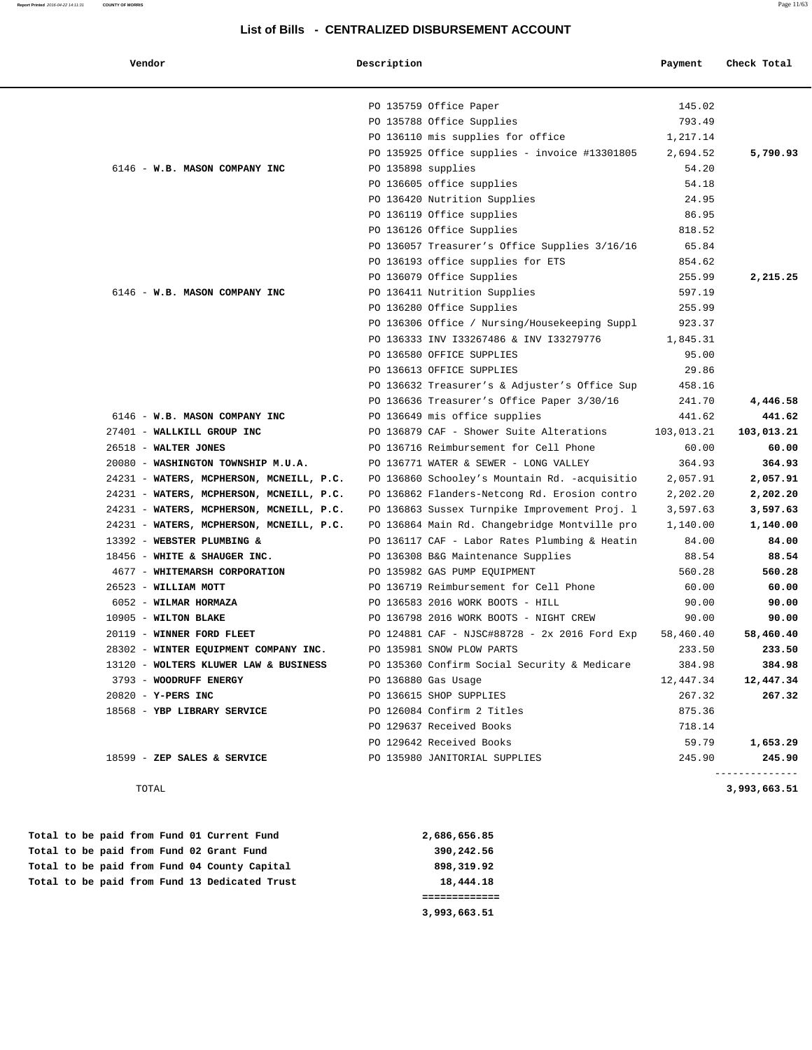# **Report Printed** 2016-04-22 14:11:31 **COUNTY OF MORRIS** Page 11/63 **List of Bills - CENTRALIZED DISBURSEMENT ACCOUNT**

| Vendor                                   | Description        |                                               | Payment    | Check Total  |
|------------------------------------------|--------------------|-----------------------------------------------|------------|--------------|
|                                          |                    | PO 135759 Office Paper                        | 145.02     |              |
|                                          |                    | PO 135788 Office Supplies                     | 793.49     |              |
|                                          |                    | PO 136110 mis supplies for office             | 1,217.14   |              |
|                                          |                    | PO 135925 Office supplies - invoice #13301805 | 2,694.52   | 5,790.93     |
| 6146 - W.B. MASON COMPANY INC            | PO 135898 supplies |                                               | 54.20      |              |
|                                          |                    | PO 136605 office supplies                     | 54.18      |              |
|                                          |                    | PO 136420 Nutrition Supplies                  | 24.95      |              |
|                                          |                    | PO 136119 Office supplies                     | 86.95      |              |
|                                          |                    | PO 136126 Office Supplies                     | 818.52     |              |
|                                          |                    | PO 136057 Treasurer's Office Supplies 3/16/16 | 65.84      |              |
|                                          |                    | PO 136193 office supplies for ETS             | 854.62     |              |
|                                          |                    | PO 136079 Office Supplies                     | 255.99     | 2,215.25     |
| 6146 - W.B. MASON COMPANY INC            |                    | PO 136411 Nutrition Supplies                  | 597.19     |              |
|                                          |                    | PO 136280 Office Supplies                     | 255.99     |              |
|                                          |                    | PO 136306 Office / Nursing/Housekeeping Suppl | 923.37     |              |
|                                          |                    | PO 136333 INV 133267486 & INV 133279776       | 1,845.31   |              |
|                                          |                    | PO 136580 OFFICE SUPPLIES                     | 95.00      |              |
|                                          |                    | PO 136613 OFFICE SUPPLIES                     | 29.86      |              |
|                                          |                    | PO 136632 Treasurer's & Adjuster's Office Sup | 458.16     |              |
|                                          |                    | PO 136636 Treasurer's Office Paper 3/30/16    | 241.70     | 4,446.58     |
| 6146 - W.B. MASON COMPANY INC            |                    | PO 136649 mis office supplies                 | 441.62     | 441.62       |
| 27401 - WALLKILL GROUP INC               |                    | PO 136879 CAF - Shower Suite Alterations      | 103,013.21 | 103,013.21   |
| 26518 - WALTER JONES                     |                    | PO 136716 Reimbursement for Cell Phone        | 60.00      | 60.00        |
| 20080 - WASHINGTON TOWNSHIP M.U.A.       |                    | PO 136771 WATER & SEWER - LONG VALLEY         | 364.93     | 364.93       |
| 24231 - WATERS, MCPHERSON, MCNEILL, P.C. |                    | PO 136860 Schooley's Mountain Rd. -acquisitio | 2,057.91   | 2,057.91     |
| 24231 - WATERS, MCPHERSON, MCNEILL, P.C. |                    | PO 136862 Flanders-Netcong Rd. Erosion contro | 2,202.20   | 2,202.20     |
| 24231 - WATERS, MCPHERSON, MCNEILL, P.C. |                    | PO 136863 Sussex Turnpike Improvement Proj. 1 | 3,597.63   | 3,597.63     |
| 24231 - WATERS, MCPHERSON, MCNEILL, P.C. |                    | PO 136864 Main Rd. Changebridge Montville pro | 1,140.00   | 1,140.00     |
| 13392 - WEBSTER PLUMBING &               |                    | PO 136117 CAF - Labor Rates Plumbing & Heatin | 84.00      | 84.00        |
| 18456 - WHITE & SHAUGER INC.             |                    | PO 136308 B&G Maintenance Supplies            | 88.54      | 88.54        |
| 4677 - WHITEMARSH CORPORATION            |                    | PO 135982 GAS PUMP EOUIPMENT                  | 560.28     | 560.28       |
| 26523 - WILLIAM MOTT                     |                    | PO 136719 Reimbursement for Cell Phone        | 60.00      | 60.00        |
| 6052 - WILMAR HORMAZA                    |                    | PO 136583 2016 WORK BOOTS - HILL              | 90.00      | 90.00        |
| 10905 - WILTON BLAKE                     |                    | PO 136798 2016 WORK BOOTS - NIGHT CREW        | 90.00      | 90.00        |
| 20119 - WINNER FORD FLEET                |                    | PO 124881 CAF - NJSC#88728 - 2x 2016 Ford Exp | 58,460.40  | 58,460.40    |
| 28302 - WINTER EQUIPMENT COMPANY INC.    |                    | PO 135981 SNOW PLOW PARTS                     | 233.50     | 233.50       |
| 13120 - WOLTERS KLUWER LAW & BUSINESS    |                    | PO 135360 Confirm Social Security & Medicare  | 384.98     | 384.98       |
| 3793 - WOODRUFF ENERGY                   |                    | PO 136880 Gas Usage                           | 12,447.34  | 12,447.34    |
| $20820 - Y - PERS INC$                   |                    | PO 136615 SHOP SUPPLIES                       | 267.32     | 267.32       |
| 18568 - YBP LIBRARY SERVICE              |                    | PO 126084 Confirm 2 Titles                    | 875.36     |              |
|                                          |                    | PO 129637 Received Books                      | 718.14     |              |
|                                          |                    | PO 129642 Received Books                      | 59.79      | 1,653.29     |
| $18599$ - ZEP SALES & SERVICE            |                    | PO 135980 JANITORIAL SUPPLIES                 | 245.90     | 245.90       |
| TOTAL                                    |                    |                                               |            | 3,993,663.51 |

|  |  |  |  | Total to be paid from Fund 13 Dedicated Trust | 18,444.18    |
|--|--|--|--|-----------------------------------------------|--------------|
|  |  |  |  | Total to be paid from Fund 04 County Capital  | 898,319.92   |
|  |  |  |  | Total to be paid from Fund 02 Grant Fund      | 390,242.56   |
|  |  |  |  | Total to be paid from Fund 01 Current Fund    | 2,686,656.85 |

 **3,993,663.51**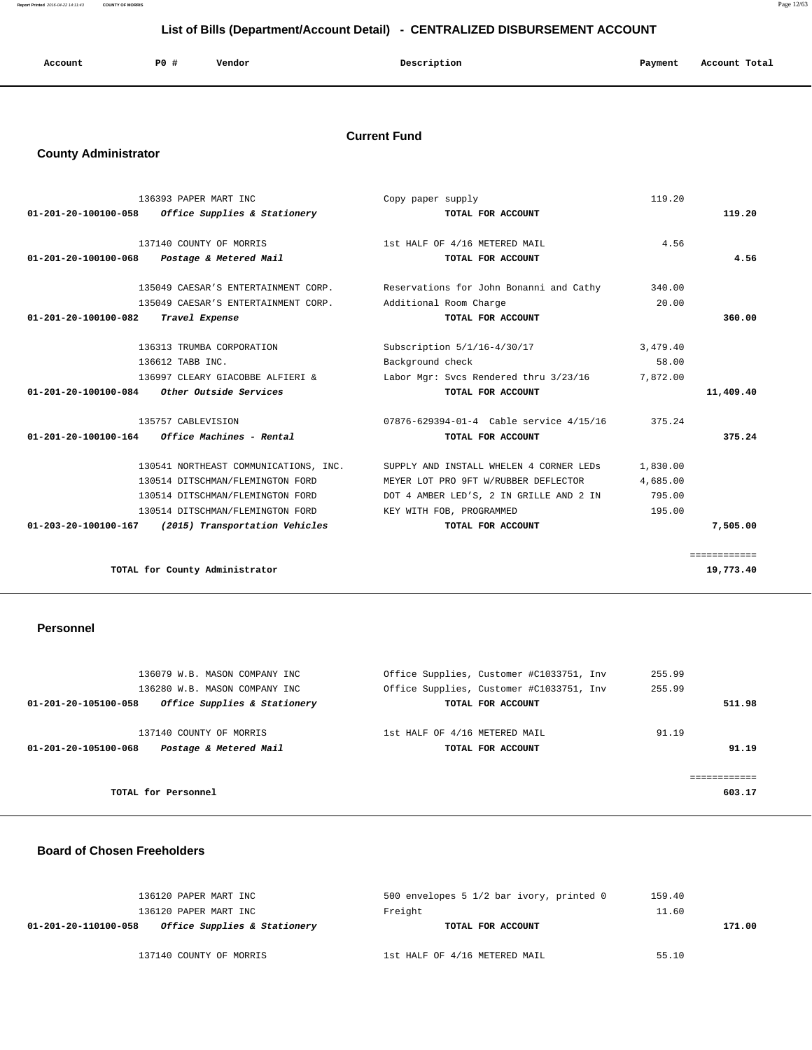| Account | P <sub>0</sub> | Vendor | Description | Payment | Account Total<br>. |
|---------|----------------|--------|-------------|---------|--------------------|
|         |                |        |             |         |                    |

## **Current Fund**

## **County Administrator**

|                                | 136393 PAPER MART INC                                   | Copy paper supply                                                             | 119.20   |              |
|--------------------------------|---------------------------------------------------------|-------------------------------------------------------------------------------|----------|--------------|
| 01-201-20-100100-058           | Office Supplies & Stationery                            | TOTAL FOR ACCOUNT                                                             |          | 119.20       |
|                                |                                                         |                                                                               |          |              |
|                                | 137140 COUNTY OF MORRIS                                 | 1st HALF OF 4/16 METERED MAIL                                                 | 4.56     |              |
|                                | 01-201-20-100100-068 Postage & Metered Mail             | TOTAL FOR ACCOUNT                                                             |          | 4.56         |
|                                | 135049 CAESAR'S ENTERTAINMENT CORP.                     | Reservations for John Bonanni and Cathy                                       | 340.00   |              |
|                                | 135049 CAESAR'S ENTERTAINMENT CORP.                     | Additional Room Charge                                                        | 20.00    |              |
| $01 - 201 - 20 - 100100 - 082$ | Travel Expense                                          | TOTAL FOR ACCOUNT                                                             |          | 360.00       |
|                                | 136313 TRUMBA CORPORATION                               | Subscription 5/1/16-4/30/17                                                   | 3,479.40 |              |
|                                | 136612 TABB INC.                                        | Background check                                                              | 58.00    |              |
|                                | 136997 CLEARY GIACOBBE ALFIERI &                        | Labor Mgr: Svcs Rendered thru 3/23/16                                         | 7,872.00 |              |
| 01-201-20-100100-084           | Other Outside Services                                  | TOTAL FOR ACCOUNT                                                             |          | 11,409.40    |
|                                |                                                         |                                                                               |          |              |
|                                | 135757 CABLEVISION                                      | 07876-629394-01-4 Cable service 4/15/16                                       | 375.24   |              |
|                                | $01 - 201 - 20 - 100100 - 164$ Office Machines - Rental | TOTAL FOR ACCOUNT                                                             |          | 375.24       |
|                                |                                                         | 130541 NORTHEAST COMMUNICATIONS, INC. SUPPLY AND INSTALL WHELEN 4 CORNER LEDS | 1,830.00 |              |
|                                | 130514 DITSCHMAN/FLEMINGTON FORD                        | MEYER LOT PRO 9FT W/RUBBER DEFLECTOR                                          | 4,685.00 |              |
|                                | 130514 DITSCHMAN/FLEMINGTON FORD                        | DOT 4 AMBER LED'S, 2 IN GRILLE AND 2 IN                                       | 795.00   |              |
|                                | 130514 DITSCHMAN/FLEMINGTON FORD                        | KEY WITH FOB, PROGRAMMED                                                      | 195.00   |              |
| 01-203-20-100100-167           | (2015) Transportation Vehicles                          | TOTAL FOR ACCOUNT                                                             |          | 7,505.00     |
|                                |                                                         |                                                                               |          | ============ |
|                                | TOTAL for County Administrator                          |                                                                               |          | 19,773.40    |
|                                |                                                         |                                                                               |          |              |

## **Personnel**

| 136079 W.B. MASON COMPANY INC                        | Office Supplies, Customer #C1033751, Inv | 255.99 |
|------------------------------------------------------|------------------------------------------|--------|
| 136280 W.B. MASON COMPANY INC                        | Office Supplies, Customer #C1033751, Inv | 255.99 |
| Office Supplies & Stationery<br>01-201-20-105100-058 | TOTAL FOR ACCOUNT                        | 511.98 |
|                                                      |                                          |        |
| 137140 COUNTY OF MORRIS                              | 1st HALF OF 4/16 METERED MAIL            | 91.19  |
| Postage & Metered Mail<br>01-201-20-105100-068       | TOTAL FOR ACCOUNT                        | 91.19  |
|                                                      |                                          |        |
|                                                      |                                          |        |
| TOTAL for Personnel                                  |                                          | 603.17 |
|                                                      |                                          |        |

#### **Board of Chosen Freeholders**

| 136120 PAPER MART INC                                | 500 envelopes 5 1/2 bar ivory, printed 0 | 159.40 |
|------------------------------------------------------|------------------------------------------|--------|
| 136120 PAPER MART INC                                | Freight                                  | 11.60  |
| Office Supplies & Stationery<br>01-201-20-110100-058 | TOTAL FOR ACCOUNT                        | 171.00 |
| 137140 COUNTY OF MORRIS                              | 1st HALF OF 4/16 METERED MAIL            | 55.10  |

**Report Printed** 2016-04-22 14:11:43 **COUNTY OF MORRIS** Page 12/63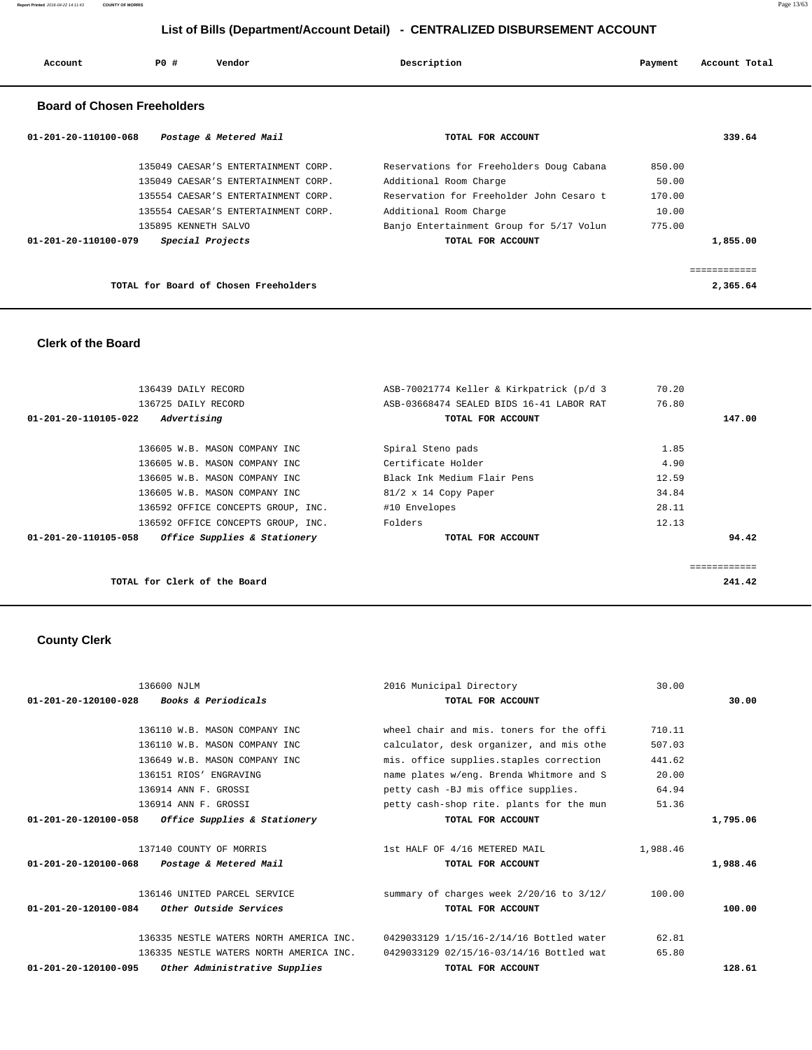| Account | P0 # | Vendor | Description | Payment | Account Total |
|---------|------|--------|-------------|---------|---------------|
|         |      |        |             |         |               |

## **Board of Chosen Freeholders**

| 01-201-20-110100-068<br>Postage & Metered Mail | TOTAL FOR ACCOUNT                        | 339.64   |
|------------------------------------------------|------------------------------------------|----------|
| 135049 CAESAR'S ENTERTAINMENT CORP.            | Reservations for Freeholders Doug Cabana | 850.00   |
| 135049 CAESAR'S ENTERTAINMENT CORP.            | Additional Room Charge                   | 50.00    |
| 135554 CAESAR'S ENTERTAINMENT CORP.            | Reservation for Freeholder John Cesaro t | 170.00   |
| 135554 CAESAR'S ENTERTAINMENT CORP.            | Additional Room Charge                   | 10.00    |
| 135895 KENNETH SALVO                           | Banjo Entertainment Group for 5/17 Volun | 775.00   |
| Special Projects<br>01-201-20-110100-079       | TOTAL FOR ACCOUNT                        | 1,855.00 |
|                                                |                                          |          |
| TOTAL for Board of Chosen Freeholders          |                                          | 2,365.64 |

## **Clerk of the Board**

| 136439 DAILY RECORD                                  | ASB-70021774 Keller & Kirkpatrick (p/d 3 | 70.20  |
|------------------------------------------------------|------------------------------------------|--------|
| 136725 DAILY RECORD                                  | ASB-03668474 SEALED BIDS 16-41 LABOR RAT | 76.80  |
| Advertising<br>01-201-20-110105-022                  | TOTAL FOR ACCOUNT                        | 147.00 |
| 136605 W.B. MASON COMPANY INC                        | Spiral Steno pads                        | 1.85   |
| 136605 W.B. MASON COMPANY INC                        | Certificate Holder                       | 4.90   |
| 136605 W.B. MASON COMPANY INC                        | Black Ink Medium Flair Pens              | 12.59  |
| 136605 W.B. MASON COMPANY INC                        | $81/2 \times 14$ Copy Paper              | 34.84  |
| 136592 OFFICE CONCEPTS GROUP, INC.                   | #10 Envelopes                            | 28.11  |
| 136592 OFFICE CONCEPTS GROUP, INC.                   | Folders                                  | 12.13  |
| Office Supplies & Stationery<br>01-201-20-110105-058 | TOTAL FOR ACCOUNT                        | 94.42  |
|                                                      |                                          |        |
|                                                      |                                          |        |
| TOTAL for Clerk of the Board                         |                                          | 241.42 |

# **County Clerk**

|                                | 136600 NJLM                             | 2016 Municipal Directory                 | 30.00    |          |
|--------------------------------|-----------------------------------------|------------------------------------------|----------|----------|
| $01 - 201 - 20 - 120100 - 028$ | <i>Books &amp; Periodicals</i>          | TOTAL FOR ACCOUNT                        |          | 30.00    |
|                                |                                         |                                          |          |          |
|                                | 136110 W.B. MASON COMPANY INC           | wheel chair and mis. toners for the offi | 710.11   |          |
|                                | 136110 W.B. MASON COMPANY INC           | calculator, desk organizer, and mis othe | 507.03   |          |
|                                | 136649 W.B. MASON COMPANY INC           | mis. office supplies.staples correction  | 441.62   |          |
|                                | 136151 RIOS' ENGRAVING                  | name plates w/eng. Brenda Whitmore and S | 20.00    |          |
|                                | 136914 ANN F. GROSSI                    | petty cash -BJ mis office supplies.      | 64.94    |          |
|                                | 136914 ANN F. GROSSI                    | petty cash-shop rite. plants for the mun | 51.36    |          |
| 01-201-20-120100-058           | Office Supplies & Stationery            | TOTAL FOR ACCOUNT                        |          | 1,795.06 |
|                                |                                         |                                          |          |          |
|                                | 137140 COUNTY OF MORRIS                 | 1st HALF OF 4/16 METERED MAIL            | 1,988.46 |          |
| 01-201-20-120100-068           | Postage & Metered Mail                  | TOTAL FOR ACCOUNT                        |          | 1,988.46 |
|                                | 136146 UNITED PARCEL SERVICE            | summary of charges week 2/20/16 to 3/12/ | 100.00   |          |
| 01-201-20-120100-084           | <i>Other Outside Services</i>           | TOTAL FOR ACCOUNT                        |          | 100.00   |
|                                | 136335 NESTLE WATERS NORTH AMERICA INC. | 0429033129 1/15/16-2/14/16 Bottled water | 62.81    |          |
|                                | 136335 NESTLE WATERS NORTH AMERICA INC. | 0429033129 02/15/16-03/14/16 Bottled wat | 65.80    |          |
| 01-201-20-120100-095           | Other Administrative Supplies           | TOTAL FOR ACCOUNT                        |          | 128.61   |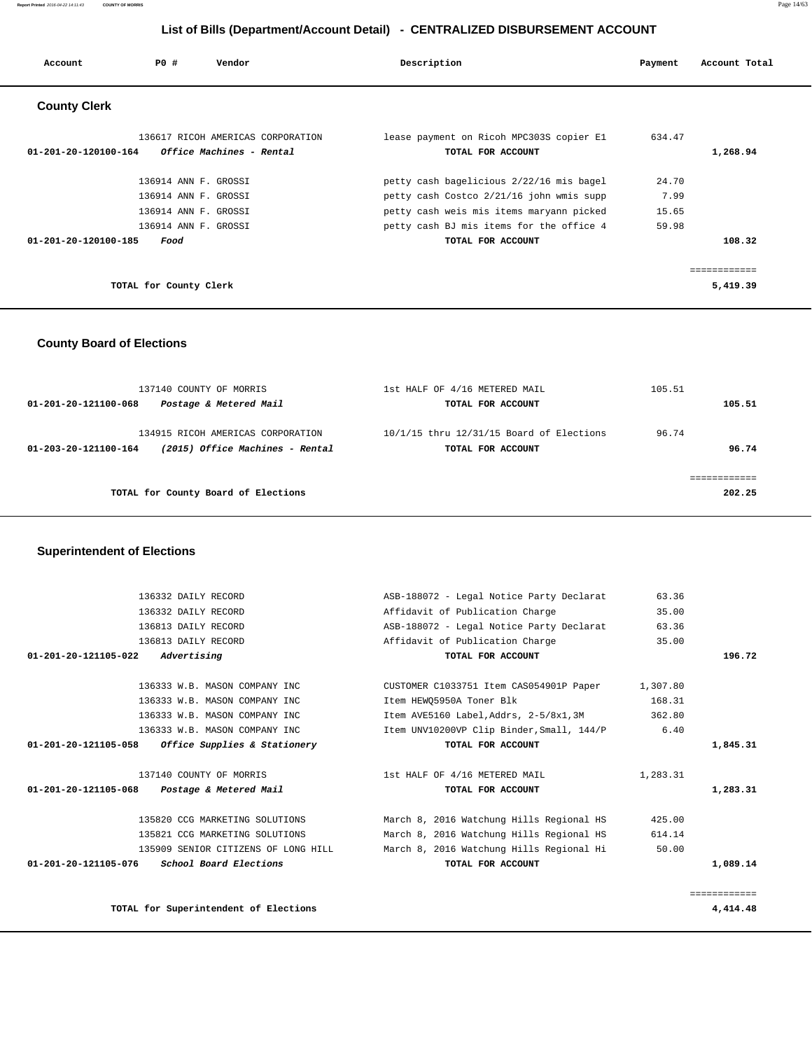**Report Printed** 2016-04-22 14:11:43 **COUNTY OF MORRIS** Page 14/63

## **List of Bills (Department/Account Detail) - CENTRALIZED DISBURSEMENT ACCOUNT**

| Account                        | PO#                                                                                          | Vendor                                                        | Description                                                                                                                                                                  | Payment                         | Account Total                   |
|--------------------------------|----------------------------------------------------------------------------------------------|---------------------------------------------------------------|------------------------------------------------------------------------------------------------------------------------------------------------------------------------------|---------------------------------|---------------------------------|
| <b>County Clerk</b>            |                                                                                              |                                                               |                                                                                                                                                                              |                                 |                                 |
| 01-201-20-120100-164           |                                                                                              | 136617 RICOH AMERICAS CORPORATION<br>Office Machines - Rental | lease payment on Ricoh MPC303S copier E1<br>TOTAL FOR ACCOUNT                                                                                                                | 634.47                          | 1,268.94                        |
|                                | 136914 ANN F. GROSSI<br>136914 ANN F. GROSSI<br>136914 ANN F. GROSSI<br>136914 ANN F. GROSSI |                                                               | petty cash bagelicious 2/22/16 mis bagel<br>petty cash Costco 2/21/16 john wmis supp<br>petty cash weis mis items maryann picked<br>petty cash BJ mis items for the office 4 | 24.70<br>7.99<br>15.65<br>59.98 |                                 |
| $01 - 201 - 20 - 120100 - 185$ | Food<br>TOTAL for County Clerk                                                               |                                                               | TOTAL FOR ACCOUNT                                                                                                                                                            |                                 | 108.32<br>=========<br>5,419.39 |

## **County Board of Elections**

| 137140 COUNTY OF MORRIS<br>Postage & Metered Mail<br>01-201-20-121100-068                    | 1st HALF OF 4/16 METERED MAIL<br>TOTAL FOR ACCOUNT            | 105.51<br>105.51 |
|----------------------------------------------------------------------------------------------|---------------------------------------------------------------|------------------|
| 134915 RICOH AMERICAS CORPORATION<br>(2015) Office Machines - Rental<br>01-203-20-121100-164 | 10/1/15 thru 12/31/15 Board of Elections<br>TOTAL FOR ACCOUNT | 96.74<br>96.74   |
| TOTAL for County Board of Elections                                                          |                                                               | 202.25           |

#### **Superintendent of Elections**

| 136332 DAILY RECORD                                             | ASB-188072 - Legal Notice Party Declarat  | 63.36    |          |
|-----------------------------------------------------------------|-------------------------------------------|----------|----------|
| 136332 DAILY RECORD                                             | Affidavit of Publication Charge           | 35.00    |          |
| 136813 DAILY RECORD                                             | ASB-188072 - Legal Notice Party Declarat  | 63.36    |          |
| 136813 DAILY RECORD                                             | Affidavit of Publication Charge           | 35.00    |          |
| $01 - 201 - 20 - 121105 - 022$ Advertising                      | TOTAL FOR ACCOUNT                         |          | 196.72   |
| 136333 W.B. MASON COMPANY INC                                   | CUSTOMER C1033751 Item CAS054901P Paper   | 1,307.80 |          |
| 136333 W.B. MASON COMPANY INC                                   | Item HEWO5950A Toner Blk                  | 168.31   |          |
| 136333 W.B. MASON COMPANY INC                                   | Item AVE5160 Label,Addrs, 2-5/8x1,3M      | 362.80   |          |
| 136333 W.B. MASON COMPANY INC                                   | Item UNV10200VP Clip Binder, Small, 144/P | 6.40     |          |
| 01-201-20-121105-058<br><i>Office Supplies &amp; Stationery</i> | TOTAL FOR ACCOUNT                         |          | 1,845.31 |
| 137140 COUNTY OF MORRIS                                         | 1st HALF OF 4/16 METERED MAIL             | 1,283.31 |          |
| 01-201-20-121105-068 Postage & Metered Mail                     | TOTAL FOR ACCOUNT                         |          | 1,283.31 |
| 135820 CCG MARKETING SOLUTIONS                                  | March 8, 2016 Watchung Hills Regional HS  | 425.00   |          |
| 135821 CCG MARKETING SOLUTIONS                                  | March 8, 2016 Watchung Hills Regional HS  | 614.14   |          |
| 135909 SENIOR CITIZENS OF LONG HILL                             | March 8, 2016 Watchung Hills Regional Hi  | 50.00    |          |
| School Board Elections<br>01-201-20-121105-076                  | TOTAL FOR ACCOUNT                         |          | 1,089.14 |
|                                                                 |                                           |          |          |
|                                                                 |                                           |          |          |

============

**TOTAL for Superintendent of Elections 4,414.48**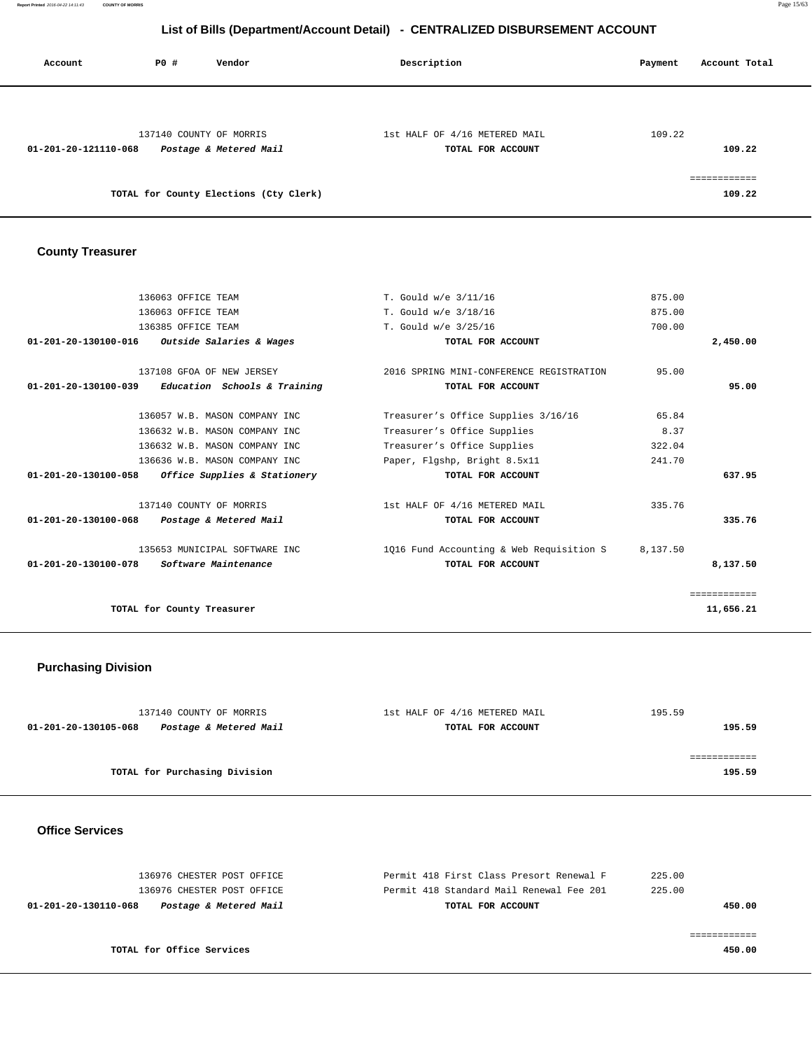**Report Printed** 2016-04-22 14:11:43 **COUNTY OF MORRIS** Page 15/63

## **List of Bills (Department/Account Detail) - CENTRALIZED DISBURSEMENT ACCOUNT**

| Account              | PO# | Vendor                                            | Description                                        | Account Total<br>Payment |
|----------------------|-----|---------------------------------------------------|----------------------------------------------------|--------------------------|
|                      |     |                                                   |                                                    |                          |
| 01-201-20-121110-068 |     | 137140 COUNTY OF MORRIS<br>Postage & Metered Mail | 1st HALF OF 4/16 METERED MAIL<br>TOTAL FOR ACCOUNT | 109.22<br>109.22         |
|                      |     | TOTAL for County Elections (Cty Clerk)            |                                                    | ============<br>109.22   |

# **County Treasurer**

| 136063 OFFICE TEAM                                              | T. Gould w/e 3/11/16                              | 875.00       |
|-----------------------------------------------------------------|---------------------------------------------------|--------------|
| 136063 OFFICE TEAM                                              | T. Gould w/e 3/18/16                              | 875.00       |
| 136385 OFFICE TEAM                                              | T. Gould w/e 3/25/16                              | 700.00       |
| 01-201-20-130100-016<br><i>Outside Salaries &amp; Wages</i>     | TOTAL FOR ACCOUNT                                 | 2,450.00     |
| 137108 GFOA OF NEW JERSEY                                       | 2016 SPRING MINI-CONFERENCE REGISTRATION          | 95.00        |
| $01-201-20-130100-039$ Education Schools & Training             | TOTAL FOR ACCOUNT                                 | 95.00        |
| 136057 W.B. MASON COMPANY INC                                   | Treasurer's Office Supplies 3/16/16               | 65.84        |
| 136632 W.B. MASON COMPANY INC                                   | Treasurer's Office Supplies                       | 8.37         |
| 136632 W.B. MASON COMPANY INC                                   | Treasurer's Office Supplies                       | 322.04       |
| 136636 W.B. MASON COMPANY INC                                   | Paper, Flgshp, Bright 8.5x11                      | 241.70       |
| 01-201-20-130100-058<br><i>Office Supplies &amp; Stationery</i> | TOTAL FOR ACCOUNT                                 | 637.95       |
| 137140 COUNTY OF MORRIS                                         | 1st HALF OF 4/16 METERED MAIL                     | 335.76       |
| 01-201-20-130100-068 Postage & Metered Mail                     | TOTAL FOR ACCOUNT                                 | 335.76       |
| 135653 MUNICIPAL SOFTWARE INC                                   | 1016 Fund Accounting & Web Requisition S 8,137.50 |              |
| <i>Software Maintenance</i><br>01-201-20-130100-078             | TOTAL FOR ACCOUNT                                 | 8,137.50     |
|                                                                 |                                                   | ============ |
| TOTAL for County Treasurer                                      |                                                   | 11,656.21    |
|                                                                 |                                                   |              |

## **Purchasing Division**

| 137140 COUNTY OF MORRIS                        | 1st HALF OF 4/16 METERED MAIL | 195.59 |
|------------------------------------------------|-------------------------------|--------|
| Postage & Metered Mail<br>01-201-20-130105-068 | TOTAL FOR ACCOUNT             | 195.59 |
|                                                |                               |        |
|                                                |                               |        |
| TOTAL for Purchasing Division                  |                               | 195.59 |
|                                                |                               |        |

#### **Office Services**

| 136976 CHESTER POST OFFICE                     | Permit 418 First Class Presort Renewal F | 225.00 |
|------------------------------------------------|------------------------------------------|--------|
| 136976 CHESTER POST OFFICE                     | Permit 418 Standard Mail Renewal Fee 201 | 225.00 |
| Postage & Metered Mail<br>01-201-20-130110-068 | TOTAL FOR ACCOUNT                        | 450.00 |
|                                                |                                          |        |
|                                                |                                          |        |
| TOTAL for Office Services                      |                                          | 450.00 |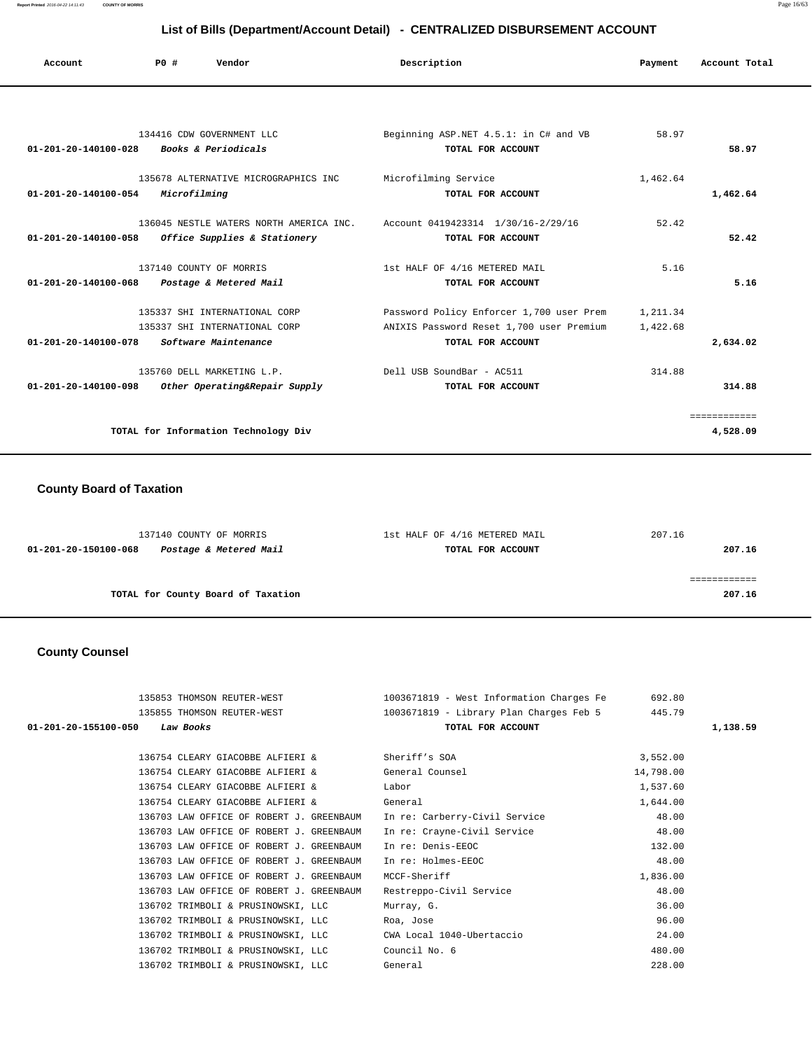| Account                        | P0#          | Vendor                                  | Description                              | Payment  | Account Total |
|--------------------------------|--------------|-----------------------------------------|------------------------------------------|----------|---------------|
|                                |              |                                         |                                          |          |               |
|                                |              | 134416 CDW GOVERNMENT LLC               | Beginning ASP.NET 4.5.1: in C# and VB    | 58.97    |               |
| $01 - 201 - 20 - 140100 - 028$ |              | Books & Periodicals                     | TOTAL FOR ACCOUNT                        |          | 58.97         |
|                                |              | 135678 ALTERNATIVE MICROGRAPHICS INC    | Microfilming Service                     | 1,462.64 |               |
| $01 - 201 - 20 - 140100 - 054$ | Microfilming |                                         | TOTAL FOR ACCOUNT                        |          | 1,462.64      |
|                                |              | 136045 NESTLE WATERS NORTH AMERICA INC. | Account 0419423314 1/30/16-2/29/16       | 52.42    |               |
| $01 - 201 - 20 - 140100 - 058$ |              | Office Supplies & Stationery            | TOTAL FOR ACCOUNT                        |          | 52.42         |
|                                |              | 137140 COUNTY OF MORRIS                 | 1st HALF OF 4/16 METERED MAIL            | 5.16     |               |
| $01 - 201 - 20 - 140100 - 068$ |              | Postage & Metered Mail                  | TOTAL FOR ACCOUNT                        |          | 5.16          |
|                                |              | 135337 SHI INTERNATIONAL CORP           | Password Policy Enforcer 1,700 user Prem | 1,211.34 |               |
|                                |              | 135337 SHI INTERNATIONAL CORP           | ANIXIS Password Reset 1,700 user Premium | 1,422.68 |               |
| $01 - 201 - 20 - 140100 - 078$ |              | Software Maintenance                    | TOTAL FOR ACCOUNT                        |          | 2,634.02      |
|                                |              | 135760 DELL MARKETING L.P.              | Dell USB SoundBar - AC511                | 314.88   |               |
| 01-201-20-140100-098           |              | Other Operating&Repair Supply           | TOTAL FOR ACCOUNT                        |          | 314.88        |
|                                |              |                                         |                                          |          | ============  |
|                                |              | TOTAL for Information Technology Div    |                                          |          | 4,528.09      |

## **County Board of Taxation**

| 137140 COUNTY OF MORRIS                        | 1st HALF OF 4/16 METERED MAIL | 207.16 |
|------------------------------------------------|-------------------------------|--------|
| Postage & Metered Mail<br>01-201-20-150100-068 | TOTAL FOR ACCOUNT             | 207.16 |
|                                                |                               |        |
|                                                |                               |        |
| TOTAL for County Board of Taxation             |                               | 207.16 |
|                                                |                               |        |

# **County Counsel**

| 135853 THOMSON REUTER-WEST                                   | 1003671819 - West Information Charges Fe | 692.80    |          |
|--------------------------------------------------------------|------------------------------------------|-----------|----------|
| 135855 THOMSON REUTER-WEST                                   | 1003671819 - Library Plan Charges Feb 5  | 445.79    |          |
| Law Books<br>01-201-20-155100-050                            | TOTAL FOR ACCOUNT                        |           | 1,138.59 |
|                                                              |                                          |           |          |
| 136754 CLEARY GIACOBBE ALFIERI &                             | Sheriff's SOA                            | 3,552.00  |          |
| 136754 CLEARY GIACOBBE ALFIERI & General Counsel             |                                          | 14,798.00 |          |
| 136754 CLEARY GIACOBBE ALFIERI &                             | Labor                                    | 1,537.60  |          |
| 136754 CLEARY GIACOBBE ALFIERI &                             | General                                  | 1,644.00  |          |
| 136703 LAW OFFICE OF ROBERT J. GREENBAUM                     | In re: Carberry-Civil Service            | 48.00     |          |
| 136703 LAW OFFICE OF ROBERT J. GREENBAUM                     | In re: Crayne-Civil Service              | 48.00     |          |
| 136703 LAW OFFICE OF ROBERT J. GREENBAUM                     | In re: Denis-EEOC                        | 132.00    |          |
| 136703 LAW OFFICE OF ROBERT J. GREENBAUM                     | In re: Holmes-EEOC                       | 48.00     |          |
| 136703 LAW OFFICE OF ROBERT J. GREENBAUM                     | MCCF-Sheriff                             | 1,836.00  |          |
| 136703 LAW OFFICE OF ROBERT J. GREENBAUM                     | Restreppo-Civil Service                  | 48.00     |          |
| 136702 TRIMBOLI & PRUSINOWSKI, LLC                           | Murray, G.                               | 36.00     |          |
| 136702 TRIMBOLI & PRUSINOWSKI, LLC                           | Roa, Jose                                | 96.00     |          |
| 136702 TRIMBOLI & PRUSINOWSKI, LLC CWA Local 1040-Ubertaccio |                                          | 24.00     |          |
| 136702 TRIMBOLI & PRUSINOWSKI, LLC Council No. 6             |                                          | 480.00    |          |
| 136702 TRIMBOLI & PRUSINOWSKI, LLC                           | General                                  | 228.00    |          |
|                                                              |                                          |           |          |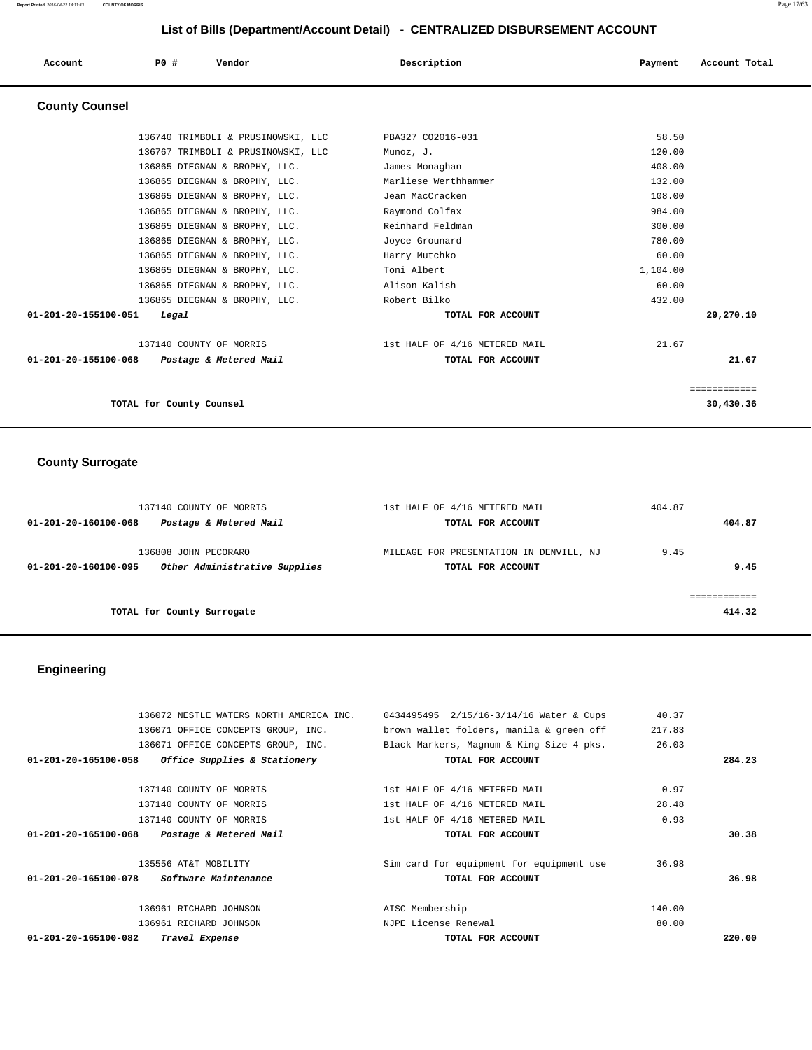| Account               | PO#                      | Vendor                             | Description                   | Payment  | Account Total |
|-----------------------|--------------------------|------------------------------------|-------------------------------|----------|---------------|
| <b>County Counsel</b> |                          |                                    |                               |          |               |
|                       |                          | 136740 TRIMBOLI & PRUSINOWSKI, LLC | PBA327 CO2016-031             | 58.50    |               |
|                       |                          | 136767 TRIMBOLI & PRUSINOWSKI, LLC | Munoz, J.                     | 120.00   |               |
|                       |                          | 136865 DIEGNAN & BROPHY, LLC.      | James Monaghan                | 408.00   |               |
|                       |                          | 136865 DIEGNAN & BROPHY, LLC.      | Marliese Werthhammer          | 132.00   |               |
|                       |                          | 136865 DIEGNAN & BROPHY, LLC.      | Jean MacCracken               | 108.00   |               |
|                       |                          | 136865 DIEGNAN & BROPHY, LLC.      | Raymond Colfax                | 984.00   |               |
|                       |                          | 136865 DIEGNAN & BROPHY, LLC.      | Reinhard Feldman              | 300.00   |               |
|                       |                          | 136865 DIEGNAN & BROPHY, LLC.      | Joyce Grounard                | 780.00   |               |
|                       |                          | 136865 DIEGNAN & BROPHY, LLC.      | Harry Mutchko                 | 60.00    |               |
|                       |                          | 136865 DIEGNAN & BROPHY, LLC.      | Toni Albert                   | 1,104.00 |               |
|                       |                          | 136865 DIEGNAN & BROPHY, LLC.      | Alison Kalish                 | 60.00    |               |
|                       |                          | 136865 DIEGNAN & BROPHY, LLC.      | Robert Bilko                  | 432.00   |               |
| 01-201-20-155100-051  | Legal                    |                                    | TOTAL FOR ACCOUNT             |          | 29,270.10     |
|                       | 137140 COUNTY OF MORRIS  |                                    | 1st HALF OF 4/16 METERED MAIL | 21.67    |               |
| 01-201-20-155100-068  |                          | Postage & Metered Mail             | TOTAL FOR ACCOUNT             |          | 21.67         |
|                       |                          |                                    |                               |          | ============= |
|                       | TOTAL for County Counsel |                                    |                               |          | 30,430.36     |

# **County Surrogate**

|                      | 137140 COUNTY OF MORRIS                               | 1st HALF OF 4/16 METERED MAIL                                | 404.87 |        |
|----------------------|-------------------------------------------------------|--------------------------------------------------------------|--------|--------|
| 01-201-20-160100-068 | Postage & Metered Mail                                | TOTAL FOR ACCOUNT                                            |        | 404.87 |
| 01-201-20-160100-095 | 136808 JOHN PECORARO<br>Other Administrative Supplies | MILEAGE FOR PRESENTATION IN DENVILL, NJ<br>TOTAL FOR ACCOUNT | 9.45   | 9.45   |
|                      |                                                       |                                                              |        |        |
|                      | TOTAL for County Surrogate                            |                                                              |        | 414.32 |

# **Engineering**

| 0434495495 2/15/16-3/14/16 Water & Cups  | 40.37  |        |
|------------------------------------------|--------|--------|
| brown wallet folders, manila & green off | 217.83 |        |
| Black Markers, Magnum & King Size 4 pks. | 26.03  |        |
| TOTAL FOR ACCOUNT                        |        | 284.23 |
| 1st HALF OF 4/16 METERED MAIL            | 0.97   |        |
| 1st HALF OF 4/16 METERED MAIL            | 28.48  |        |
| 1st HALF OF 4/16 METERED MAIL            | 0.93   |        |
| TOTAL FOR ACCOUNT                        |        | 30.38  |
| Sim card for equipment for equipment use | 36.98  |        |
| TOTAL FOR ACCOUNT                        |        | 36.98  |
| AISC Membership                          | 140.00 |        |
| NJPE License Renewal                     | 80.00  |        |
| TOTAL FOR ACCOUNT                        |        | 220.00 |
|                                          |        |        |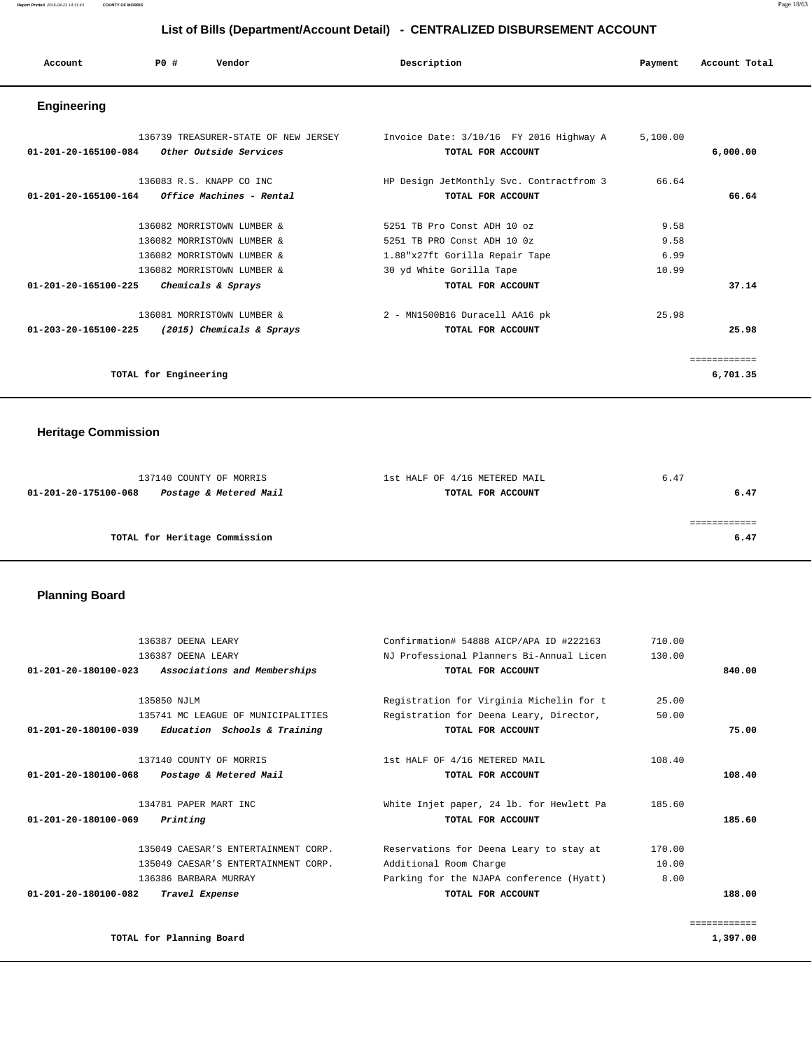| Account              | PO#                   | Vendor                               | Description                              | Payment  | Account Total |
|----------------------|-----------------------|--------------------------------------|------------------------------------------|----------|---------------|
| <b>Engineering</b>   |                       |                                      |                                          |          |               |
|                      |                       | 136739 TREASURER-STATE OF NEW JERSEY | Invoice Date: 3/10/16 FY 2016 Highway A  | 5,100.00 |               |
| 01-201-20-165100-084 |                       | Other Outside Services               | TOTAL FOR ACCOUNT                        |          | 6,000.00      |
|                      |                       | 136083 R.S. KNAPP CO INC             | HP Design JetMonthly Svc. Contractfrom 3 | 66.64    |               |
| 01-201-20-165100-164 |                       | Office Machines - Rental             | TOTAL FOR ACCOUNT                        |          | 66.64         |
|                      |                       | 136082 MORRISTOWN LUMBER &           | 5251 TB Pro Const ADH 10 oz              | 9.58     |               |
|                      |                       | 136082 MORRISTOWN LUMBER &           | 5251 TB PRO Const ADH 10 0z              | 9.58     |               |
|                      |                       | 136082 MORRISTOWN LUMBER &           | 1.88"x27ft Gorilla Repair Tape           | 6.99     |               |
|                      |                       | 136082 MORRISTOWN LUMBER &           | 30 yd White Gorilla Tape                 | 10.99    |               |
| 01-201-20-165100-225 |                       | Chemicals & Sprays                   | TOTAL FOR ACCOUNT                        |          | 37.14         |
|                      |                       | 136081 MORRISTOWN LUMBER &           | 2 - MN1500B16 Duracell AA16 pk           | 25.98    |               |
| 01-203-20-165100-225 |                       | (2015) Chemicals & Sprays            | TOTAL FOR ACCOUNT                        |          | 25.98         |
|                      |                       |                                      |                                          |          | ============  |
|                      | TOTAL for Engineering |                                      |                                          |          | 6,701.35      |

# **Heritage Commission**

|                      | 137140 COUNTY OF MORRIS       | 1st HALF OF 4/16 METERED MAIL | 6.47 |
|----------------------|-------------------------------|-------------------------------|------|
| 01-201-20-175100-068 | Postage & Metered Mail        | TOTAL FOR ACCOUNT             | 6.47 |
|                      |                               |                               |      |
|                      |                               |                               |      |
|                      | TOTAL for Heritage Commission |                               | 6.47 |
|                      |                               |                               |      |

# **Planning Board**

| 136387 DEENA LEARY                                             | Confirmation# 54888 AICP/APA ID #222163  | 710.00 |              |
|----------------------------------------------------------------|------------------------------------------|--------|--------------|
| 136387 DEENA LEARY                                             | NJ Professional Planners Bi-Annual Licen | 130.00 |              |
| $01 - 201 - 20 - 180100 - 023$<br>Associations and Memberships | TOTAL FOR ACCOUNT                        |        | 840.00       |
| 135850 NJLM                                                    | Registration for Virginia Michelin for t | 25.00  |              |
| 135741 MC LEAGUE OF MUNICIPALITIES                             | Registration for Deena Leary, Director,  | 50.00  |              |
| Education Schools & Training<br>01-201-20-180100-039           | TOTAL FOR ACCOUNT                        |        | 75.00        |
| 137140 COUNTY OF MORRIS                                        | 1st HALF OF 4/16 METERED MAIL            | 108.40 |              |
| $01 - 201 - 20 - 180100 - 068$<br>Postage & Metered Mail       | TOTAL FOR ACCOUNT                        |        | 108.40       |
| 134781 PAPER MART INC                                          | White Injet paper, 24 lb. for Hewlett Pa | 185.60 |              |
| 01-201-20-180100-069<br>Printing                               | TOTAL FOR ACCOUNT                        |        | 185.60       |
| 135049 CAESAR'S ENTERTAINMENT CORP.                            | Reservations for Deena Leary to stay at  | 170.00 |              |
| 135049 CAESAR'S ENTERTAINMENT CORP.                            | Additional Room Charge                   | 10.00  |              |
| 136386 BARBARA MURRAY                                          | Parking for the NJAPA conference (Hyatt) | 8.00   |              |
| $01 - 201 - 20 - 180100 - 082$<br>Travel Expense               | TOTAL FOR ACCOUNT                        |        | 188.00       |
|                                                                |                                          |        | ============ |

**TOTAL for Planning Board** 1,397.00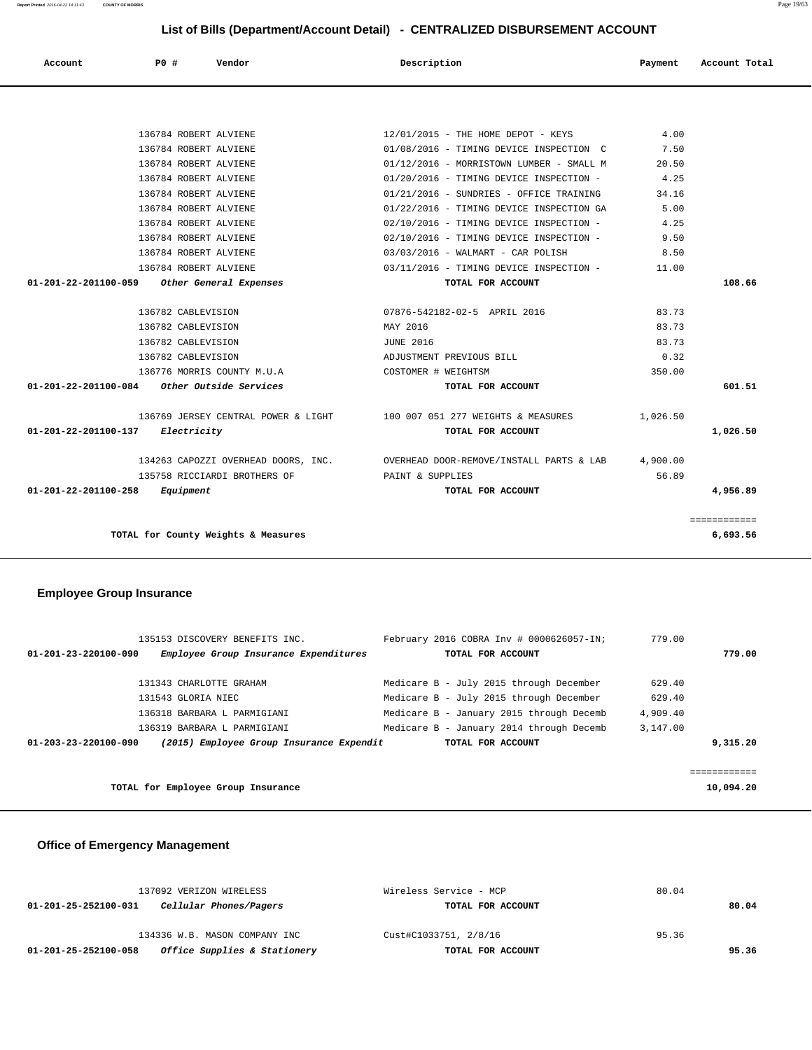| Cellular Phones/Pagers<br>01-201-25-252100-031       | TOTAL FOR ACCOUNT     | 80.04 |
|------------------------------------------------------|-----------------------|-------|
| 134336 W.B. MASON COMPANY INC                        | Cust#C1033751, 2/8/16 | 95.36 |
| Office Supplies & Stationery<br>01-201-25-252100-058 | TOTAL FOR ACCOUNT     | 95.36 |

137092 VERIZON WIRELESS Wireless Service - MCP 80.04

## **Office of Emergency Management**

| 135153 DISCOVERY BENEFITS INC.<br>Employee Group Insurance Expenditures<br>$01 - 201 - 23 - 220100 - 090$ | February 2016 COBRA Inv # 0000626057-IN;<br>TOTAL FOR ACCOUNT | 779.00<br>779.00 |  |
|-----------------------------------------------------------------------------------------------------------|---------------------------------------------------------------|------------------|--|
| 131343 CHARLOTTE GRAHAM                                                                                   | Medicare B - July 2015 through December                       | 629.40           |  |
| 131543 GLORIA NIEC                                                                                        | Medicare B - July 2015 through December                       | 629.40           |  |
| 136318 BARBARA L PARMIGIANI                                                                               | Medicare B - January 2015 through Decemb                      | 4,909.40         |  |
| 136319 BARBARA L PARMIGIANI                                                                               | Medicare B - January 2014 through Decemb                      | 3,147.00         |  |
| (2015) Employee Group Insurance Expendit<br>$01 - 203 - 23 - 220100 - 090$                                | TOTAL FOR ACCOUNT                                             | 9,315.20         |  |
|                                                                                                           |                                                               |                  |  |
|                                                                                                           |                                                               |                  |  |
| TOTAL for Employee Group Insurance                                                                        |                                                               | 10,094.20        |  |

## **Employee Group Insurance**

|                                  | $01 - 201 - 22 - 201100 - 258$ Equipment      | TOTAL FOR ACCOUNT                                                               |          | 4,956.89 |
|----------------------------------|-----------------------------------------------|---------------------------------------------------------------------------------|----------|----------|
|                                  | 135758 RICCIARDI BROTHERS OF                  | PAINT & SUPPLIES                                                                | 56.89    |          |
|                                  |                                               | 134263 CAPOZZI OVERHEAD DOORS, INC.    QVERHEAD DOOR-REMOVE/INSTALL PARTS & LAB | 4,900.00 |          |
| 01-201-22-201100-137 Electricity |                                               | TOTAL FOR ACCOUNT                                                               |          | 1,026.50 |
|                                  |                                               | 136769 JERSEY CENTRAL POWER & LIGHT 100 007 051 277 WEIGHTS & MEASURES          | 1,026.50 |          |
|                                  | $01-201-22-201100-084$ Other Outside Services | TOTAL FOR ACCOUNT                                                               |          | 601.51   |
|                                  | 136776 MORRIS COUNTY M.U.A                    | COSTOMER # WEIGHTSM                                                             | 350.00   |          |
|                                  | 136782 CABLEVISION                            | ADJUSTMENT PREVIOUS BILL                                                        | 0.32     |          |
|                                  | 136782 CABLEVISION                            | <b>JUNE 2016</b>                                                                | 83.73    |          |
|                                  | 136782 CABLEVISION                            | MAY 2016                                                                        | 83.73    |          |
|                                  | 136782 CABLEVISION                            | 07876-542182-02-5 APRIL 2016                                                    | 83.73    |          |
|                                  | 01-201-22-201100-059 Other General Expenses   | TOTAL FOR ACCOUNT                                                               |          | 108.66   |
|                                  | 136784 ROBERT ALVIENE                         | 03/11/2016 - TIMING DEVICE INSPECTION -                                         | 11.00    |          |
|                                  | 136784 ROBERT ALVIENE                         | 03/03/2016 - WALMART - CAR POLISH                                               | 8.50     |          |
|                                  | 136784 ROBERT ALVIENE                         | 02/10/2016 - TIMING DEVICE INSPECTION -                                         | 9.50     |          |
|                                  | 136784 ROBERT ALVIENE                         | 02/10/2016 - TIMING DEVICE INSPECTION -                                         | 4.25     |          |
|                                  | 136784 ROBERT ALVIENE                         | 01/22/2016 - TIMING DEVICE INSPECTION GA                                        | 5.00     |          |
|                                  | 136784 ROBERT ALVIENE                         | 01/21/2016 - SUNDRIES - OFFICE TRAINING                                         | 34.16    |          |
|                                  | 136784 ROBERT ALVIENE                         | 01/20/2016 - TIMING DEVICE INSPECTION -                                         | 4.25     |          |
|                                  | 136784 ROBERT ALVIENE                         | 01/12/2016 - MORRISTOWN LUMBER - SMALL M                                        | 20.50    |          |
|                                  | 136784 ROBERT ALVIENE                         | 01/08/2016 - TIMING DEVICE INSPECTION C                                         | 7.50     |          |
|                                  | 136784 ROBERT ALVIENE                         | 12/01/2015 - THE HOME DEPOT - KEYS                                              | 4.00     |          |

 **Account P0 # Vendor Description Payment Account Total**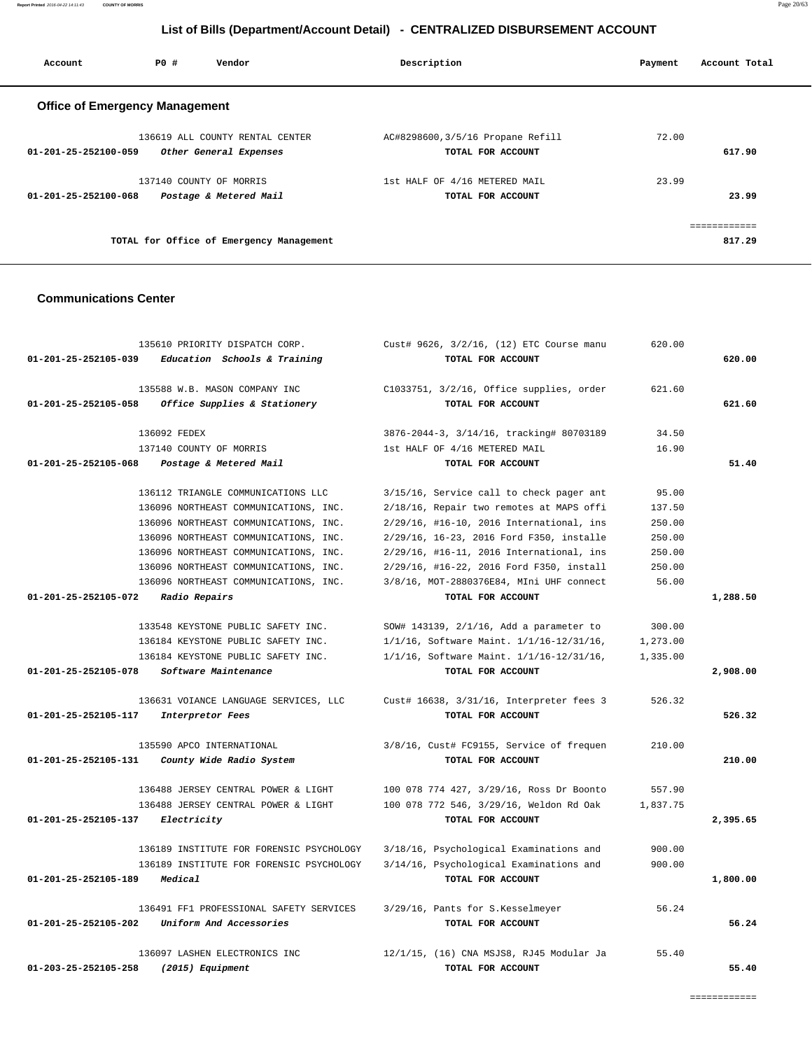**Report Printed** 2016-04-22 14:11:43 **COUNTY OF MORRIS** Page 20/63

# **List of Bills (Department/Account Detail) - CENTRALIZED DISBURSEMENT ACCOUNT**

| Account                               | PO# | Vendor                                   | Description                      | Payment | Account Total |
|---------------------------------------|-----|------------------------------------------|----------------------------------|---------|---------------|
| <b>Office of Emergency Management</b> |     |                                          |                                  |         |               |
|                                       |     | 136619 ALL COUNTY RENTAL CENTER          | AC#8298600,3/5/16 Propane Refill | 72.00   |               |
| $01 - 201 - 25 - 252100 - 059$        |     | Other General Expenses                   | TOTAL FOR ACCOUNT                |         | 617.90        |
|                                       |     | 137140 COUNTY OF MORRIS                  | 1st HALF OF 4/16 METERED MAIL    | 23.99   |               |
| $01 - 201 - 25 - 252100 - 068$        |     | Postage & Metered Mail                   | TOTAL FOR ACCOUNT                |         | 23.99         |
|                                       |     |                                          |                                  |         | ============  |
|                                       |     | TOTAL for Office of Emergency Management |                                  |         | 817.29        |

## **Communications Center**

|                                  | 135610 PRIORITY DISPATCH CORP.                      | Cust# 9626, 3/2/16, (12) ETC Course manu | 620.00   |          |
|----------------------------------|-----------------------------------------------------|------------------------------------------|----------|----------|
|                                  | $01-201-25-252105-039$ Education Schools & Training | TOTAL FOR ACCOUNT                        |          | 620.00   |
|                                  | 135588 W.B. MASON COMPANY INC                       | C1033751, 3/2/16, Office supplies, order | 621.60   |          |
| 01-201-25-252105-058             | Office Supplies & Stationery                        | TOTAL FOR ACCOUNT                        |          | 621.60   |
|                                  | 136092 FEDEX                                        | 3876-2044-3, 3/14/16, tracking# 80703189 | 34.50    |          |
|                                  | 137140 COUNTY OF MORRIS                             | 1st HALF OF 4/16 METERED MAIL            | 16.90    |          |
| 01-201-25-252105-068             | Postage & Metered Mail                              | TOTAL FOR ACCOUNT                        |          | 51.40    |
|                                  | 136112 TRIANGLE COMMUNICATIONS LLC                  | 3/15/16, Service call to check pager ant | 95.00    |          |
|                                  | 136096 NORTHEAST COMMUNICATIONS, INC.               | 2/18/16, Repair two remotes at MAPS offi | 137.50   |          |
|                                  | 136096 NORTHEAST COMMUNICATIONS, INC.               | 2/29/16, #16-10, 2016 International, ins | 250.00   |          |
|                                  | 136096 NORTHEAST COMMUNICATIONS, INC.               | 2/29/16, 16-23, 2016 Ford F350, installe | 250.00   |          |
|                                  | 136096 NORTHEAST COMMUNICATIONS, INC.               | 2/29/16, #16-11, 2016 International, ins | 250.00   |          |
|                                  | 136096 NORTHEAST COMMUNICATIONS, INC.               | 2/29/16, #16-22, 2016 Ford F350, install | 250.00   |          |
|                                  | 136096 NORTHEAST COMMUNICATIONS, INC.               | 3/8/16, MOT-2880376E84, MIni UHF connect | 56.00    |          |
| 01-201-25-252105-072             | <i>Radio Repairs</i>                                | TOTAL FOR ACCOUNT                        |          | 1,288.50 |
|                                  | 133548 KEYSTONE PUBLIC SAFETY INC.                  | SOW# 143139, 2/1/16, Add a parameter to  | 300.00   |          |
|                                  | 136184 KEYSTONE PUBLIC SAFETY INC.                  | 1/1/16, Software Maint. 1/1/16-12/31/16, | 1,273.00 |          |
|                                  | 136184 KEYSTONE PUBLIC SAFETY INC.                  | 1/1/16, Software Maint. 1/1/16-12/31/16, | 1,335.00 |          |
| 01-201-25-252105-078             | Software Maintenance                                | TOTAL FOR ACCOUNT                        |          | 2,908.00 |
|                                  | 136631 VOIANCE LANGUAGE SERVICES, LLC               | Cust# 16638, 3/31/16, Interpreter fees 3 | 526.32   |          |
| 01-201-25-252105-117             | Interpretor Fees                                    | TOTAL FOR ACCOUNT                        |          | 526.32   |
|                                  | 135590 APCO INTERNATIONAL                           | 3/8/16, Cust# FC9155, Service of frequen | 210.00   |          |
| 01-201-25-252105-131             | County Wide Radio System                            | TOTAL FOR ACCOUNT                        |          | 210.00   |
|                                  | 136488 JERSEY CENTRAL POWER & LIGHT                 | 100 078 774 427, 3/29/16, Ross Dr Boonto | 557.90   |          |
|                                  | 136488 JERSEY CENTRAL POWER & LIGHT                 | 100 078 772 546, 3/29/16, Weldon Rd Oak  | 1,837.75 |          |
| 01-201-25-252105-137 Electricity |                                                     | TOTAL FOR ACCOUNT                        |          | 2,395.65 |
|                                  | 136189 INSTITUTE FOR FORENSIC PSYCHOLOGY            | 3/18/16, Psychological Examinations and  | 900.00   |          |
|                                  | 136189 INSTITUTE FOR FORENSIC PSYCHOLOGY            | 3/14/16, Psychological Examinations and  | 900.00   |          |
| 01-201-25-252105-189             | Medical                                             | TOTAL FOR ACCOUNT                        |          | 1,800.00 |
|                                  | 136491 FF1 PROFESSIONAL SAFETY SERVICES             | 3/29/16, Pants for S.Kesselmeyer         | 56.24    |          |
| 01-201-25-252105-202             | Uniform And Accessories                             | TOTAL FOR ACCOUNT                        |          | 56.24    |
|                                  | 136097 LASHEN ELECTRONICS INC                       | 12/1/15, (16) CNA MSJS8, RJ45 Modular Ja | 55.40    |          |
| 01-203-25-252105-258             | $(2015)$ Equipment                                  | TOTAL FOR ACCOUNT                        |          | 55.40    |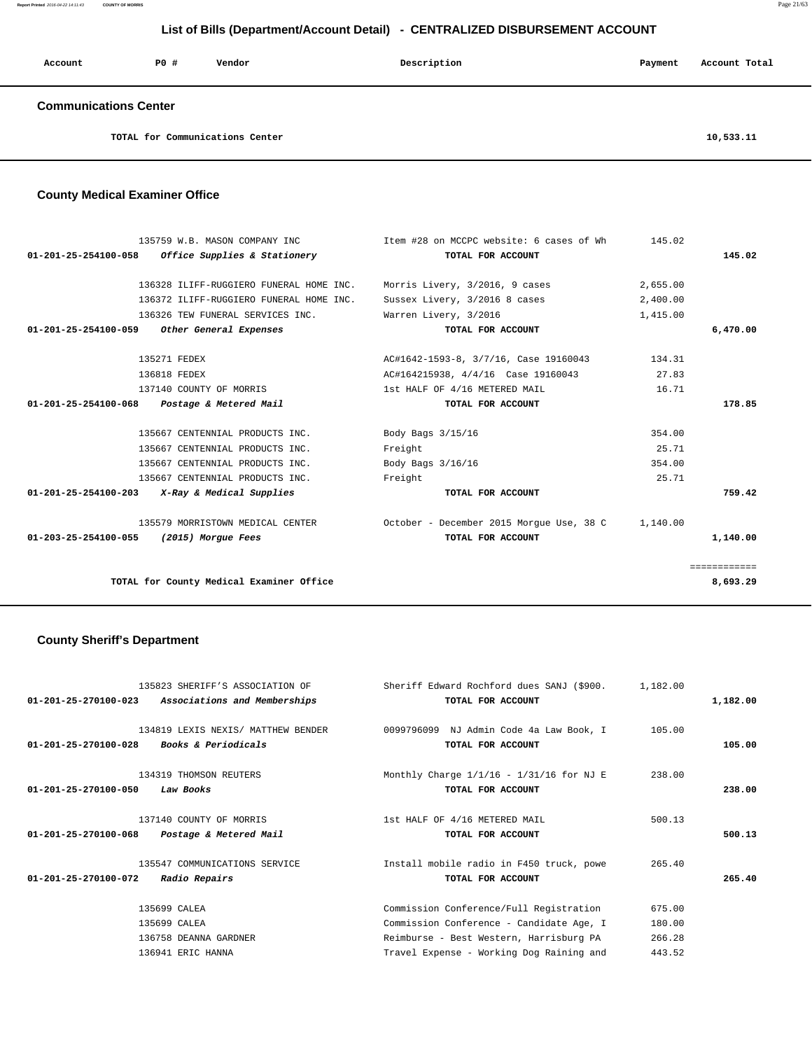**Report Printed** 2016-04-22 14:11:43 **COUNTY OF MORRIS** Page 21/63

## **List of Bills (Department/Account Detail) - CENTRALIZED DISBURSEMENT ACCOUNT**

| Account                      | PO# | Vendor                          | Description | Payment | Account Total |
|------------------------------|-----|---------------------------------|-------------|---------|---------------|
| <b>Communications Center</b> |     |                                 |             |         |               |
|                              |     | TOTAL for Communications Center |             |         | 10,533.11     |

## **County Medical Examiner Office**

| 135759 W.B. MASON COMPANY INC<br>$01-201-25-254100-058$ Office Supplies & Stationery | Item #28 on MCCPC website: 6 cases of Wh<br>TOTAL FOR ACCOUNT | 145.02   | 145.02       |
|--------------------------------------------------------------------------------------|---------------------------------------------------------------|----------|--------------|
|                                                                                      |                                                               |          |              |
| 136328 ILIFF-RUGGIERO FUNERAL HOME INC.                                              | Morris Livery, 3/2016, 9 cases                                | 2,655.00 |              |
| 136372 ILIFF-RUGGIERO FUNERAL HOME INC.                                              | Sussex Livery, 3/2016 8 cases                                 | 2,400.00 |              |
| 136326 TEW FUNERAL SERVICES INC.                                                     | Warren Livery, 3/2016                                         | 1,415.00 |              |
| 01-201-25-254100-059<br>Other General Expenses                                       | TOTAL FOR ACCOUNT                                             |          | 6,470.00     |
| 135271 FEDEX                                                                         | AC#1642-1593-8, 3/7/16, Case 19160043                         | 134.31   |              |
| 136818 FEDEX                                                                         | AC#164215938, 4/4/16 Case 19160043                            | 27.83    |              |
| 137140 COUNTY OF MORRIS                                                              | 1st HALF OF 4/16 METERED MAIL                                 | 16.71    |              |
| 01-201-25-254100-068 Postage & Metered Mail                                          | TOTAL FOR ACCOUNT                                             |          | 178.85       |
| 135667 CENTENNIAL PRODUCTS INC.                                                      | Body Bags 3/15/16                                             | 354.00   |              |
| 135667 CENTENNIAL PRODUCTS INC.                                                      | Freight                                                       | 25.71    |              |
| 135667 CENTENNIAL PRODUCTS INC.                                                      | Body Bags 3/16/16                                             | 354.00   |              |
| 135667 CENTENNIAL PRODUCTS INC.                                                      | Freight                                                       | 25.71    |              |
| $01-201-25-254100-203$ X-Ray & Medical Supplies                                      | TOTAL FOR ACCOUNT                                             |          | 759.42       |
| 135579 MORRISTOWN MEDICAL CENTER                                                     | October - December 2015 Morque Use, 38 C 1, 140.00            |          |              |
| 01-203-25-254100-055 (2015) Morgue Fees                                              | TOTAL FOR ACCOUNT                                             |          | 1,140.00     |
|                                                                                      |                                                               |          | ============ |
| TOTAL for County Medical Examiner Office                                             |                                                               |          | 8,693.29     |

# **County Sheriff's Department**

| 135823 SHERIFF'S ASSOCIATION OF<br>$01 - 201 - 25 - 270100 - 023$<br>Associations and Memberships      | Sheriff Edward Rochford dues SANJ (\$900.<br>TOTAL FOR ACCOUNT                                                                                                             | 1,182.00                             | 1,182.00 |
|--------------------------------------------------------------------------------------------------------|----------------------------------------------------------------------------------------------------------------------------------------------------------------------------|--------------------------------------|----------|
| 134819 LEXIS NEXIS/ MATTHEW BENDER<br>$01 - 201 - 25 - 270100 - 028$<br><i>Books &amp; Periodicals</i> | 0099796099 NJ Admin Code 4a Law Book, I<br>TOTAL FOR ACCOUNT                                                                                                               | 105.00                               | 105.00   |
| 134319 THOMSON REUTERS<br>$01 - 201 - 25 - 270100 - 050$<br>Law Books                                  | Monthly Charge $1/1/16 - 1/31/16$ for NJ E<br>TOTAL FOR ACCOUNT                                                                                                            | 238.00                               | 238.00   |
| 137140 COUNTY OF MORRIS<br>$01 - 201 - 25 - 270100 - 068$<br>Postage & Metered Mail                    | 1st HALF OF 4/16 METERED MAIL<br>TOTAL FOR ACCOUNT                                                                                                                         | 500.13                               | 500.13   |
| 135547 COMMUNICATIONS SERVICE<br>$01 - 201 - 25 - 270100 - 072$<br><i>Radio Repairs</i>                | Install mobile radio in F450 truck, powe<br>TOTAL FOR ACCOUNT                                                                                                              | 265.40                               | 265.40   |
| 135699 CALEA<br>135699 CALEA<br>136758 DEANNA GARDNER<br>136941 ERIC HANNA                             | Commission Conference/Full Registration<br>Commission Conference - Candidate Age, I<br>Reimburse - Best Western, Harrisburg PA<br>Travel Expense - Working Dog Raining and | 675.00<br>180.00<br>266.28<br>443.52 |          |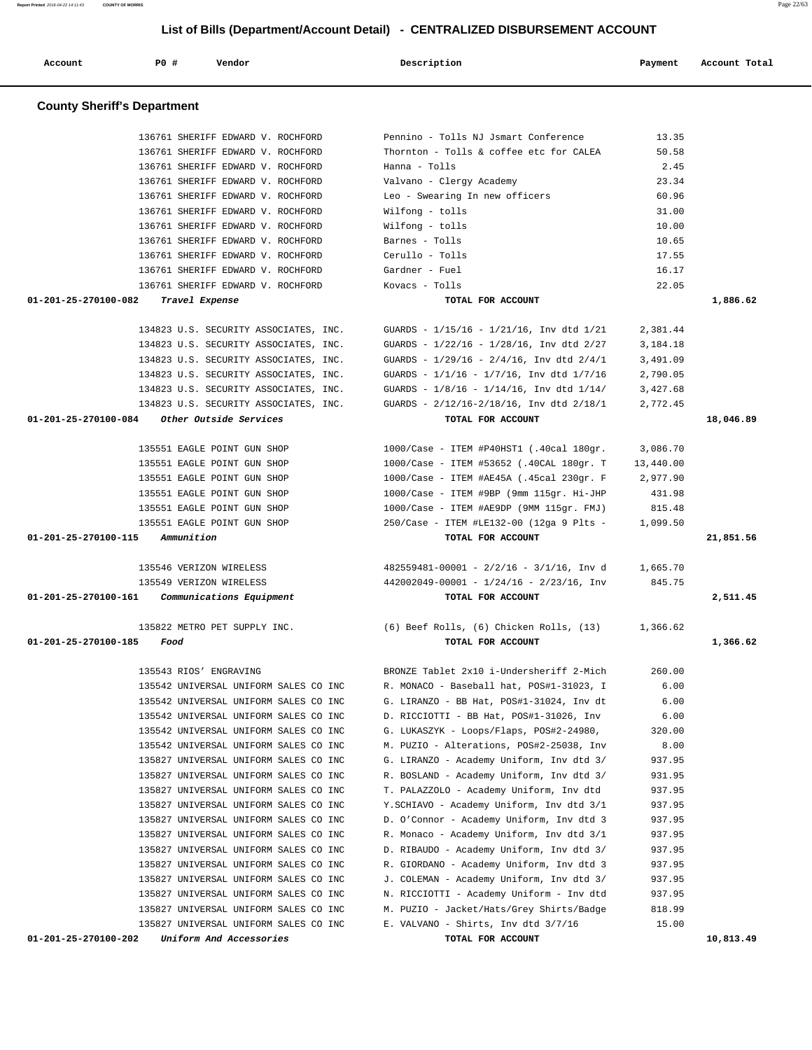| <b>County Sheriff's Department</b>                                          |                                                                    |                |           |
|-----------------------------------------------------------------------------|--------------------------------------------------------------------|----------------|-----------|
|                                                                             |                                                                    |                |           |
| 136761 SHERIFF EDWARD V. ROCHFORD                                           | Pennino - Tolls NJ Jsmart Conference                               | 13.35          |           |
| 136761 SHERIFF EDWARD V. ROCHFORD                                           | Thornton - Tolls & coffee etc for CALEA                            | 50.58          |           |
| 136761 SHERIFF EDWARD V. ROCHFORD                                           | Hanna - Tolls                                                      | 2.45           |           |
| 136761 SHERIFF EDWARD V. ROCHFORD                                           | Valvano - Clergy Academy                                           | 23.34          |           |
| 136761 SHERIFF EDWARD V. ROCHFORD                                           | Leo - Swearing In new officers                                     | 60.96          |           |
| 136761 SHERIFF EDWARD V. ROCHFORD<br>136761 SHERIFF EDWARD V. ROCHFORD      | Wilfong - tolls                                                    | 31.00          |           |
| 136761 SHERIFF EDWARD V. ROCHFORD                                           | Wilfong - tolls                                                    | 10.00<br>10.65 |           |
| 136761 SHERIFF EDWARD V. ROCHFORD                                           | Barnes - Tolls<br>Cerullo - Tolls                                  | 17.55          |           |
| 136761 SHERIFF EDWARD V. ROCHFORD                                           | Gardner - Fuel                                                     | 16.17          |           |
| 136761 SHERIFF EDWARD V. ROCHFORD                                           | Kovacs - Tolls                                                     | 22.05          |           |
| 01-201-25-270100-082<br>Travel Expense                                      | TOTAL FOR ACCOUNT                                                  |                | 1,886.62  |
|                                                                             |                                                                    |                |           |
| 134823 U.S. SECURITY ASSOCIATES, INC.                                       | GUARDS - $1/15/16$ - $1/21/16$ , Inv dtd $1/21$                    | 2,381.44       |           |
| 134823 U.S. SECURITY ASSOCIATES, INC.                                       | GUARDS - 1/22/16 - 1/28/16, Inv dtd 2/27                           | 3,184.18       |           |
| 134823 U.S. SECURITY ASSOCIATES, INC.                                       | GUARDS - $1/29/16$ - $2/4/16$ , Inv dtd $2/4/1$                    | 3,491.09       |           |
| 134823 U.S. SECURITY ASSOCIATES, INC.                                       | GUARDS - 1/1/16 - 1/7/16, Inv dtd 1/7/16                           | 2,790.05       |           |
| 134823 U.S. SECURITY ASSOCIATES, INC.                                       | GUARDS - $1/8/16$ - $1/14/16$ , Inv dtd $1/14/$                    | 3,427.68       |           |
| 134823 U.S. SECURITY ASSOCIATES, INC.                                       | GUARDS - 2/12/16-2/18/16, Inv dtd 2/18/1                           | 2,772.45       |           |
| 01-201-25-270100-084<br>Other Outside Services                              | TOTAL FOR ACCOUNT                                                  |                | 18,046.89 |
|                                                                             |                                                                    |                |           |
| 135551 EAGLE POINT GUN SHOP                                                 | 1000/Case - ITEM #P40HST1 (.40cal 180gr.                           | 3,086.70       |           |
| 135551 EAGLE POINT GUN SHOP                                                 | 1000/Case - ITEM #53652 (.40CAL 180gr. T                           | 13,440.00      |           |
| 135551 EAGLE POINT GUN SHOP                                                 | 1000/Case - ITEM #AE45A (.45cal 230gr. F                           | 2,977.90       |           |
| 135551 EAGLE POINT GUN SHOP                                                 | 1000/Case - ITEM #9BP (9mm 115gr. Hi-JHP                           | 431.98         |           |
| 135551 EAGLE POINT GUN SHOP                                                 | 1000/Case - ITEM #AE9DP (9MM 115gr. FMJ)                           | 815.48         |           |
| 135551 EAGLE POINT GUN SHOP                                                 | 250/Case - ITEM #LE132-00 (12ga 9 Plts -                           | 1,099.50       |           |
| 01-201-25-270100-115<br>Ammunition                                          | TOTAL FOR ACCOUNT                                                  |                | 21,851.56 |
|                                                                             |                                                                    |                |           |
| 135546 VERIZON WIRELESS                                                     | $482559481-00001 - 2/2/16 - 3/1/16$ , Inv d                        | 1,665.70       |           |
| 135549 VERIZON WIRELESS<br>01-201-25-270100-161<br>Communications Equipment | $442002049 - 00001 - 1/24/16 - 2/23/16$ , Inv<br>TOTAL FOR ACCOUNT | 845.75         | 2,511.45  |
|                                                                             |                                                                    |                |           |
| 135822 METRO PET SUPPLY INC.                                                | (6) Beef Rolls, (6) Chicken Rolls, (13)                            | 1,366.62       |           |
| 01-201-25-270100-185<br>Food                                                | TOTAL FOR ACCOUNT                                                  |                | 1,366.62  |
|                                                                             |                                                                    |                |           |
| 135543 RIOS' ENGRAVING                                                      | BRONZE Tablet 2x10 i-Undersheriff 2-Mich                           | 260.00         |           |
| 135542 UNIVERSAL UNIFORM SALES CO INC                                       | R. MONACO - Baseball hat, POS#1-31023, I                           | 6.00           |           |
| 135542 UNIVERSAL UNIFORM SALES CO INC                                       | G. LIRANZO - BB Hat, POS#1-31024, Inv dt                           | 6.00           |           |
| 135542 UNIVERSAL UNIFORM SALES CO INC                                       | D. RICCIOTTI - BB Hat, POS#1-31026, Inv                            | 6.00           |           |
| 135542 UNIVERSAL UNIFORM SALES CO INC                                       | G. LUKASZYK - Loops/Flaps, POS#2-24980,                            | 320.00         |           |
| 135542 UNIVERSAL UNIFORM SALES CO INC                                       | M. PUZIO - Alterations, POS#2-25038, Inv                           | 8.00           |           |
| 135827 UNIVERSAL UNIFORM SALES CO INC                                       | G. LIRANZO - Academy Uniform, Inv dtd 3/                           | 937.95         |           |
| 135827 UNIVERSAL UNIFORM SALES CO INC                                       | R. BOSLAND - Academy Uniform, Inv dtd 3/                           | 931.95         |           |
| 135827 UNIVERSAL UNIFORM SALES CO INC                                       | T. PALAZZOLO - Academy Uniform, Inv dtd                            | 937.95         |           |
| 135827 UNIVERSAL UNIFORM SALES CO INC                                       | Y.SCHIAVO - Academy Uniform, Inv dtd 3/1                           | 937.95         |           |
| 135827 UNIVERSAL UNIFORM SALES CO INC                                       | D. O'Connor - Academy Uniform, Inv dtd 3                           | 937.95         |           |
| 135827 UNIVERSAL UNIFORM SALES CO INC                                       | R. Monaco - Academy Uniform, Inv dtd 3/1                           | 937.95         |           |
| 135827 UNIVERSAL UNIFORM SALES CO INC                                       | D. RIBAUDO - Academy Uniform, Inv dtd 3/                           | 937.95         |           |
| 135827 UNIVERSAL UNIFORM SALES CO INC                                       | R. GIORDANO - Academy Uniform, Inv dtd 3                           | 937.95         |           |
| 135827 UNIVERSAL UNIFORM SALES CO INC                                       | J. COLEMAN - Academy Uniform, Inv dtd 3/                           | 937.95         |           |
| 135827 UNIVERSAL UNIFORM SALES CO INC                                       | N. RICCIOTTI - Academy Uniform - Inv dtd                           | 937.95         |           |
| 135827 UNIVERSAL UNIFORM SALES CO INC                                       | M. PUZIO - Jacket/Hats/Grey Shirts/Badge                           | 818.99         |           |
| 135827 UNIVERSAL UNIFORM SALES CO INC                                       | E. VALVANO - Shirts, Inv dtd 3/7/16                                | 15.00          |           |
| 01-201-25-270100-202<br>Uniform And Accessories                             | TOTAL FOR ACCOUNT                                                  |                | 10,813.49 |

Account **1892 PO #** Vendor **Description** Payment Account Total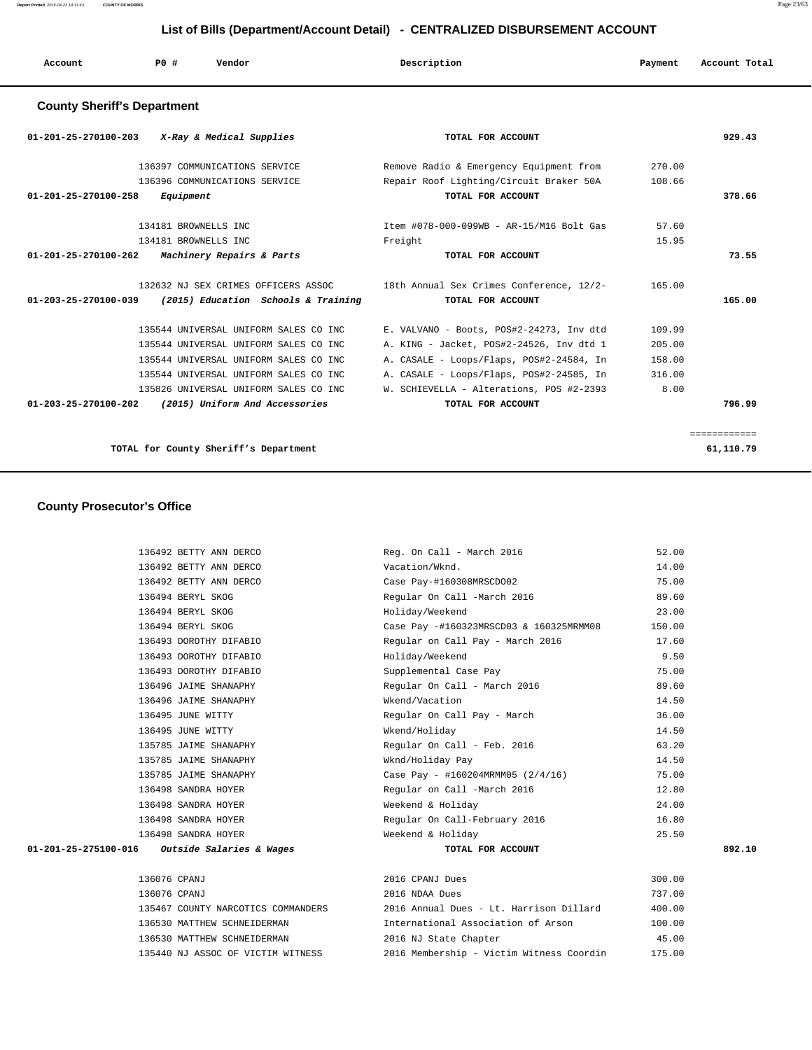| Account                            | <b>PO #</b> | Vendor | Description | Payment | Account Total |
|------------------------------------|-------------|--------|-------------|---------|---------------|
| <b>County Sheriff's Department</b> |             |        |             |         |               |

# **01-201-25-270100-203 X-Ray & Medical Supplies TOTAL FOR ACCOUNT 929.43** 136397 COMMUNICATIONS SERVICE Remove Radio & Emergency Equipment from 270.00 136396 COMMUNICATIONS SERVICE Repair Roof Lighting/Circuit Braker 50A 108.66  **01-201-25-270100-258 Equipment TOTAL FOR ACCOUNT 378.66** 134181 BROWNELLS INC Item #078-000-099WB - AR-15/M16 Bolt Gas 57.60 134181 BROWNELLS INC Freight 15.95  **01-201-25-270100-262 Machinery Repairs & Parts TOTAL FOR ACCOUNT 73.55** 132632 NJ SEX CRIMES OFFICERS ASSOC 18th Annual Sex Crimes Conference, 12/2- 165.00  **01-203-25-270100-039 (2015) Education Schools & Training TOTAL FOR ACCOUNT 165.00** 135544 UNIVERSAL UNIFORM SALES CO INC E. VALVANO - Boots, POS#2-24273, Inv dtd 109.99 135544 UNIVERSAL UNIFORM SALES CO INC A. KING - Jacket, POS#2-24526, Inv dtd 1 205.00 135544 UNIVERSAL UNIFORM SALES CO INC A. CASALE - Loops/Flaps, POS#2-24584, In 158.00 135544 UNIVERSAL UNIFORM SALES CO INC A. CASALE - Loops/Flaps, POS#2-24585, In 316.00 135826 UNIVERSAL UNIFORM SALES CO INC W. SCHIEVELLA - Alterations, POS #2-2393 8.00  **01-203-25-270100-202 (2015) Uniform And Accessories TOTAL FOR ACCOUNT 796.99** ============ **TOTAL for County Sheriff's Department 61,110.79**

#### **County Prosecutor's Office**

| 136492 BETTY ANN DERCO                          | Reg. On Call - March 2016                | 52.00  |        |
|-------------------------------------------------|------------------------------------------|--------|--------|
| 136492 BETTY ANN DERCO                          | Vacation/Wknd.                           | 14.00  |        |
| 136492 BETTY ANN DERCO                          | Case Pay-#160308MRSCD002                 | 75.00  |        |
| 136494 BERYL SKOG                               | Regular On Call -March 2016              | 89.60  |        |
| 136494 BERYL SKOG                               | Holiday/Weekend                          | 23.00  |        |
| 136494 BERYL SKOG                               | Case Pay -#160323MRSCD03 & 160325MRMM08  | 150.00 |        |
| 136493 DOROTHY DIFABIO                          | Regular on Call Pay - March 2016         | 17.60  |        |
| 136493 DOROTHY DIFABIO                          | Holiday/Weekend                          | 9.50   |        |
| 136493 DOROTHY DIFABIO                          | Supplemental Case Pay                    | 75.00  |        |
| 136496 JAIME SHANAPHY                           | Regular On Call - March 2016             | 89.60  |        |
| 136496 JAIME SHANAPHY                           | Wkend/Vacation                           | 14.50  |        |
| 136495 JUNE WITTY                               | Regular On Call Pay - March              | 36.00  |        |
| 136495 JUNE WITTY                               | Wkend/Holiday                            | 14.50  |        |
| 135785 JAIME SHANAPHY                           | Regular On Call - Feb. 2016              | 63.20  |        |
| 135785 JAIME SHANAPHY                           | Wknd/Holiday Pay                         | 14.50  |        |
| 135785 JAIME SHANAPHY                           | Case Pay - #160204MRMM05 (2/4/16)        | 75.00  |        |
| 136498 SANDRA HOYER                             | Regular on Call -March 2016              | 12.80  |        |
| 136498 SANDRA HOYER                             | Weekend & Holiday                        | 24.00  |        |
| 136498 SANDRA HOYER                             | Regular On Call-February 2016            | 16.80  |        |
| 136498 SANDRA HOYER                             | Weekend & Holiday                        | 25.50  |        |
| $01-201-25-275100-016$ Outside Salaries & Wages | TOTAL FOR ACCOUNT                        |        | 892.10 |
|                                                 |                                          |        |        |
| 136076 CPANJ                                    | 2016 CPANJ Dues                          | 300.00 |        |
| 136076 CPANJ                                    | 2016 NDAA Dues                           | 737.00 |        |
| 135467 COUNTY NARCOTICS COMMANDERS              | 2016 Annual Dues - Lt. Harrison Dillard  | 400.00 |        |
| 136530 MATTHEW SCHNEIDERMAN                     | International Association of Arson       | 100.00 |        |
| 136530 MATTHEW SCHNEIDERMAN                     | 2016 NJ State Chapter                    | 45.00  |        |
| 135440 NJ ASSOC OF VICTIM WITNESS               | 2016 Membership - Victim Witness Coordin | 175.00 |        |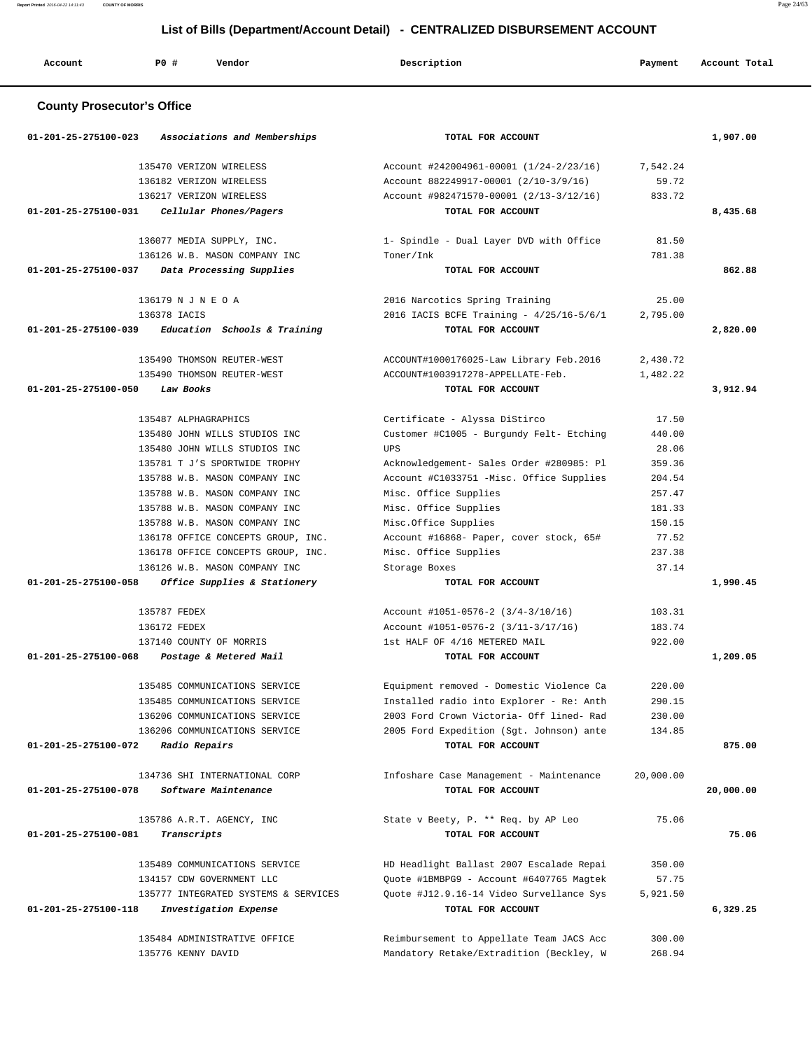**Report Printed** 2016-04-22 14:11:43 **COUNTY OF MORRIS** Page 24/63

# **List of Bills (Department/Account Detail) - CENTRALIZED DISBURSEMENT ACCOUNT**

| Account                           | PO#<br>Vendor                                                       | Description                                                          | Payment          | Account Total |
|-----------------------------------|---------------------------------------------------------------------|----------------------------------------------------------------------|------------------|---------------|
| <b>County Prosecutor's Office</b> |                                                                     |                                                                      |                  |               |
| 01-201-25-275100-023              | Associations and Memberships                                        | TOTAL FOR ACCOUNT                                                    |                  | 1,907.00      |
|                                   | 135470 VERIZON WIRELESS                                             | Account #242004961-00001 (1/24-2/23/16)                              | 7,542.24         |               |
|                                   | 136182 VERIZON WIRELESS                                             | Account 882249917-00001 (2/10-3/9/16)                                | 59.72            |               |
|                                   | 136217 VERIZON WIRELESS                                             | Account #982471570-00001 (2/13-3/12/16)                              | 833.72           |               |
| 01-201-25-275100-031              | Cellular Phones/Pagers                                              | TOTAL FOR ACCOUNT                                                    |                  | 8,435.68      |
|                                   | 136077 MEDIA SUPPLY, INC.                                           | 1- Spindle - Dual Layer DVD with Office                              | 81.50            |               |
|                                   | 136126 W.B. MASON COMPANY INC                                       | Toner/Ink                                                            | 781.38           |               |
| 01-201-25-275100-037              | Data Processing Supplies                                            | TOTAL FOR ACCOUNT                                                    |                  | 862.88        |
|                                   | 136179 N J N E O A                                                  | 2016 Narcotics Spring Training                                       | 25.00            |               |
|                                   | 136378 TACIS                                                        | 2016 IACIS BCFE Training - 4/25/16-5/6/1                             | 2,795.00         |               |
| 01-201-25-275100-039              | Education Schools & Training                                        | TOTAL FOR ACCOUNT                                                    |                  | 2,820.00      |
|                                   |                                                                     |                                                                      |                  |               |
|                                   | 135490 THOMSON REUTER-WEST                                          | ACCOUNT#1000176025-Law Library Feb.2016                              | 2,430.72         |               |
|                                   | 135490 THOMSON REUTER-WEST                                          | ACCOUNT#1003917278-APPELLATE-Feb.                                    | 1,482.22         |               |
| 01-201-25-275100-050              | Law Books                                                           | TOTAL FOR ACCOUNT                                                    |                  | 3,912.94      |
|                                   | 135487 ALPHAGRAPHICS                                                | Certificate - Alyssa DiStirco                                        | 17.50            |               |
|                                   | 135480 JOHN WILLS STUDIOS INC                                       | Customer #C1005 - Burgundy Felt- Etching                             | 440.00           |               |
|                                   | 135480 JOHN WILLS STUDIOS INC                                       | UPS                                                                  | 28.06            |               |
|                                   | 135781 T J'S SPORTWIDE TROPHY                                       | Acknowledgement- Sales Order #280985: Pl                             | 359.36           |               |
|                                   | 135788 W.B. MASON COMPANY INC                                       | Account #C1033751 -Misc. Office Supplies                             | 204.54           |               |
|                                   | 135788 W.B. MASON COMPANY INC                                       | Misc. Office Supplies                                                | 257.47           |               |
|                                   | 135788 W.B. MASON COMPANY INC                                       | Misc. Office Supplies                                                | 181.33           |               |
|                                   | 135788 W.B. MASON COMPANY INC                                       | Misc.Office Supplies                                                 | 150.15           |               |
|                                   | 136178 OFFICE CONCEPTS GROUP, INC.                                  | Account #16868- Paper, cover stock, 65#                              | 77.52            |               |
|                                   | 136178 OFFICE CONCEPTS GROUP, INC.<br>136126 W.B. MASON COMPANY INC | Misc. Office Supplies<br>Storage Boxes                               | 237.38<br>37.14  |               |
| 01-201-25-275100-058              | Office Supplies & Stationery                                        | TOTAL FOR ACCOUNT                                                    |                  | 1,990.45      |
|                                   |                                                                     |                                                                      |                  |               |
|                                   | 135787 FEDEX                                                        | Account #1051-0576-2 (3/4-3/10/16)                                   | 103.31           |               |
|                                   | 136172 FEDEX<br>137140 COUNTY OF MORRIS                             | Account #1051-0576-2 (3/11-3/17/16)<br>1st HALF OF 4/16 METERED MAIL | 183.74<br>922.00 |               |
| 01-201-25-275100-068              | Postage & Metered Mail                                              | TOTAL FOR ACCOUNT                                                    |                  | 1,209.05      |
|                                   |                                                                     |                                                                      |                  |               |
|                                   | 135485 COMMUNICATIONS SERVICE                                       | Equipment removed - Domestic Violence Ca                             | 220.00           |               |
|                                   | 135485 COMMUNICATIONS SERVICE                                       | Installed radio into Explorer - Re: Anth                             | 290.15           |               |
|                                   | 136206 COMMUNICATIONS SERVICE                                       | 2003 Ford Crown Victoria- Off lined- Rad                             | 230.00           |               |
| 01-201-25-275100-072              | 136206 COMMUNICATIONS SERVICE<br>Radio Repairs                      | 2005 Ford Expedition (Sgt. Johnson) ante<br>TOTAL FOR ACCOUNT        | 134.85           | 875.00        |
|                                   |                                                                     |                                                                      |                  |               |
|                                   | 134736 SHI INTERNATIONAL CORP                                       | Infoshare Case Management - Maintenance                              | 20,000.00        |               |
| 01-201-25-275100-078              | Software Maintenance                                                | TOTAL FOR ACCOUNT                                                    |                  | 20,000.00     |
|                                   | 135786 A.R.T. AGENCY, INC                                           | State v Beety, P. ** Req. by AP Leo                                  | 75.06            |               |
| 01-201-25-275100-081              | Transcripts                                                         | TOTAL FOR ACCOUNT                                                    |                  | 75.06         |
|                                   | 135489 COMMUNICATIONS SERVICE                                       | HD Headlight Ballast 2007 Escalade Repai                             | 350.00           |               |
|                                   | 134157 CDW GOVERNMENT LLC                                           | Quote #1BMBPG9 - Account #6407765 Magtek                             | 57.75            |               |
|                                   | 135777 INTEGRATED SYSTEMS & SERVICES                                | Quote #J12.9.16-14 Video Survellance Sys                             | 5,921.50         |               |
| 01-201-25-275100-118              | Investigation Expense                                               | TOTAL FOR ACCOUNT                                                    |                  | 6,329.25      |
|                                   |                                                                     |                                                                      |                  |               |
|                                   | 135484 ADMINISTRATIVE OFFICE                                        | Reimbursement to Appellate Team JACS Acc                             | 300.00           |               |
|                                   | 135776 KENNY DAVID                                                  | Mandatory Retake/Extradition (Beckley, W                             | 268.94           |               |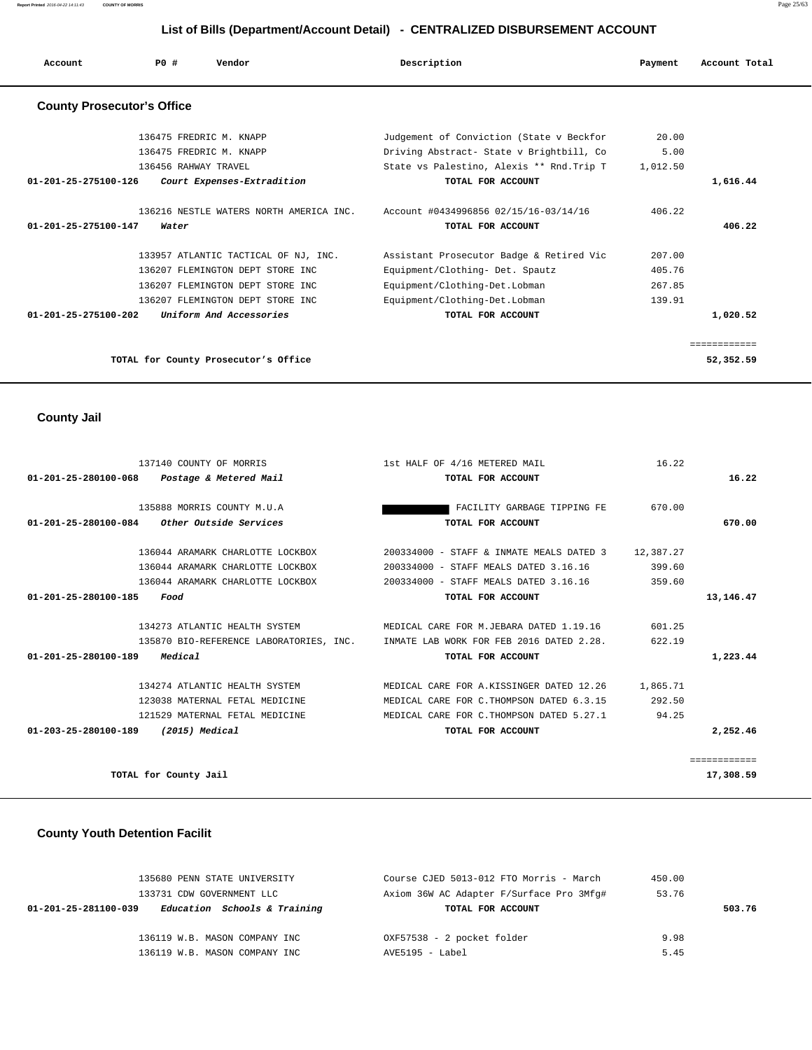**Report Printed** 2016-04-22 14:11:43 **COUNTY OF MORRIS** Page 25/63

## **List of Bills (Department/Account Detail) - CENTRALIZED DISBURSEMENT ACCOUNT**

| Account                           | Vendor<br>PO#                           | Description                               | Payment  | Account Total |
|-----------------------------------|-----------------------------------------|-------------------------------------------|----------|---------------|
| <b>County Prosecutor's Office</b> |                                         |                                           |          |               |
|                                   | 136475 FREDRIC M. KNAPP                 | Judgement of Conviction (State v Beckfor  | 20.00    |               |
|                                   | 136475 FREDRIC M. KNAPP                 | Driving Abstract- State v Brightbill, Co  | 5.00     |               |
|                                   | 136456 RAHWAY TRAVEL                    | State vs Palestino, Alexis ** Rnd. Trip T | 1,012.50 |               |
| 01-201-25-275100-126              | Court Expenses-Extradition              | TOTAL FOR ACCOUNT                         |          | 1,616.44      |
|                                   | 136216 NESTLE WATERS NORTH AMERICA INC. | Account #0434996856 02/15/16-03/14/16     | 406.22   |               |
| 01-201-25-275100-147              | Water                                   | TOTAL FOR ACCOUNT                         |          | 406.22        |
|                                   | 133957 ATLANTIC TACTICAL OF NJ, INC.    | Assistant Prosecutor Badge & Retired Vic  | 207.00   |               |
|                                   | 136207 FLEMINGTON DEPT STORE INC.       | Equipment/Clothing- Det. Spautz           | 405.76   |               |
|                                   | 136207 FLEMINGTON DEPT STORE INC        | Equipment/Clothing-Det.Lobman             | 267.85   |               |
|                                   | 136207 FLEMINGTON DEPT STORE INC        | Equipment/Clothing-Det.Lobman             | 139.91   |               |
| $01 - 201 - 25 - 275100 - 202$    | Uniform And Accessories                 | TOTAL FOR ACCOUNT                         |          | 1,020.52      |
|                                   |                                         |                                           |          | ============  |
|                                   | TOTAL for County Prosecutor's Office    |                                           |          | 52,352.59     |

 **County Jail** 

| 137140 COUNTY OF MORRIS                        |                                                                                  | 1st HALF OF 4/16 METERED MAIL |                                           | 16.22     |              |
|------------------------------------------------|----------------------------------------------------------------------------------|-------------------------------|-------------------------------------------|-----------|--------------|
| 01-201-25-280100-068<br>Postage & Metered Mail |                                                                                  |                               | TOTAL FOR ACCOUNT                         |           | 16.22        |
|                                                |                                                                                  |                               |                                           |           |              |
| 135888 MORRIS COUNTY M.U.A                     |                                                                                  |                               | FACILITY GARBAGE TIPPING FE               | 670.00    |              |
| $01-201-25-280100-084$ Other Outside Services  |                                                                                  |                               | TOTAL FOR ACCOUNT                         |           | 670.00       |
|                                                |                                                                                  |                               |                                           |           |              |
| 136044 ARAMARK CHARLOTTE LOCKBOX               |                                                                                  |                               | 200334000 - STAFF & INMATE MEALS DATED 3  | 12,387.27 |              |
| 136044 ARAMARK CHARLOTTE LOCKBOX               |                                                                                  |                               | 200334000 - STAFF MEALS DATED 3.16.16     | 399.60    |              |
| 136044 ARAMARK CHARLOTTE LOCKBOX               |                                                                                  |                               | 200334000 - STAFF MEALS DATED 3.16.16     | 359.60    |              |
| 01-201-25-280100-185<br>Food                   |                                                                                  |                               | TOTAL FOR ACCOUNT                         |           | 13, 146. 47  |
|                                                |                                                                                  |                               |                                           |           |              |
| 134273 ATLANTIC HEALTH SYSTEM                  |                                                                                  |                               | MEDICAL CARE FOR M.JEBARA DATED 1.19.16   | 601.25    |              |
|                                                | 135870 BIO-REFERENCE LABORATORIES, INC. INMATE LAB WORK FOR FEB 2016 DATED 2.28. |                               |                                           | 622.19    |              |
| Medical<br>01-201-25-280100-189                |                                                                                  |                               | TOTAL FOR ACCOUNT                         |           | 1,223.44     |
|                                                |                                                                                  |                               |                                           |           |              |
| 134274 ATLANTIC HEALTH SYSTEM                  |                                                                                  |                               | MEDICAL CARE FOR A.KISSINGER DATED 12.26  | 1,865.71  |              |
| 123038 MATERNAL FETAL MEDICINE                 |                                                                                  |                               | MEDICAL CARE FOR C. THOMPSON DATED 6.3.15 | 292.50    |              |
| 121529 MATERNAL FETAL MEDICINE                 |                                                                                  |                               | MEDICAL CARE FOR C.THOMPSON DATED 5.27.1  | 94.25     |              |
| 01-203-25-280100-189<br>(2015) Medical         |                                                                                  |                               | TOTAL FOR ACCOUNT                         |           | 2,252.46     |
|                                                |                                                                                  |                               |                                           |           |              |
|                                                |                                                                                  |                               |                                           |           | ============ |
| TOTAL for County Jail                          |                                                                                  |                               |                                           |           | 17,308.59    |
|                                                |                                                                                  |                               |                                           |           |              |

# **County Youth Detention Facilit**

| 135680 PENN STATE UNIVERSITY                         | Course CJED 5013-012 FTO Morris - March  | 450.00 |        |
|------------------------------------------------------|------------------------------------------|--------|--------|
| 133731 CDW GOVERNMENT LLC                            | Axiom 36W AC Adapter F/Surface Pro 3Mfq# | 53.76  |        |
| Education Schools & Training<br>01-201-25-281100-039 | TOTAL FOR ACCOUNT                        |        | 503.76 |
|                                                      |                                          |        |        |
| 136119 W.B. MASON COMPANY INC                        | OXF57538 - 2 pocket folder               | 9.98   |        |
| 136119 W.B. MASON COMPANY INC                        | AVE5195 - Label                          | 5.45   |        |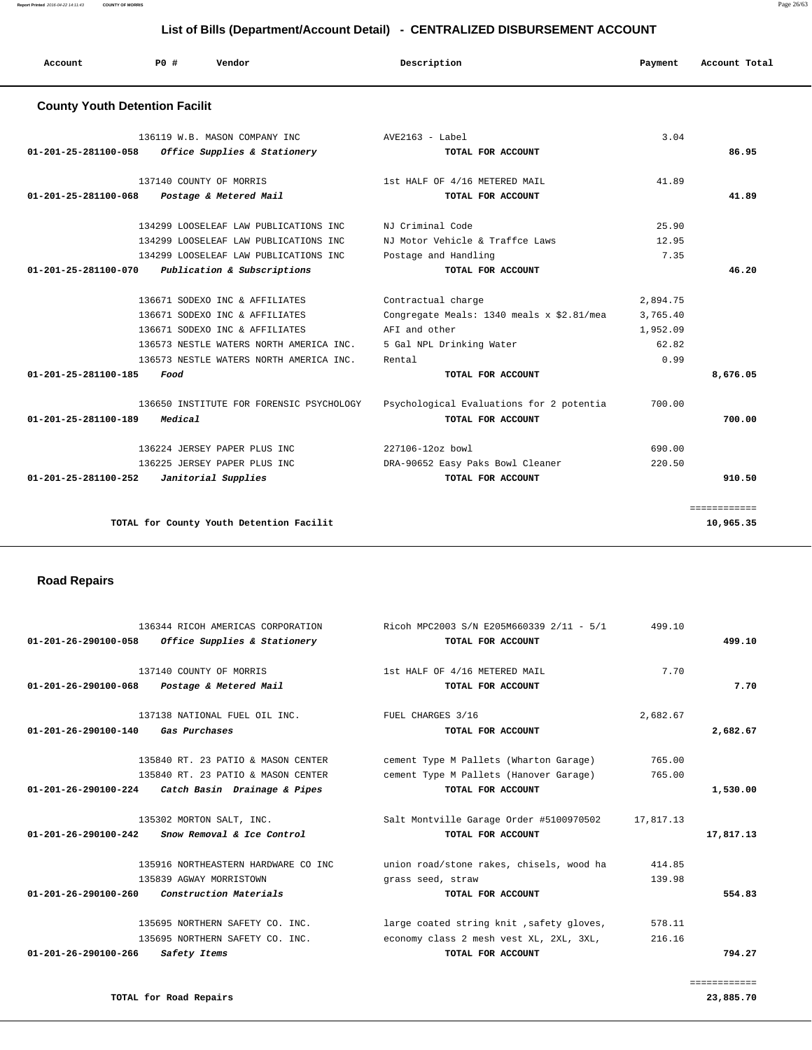| List of Bills (Department/Account Detail) - CENTRALIZED DISBURSEMENT ACCOUNT |        |                                                                                                                                                                                                                                                                                                                                                                                                                                                                                                                     |          |               |  |  |
|------------------------------------------------------------------------------|--------|---------------------------------------------------------------------------------------------------------------------------------------------------------------------------------------------------------------------------------------------------------------------------------------------------------------------------------------------------------------------------------------------------------------------------------------------------------------------------------------------------------------------|----------|---------------|--|--|
| PO#                                                                          | Vendor | Description                                                                                                                                                                                                                                                                                                                                                                                                                                                                                                         | Payment  | Account Total |  |  |
|                                                                              |        |                                                                                                                                                                                                                                                                                                                                                                                                                                                                                                                     |          |               |  |  |
|                                                                              |        | $AVE2163 - Label$                                                                                                                                                                                                                                                                                                                                                                                                                                                                                                   | 3.04     |               |  |  |
| 01-201-25-281100-058                                                         |        | TOTAL FOR ACCOUNT                                                                                                                                                                                                                                                                                                                                                                                                                                                                                                   |          | 86.95         |  |  |
|                                                                              |        | 1st HALF OF 4/16 METERED MAIL                                                                                                                                                                                                                                                                                                                                                                                                                                                                                       | 41.89    |               |  |  |
| $01 - 201 - 25 - 281100 - 068$                                               |        | TOTAL FOR ACCOUNT                                                                                                                                                                                                                                                                                                                                                                                                                                                                                                   |          | 41.89         |  |  |
|                                                                              |        | NJ Criminal Code                                                                                                                                                                                                                                                                                                                                                                                                                                                                                                    | 25.90    |               |  |  |
|                                                                              |        | NJ Motor Vehicle & Traffce Laws                                                                                                                                                                                                                                                                                                                                                                                                                                                                                     | 12.95    |               |  |  |
|                                                                              |        | Postage and Handling                                                                                                                                                                                                                                                                                                                                                                                                                                                                                                | 7.35     |               |  |  |
| 01-201-25-281100-070                                                         |        | TOTAL FOR ACCOUNT                                                                                                                                                                                                                                                                                                                                                                                                                                                                                                   |          | 46.20         |  |  |
|                                                                              |        | Contractual charge                                                                                                                                                                                                                                                                                                                                                                                                                                                                                                  | 2,894.75 |               |  |  |
|                                                                              |        | Congregate Meals: 1340 meals x \$2.81/mea                                                                                                                                                                                                                                                                                                                                                                                                                                                                           | 3,765.40 |               |  |  |
|                                                                              |        | AFI and other                                                                                                                                                                                                                                                                                                                                                                                                                                                                                                       | 1,952.09 |               |  |  |
|                                                                              |        | 5 Gal NPL Drinking Water                                                                                                                                                                                                                                                                                                                                                                                                                                                                                            | 62.82    |               |  |  |
|                                                                              |        | Rental                                                                                                                                                                                                                                                                                                                                                                                                                                                                                                              | 0.99     |               |  |  |
| 01-201-25-281100-185<br>Food                                                 |        | TOTAL FOR ACCOUNT                                                                                                                                                                                                                                                                                                                                                                                                                                                                                                   |          | 8,676.05      |  |  |
|                                                                              |        | <b>County Youth Detention Facilit</b><br>136119 W.B. MASON COMPANY INC<br>Office Supplies & Stationery<br>137140 COUNTY OF MORRIS<br>Postage & Metered Mail<br>134299 LOOSELEAF LAW PUBLICATIONS INC.<br>134299 LOOSELEAF LAW PUBLICATIONS INC<br>134299 LOOSELEAF LAW PUBLICATIONS INC.<br>Publication & Subscriptions<br>136671 SODEXO INC & AFFILIATES<br>136671 SODEXO INC & AFFILIATES<br>136671 SODEXO INC & AFFILIATES<br>136573 NESTLE WATERS NORTH AMERICA INC.<br>136573 NESTLE WATERS NORTH AMERICA INC. |          |               |  |  |

 136650 INSTITUTE FOR FORENSIC PSYCHOLOGY Psychological Evaluations for 2 potentia 700.00  **01-201-25-281100-189 Medical TOTAL FOR ACCOUNT 700.00**

 136224 JERSEY PAPER PLUS INC 227106-12oz bowl 690.00 136225 JERSEY PAPER PLUS INC DRA-90652 Easy Paks Bowl Cleaner 220.50  **01-201-25-281100-252 Janitorial Supplies TOTAL FOR ACCOUNT 910.50**

 ============ **TOTAL for County Youth Detention Facilit 10,965.35**

 **Road Repairs** 

|                                | 136344 RICOH AMERICAS CORPORATION                   | Ricoh MPC2003 S/N E205M660339 2/11 - 5/1  | 499.10    |           |
|--------------------------------|-----------------------------------------------------|-------------------------------------------|-----------|-----------|
|                                | $01-201-26-290100-058$ Office Supplies & Stationery | TOTAL FOR ACCOUNT                         |           | 499.10    |
|                                | 137140 COUNTY OF MORRIS                             | 1st HALF OF 4/16 METERED MAIL             | 7.70      |           |
| $01 - 201 - 26 - 290100 - 068$ | Postage & Metered Mail                              | TOTAL FOR ACCOUNT                         |           | 7.70      |
|                                | 137138 NATIONAL FUEL OIL INC.                       | FUEL CHARGES 3/16                         | 2,682.67  |           |
| $01 - 201 - 26 - 290100 - 140$ | <i><b>Gas Purchases</b></i>                         | TOTAL FOR ACCOUNT                         |           | 2,682.67  |
|                                | 135840 RT. 23 PATIO & MASON CENTER                  | cement Type M Pallets (Wharton Garage)    | 765.00    |           |
|                                | 135840 RT. 23 PATIO & MASON CENTER                  | cement Type M Pallets (Hanover Garage)    | 765.00    |           |
|                                | $01-201-26-290100-224$ Catch Basin Drainage & Pipes | TOTAL FOR ACCOUNT                         |           | 1,530.00  |
|                                | 135302 MORTON SALT, INC.                            | Salt Montville Garage Order #5100970502   | 17,817.13 |           |
| $01 - 201 - 26 - 290100 - 242$ | Snow Removal & Ice Control                          | TOTAL FOR ACCOUNT                         |           | 17,817.13 |
|                                | 135916 NORTHEASTERN HARDWARE CO INC                 | union road/stone rakes, chisels, wood ha  | 414.85    |           |
|                                | 135839 AGWAY MORRISTOWN                             | grass seed, straw                         | 139.98    |           |
| $01 - 201 - 26 - 290100 - 260$ | Construction Materials                              | TOTAL FOR ACCOUNT                         |           | 554.83    |
|                                | 135695 NORTHERN SAFETY CO. INC.                     | large coated string knit , safety gloves, | 578.11    |           |
|                                | 135695 NORTHERN SAFETY CO. INC.                     | economy class 2 mesh vest XL, 2XL, 3XL,   | 216.16    |           |
| $01 - 201 - 26 - 290100 - 266$ | Safety Items                                        | TOTAL FOR ACCOUNT                         |           | 794.27    |
|                                |                                                     |                                           |           |           |

============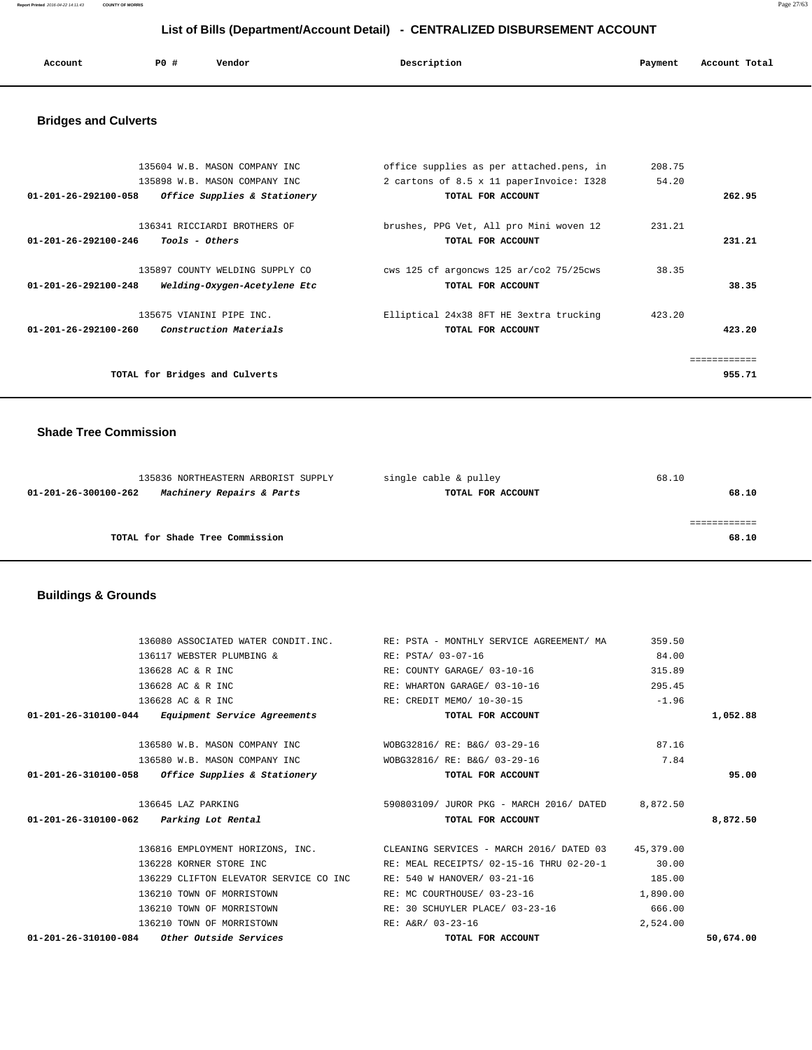**Report Printed** 2016-04-22 14:11:43 **COUNTY OF MORRIS** Page 27/63

# **List of Bills (Department/Account Detail) - CENTRALIZED DISBURSEMENT ACCOUNT**

| Account | PO# | Vendor | Description | Payment | Account Total |
|---------|-----|--------|-------------|---------|---------------|
|         |     |        |             |         |               |

# **Bridges and Culverts**

| 135604 W.B. MASON COMPANY INC<br>135898 W.B. MASON COMPANY INC<br>01-201-26-292100-058<br>Office Supplies & Stationery | office supplies as per attached.pens, in<br>2 cartons of 8.5 x 11 paperInvoice: I328<br>TOTAL FOR ACCOUNT | 208.75<br>54.20 | 262.95                |
|------------------------------------------------------------------------------------------------------------------------|-----------------------------------------------------------------------------------------------------------|-----------------|-----------------------|
| 136341 RICCIARDI BROTHERS OF<br><i>Tools - Others</i><br>$01 - 201 - 26 - 292100 - 246$                                | brushes, PPG Vet, All pro Mini woven 12<br>TOTAL FOR ACCOUNT                                              | 231.21          | 231.21                |
| 135897 COUNTY WELDING SUPPLY CO<br>$01 - 201 - 26 - 292100 - 248$<br>Welding-Oxygen-Acetylene Etc                      | cws 125 cf argoncws 125 $ar/c$ 02 75/25 $c$ ws<br>TOTAL FOR ACCOUNT                                       | 38.35           | 38.35                 |
| 135675 VIANINI PIPE INC.<br><i>Construction Materials</i><br>$01 - 201 - 26 - 292100 - 260$                            | Elliptical 24x38 8FT HE 3extra trucking<br>TOTAL FOR ACCOUNT                                              | 423.20          | 423.20                |
| TOTAL for Bridges and Culverts                                                                                         |                                                                                                           |                 | ===========<br>955.71 |

## **Shade Tree Commission**

| 135836 NORTHEASTERN ARBORIST SUPPLY               | single cable & pulley | 68.10 |
|---------------------------------------------------|-----------------------|-------|
| Machinery Repairs & Parts<br>01-201-26-300100-262 | TOTAL FOR ACCOUNT     | 68.10 |
|                                                   |                       |       |
|                                                   |                       |       |
| TOTAL for Shade Tree Commission                   |                       | 68.10 |
|                                                   |                       |       |

# **Buildings & Grounds**

| $01-201-26-310100-084$ Other Outside Services       | TOTAL FOR ACCOUNT                                                                   |          | 50,674.00 |
|-----------------------------------------------------|-------------------------------------------------------------------------------------|----------|-----------|
| 136210 TOWN OF MORRISTOWN                           | RE: A&R/ 03-23-16                                                                   | 2,524.00 |           |
| 136210 TOWN OF MORRISTOWN                           | RE: 30 SCHUYLER PLACE/ 03-23-16                                                     | 666.00   |           |
| 136210 TOWN OF MORRISTOWN                           | RE: MC COURTHOUSE/ 03-23-16                                                         | 1,890.00 |           |
| 136229 CLIFTON ELEVATOR SERVICE CO INC              | RE: 540 W HANOVER/ 03-21-16                                                         | 185.00   |           |
| 136228 KORNER STORE INC                             | RE: MEAL RECEIPTS/ 02-15-16 THRU 02-20-1                                            | 30.00    |           |
|                                                     | 136816 EMPLOYMENT HORIZONS, INC. CLEANING SERVICES - MARCH 2016/ DATED 03 45,379.00 |          |           |
| 01-201-26-310100-062 Parking Lot Rental             | TOTAL FOR ACCOUNT                                                                   |          | 8,872.50  |
| 136645 LAZ PARKING                                  | 590803109/ JUROR PKG - MARCH 2016/ DATED 8,872.50                                   |          |           |
| $01-201-26-310100-058$ Office Supplies & Stationery | TOTAL FOR ACCOUNT                                                                   |          | 95.00     |
| 136580 W.B. MASON COMPANY INC                       | WOBG32816/ RE: B&G/ 03-29-16                                                        | 7.84     |           |
| 136580 W.B. MASON COMPANY INC                       | WOBG32816/ RE: B&G/ 03-29-16                                                        | 87.16    |           |
| 01-201-26-310100-044 Equipment Service Agreements   | TOTAL FOR ACCOUNT                                                                   |          | 1,052.88  |
| 136628 AC & R INC                                   | RE: CREDIT MEMO/ 10-30-15                                                           | $-1.96$  |           |
| 136628 AC & R INC                                   | RE: WHARTON GARAGE/ 03-10-16                                                        | 295.45   |           |
| 136628 AC & R INC                                   | RE: COUNTY GARAGE/ 03-10-16                                                         | 315.89   |           |
| 136117 WEBSTER PLUMBING &                           | RE: PSTA/ 03-07-16                                                                  | 84.00    |           |
|                                                     | 136080 ASSOCIATED WATER CONDIT. INC. THE: PSTA - MONTHLY SERVICE AGREEMENT/ MA      | 359.50   |           |
|                                                     |                                                                                     |          |           |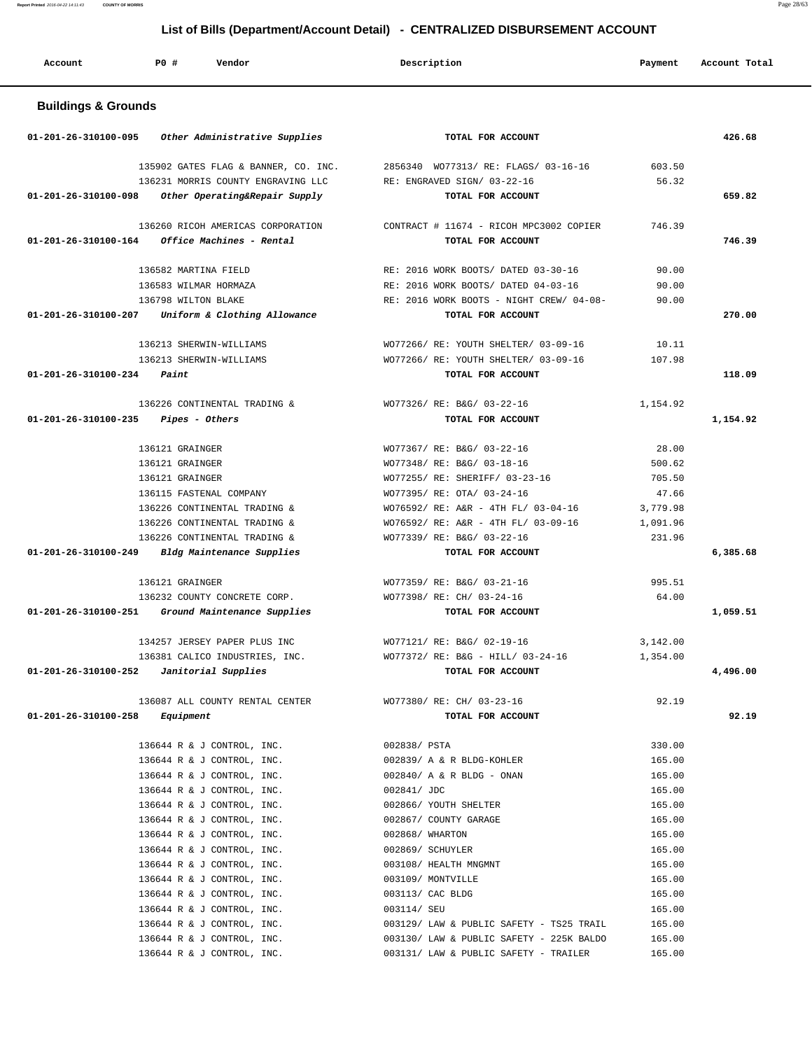| Account                        | PO#<br>Vendor                                                                                               | Description                                                                              | Payment          | Account Total |
|--------------------------------|-------------------------------------------------------------------------------------------------------------|------------------------------------------------------------------------------------------|------------------|---------------|
| <b>Buildings &amp; Grounds</b> |                                                                                                             |                                                                                          |                  |               |
| 01-201-26-310100-095           | Other Administrative Supplies                                                                               | TOTAL FOR ACCOUNT                                                                        |                  | 426.68        |
| 01-201-26-310100-098           | 135902 GATES FLAG & BANNER, CO. INC.<br>136231 MORRIS COUNTY ENGRAVING LLC<br>Other Operating&Repair Supply | 2856340 WO77313/ RE: FLAGS/ 03-16-16<br>RE: ENGRAVED SIGN/ 03-22-16<br>TOTAL FOR ACCOUNT | 603.50<br>56.32  | 659.82        |
|                                |                                                                                                             |                                                                                          |                  |               |
| 01-201-26-310100-164           | 136260 RICOH AMERICAS CORPORATION<br>Office Machines - Rental                                               | CONTRACT # 11674 - RICOH MPC3002 COPIER<br>TOTAL FOR ACCOUNT                             | 746.39           | 746.39        |
|                                | 136582 MARTINA FIELD                                                                                        | RE: 2016 WORK BOOTS/ DATED 03-30-16                                                      | 90.00            |               |
|                                | 136583 WILMAR HORMAZA                                                                                       | RE: 2016 WORK BOOTS/ DATED 04-03-16                                                      | 90.00            |               |
|                                | 136798 WILTON BLAKE                                                                                         | RE: 2016 WORK BOOTS - NIGHT CREW/ 04-08-                                                 | 90.00            |               |
| 01-201-26-310100-207           | Uniform & Clothing Allowance                                                                                | TOTAL FOR ACCOUNT                                                                        |                  | 270.00        |
|                                | 136213 SHERWIN-WILLIAMS                                                                                     | WO77266/ RE: YOUTH SHELTER/ 03-09-16                                                     | 10.11            |               |
|                                | 136213 SHERWIN-WILLIAMS                                                                                     | WO77266/ RE: YOUTH SHELTER/ 03-09-16                                                     | 107.98           |               |
| 01-201-26-310100-234           | Paint                                                                                                       | TOTAL FOR ACCOUNT                                                                        |                  | 118.09        |
|                                | 136226 CONTINENTAL TRADING &                                                                                | WO77326/ RE: B&G/ 03-22-16                                                               | 1,154.92         |               |
| 01-201-26-310100-235           | Pipes - Others                                                                                              | TOTAL FOR ACCOUNT                                                                        |                  | 1,154.92      |
|                                |                                                                                                             |                                                                                          |                  |               |
|                                | 136121 GRAINGER                                                                                             | WO77367/ RE: B&G/ 03-22-16                                                               | 28.00            |               |
|                                | 136121 GRAINGER                                                                                             | WO77348/ RE: B&G/ 03-18-16                                                               | 500.62           |               |
|                                | 136121 GRAINGER                                                                                             | WO77255/ RE: SHERIFF/ 03-23-16                                                           | 705.50           |               |
|                                | 136115 FASTENAL COMPANY                                                                                     | WO77395/ RE: OTA/ 03-24-16                                                               | 47.66            |               |
|                                | 136226 CONTINENTAL TRADING &                                                                                | WO76592/ RE: A&R - 4TH FL/ 03-04-16                                                      | 3,779.98         |               |
|                                | 136226 CONTINENTAL TRADING &                                                                                | WO76592/ RE: A&R - 4TH FL/ 03-09-16                                                      | 1,091.96         |               |
|                                | 136226 CONTINENTAL TRADING &                                                                                | WO77339/ RE: B&G/ 03-22-16                                                               | 231.96           |               |
| 01-201-26-310100-249           | Bldg Maintenance Supplies                                                                                   | TOTAL FOR ACCOUNT                                                                        |                  | 6,385.68      |
|                                | 136121 GRAINGER                                                                                             | WO77359/ RE: B&G/ 03-21-16                                                               | 995.51           |               |
|                                | 136232 COUNTY CONCRETE CORP.                                                                                | WO77398/ RE: CH/ 03-24-16                                                                | 64.00            |               |
| 01-201-26-310100-251           | Ground Maintenance Supplies                                                                                 | TOTAL FOR ACCOUNT                                                                        |                  | 1,059.51      |
|                                | 134257 JERSEY PAPER PLUS INC                                                                                | WO77121/ RE: B&G/ 02-19-16                                                               | 3,142.00         |               |
|                                | 136381 CALICO INDUSTRIES, INC.                                                                              | WO77372/ RE: B&G - HILL/ 03-24-16                                                        | 1,354.00         |               |
|                                | $01-201-26-310100-252$ Janitorial Supplies                                                                  | TOTAL FOR ACCOUNT                                                                        |                  | 4,496.00      |
|                                | 136087 ALL COUNTY RENTAL CENTER                                                                             | WO77380/ RE: CH/ 03-23-16                                                                | 92.19            |               |
| 01-201-26-310100-258           | Equipment                                                                                                   | TOTAL FOR ACCOUNT                                                                        |                  | 92.19         |
|                                |                                                                                                             |                                                                                          |                  |               |
|                                | 136644 R & J CONTROL, INC.<br>136644 R & J CONTROL, INC.                                                    | 002838/ PSTA<br>002839/ A & R BLDG-KOHLER                                                | 330.00<br>165.00 |               |
|                                | 136644 R & J CONTROL, INC.                                                                                  | 002840/ A & R BLDG - ONAN                                                                | 165.00           |               |
|                                | 136644 R & J CONTROL, INC.                                                                                  | 002841/ JDC                                                                              | 165.00           |               |
|                                | 136644 R & J CONTROL, INC.                                                                                  | 002866/ YOUTH SHELTER                                                                    | 165.00           |               |
|                                | 136644 R & J CONTROL, INC.                                                                                  | 002867/ COUNTY GARAGE                                                                    | 165.00           |               |
|                                | 136644 R & J CONTROL, INC.                                                                                  | 002868/ WHARTON                                                                          | 165.00           |               |
|                                | 136644 R & J CONTROL, INC.                                                                                  | 002869/ SCHUYLER                                                                         | 165.00           |               |
|                                | 136644 R & J CONTROL, INC.                                                                                  | 003108/ HEALTH MNGMNT                                                                    | 165.00           |               |
|                                | 136644 R & J CONTROL, INC.                                                                                  | 003109/ MONTVILLE                                                                        | 165.00           |               |
|                                | 136644 R & J CONTROL, INC.                                                                                  | 003113/ CAC BLDG                                                                         | 165.00           |               |
|                                | 136644 R & J CONTROL, INC.                                                                                  | 003114/ SEU                                                                              | 165.00           |               |
|                                | 136644 R & J CONTROL, INC.                                                                                  | 003129/ LAW & PUBLIC SAFETY - TS25 TRAIL                                                 | 165.00           |               |
|                                | 136644 R & J CONTROL, INC.                                                                                  | 003130/ LAW & PUBLIC SAFETY - 225K BALDO                                                 | 165.00           |               |
|                                | 136644 R & J CONTROL, INC.                                                                                  | 003131/ LAW & PUBLIC SAFETY - TRAILER                                                    | 165.00           |               |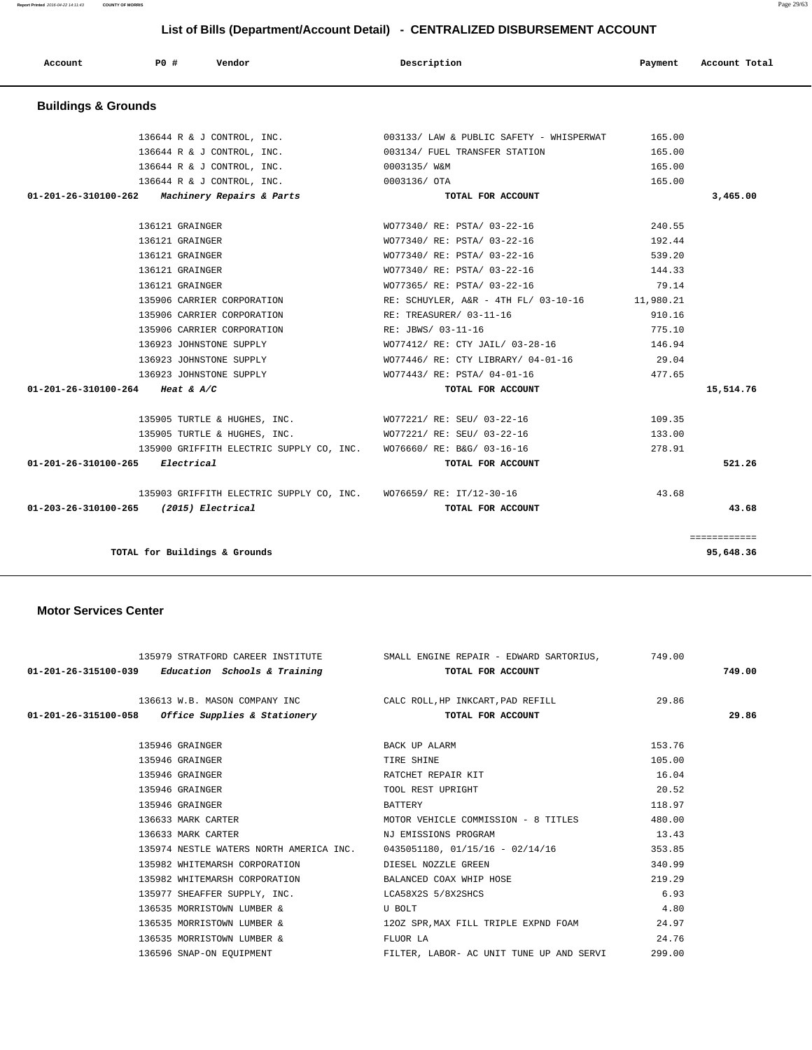| Account                        | PO#             | Vendor                     | Description                              | Payment   | Account Total |
|--------------------------------|-----------------|----------------------------|------------------------------------------|-----------|---------------|
| <b>Buildings &amp; Grounds</b> |                 |                            |                                          |           |               |
|                                |                 | 136644 R & J CONTROL, INC. | 003133/ LAW & PUBLIC SAFETY - WHISPERWAT | 165.00    |               |
|                                |                 | 136644 R & J CONTROL, INC. | 003134/ FUEL TRANSFER STATION            | 165.00    |               |
|                                |                 | 136644 R & J CONTROL, INC. | 0003135/ W&M                             | 165.00    |               |
|                                |                 | 136644 R & J CONTROL, INC. | 0003136/ OTA                             | 165.00    |               |
| $01 - 201 - 26 - 310100 - 262$ |                 | Machinery Repairs & Parts  | TOTAL FOR ACCOUNT                        |           | 3,465.00      |
|                                |                 |                            |                                          |           |               |
|                                | 136121 GRAINGER |                            | WO77340/ RE: PSTA/ 03-22-16              | 240.55    |               |
|                                | 136121 GRAINGER |                            | WO77340/ RE: PSTA/ 03-22-16              | 192.44    |               |
|                                | 136121 GRAINGER |                            | WO77340/ RE: PSTA/ 03-22-16              | 539.20    |               |
|                                | 136121 GRAINGER |                            | WO77340/ RE: PSTA/ 03-22-16              | 144.33    |               |
|                                | 136121 GRAINGER |                            | WO77365/ RE: PSTA/ 03-22-16              | 79.14     |               |
|                                |                 | 135906 CARRIER CORPORATION | RE: SCHUYLER, A&R - 4TH FL/ 03-10-16     | 11,980.21 |               |
|                                |                 | 135906 CARRIER CORPORATION | RE: TREASURER/ 03-11-16                  | 910.16    |               |
|                                |                 |                            |                                          |           |               |

 135906 CARRIER CORPORATION RE: JBWS/ 03-11-16 775.10 136923 JOHNSTONE SUPPLY WO77412/ RE: CTY JAIL/ 03-28-16 146.94 136923 JOHNSTONE SUPPLY WO77446/ RE: CTY LIBRARY/ 04-01-16 29.04 136923 JOHNSTONE SUPPLY WO77443/ RE: PSTA/ 04-01-16 477.65

 135905 TURTLE & HUGHES, INC. WO77221/ RE: SEU/ 03-22-16 109.35 135905 TURTLE & HUGHES, INC. WO77221/ RE: SEU/ 03-22-16 133.00

 **01-201-26-310100-264 Heat & A/C TOTAL FOR ACCOUNT 15,514.76**

============

 135900 GRIFFITH ELECTRIC SUPPLY CO, INC. WO76660/ RE: B&G/ 03-16-16 278.91  **01-201-26-310100-265 Electrical TOTAL FOR ACCOUNT 521.26**

**TOTAL for Buildings & Grounds 95,648.36**

#### **Motor Services Center**

|  |                    | 135979 STRATFORD CAREER INSTITUTE SMALL ENGINE REPAIR - EDWARD SARTORIUS, 749.00 |                      |                                          |        |        |
|--|--------------------|----------------------------------------------------------------------------------|----------------------|------------------------------------------|--------|--------|
|  |                    | 01-201-26-315100-039 Education Schools & Training TOTAL FOR ACCOUNT              |                      |                                          |        | 749.00 |
|  |                    | 136613 W.B. MASON COMPANY INC CALC ROLL, HP INKCART, PAD REFILL 29.86            |                      |                                          |        |        |
|  |                    | 01-201-26-315100-058 Office Supplies & Stationery TOTAL FOR ACCOUNT              |                      |                                          |        | 29.86  |
|  | 135946 GRAINGER    |                                                                                  | BACK UP ALARM        |                                          | 153.76 |        |
|  | 135946 GRAINGER    |                                                                                  | TIRE SHINE           |                                          | 105.00 |        |
|  | 135946 GRAINGER    |                                                                                  | RATCHET REPAIR KIT   |                                          | 16.04  |        |
|  | 135946 GRAINGER    |                                                                                  | TOOL REST UPRIGHT    |                                          | 20.52  |        |
|  | 135946 GRAINGER    |                                                                                  | BATTERY              |                                          | 118.97 |        |
|  | 136633 MARK CARTER |                                                                                  |                      | MOTOR VEHICLE COMMISSION - 8 TITLES      | 480.00 |        |
|  | 136633 MARK CARTER |                                                                                  | NJ EMISSIONS PROGRAM |                                          | 13.43  |        |
|  |                    | 135974 NESTLE WATERS NORTH AMERICA INC. 0435051180, 01/15/16 - 02/14/16          |                      |                                          | 353.85 |        |
|  |                    | 135982 WHITEMARSH CORPORATION THE DIESEL NOZZLE GREEN                            |                      |                                          | 340.99 |        |
|  |                    | 135982 WHITEMARSH CORPORATION BALANCED COAX WHIP HOSE                            |                      |                                          | 219.29 |        |
|  |                    | 135977 SHEAFFER SUPPLY, INC. LCA58X2S 5/8X2SHCS                                  |                      |                                          | 6.93   |        |
|  |                    | 136535 MORRISTOWN LUMBER &                                                       | U BOLT               |                                          | 4.80   |        |
|  |                    | 136535 MORRISTOWN LUMBER & 120Z SPR, MAX FILL TRIPLE EXPND FOAM                  |                      |                                          | 24.97  |        |
|  |                    | 136535 MORRISTOWN LUMBER &                                                       | FLUOR LA             |                                          | 24.76  |        |
|  |                    | 136596 SNAP-ON EQUIPMENT                                                         |                      | FILTER, LABOR- AC UNIT TUNE UP AND SERVI | 299.00 |        |
|  |                    |                                                                                  |                      |                                          |        |        |

 135903 GRIFFITH ELECTRIC SUPPLY CO, INC. WO76659/ RE: IT/12-30-16 43.68  **01-203-26-310100-265 (2015) Electrical TOTAL FOR ACCOUNT 43.68**

**Report Printed** 2016-04-22 14:11:43 **COUNTY OF MORRIS** Page 29/63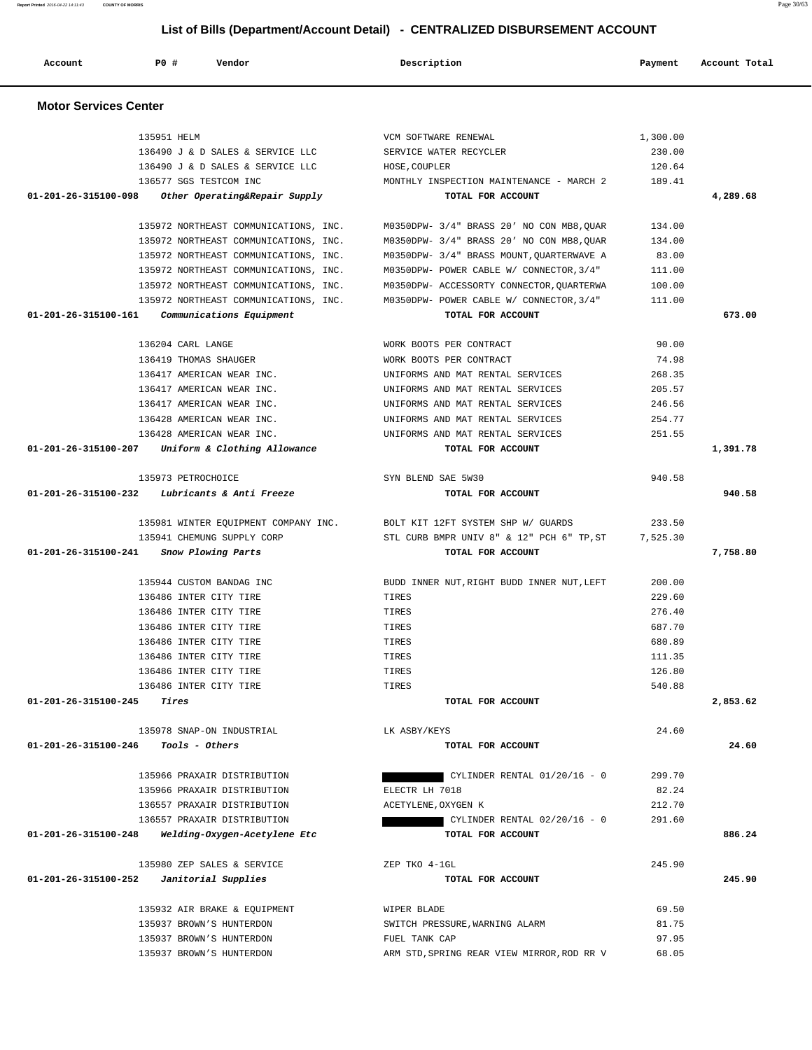| Account                      | <b>PO #</b>           | Vendor                                | Description                                | Payment  | Account Total |
|------------------------------|-----------------------|---------------------------------------|--------------------------------------------|----------|---------------|
| <b>Motor Services Center</b> |                       |                                       |                                            |          |               |
|                              | 135951 HELM           |                                       | VCM SOFTWARE RENEWAL                       | 1,300.00 |               |
|                              |                       | 136490 J & D SALES & SERVICE LLC      | SERVICE WATER RECYCLER                     | 230.00   |               |
|                              |                       | 136490 J & D SALES & SERVICE LLC      | HOSE, COUPLER                              | 120.64   |               |
|                              |                       | 136577 SGS TESTCOM INC                | MONTHLY INSPECTION MAINTENANCE - MARCH 2   | 189.41   |               |
| 01-201-26-315100-098         |                       | Other Operating&Repair Supply         | TOTAL FOR ACCOUNT                          |          | 4,289.68      |
|                              |                       | 135972 NORTHEAST COMMUNICATIONS, INC. | M0350DPW- 3/4" BRASS 20' NO CON MB8, QUAR  | 134.00   |               |
|                              |                       | 135972 NORTHEAST COMMUNICATIONS, INC. | M0350DPW- 3/4" BRASS 20' NO CON MB8, QUAR  | 134.00   |               |
|                              |                       | 135972 NORTHEAST COMMUNICATIONS, INC. | M0350DPW- 3/4" BRASS MOUNT, QUARTERWAVE A  | 83.00    |               |
|                              |                       | 135972 NORTHEAST COMMUNICATIONS, INC. | M0350DPW- POWER CABLE W/ CONNECTOR, 3/4"   | 111.00   |               |
|                              |                       | 135972 NORTHEAST COMMUNICATIONS, INC. | M0350DPW- ACCESSORTY CONNECTOR, QUARTERWA  | 100.00   |               |
|                              |                       | 135972 NORTHEAST COMMUNICATIONS, INC. | M0350DPW- POWER CABLE W/ CONNECTOR, 3/4"   | 111.00   |               |
| 01-201-26-315100-161         |                       | Communications Equipment              | TOTAL FOR ACCOUNT                          |          | 673.00        |
|                              | 136204 CARL LANGE     |                                       | WORK BOOTS PER CONTRACT                    | 90.00    |               |
|                              | 136419 THOMAS SHAUGER |                                       | WORK BOOTS PER CONTRACT                    | 74.98    |               |
|                              |                       | 136417 AMERICAN WEAR INC.             | UNIFORMS AND MAT RENTAL SERVICES           | 268.35   |               |
|                              |                       | 136417 AMERICAN WEAR INC.             | UNIFORMS AND MAT RENTAL SERVICES           | 205.57   |               |
|                              |                       | 136417 AMERICAN WEAR INC.             | UNIFORMS AND MAT RENTAL SERVICES           | 246.56   |               |
|                              |                       | 136428 AMERICAN WEAR INC.             | UNIFORMS AND MAT RENTAL SERVICES           | 254.77   |               |
|                              |                       | 136428 AMERICAN WEAR INC.             | UNIFORMS AND MAT RENTAL SERVICES           | 251.55   |               |
| 01-201-26-315100-207         |                       | Uniform & Clothing Allowance          | TOTAL FOR ACCOUNT                          |          | 1,391.78      |
|                              | 135973 PETROCHOICE    |                                       | SYN BLEND SAE 5W30                         | 940.58   |               |
| 01-201-26-315100-232         |                       | Lubricants & Anti Freeze              | TOTAL FOR ACCOUNT                          |          | 940.58        |
|                              |                       | 135981 WINTER EQUIPMENT COMPANY INC.  | BOLT KIT 12FT SYSTEM SHP W/ GUARDS         | 233.50   |               |
|                              |                       | 135941 CHEMUNG SUPPLY CORP            | STL CURB BMPR UNIV 8" & 12" PCH 6" TP, ST  | 7,525.30 |               |
| 01-201-26-315100-241         |                       | Snow Plowing Parts                    | TOTAL FOR ACCOUNT                          |          | 7,758.80      |
|                              |                       | 135944 CUSTOM BANDAG INC              | BUDD INNER NUT, RIGHT BUDD INNER NUT, LEFT | 200.00   |               |
|                              |                       | 136486 INTER CITY TIRE                | TIRES                                      | 229.60   |               |
|                              |                       | 136486 INTER CITY TIRE                | TIRES                                      | 276.40   |               |
|                              |                       | 136486 INTER CITY TIRE                | TIRES                                      | 687.70   |               |
|                              |                       | 136486 INTER CITY TIRE                | TIRES                                      | 680.89   |               |
|                              |                       | 136486 INTER CITY TIRE                | TIRES                                      | 111.35   |               |
|                              |                       | 136486 INTER CITY TIRE                | TIRES                                      | 126.80   |               |
|                              |                       | 136486 INTER CITY TIRE                | TIRES                                      | 540.88   |               |
| 01-201-26-315100-245         | Tires                 |                                       | TOTAL FOR ACCOUNT                          |          | 2,853.62      |
|                              |                       | 135978 SNAP-ON INDUSTRIAL             | LK ASBY/KEYS                               | 24.60    |               |
| 01-201-26-315100-246         |                       | Tools - Others                        | TOTAL FOR ACCOUNT                          |          | 24.60         |
|                              |                       | 135966 PRAXAIR DISTRIBUTION           | CYLINDER RENTAL $01/20/16 - 0$             | 299.70   |               |
|                              |                       | 135966 PRAXAIR DISTRIBUTION           | ELECTR LH 7018                             | 82.24    |               |
|                              |                       | 136557 PRAXAIR DISTRIBUTION           | ACETYLENE, OXYGEN K                        | 212.70   |               |
|                              |                       | 136557 PRAXAIR DISTRIBUTION           | CYLINDER RENTAL $02/20/16 - 0$             | 291.60   |               |
| 01-201-26-315100-248         |                       | Welding-Oxygen-Acetylene Etc          | TOTAL FOR ACCOUNT                          |          | 886.24        |
|                              |                       | 135980 ZEP SALES & SERVICE            | ZEP TKO 4-1GL                              | 245.90   |               |
| 01-201-26-315100-252         |                       | Janitorial Supplies                   | TOTAL FOR ACCOUNT                          |          | 245.90        |
|                              |                       | 135932 AIR BRAKE & EQUIPMENT          | WIPER BLADE                                | 69.50    |               |
|                              |                       | 135937 BROWN'S HUNTERDON              | SWITCH PRESSURE, WARNING ALARM             | 81.75    |               |
|                              |                       | 135937 BROWN'S HUNTERDON              | FUEL TANK CAP                              | 97.95    |               |
|                              |                       | 135937 BROWN'S HUNTERDON              | ARM STD, SPRING REAR VIEW MIRROR, ROD RR V | 68.05    |               |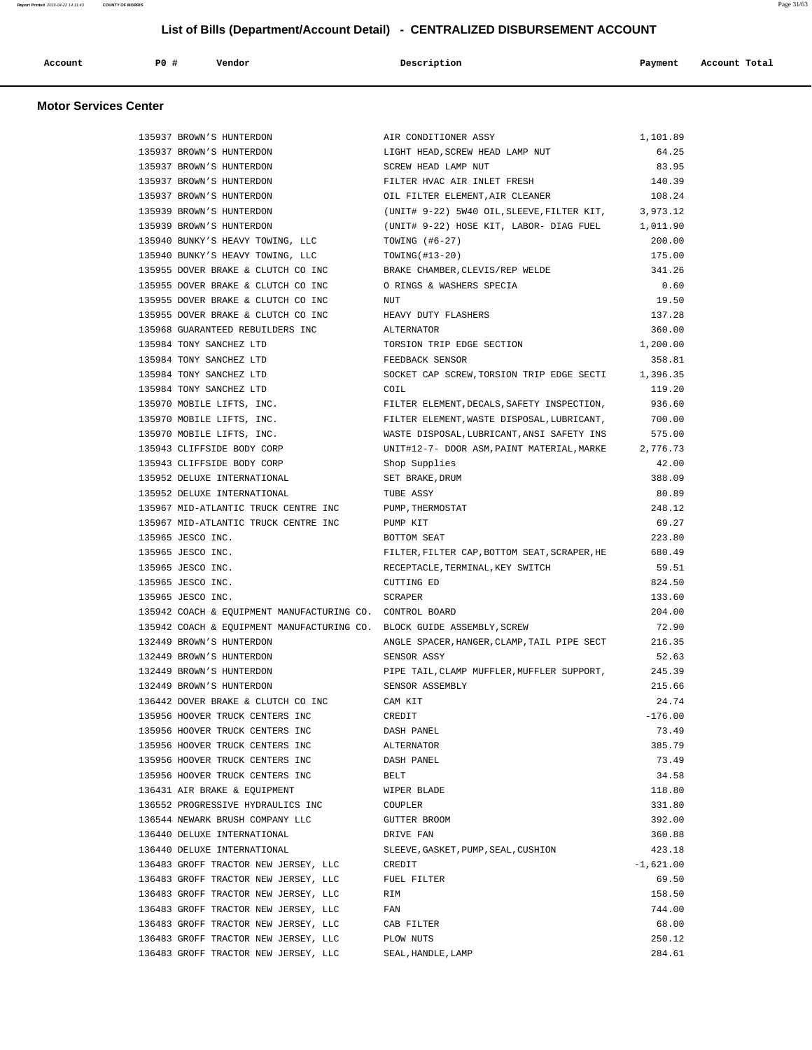| Account | P0# | Vendor | Description | Payment | Account Total |
|---------|-----|--------|-------------|---------|---------------|
|         |     |        |             |         |               |

## **Motor Services Center**

| 135937 BROWN'S HUNTERDON                                               | AIR CONDITIONER ASSY                         | 1,101.89    |
|------------------------------------------------------------------------|----------------------------------------------|-------------|
| 135937 BROWN'S HUNTERDON                                               | LIGHT HEAD, SCREW HEAD LAMP NUT              | 64.25       |
| 135937 BROWN'S HUNTERDON                                               | SCREW HEAD LAMP NUT                          | 83.95       |
| 135937 BROWN'S HUNTERDON                                               | FILTER HVAC AIR INLET FRESH                  | 140.39      |
| 135937 BROWN'S HUNTERDON                                               | OIL FILTER ELEMENT, AIR CLEANER              | 108.24      |
| 135939 BROWN'S HUNTERDON                                               | (UNIT# 9-22) 5W40 OIL, SLEEVE, FILTER KIT,   | 3,973.12    |
| 135939 BROWN'S HUNTERDON                                               | (UNIT# 9-22) HOSE KIT, LABOR- DIAG FUEL      | 1,011.90    |
| 135940 BUNKY'S HEAVY TOWING, LLC                                       | TOWING $(+6-27)$                             | 200.00      |
| 135940 BUNKY'S HEAVY TOWING, LLC                                       | TOWING (#13-20)                              | 175.00      |
| 135955 DOVER BRAKE & CLUTCH CO INC                                     | BRAKE CHAMBER, CLEVIS/REP WELDE              | 341.26      |
| 135955 DOVER BRAKE & CLUTCH CO INC                                     | O RINGS & WASHERS SPECIA                     | 0.60        |
| 135955 DOVER BRAKE & CLUTCH CO INC                                     | <b>NUT</b>                                   | 19.50       |
| 135955 DOVER BRAKE & CLUTCH CO INC                                     | HEAVY DUTY FLASHERS                          | 137.28      |
| 135968 GUARANTEED REBUILDERS INC                                       | ALTERNATOR                                   | 360.00      |
|                                                                        |                                              |             |
| 135984 TONY SANCHEZ LTD                                                | TORSION TRIP EDGE SECTION                    | 1,200.00    |
| 135984 TONY SANCHEZ LTD                                                | FEEDBACK SENSOR                              | 358.81      |
| 135984 TONY SANCHEZ LTD                                                | SOCKET CAP SCREW, TORSION TRIP EDGE SECTI    | 1,396.35    |
| 135984 TONY SANCHEZ LTD                                                | COIL                                         | 119.20      |
| 135970 MOBILE LIFTS, INC.                                              | FILTER ELEMENT, DECALS, SAFETY INSPECTION,   | 936.60      |
| 135970 MOBILE LIFTS, INC.                                              | FILTER ELEMENT, WASTE DISPOSAL, LUBRICANT,   | 700.00      |
| 135970 MOBILE LIFTS, INC.                                              | WASTE DISPOSAL, LUBRICANT, ANSI SAFETY INS   | 575.00      |
| 135943 CLIFFSIDE BODY CORP                                             | UNIT#12-7- DOOR ASM, PAINT MATERIAL, MARKE   | 2,776.73    |
| 135943 CLIFFSIDE BODY CORP                                             | Shop Supplies                                | 42.00       |
| 135952 DELUXE INTERNATIONAL                                            | SET BRAKE, DRUM                              | 388.09      |
| 135952 DELUXE INTERNATIONAL                                            | TUBE ASSY                                    | 80.89       |
| 135967 MID-ATLANTIC TRUCK CENTRE INC                                   | PUMP, THERMOSTAT                             | 248.12      |
| 135967 MID-ATLANTIC TRUCK CENTRE INC                                   | PUMP KIT                                     | 69.27       |
| 135965 JESCO INC.                                                      | BOTTOM SEAT                                  | 223.80      |
| 135965 JESCO INC.                                                      | FILTER, FILTER CAP, BOTTOM SEAT, SCRAPER, HE | 680.49      |
| 135965 JESCO INC.                                                      | RECEPTACLE, TERMINAL, KEY SWITCH             | 59.51       |
| 135965 JESCO INC.                                                      | CUTTING ED                                   | 824.50      |
| 135965 JESCO INC.                                                      | SCRAPER                                      | 133.60      |
| 135942 COACH & EQUIPMENT MANUFACTURING CO. CONTROL BOARD               |                                              | 204.00      |
| 135942 COACH & EQUIPMENT MANUFACTURING CO. BLOCK GUIDE ASSEMBLY, SCREW |                                              | 72.90       |
| 132449 BROWN'S HUNTERDON                                               | ANGLE SPACER, HANGER, CLAMP, TAIL PIPE SECT  | 216.35      |
| 132449 BROWN'S HUNTERDON                                               | SENSOR ASSY                                  | 52.63       |
| 132449 BROWN'S HUNTERDON                                               | PIPE TAIL, CLAMP MUFFLER, MUFFLER SUPPORT,   | 245.39      |
| 132449 BROWN'S HUNTERDON                                               | SENSOR ASSEMBLY                              | 215.66      |
| 136442 DOVER BRAKE & CLUTCH CO INC                                     |                                              | 24.74       |
| 135956 HOOVER TRUCK CENTERS INC                                        | CAM KIT<br>CREDIT                            | $-176.00$   |
|                                                                        |                                              |             |
| 135956 HOOVER TRUCK CENTERS INC                                        | DASH PANEL                                   | 73.49       |
| 135956 HOOVER TRUCK CENTERS INC                                        | ALTERNATOR                                   | 385.79      |
| 135956 HOOVER TRUCK CENTERS INC                                        | DASH PANEL                                   | 73.49       |
| 135956 HOOVER TRUCK CENTERS INC                                        | BELT                                         | 34.58       |
| 136431 AIR BRAKE & EQUIPMENT                                           | WIPER BLADE                                  | 118.80      |
| 136552 PROGRESSIVE HYDRAULICS INC                                      | COUPLER                                      | 331.80      |
| 136544 NEWARK BRUSH COMPANY LLC                                        | GUTTER BROOM                                 | 392.00      |
| 136440 DELUXE INTERNATIONAL                                            | DRIVE FAN                                    | 360.88      |
| 136440 DELUXE INTERNATIONAL                                            | SLEEVE, GASKET, PUMP, SEAL, CUSHION          | 423.18      |
| 136483 GROFF TRACTOR NEW JERSEY, LLC                                   | CREDIT                                       | $-1,621.00$ |
| 136483 GROFF TRACTOR NEW JERSEY, LLC                                   | FUEL FILTER                                  | 69.50       |
| 136483 GROFF TRACTOR NEW JERSEY, LLC                                   | RIM                                          | 158.50      |
| 136483 GROFF TRACTOR NEW JERSEY, LLC                                   | FAN                                          | 744.00      |
| 136483 GROFF TRACTOR NEW JERSEY, LLC                                   | CAB FILTER                                   | 68.00       |
| 136483 GROFF TRACTOR NEW JERSEY, LLC                                   | PLOW NUTS                                    | 250.12      |
| 136483 GROFF TRACTOR NEW JERSEY, LLC                                   | SEAL, HANDLE, LAMP                           | 284.61      |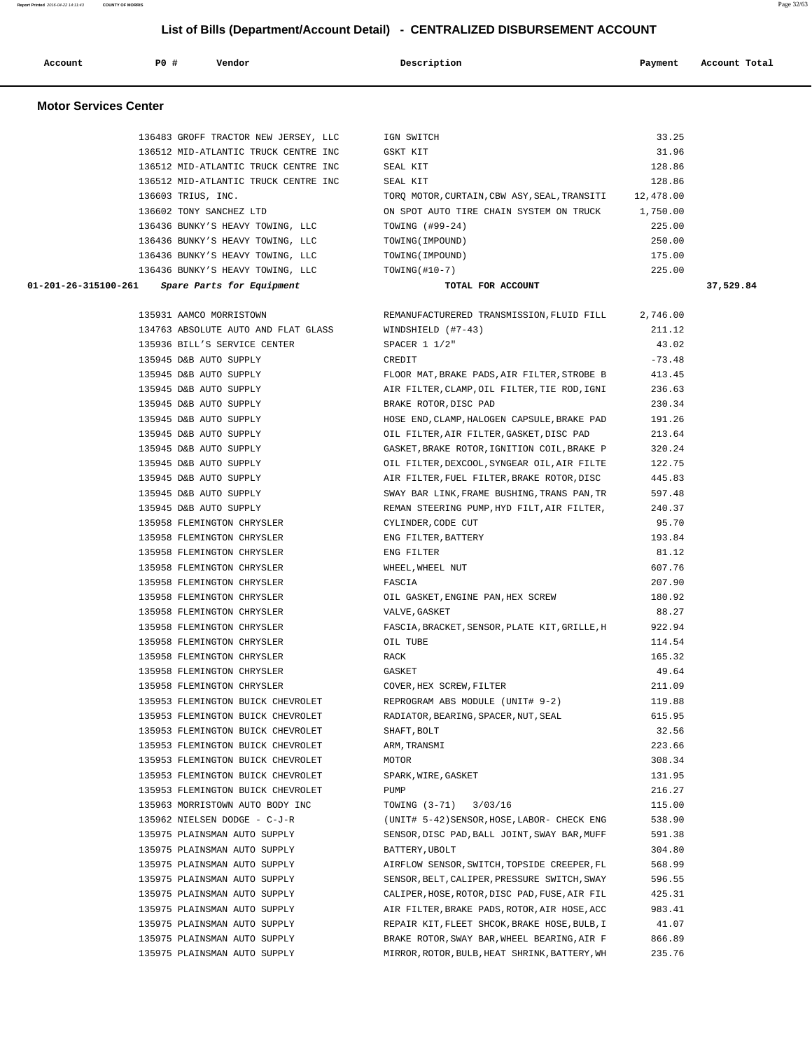Account **PO #** Vendor **Description Description Payment** Account Total

| <b>Motor Services Center</b>                             |                                                    |                  |           |
|----------------------------------------------------------|----------------------------------------------------|------------------|-----------|
| 136483 GROFF TRACTOR NEW JERSEY, LLC                     | IGN SWITCH                                         | 33.25            |           |
| 136512 MID-ATLANTIC TRUCK CENTRE INC                     | GSKT KIT                                           | 31.96            |           |
| 136512 MID-ATLANTIC TRUCK CENTRE INC                     | SEAL KIT                                           | 128.86           |           |
| 136512 MID-ATLANTIC TRUCK CENTRE INC                     | SEAL KIT                                           | 128.86           |           |
| 136603 TRIUS, INC.                                       | TORQ MOTOR, CURTAIN, CBW ASY, SEAL, TRANSITI       | 12,478.00        |           |
| 136602 TONY SANCHEZ LTD                                  | ON SPOT AUTO TIRE CHAIN SYSTEM ON TRUCK            | 1,750.00         |           |
| 136436 BUNKY'S HEAVY TOWING, LLC                         | TOWING (#99-24)                                    | 225.00           |           |
| 136436 BUNKY'S HEAVY TOWING, LLC                         | TOWING (IMPOUND)                                   | 250.00           |           |
| 136436 BUNKY'S HEAVY TOWING, LLC                         | TOWING (IMPOUND)                                   | 175.00           |           |
| 136436 BUNKY'S HEAVY TOWING, LLC                         | TOWING $($ #10-7)                                  | 225.00           |           |
| 01-201-26-315100-261<br>Spare Parts for Equipment        | TOTAL FOR ACCOUNT                                  |                  | 37,529.84 |
| 135931 AAMCO MORRISTOWN                                  | REMANUFACTURERED TRANSMISSION, FLUID FILL          | 2,746.00         |           |
| 134763 ABSOLUTE AUTO AND FLAT GLASS                      | WINDSHIELD $(+7-43)$                               | 211.12           |           |
| 135936 BILL'S SERVICE CENTER                             | SPACER $1 1/2"$                                    | 43.02            |           |
| 135945 D&B AUTO SUPPLY                                   | CREDIT                                             | $-73.48$         |           |
| 135945 D&B AUTO SUPPLY                                   | FLOOR MAT, BRAKE PADS, AIR FILTER, STROBE B        | 413.45           |           |
| 135945 D&B AUTO SUPPLY                                   | AIR FILTER, CLAMP, OIL FILTER, TIE ROD, IGNI       | 236.63           |           |
| 135945 D&B AUTO SUPPLY                                   | BRAKE ROTOR, DISC PAD                              | 230.34           |           |
| 135945 D&B AUTO SUPPLY                                   | HOSE END, CLAMP, HALOGEN CAPSULE, BRAKE PAD        | 191.26           |           |
| 135945 D&B AUTO SUPPLY                                   | OIL FILTER, AIR FILTER, GASKET, DISC PAD           | 213.64           |           |
| 135945 D&B AUTO SUPPLY                                   | GASKET, BRAKE ROTOR, IGNITION COIL, BRAKE P        | 320.24           |           |
| 135945 D&B AUTO SUPPLY                                   | OIL FILTER, DEXCOOL, SYNGEAR OIL, AIR FILTE        | 122.75           |           |
| 135945 D&B AUTO SUPPLY                                   | AIR FILTER, FUEL FILTER, BRAKE ROTOR, DISC         | 445.83           |           |
| 135945 D&B AUTO SUPPLY                                   | SWAY BAR LINK, FRAME BUSHING, TRANS PAN, TR        | 597.48           |           |
| 135945 D&B AUTO SUPPLY                                   | REMAN STEERING PUMP, HYD FILT, AIR FILTER,         | 240.37           |           |
| 135958 FLEMINGTON CHRYSLER                               | CYLINDER, CODE CUT                                 | 95.70            |           |
| 135958 FLEMINGTON CHRYSLER                               | ENG FILTER, BATTERY                                | 193.84           |           |
| 135958 FLEMINGTON CHRYSLER                               | ENG FILTER                                         | 81.12            |           |
| 135958 FLEMINGTON CHRYSLER                               | WHEEL, WHEEL NUT                                   | 607.76           |           |
| 135958 FLEMINGTON CHRYSLER<br>135958 FLEMINGTON CHRYSLER | FASCIA                                             | 207.90<br>180.92 |           |
| 135958 FLEMINGTON CHRYSLER                               | OIL GASKET, ENGINE PAN, HEX SCREW<br>VALVE, GASKET | 88.27            |           |
| 135958 FLEMINGTON CHRYSLER                               | FASCIA, BRACKET, SENSOR, PLATE KIT, GRILLE, H      | 922.94           |           |
| 135958 FLEMINGTON CHRYSLER                               | OIL TUBE                                           | 114.54           |           |
| 135958 FLEMINGTON CHRYSLER                               | RACK                                               | 165.32           |           |
| 135958 FLEMINGTON CHRYSLER                               | GASKET                                             | 49.64            |           |
| 135958 FLEMINGTON CHRYSLER                               | COVER, HEX SCREW, FILTER                           | 211.09           |           |
| 135953 FLEMINGTON BUICK CHEVROLET                        | REPROGRAM ABS MODULE (UNIT# 9-2)                   | 119.88           |           |
| 135953 FLEMINGTON BUICK CHEVROLET                        | RADIATOR, BEARING, SPACER, NUT, SEAL               | 615.95           |           |
| 135953 FLEMINGTON BUICK CHEVROLET                        | SHAFT, BOLT                                        | 32.56            |           |
| 135953 FLEMINGTON BUICK CHEVROLET                        | ARM, TRANSMI                                       | 223.66           |           |
| 135953 FLEMINGTON BUICK CHEVROLET                        | MOTOR                                              | 308.34           |           |
| 135953 FLEMINGTON BUICK CHEVROLET                        | SPARK, WIRE, GASKET                                | 131.95           |           |
| 135953 FLEMINGTON BUICK CHEVROLET                        | PUMP                                               | 216.27           |           |
| 135963 MORRISTOWN AUTO BODY INC                          | TOWING (3-71)<br>3/03/16                           | 115.00           |           |
| 135962 NIELSEN DODGE - C-J-R                             | (UNIT# 5-42) SENSOR, HOSE, LABOR- CHECK ENG        | 538.90           |           |
| 135975 PLAINSMAN AUTO SUPPLY                             | SENSOR, DISC PAD, BALL JOINT, SWAY BAR, MUFF       | 591.38           |           |
| 135975 PLAINSMAN AUTO SUPPLY                             | BATTERY, UBOLT                                     | 304.80           |           |
| 135975 PLAINSMAN AUTO SUPPLY                             | AIRFLOW SENSOR, SWITCH, TOPSIDE CREEPER, FL        | 568.99           |           |
| 135975 PLAINSMAN AUTO SUPPLY                             | SENSOR, BELT, CALIPER, PRESSURE SWITCH, SWAY       | 596.55           |           |
| 135975 PLAINSMAN AUTO SUPPLY                             | CALIPER, HOSE, ROTOR, DISC PAD, FUSE, AIR FIL      | 425.31           |           |
| 135975 PLAINSMAN AUTO SUPPLY                             | AIR FILTER, BRAKE PADS, ROTOR, AIR HOSE, ACC       | 983.41           |           |
| 135975 PLAINSMAN AUTO SUPPLY                             | REPAIR KIT, FLEET SHCOK, BRAKE HOSE, BULB, I       | 41.07            |           |
| 135975 PLAINSMAN AUTO SUPPLY                             | BRAKE ROTOR, SWAY BAR, WHEEL BEARING, AIR F        | 866.89           |           |
| 135975 PLAINSMAN AUTO SUPPLY                             | MIRROR, ROTOR, BULB, HEAT SHRINK, BATTERY, WH      | 235.76           |           |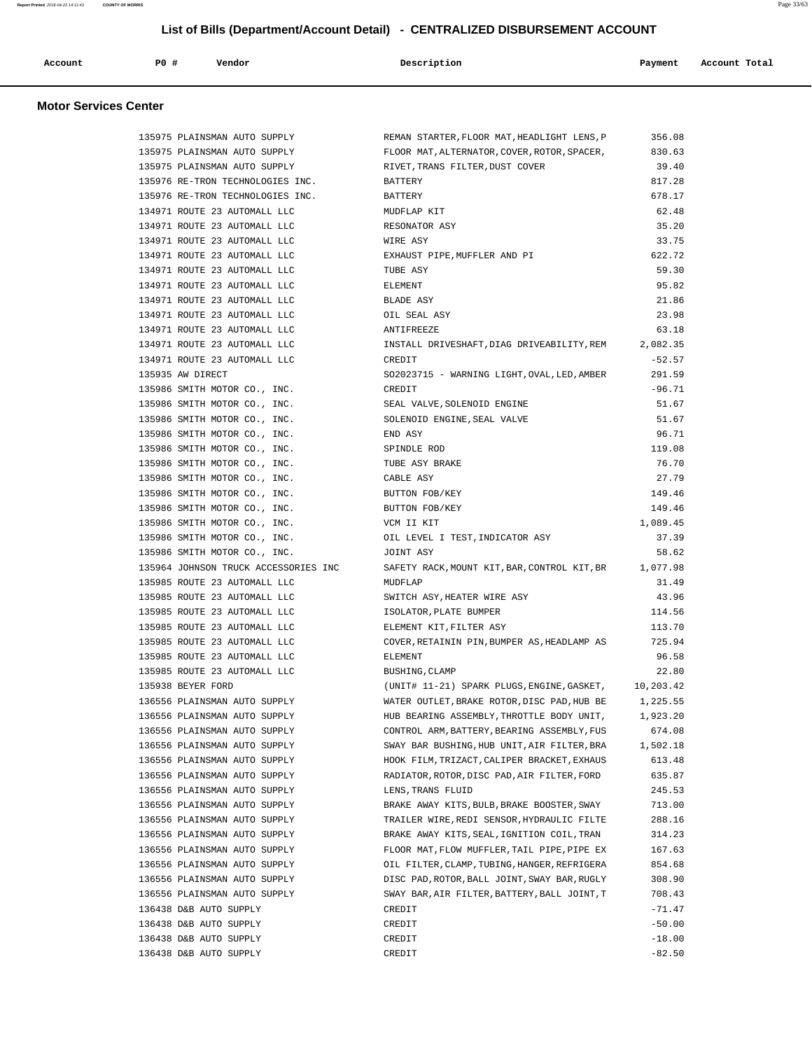| Account | <b>PO #</b> | Vendor | Description | Payment | Account Total |
|---------|-------------|--------|-------------|---------|---------------|
|         |             |        |             |         |               |

## **Motor Services Center**

| 135975 PLAINSMAN AUTO SUPPLY                                         | REMAN STARTER, FLOOR MAT, HEADLIGHT LENS, P            | 356.08   |
|----------------------------------------------------------------------|--------------------------------------------------------|----------|
| 135975 PLAINSMAN AUTO SUPPLY                                         | FLOOR MAT, ALTERNATOR, COVER, ROTOR, SPACER, 830.63    |          |
| 135975 PLAINSMAN AUTO SUPPLY                                         | RIVET, TRANS FILTER, DUST COVER                        | 39.40    |
| 135976 RE-TRON TECHNOLOGIES INC.                                     | <b>BATTERY</b>                                         | 817.28   |
| 135976 RE-TRON TECHNOLOGIES INC.                                     | BATTERY                                                | 678.17   |
| 134971 ROUTE 23 AUTOMALL LLC                                         | MUDFLAP KIT                                            | 62.48    |
| 134971 ROUTE 23 AUTOMALL LLC                                         | RESONATOR ASY                                          | 35.20    |
| 134971 ROUTE 23 AUTOMALL LLC                                         | WIRE ASY                                               | 33.75    |
| 134971 ROUTE 23 AUTOMALL LLC                                         | EXHAUST PIPE, MUFFLER AND PI                           | 622.72   |
| 134971 ROUTE 23 AUTOMALL LLC                                         | TUBE ASY                                               | 59.30    |
| 134971 ROUTE 23 AUTOMALL LLC                                         | ELEMENT                                                | 95.82    |
| 134971 ROUTE 23 AUTOMALL LLC                                         | BLADE ASY                                              | 21.86    |
| 134971 ROUTE 23 AUTOMALL LLC                                         | OIL SEAL ASY                                           | 23.98    |
| 134971 ROUTE 23 AUTOMALL LLC                                         | ANTIFREEZE                                             | 63.18    |
| 134971 ROUTE 23 AUTOMALL LLC                                         | INSTALL DRIVESHAFT, DIAG DRIVEABILITY, REM 2, 082.35   |          |
| 134971 ROUTE 23 AUTOMALL LLC                                         | CREDIT                                                 | $-52.57$ |
| 135935 AW DIRECT                                                     | SO2023715 - WARNING LIGHT, OVAL, LED, AMBER            | 291.59   |
| 135986 SMITH MOTOR CO., INC.                                         | CREDIT                                                 | -96.71   |
| 135986 SMITH MOTOR CO., INC.                                         | SEAL VALVE, SOLENOID ENGINE                            | 51.67    |
| 135986 SMITH MOTOR CO., INC.                                         | SOLENOID ENGINE, SEAL VALVE                            | 51.67    |
| 135986 SMITH MOTOR CO., INC.                                         | END ASY                                                | 96.71    |
| 135986 SMITH MOTOR CO., INC.                                         | SPINDLE ROD                                            | 119.08   |
| 135986 SMITH MOTOR CO., INC.                                         | TUBE ASY BRAKE                                         | 76.70    |
| 135986 SMITH MOTOR CO., INC.                                         | CABLE ASY                                              | 27.79    |
| 135986 SMITH MOTOR CO., INC.                                         | BUTTON FOB/KEY                                         | 149.46   |
| 135986 SMITH MOTOR CO., INC.                                         | BUTTON FOB/KEY                                         | 149.46   |
| 135986 SMITH MOTOR CO., INC.                                         | VCM II KIT                                             | 1,089.45 |
| 135986 SMITH MOTOR CO., INC.                                         | OIL LEVEL I TEST, INDICATOR ASY                        | 37.39    |
|                                                                      | JOINT ASY                                              |          |
| 135986 SMITH MOTOR CO., INC.<br>135964 JOHNSON TRUCK ACCESSORIES INC | SAFETY RACK, MOUNT KIT, BAR, CONTROL KIT, BR 1, 077.98 | 58.62    |
| 135985 ROUTE 23 AUTOMALL LLC                                         | MUDFLAP                                                | 31.49    |
| 135985 ROUTE 23 AUTOMALL LLC                                         | SWITCH ASY, HEATER WIRE ASY                            | 43.96    |
| 135985 ROUTE 23 AUTOMALL LLC                                         | ISOLATOR, PLATE BUMPER                                 | 114.56   |
| 135985 ROUTE 23 AUTOMALL LLC                                         |                                                        | 113.70   |
|                                                                      | ELEMENT KIT, FILTER ASY                                |          |
| 135985 ROUTE 23 AUTOMALL LLC                                         | COVER, RETAININ PIN, BUMPER AS, HEADLAMP AS            | 725.94   |
| 135985 ROUTE 23 AUTOMALL LLC                                         | ELEMENT                                                | 96.58    |
| 135985 ROUTE 23 AUTOMALL LLC                                         | BUSHING, CLAMP                                         | 22.80    |
| 135938 BEYER FORD                                                    | (UNIT# 11-21) SPARK PLUGS, ENGINE, GASKET, 10, 203.42  |          |
| 136556 PLAINSMAN AUTO SUPPLY                                         | WATER OUTLET, BRAKE ROTOR, DISC PAD, HUB BE            | 1,225.55 |
| 136556 PLAINSMAN AUTO SUPPLY                                         | HUB BEARING ASSEMBLY, THROTTLE BODY UNIT,              | 1,923.20 |
| 136556 PLAINSMAN AUTO SUPPLY                                         | CONTROL ARM, BATTERY, BEARING ASSEMBLY, FUS            | 674.08   |
| 136556 PLAINSMAN AUTO SUPPLY                                         | SWAY BAR BUSHING, HUB UNIT, AIR FILTER, BRA            | 1,502.18 |
| 136556 PLAINSMAN AUTO SUPPLY                                         | HOOK FILM, TRIZACT, CALIPER BRACKET, EXHAUS            | 613.48   |
| 136556 PLAINSMAN AUTO SUPPLY                                         | RADIATOR, ROTOR, DISC PAD, AIR FILTER, FORD            | 635.87   |
| 136556 PLAINSMAN AUTO SUPPLY                                         | LENS, TRANS FLUID                                      | 245.53   |
| 136556 PLAINSMAN AUTO SUPPLY                                         | BRAKE AWAY KITS, BULB, BRAKE BOOSTER, SWAY             | 713.00   |
| 136556 PLAINSMAN AUTO SUPPLY                                         | TRAILER WIRE, REDI SENSOR, HYDRAULIC FILTE             | 288.16   |
| 136556 PLAINSMAN AUTO SUPPLY                                         | BRAKE AWAY KITS, SEAL, IGNITION COIL, TRAN             | 314.23   |
| 136556 PLAINSMAN AUTO SUPPLY                                         | FLOOR MAT, FLOW MUFFLER, TAIL PIPE, PIPE EX            | 167.63   |
| 136556 PLAINSMAN AUTO SUPPLY                                         | OIL FILTER, CLAMP, TUBING, HANGER, REFRIGERA           | 854.68   |
| 136556 PLAINSMAN AUTO SUPPLY                                         | DISC PAD, ROTOR, BALL JOINT, SWAY BAR, RUGLY           | 308.90   |
| 136556 PLAINSMAN AUTO SUPPLY                                         | SWAY BAR, AIR FILTER, BATTERY, BALL JOINT, T           | 708.43   |
| 136438 D&B AUTO SUPPLY                                               | CREDIT                                                 | $-71.47$ |
| 136438 D&B AUTO SUPPLY                                               | CREDIT                                                 | $-50.00$ |
| 136438 D&B AUTO SUPPLY                                               | CREDIT                                                 | $-18.00$ |
| 136438 D&B AUTO SUPPLY                                               | CREDIT                                                 | $-82.50$ |

**Report Printed** 2016-04-22 14:11:43 **COUNTY OF MORRIS** Page 33/63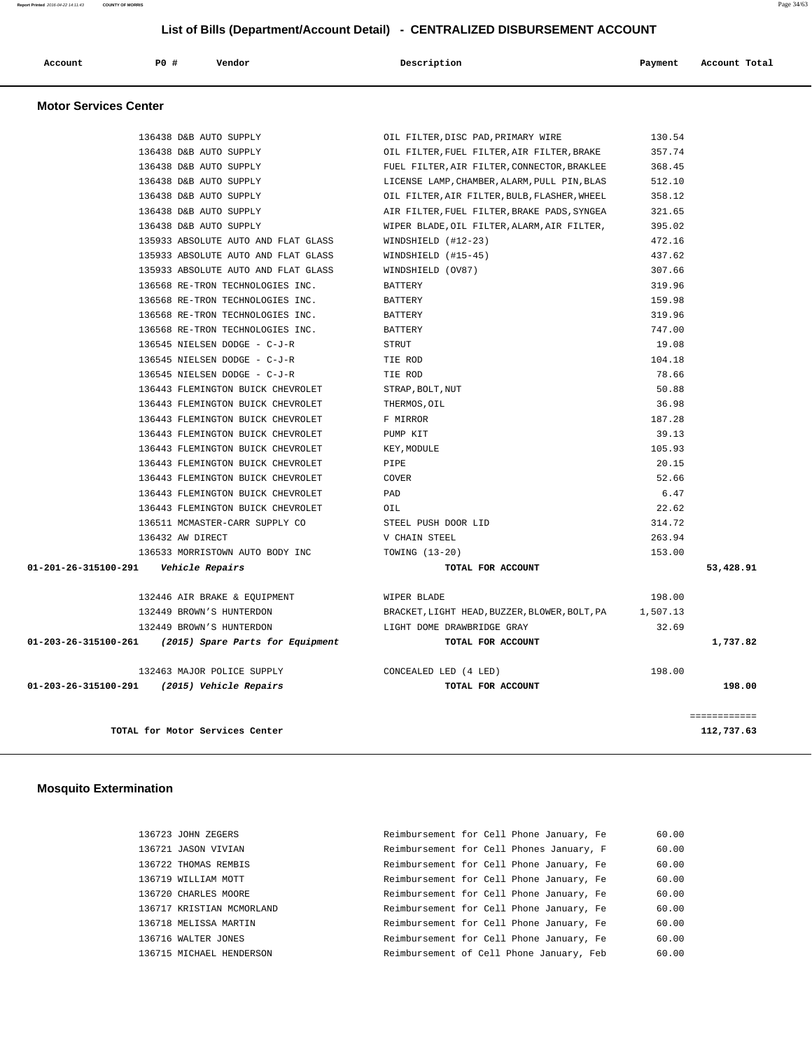| Account | PO# | Vendor | Description | Payment | Account Total |
|---------|-----|--------|-------------|---------|---------------|
|         |     |        |             |         |               |

#### **Motor Services Center**

|                                         | TOTAL for Motor Services Center                       |                                               |          | ============<br>112,737.63 |
|-----------------------------------------|-------------------------------------------------------|-----------------------------------------------|----------|----------------------------|
|                                         | 01-203-26-315100-291 (2015) Vehicle Repairs           | TOTAL FOR ACCOUNT                             |          | 198.00                     |
|                                         | 132463 MAJOR POLICE SUPPLY                            | CONCEALED LED (4 LED)                         | 198.00   |                            |
|                                         | 01-203-26-315100-261 (2015) Spare Parts for Equipment | TOTAL FOR ACCOUNT                             |          | 1,737.82                   |
|                                         | 132449 BROWN'S HUNTERDON                              | LIGHT DOME DRAWBRIDGE GRAY                    | 32.69    |                            |
|                                         | 132449 BROWN'S HUNTERDON                              | BRACKET, LIGHT HEAD, BUZZER, BLOWER, BOLT, PA | 1,507.13 |                            |
|                                         | 132446 AIR BRAKE & EQUIPMENT                          | WIPER BLADE                                   | 198.00   |                            |
| 01-201-26-315100-291    Vehicle Repairs |                                                       | TOTAL FOR ACCOUNT                             |          | 53,428.91                  |
|                                         | 136533 MORRISTOWN AUTO BODY INC                       | TOWING (13-20)                                | 153.00   |                            |
|                                         | 136432 AW DIRECT                                      | V CHAIN STEEL                                 | 263.94   |                            |
|                                         | 136511 MCMASTER-CARR SUPPLY CO                        | STEEL PUSH DOOR LID                           | 314.72   |                            |
|                                         | 136443 FLEMINGTON BUICK CHEVROLET                     | OIL                                           | 22.62    |                            |
|                                         | 136443 FLEMINGTON BUICK CHEVROLET                     | PAD                                           | 6.47     |                            |
|                                         | 136443 FLEMINGTON BUICK CHEVROLET                     | COVER                                         | 52.66    |                            |
|                                         | 136443 FLEMINGTON BUICK CHEVROLET                     | PIPE                                          | 20.15    |                            |
|                                         | 136443 FLEMINGTON BUICK CHEVROLET                     | KEY, MODULE                                   | 105.93   |                            |
|                                         | 136443 FLEMINGTON BUICK CHEVROLET                     | PUMP KIT                                      | 39.13    |                            |
|                                         | 136443 FLEMINGTON BUICK CHEVROLET                     | F MIRROR                                      | 187.28   |                            |
|                                         | 136443 FLEMINGTON BUICK CHEVROLET                     | THERMOS, OIL                                  | 36.98    |                            |
|                                         | 136443 FLEMINGTON BUICK CHEVROLET                     | STRAP, BOLT, NUT                              | 50.88    |                            |
|                                         | 136545 NIELSEN DODGE - C-J-R                          | TIE ROD                                       | 78.66    |                            |
|                                         | 136545 NIELSEN DODGE - C-J-R                          | TIE ROD                                       | 104.18   |                            |
|                                         | 136545 NIELSEN DODGE - C-J-R                          | STRUT                                         | 19.08    |                            |
|                                         | 136568 RE-TRON TECHNOLOGIES INC.                      | <b>BATTERY</b>                                | 747.00   |                            |
|                                         | 136568 RE-TRON TECHNOLOGIES INC.                      | <b>BATTERY</b>                                | 319.96   |                            |
|                                         | 136568 RE-TRON TECHNOLOGIES INC.                      | BATTERY                                       | 159.98   |                            |
|                                         | 136568 RE-TRON TECHNOLOGIES INC.                      | BATTERY                                       | 319.96   |                            |
|                                         | 135933 ABSOLUTE AUTO AND FLAT GLASS                   | WINDSHIELD (OV87)                             | 307.66   |                            |
|                                         | 135933 ABSOLUTE AUTO AND FLAT GLASS                   | WINDSHIELD (#15-45)                           | 437.62   |                            |
|                                         | 135933 ABSOLUTE AUTO AND FLAT GLASS                   | WINDSHIELD (#12-23)                           | 472.16   |                            |
|                                         | 136438 D&B AUTO SUPPLY                                | WIPER BLADE, OIL FILTER, ALARM, AIR FILTER,   | 395.02   |                            |
|                                         | 136438 D&B AUTO SUPPLY                                | AIR FILTER, FUEL FILTER, BRAKE PADS, SYNGEA   | 321.65   |                            |
|                                         | 136438 D&B AUTO SUPPLY                                | OIL FILTER, AIR FILTER, BULB, FLASHER, WHEEL  | 358.12   |                            |
|                                         | 136438 D&B AUTO SUPPLY                                | LICENSE LAMP, CHAMBER, ALARM, PULL PIN, BLAS  | 512.10   |                            |
|                                         | 136438 D&B AUTO SUPPLY                                | FUEL FILTER, AIR FILTER, CONNECTOR, BRAKLEE   | 368.45   |                            |
|                                         | 136438 D&B AUTO SUPPLY                                | OIL FILTER, FUEL FILTER, AIR FILTER, BRAKE    | 357.74   |                            |
|                                         | 136438 D&B AUTO SUPPLY                                | OIL FILTER, DISC PAD, PRIMARY WIRE            | 130.54   |                            |
|                                         |                                                       |                                               |          |                            |

## **Mosquito Extermination**

| 136723 JOHN ZEGERS        | Reimbursement for Cell Phone January, Fe | 60.00 |
|---------------------------|------------------------------------------|-------|
| 136721 JASON VIVIAN       | Reimbursement for Cell Phones January, F | 60.00 |
| 136722 THOMAS REMBIS      | Reimbursement for Cell Phone January, Fe | 60.00 |
| 136719 WILLIAM MOTT       | Reimbursement for Cell Phone January, Fe | 60.00 |
| 136720 CHARLES MOORE      | Reimbursement for Cell Phone January, Fe | 60.00 |
| 136717 KRISTIAN MCMORLAND | Reimbursement for Cell Phone January, Fe | 60.00 |
| 136718 MELISSA MARTIN     | Reimbursement for Cell Phone January, Fe | 60.00 |
| 136716 WALTER JONES       | Reimbursement for Cell Phone January, Fe | 60.00 |
| 136715 MICHAEL HENDERSON  | Reimbursement of Cell Phone January, Feb | 60.00 |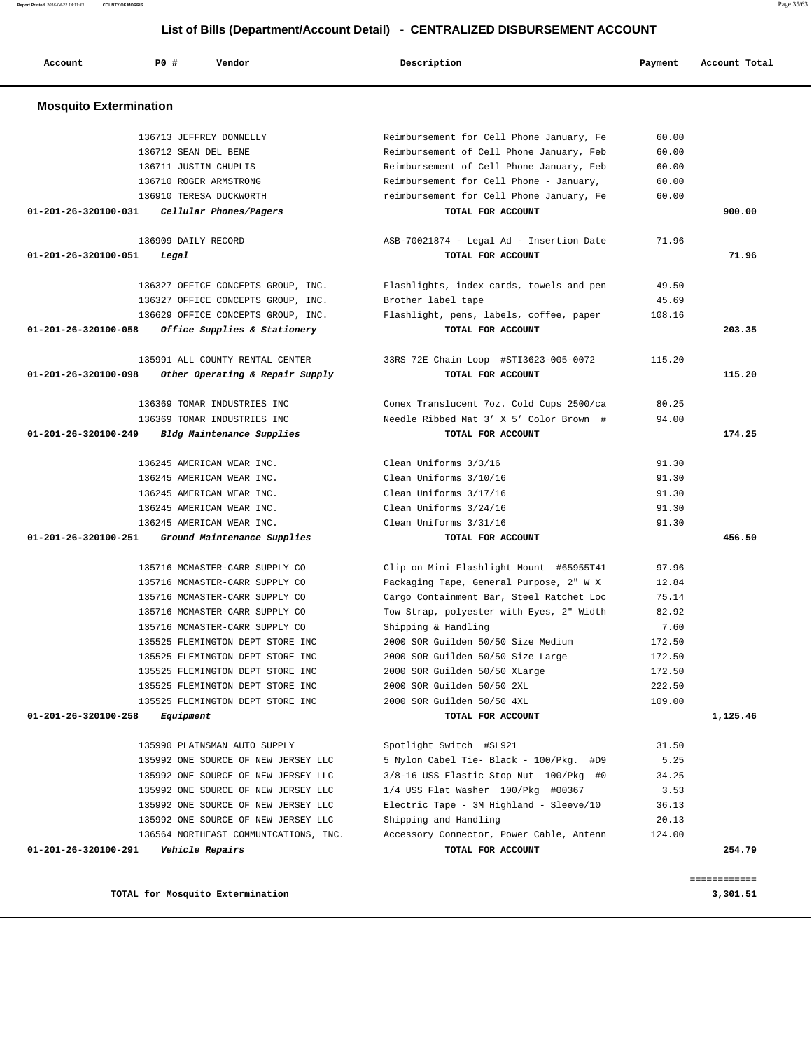**Account P0 # Vendor Description Payment Account Total Mosquito Extermination**  136713 JEFFREY DONNELLY Reimbursement for Cell Phone January, Fe 60.00 136712 SEAN DEL BENE Reimbursement of Cell Phone January, Feb 60.00 136711 JUSTIN CHUPLIS Reimbursement of Cell Phone January, Feb 60.00 136710 ROGER ARMSTRONG Reimbursement for Cell Phone - January, 60.00 136910 TERESA DUCKWORTH reimbursement for Cell Phone January, Fe 60.00  **01-201-26-320100-031 Cellular Phones/Pagers TOTAL FOR ACCOUNT 900.00** 136909 DAILY RECORD ASB-70021874 - Legal Ad - Insertion Date 71.96  **01-201-26-320100-051 Legal TOTAL FOR ACCOUNT 71.96** 136327 OFFICE CONCEPTS GROUP, INC. Flashlights, index cards, towels and pen 49.50 136327 OFFICE CONCEPTS GROUP, INC. Brother label tape 45.69 136629 OFFICE CONCEPTS GROUP, INC. Flashlight, pens, labels, coffee, paper 108.16  **01-201-26-320100-058 Office Supplies & Stationery TOTAL FOR ACCOUNT 203.35** 135991 ALL COUNTY RENTAL CENTER 33RS 72E Chain Loop #STI3623-005-0072 115.20  **01-201-26-320100-098 Other Operating & Repair Supply TOTAL FOR ACCOUNT 115.20** 136369 TOMAR INDUSTRIES INC Conex Translucent 7oz. Cold Cups 2500/ca 80.25 136369 TOMAR INDUSTRIES INC Needle Ribbed Mat 3' X 5' Color Brown # 94.00  **01-201-26-320100-249 Bldg Maintenance Supplies TOTAL FOR ACCOUNT 174.25** 136245 AMERICAN WEAR INC. Clean Uniforms 3/3/16 91.30 136245 AMERICAN WEAR INC. Clean Uniforms 3/10/16 91.30 136245 AMERICAN WEAR INC. Clean Uniforms 3/17/16 91.30 136245 AMERICAN WEAR INC. Clean Uniforms 3/24/16 91.30 136245 AMERICAN WEAR INC. Clean Uniforms 3/31/16 91.30  **01-201-26-320100-251 Ground Maintenance Supplies TOTAL FOR ACCOUNT 456.50** 135716 MCMASTER-CARR SUPPLY CO Clip on Mini Flashlight Mount #65955T41 97.96 135716 MCMASTER-CARR SUPPLY CO Packaging Tape, General Purpose, 2" W X 12.84 135716 MCMASTER-CARR SUPPLY CO Cargo Containment Bar, Steel Ratchet Loc 75.14 135716 MCMASTER-CARR SUPPLY CO Tow Strap, polyester with Eyes, 2" Width 82.92 135716 MCMASTER-CARR SUPPLY CO Shipping & Handling 7.60 135525 FLEMINGTON DEPT STORE INC 2000 SOR Guilden 50/50 Size Medium 172.50 135525 FLEMINGTON DEPT STORE INC 2000 SOR Guilden 50/50 Size Large 172.50 135525 FLEMINGTON DEPT STORE INC 2000 SOR Guilden 50/50 XLarge 172.50 135525 FLEMINGTON DEPT STORE INC 2000 SOR Guilden 50/50 2XL 222.50 135525 FLEMINGTON DEPT STORE INC 2000 SOR Guilden 50/50 4XL 109.00  **01-201-26-320100-258 Equipment TOTAL FOR ACCOUNT 1,125.46** 135990 PLAINSMAN AUTO SUPPLY Spotlight Switch #SL921 31.50 135992 ONE SOURCE OF NEW JERSEY LLC 5 Nylon Cabel Tie- Black - 100/Pkg. #D9 5.25 135992 ONE SOURCE OF NEW JERSEY LLC 3/8-16 USS Elastic Stop Nut 100/Pkg #0 34.25 135992 ONE SOURCE OF NEW JERSEY LLC 1/4 USS Flat Washer 100/Pkg #00367 3.53 135992 ONE SOURCE OF NEW JERSEY LLC Electric Tape - 3M Highland - Sleeve/10 36.13 135992 ONE SOURCE OF NEW JERSEY LLC Shipping and Handling 20.13 136564 NORTHEAST COMMUNICATIONS, INC. Accessory Connector, Power Cable, Antenn 124.00  **01-201-26-320100-291 Vehicle Repairs TOTAL FOR ACCOUNT 254.79** ============ **TOTAL for Mosquito Extermination 3,301.51**

 **List of Bills (Department/Account Detail) - CENTRALIZED DISBURSEMENT ACCOUNT**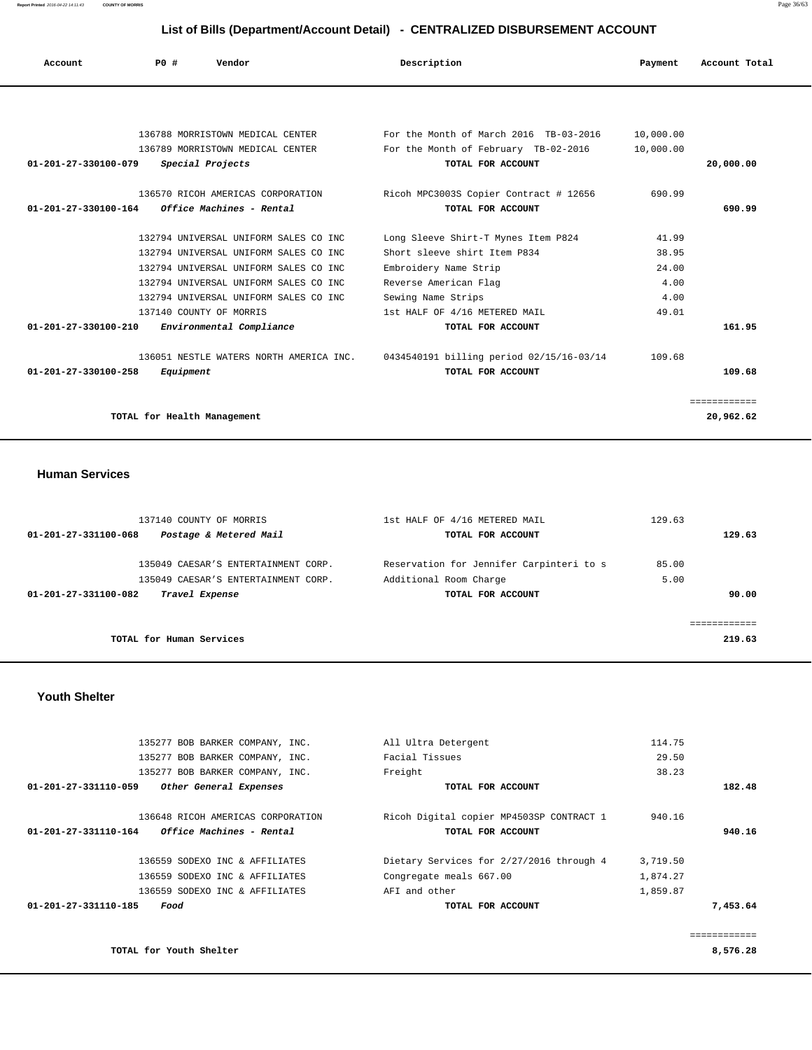**Report Printed** 2016-04-22 14:11:43 **COUNTY OF MORRIS** Page 36/63

## **List of Bills (Department/Account Detail) - CENTRALIZED DISBURSEMENT ACCOUNT**

| Account                        | PO#                         | Vendor                                  | Description                              | Payment   | Account Total |
|--------------------------------|-----------------------------|-----------------------------------------|------------------------------------------|-----------|---------------|
|                                |                             |                                         |                                          |           |               |
|                                |                             | 136788 MORRISTOWN MEDICAL CENTER        | For the Month of March 2016 TB-03-2016   | 10,000.00 |               |
|                                |                             | 136789 MORRISTOWN MEDICAL CENTER        | For the Month of February TB-02-2016     | 10,000.00 |               |
| $01 - 201 - 27 - 330100 - 079$ |                             | Special Projects                        | TOTAL FOR ACCOUNT                        |           | 20,000.00     |
|                                |                             | 136570 RICOH AMERICAS CORPORATION       | Ricoh MPC3003S Copier Contract # 12656   | 690.99    |               |
| 01-201-27-330100-164           |                             | Office Machines - Rental                | TOTAL FOR ACCOUNT                        |           | 690.99        |
|                                |                             | 132794 UNIVERSAL UNIFORM SALES CO INC   | Long Sleeve Shirt-T Mynes Item P824      | 41.99     |               |
|                                |                             | 132794 UNIVERSAL UNIFORM SALES CO INC   | Short sleeve shirt Item P834             | 38.95     |               |
|                                |                             | 132794 UNIVERSAL UNIFORM SALES CO INC.  | Embroidery Name Strip                    | 24.00     |               |
|                                |                             | 132794 UNIVERSAL UNIFORM SALES CO INC   | Reverse American Flag                    | 4.00      |               |
|                                |                             | 132794 UNIVERSAL UNIFORM SALES CO INC   | Sewing Name Strips                       | 4.00      |               |
|                                |                             | 137140 COUNTY OF MORRIS                 | 1st HALF OF 4/16 METERED MAIL            | 49.01     |               |
| $01 - 201 - 27 - 330100 - 210$ |                             | Environmental Compliance                | TOTAL FOR ACCOUNT                        |           | 161.95        |
|                                |                             | 136051 NESTLE WATERS NORTH AMERICA INC. | 0434540191 billing period 02/15/16-03/14 | 109.68    |               |
| $01 - 201 - 27 - 330100 - 258$ | Equipment                   |                                         | TOTAL FOR ACCOUNT                        |           | 109.68        |
|                                |                             |                                         |                                          |           | ============  |
|                                | TOTAL for Health Management |                                         |                                          |           | 20,962.62     |

 **Human Services** 

| 137140 COUNTY OF MORRIS                        | 1st HALF OF 4/16 METERED MAIL            | 129.63 |
|------------------------------------------------|------------------------------------------|--------|
| Postage & Metered Mail<br>01-201-27-331100-068 | TOTAL FOR ACCOUNT                        | 129.63 |
| 135049 CAESAR'S ENTERTAINMENT CORP.            | Reservation for Jennifer Carpinteri to s | 85.00  |
| 135049 CAESAR'S ENTERTAINMENT CORP.            | Additional Room Charge                   | 5.00   |
| 01-201-27-331100-082<br>Travel Expense         | TOTAL FOR ACCOUNT                        | 90.00  |
|                                                |                                          |        |
|                                                |                                          |        |
| TOTAL for Human Services                       |                                          | 219.63 |

 **Youth Shelter** 

|          | 114.75   | All Ultra Detergent                      | 135277 BOB BARKER COMPANY, INC.                  |
|----------|----------|------------------------------------------|--------------------------------------------------|
|          | 29.50    | Facial Tissues                           | 135277 BOB BARKER COMPANY, INC.                  |
|          | 38.23    | Freight                                  | 135277 BOB BARKER COMPANY, INC.                  |
| 182.48   |          | TOTAL FOR ACCOUNT                        | 01-201-27-331110-059<br>Other General Expenses   |
|          | 940.16   | Ricoh Digital copier MP4503SP CONTRACT 1 | 136648 RICOH AMERICAS CORPORATION                |
| 940.16   |          | TOTAL FOR ACCOUNT                        | Office Machines - Rental<br>01-201-27-331110-164 |
|          | 3,719.50 | Dietary Services for 2/27/2016 through 4 | 136559 SODEXO INC & AFFILIATES                   |
|          | 1,874.27 | Congregate meals 667.00                  | 136559 SODEXO INC & AFFILIATES                   |
|          | 1,859.87 | AFI and other                            | 136559 SODEXO INC & AFFILIATES                   |
| 7,453.64 |          | TOTAL FOR ACCOUNT                        | 01-201-27-331110-185<br>Food                     |
|          |          |                                          |                                                  |
|          |          |                                          |                                                  |

**TOTAL for Youth Shelter 8,576.28**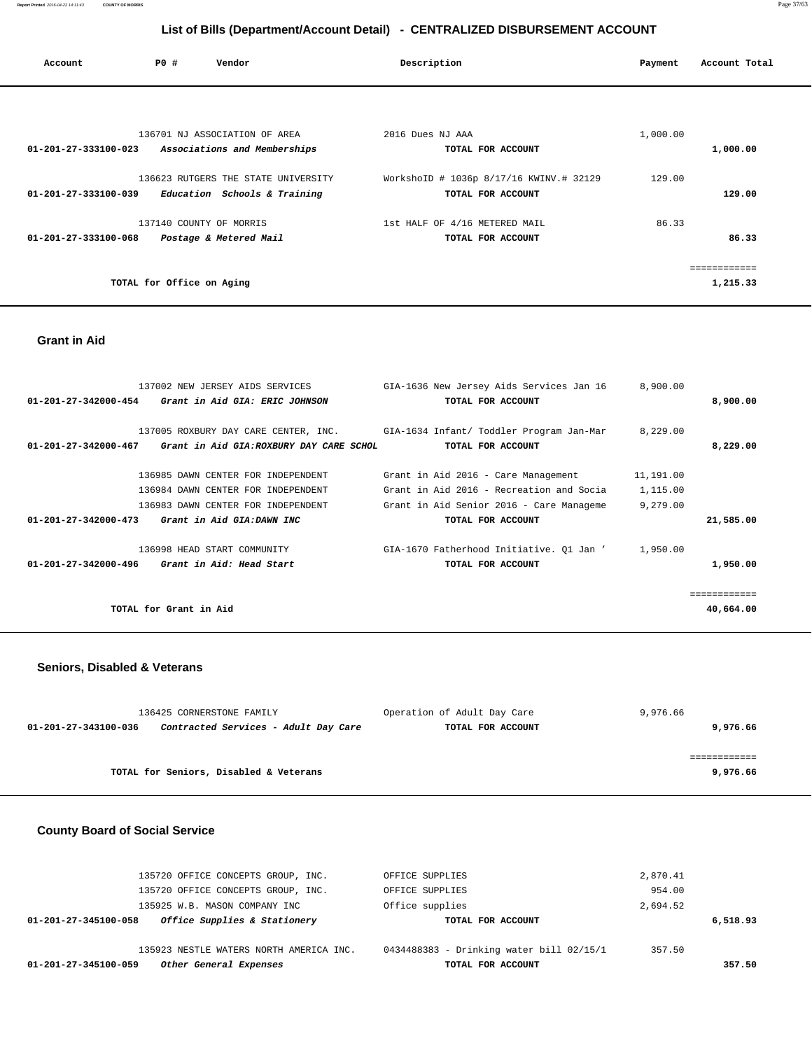| Account                        | PO#                       | Vendor                              | Description                             | Payment  | Account Total |
|--------------------------------|---------------------------|-------------------------------------|-----------------------------------------|----------|---------------|
|                                |                           |                                     |                                         |          |               |
|                                |                           | 136701 NJ ASSOCIATION OF AREA       | 2016 Dues NJ AAA                        | 1,000.00 |               |
| 01-201-27-333100-023           |                           | Associations and Memberships        | TOTAL FOR ACCOUNT                       |          | 1,000.00      |
|                                |                           | 136623 RUTGERS THE STATE UNIVERSITY | WorkshoID # 1036p 8/17/16 KWINV.# 32129 | 129.00   |               |
| 01-201-27-333100-039           |                           | Education Schools & Training        | TOTAL FOR ACCOUNT                       |          | 129.00        |
|                                |                           | 137140 COUNTY OF MORRIS             | 1st HALF OF 4/16 METERED MAIL           | 86.33    |               |
| $01 - 201 - 27 - 333100 - 068$ |                           | Postage & Metered Mail              | TOTAL FOR ACCOUNT                       |          | 86.33         |
|                                |                           |                                     |                                         |          |               |
|                                | TOTAL for Office on Aging |                                     |                                         |          | 1,215.33      |

#### **Grant in Aid**

|                                | 137002 NEW JERSEY AIDS SERVICES         | GIA-1636 New Jersey Aids Services Jan 16 | 8,900.00  |           |
|--------------------------------|-----------------------------------------|------------------------------------------|-----------|-----------|
| 01-201-27-342000-454           | Grant in Aid GIA: ERIC JOHNSON          | TOTAL FOR ACCOUNT                        |           | 8,900,00  |
|                                |                                         |                                          |           |           |
|                                | 137005 ROXBURY DAY CARE CENTER, INC.    | GIA-1634 Infant/ Toddler Program Jan-Mar | 8,229.00  |           |
| 01-201-27-342000-467           | Grant in Aid GIA:ROXBURY DAY CARE SCHOL | TOTAL FOR ACCOUNT                        |           | 8,229.00  |
|                                |                                         |                                          |           |           |
|                                | 136985 DAWN CENTER FOR INDEPENDENT      | Grant in Aid 2016 - Care Management      | 11,191.00 |           |
|                                | 136984 DAWN CENTER FOR INDEPENDENT      | Grant in Aid 2016 - Recreation and Socia | 1,115.00  |           |
|                                | 136983 DAWN CENTER FOR INDEPENDENT      | Grant in Aid Senior 2016 - Care Manageme | 9,279.00  |           |
| $01 - 201 - 27 - 342000 - 473$ | Grant in Aid GIA: DAWN INC              | TOTAL FOR ACCOUNT                        |           | 21,585.00 |
|                                | 136998 HEAD START COMMUNITY             | GIA-1670 Fatherhood Initiative. O1 Jan ' | 1,950.00  |           |
| $01 - 201 - 27 - 342000 - 496$ | Grant in Aid: Head Start                | TOTAL FOR ACCOUNT                        |           | 1,950.00  |
|                                |                                         |                                          |           |           |
|                                | TOTAL for Grant in Aid                  |                                          |           | 40,664.00 |
|                                |                                         |                                          |           |           |

## **Seniors, Disabled & Veterans**

| 136425 CORNERSTONE FAMILY |                                        | Operation of Adult Day Care | 9,976.66 |  |
|---------------------------|----------------------------------------|-----------------------------|----------|--|
| 01-201-27-343100-036      | Contracted Services - Adult Day Care   | TOTAL FOR ACCOUNT           | 9,976.66 |  |
|                           |                                        |                             |          |  |
|                           |                                        |                             |          |  |
|                           | TOTAL for Seniors, Disabled & Veterans |                             | 9,976.66 |  |

## **County Board of Social Service**

| 01-201-27-345100-059 | Other General Expenses                  | TOTAL FOR ACCOUNT                        |          | 357.50 |
|----------------------|-----------------------------------------|------------------------------------------|----------|--------|
|                      | 135923 NESTLE WATERS NORTH AMERICA INC. | 0434488383 - Drinking water bill 02/15/1 | 357.50   |        |
| 01-201-27-345100-058 | Office Supplies & Stationery            | TOTAL FOR ACCOUNT                        | 6,518.93 |        |
|                      | 135925 W.B. MASON COMPANY INC           | Office supplies                          | 2,694.52 |        |
|                      | 135720 OFFICE CONCEPTS GROUP, INC.      | OFFICE SUPPLIES                          | 954.00   |        |
|                      | 135720 OFFICE CONCEPTS GROUP, INC.      | OFFICE SUPPLIES                          | 2,870.41 |        |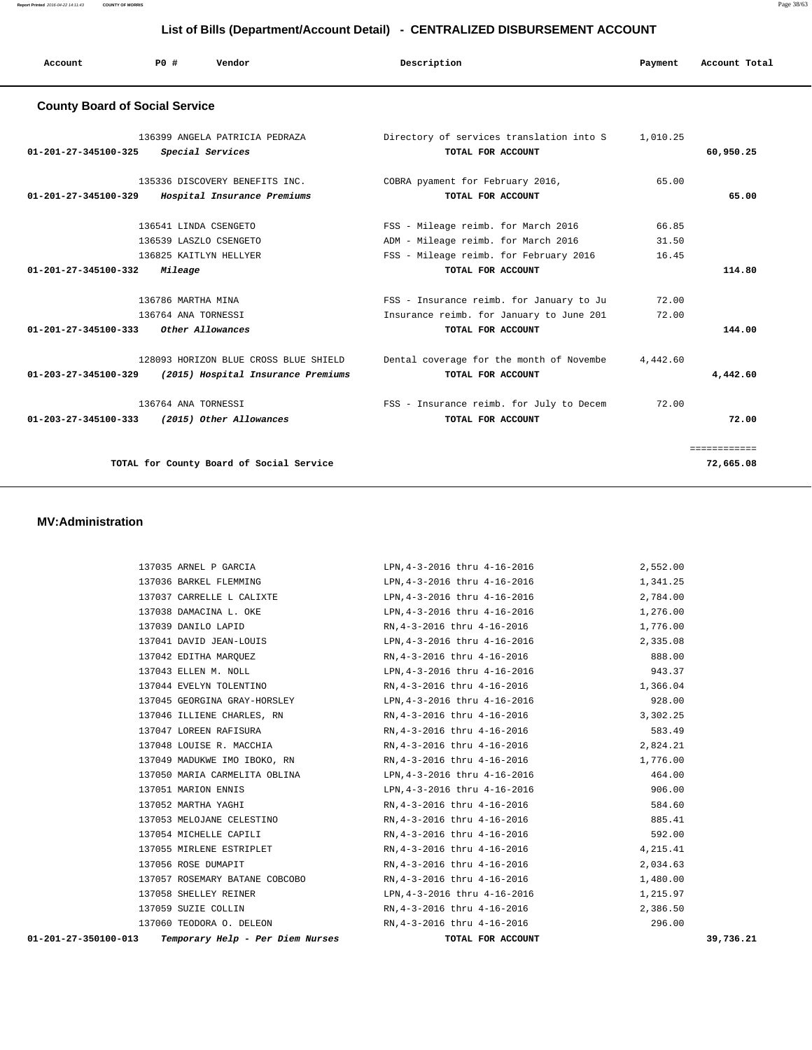| List of Bills (Department/Account Detail) - CENTRALIZED DISBURSEMENT ACCOUNT |                                           |                                                                             |             |                                                                                                           |                |               |
|------------------------------------------------------------------------------|-------------------------------------------|-----------------------------------------------------------------------------|-------------|-----------------------------------------------------------------------------------------------------------|----------------|---------------|
| Account                                                                      | PO#                                       | Vendor                                                                      | Description |                                                                                                           | Payment        | Account Total |
| <b>County Board of Social Service</b>                                        |                                           |                                                                             |             |                                                                                                           |                |               |
| $01 - 201 - 27 - 345100 - 325$                                               |                                           | 136399 ANGELA PATRICIA PEDRAZA<br>Special Services                          |             | Directory of services translation into S<br>TOTAL FOR ACCOUNT                                             | 1,010.25       | 60,950.25     |
| 01-201-27-345100-329                                                         |                                           | 135336 DISCOVERY BENEFITS INC.<br>Hospital Insurance Premiums               |             | COBRA pyament for February 2016,<br>TOTAL FOR ACCOUNT                                                     | 65.00          | 65.00         |
|                                                                              |                                           | 136541 LINDA CSENGETO<br>136539 LASZLO CSENGETO                             |             | FSS - Mileage reimb. for March 2016<br>ADM - Mileage reimb. for March 2016                                | 66.85<br>31.50 |               |
| 01-201-27-345100-332                                                         | Mileage                                   | 136825 KAITLYN HELLYER                                                      |             | FSS - Mileage reimb. for February 2016<br>TOTAL FOR ACCOUNT                                               | 16.45          | 114.80        |
| 01-201-27-345100-333                                                         | 136786 MARTHA MINA<br>136764 ANA TORNESSI | Other Allowances                                                            |             | FSS - Insurance reimb. for January to Ju<br>Insurance reimb. for January to June 201<br>TOTAL FOR ACCOUNT | 72.00<br>72.00 | 144.00        |
| $01 - 203 - 27 - 345100 - 329$                                               |                                           | 128093 HORIZON BLUE CROSS BLUE SHIELD<br>(2015) Hospital Insurance Premiums |             | Dental coverage for the month of Novembe<br>TOTAL FOR ACCOUNT                                             | 4,442.60       | 4,442.60      |
| $01 - 203 - 27 - 345100 - 333$                                               | 136764 ANA TORNESSI                       | (2015) Other Allowances                                                     |             | FSS - Insurance reimb. for July to Decem<br>TOTAL FOR ACCOUNT                                             | 72.00          | 72.00         |

============

**TOTAL for County Board of Social Service 72,665.08**

#### **MV:Administration**

| Temporary Help - Per Diem Nurses<br>01-201-27-350100-013 | TOTAL FOR ACCOUNT                                                        | 39,736.21 |
|----------------------------------------------------------|--------------------------------------------------------------------------|-----------|
| 137060 TEODORA O. DELEON                                 | RN, 4-3-2016 thru 4-16-2016                                              | 296.00    |
| 137059 SUZIE COLLIN                                      | RN,4-3-2016 thru 4-16-2016                                               | 2,386.50  |
| 137058 SHELLEY REINER                                    | LPN, 4-3-2016 thru 4-16-2016                                             | 1,215.97  |
| 137057 ROSEMARY BATANE COBCOBO                           | RN,4-3-2016 thru 4-16-2016                                               | 1,480.00  |
| 137056 ROSE DUMAPIT                                      | RN,4-3-2016 thru 4-16-2016                                               | 2,034.63  |
| 137055 MIRLENE ESTRIPLET                                 | RN, 4-3-2016 thru 4-16-2016                                              | 4,215.41  |
| 137054 MICHELLE CAPILI                                   | RN, 4-3-2016 thru 4-16-2016                                              | 592.00    |
|                                                          | 137053 MELOJANE CELESTINO RN, 4-3-2016 thru 4-16-2016                    | 885.41    |
| 137052 MARTHA YAGHI                                      | RN, 4-3-2016 thru 4-16-2016                                              | 584.60    |
| 137051 MARION ENNIS                                      | LPN, 4-3-2016 thru 4-16-2016                                             | 906.00    |
|                                                          | 137050 MARIA CARMELITA OBLINA               LPN, 4-3-2016 thru 4-16-2016 | 464.00    |
|                                                          | 137049 MADUKWE IMO IBOKO, RN RN, 4-3-2016 thru 4-16-2016 1,776.00        |           |
| 137048 LOUISE R. MACCHIA                                 | RN,4-3-2016 thru 4-16-2016                                               | 2,824.21  |
| 137047 LOREEN RAFISURA                                   | $RN, 4-3-2016$ thru $4-16-2016$                                          | 583.49    |
| 137046 ILLIENE CHARLES, RN RN, 4-3-2016 thru 4-16-2016   |                                                                          | 3,302.25  |
|                                                          | 137045 GEORGINA GRAY-HORSLEY LPN, 4-3-2016 thru 4-16-2016                | 928.00    |
| 137044 EVELYN TOLENTINO                                  | RN, 4-3-2016 thru 4-16-2016                                              | 1,366.04  |
| 137043 ELLEN M. NOLL                                     | LPN, 4-3-2016 thru 4-16-2016                                             | 943.37    |
| 137042 EDITHA MARQUEZ                                    | RN,4-3-2016 thru 4-16-2016                                               | 888.00    |
|                                                          | 137041 DAVID JEAN-LOUIS LPN, 4-3-2016 thru 4-16-2016 12006 2, 335.08     |           |
| 137039 DANILO LAPID                                      | RN,4-3-2016 thru 4-16-2016 1,776.00                                      |           |
| 137038 DAMACINA L. OKE                                   | LPN, $4-3-2016$ thru $4-16-2016$ $1,276.00$                              |           |
|                                                          | 137037 CARRELLE L CALIXTE LORID LPN, 4-3-2016 thru 4-16-2016 2, 784.00   |           |
| 137036 BARKEL FLEMMING                                   | LPN, 4-3-2016 thru 4-16-2016                                             | 1,341.25  |
| 137035 ARNEL P GARCIA                                    | LPN, 4-3-2016 thru 4-16-2016                                             | 2,552.00  |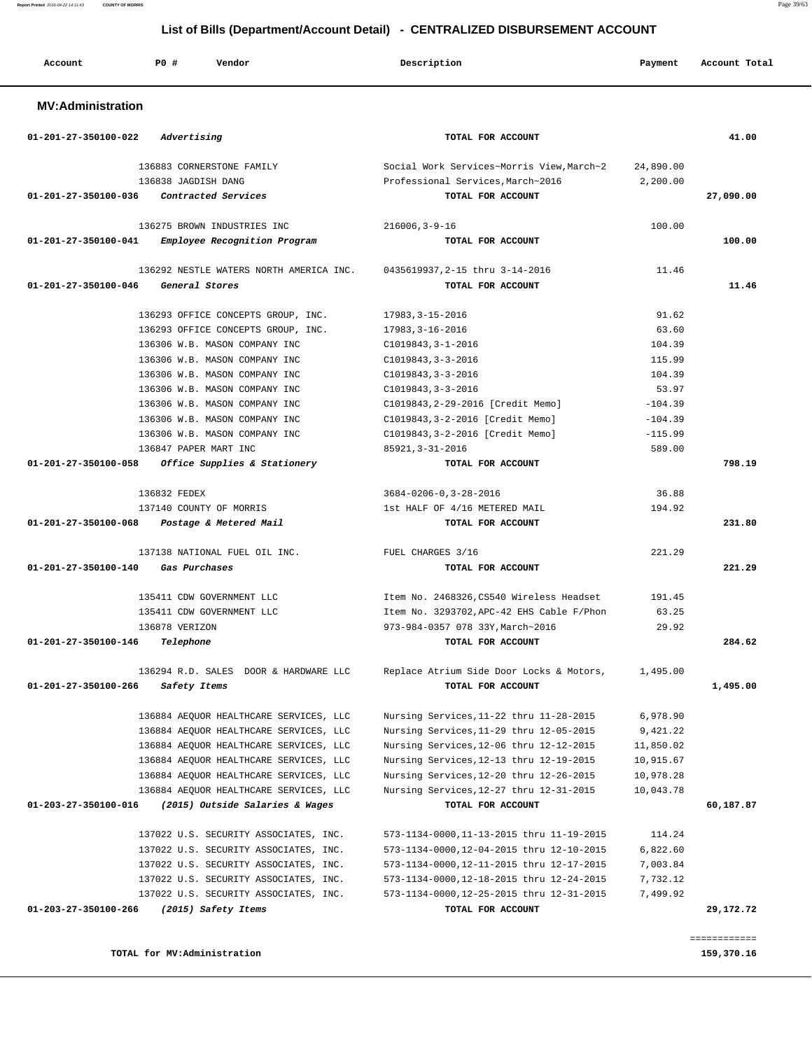| List of Bills (Department/Account Detail) - CENTRALIZED DISBURSEMENT ACCOUNT |                                         |                                                              |           |               |  |  |
|------------------------------------------------------------------------------|-----------------------------------------|--------------------------------------------------------------|-----------|---------------|--|--|
| Account                                                                      | <b>PO #</b><br>Vendor                   | Description                                                  | Payment   | Account Total |  |  |
| <b>MV:Administration</b>                                                     |                                         |                                                              |           |               |  |  |
| 01-201-27-350100-022                                                         | Advertising                             | TOTAL FOR ACCOUNT                                            |           | 41.00         |  |  |
|                                                                              | 136883 CORNERSTONE FAMILY               | Social Work Services~Morris View, March~2                    | 24,890.00 |               |  |  |
|                                                                              | 136838 JAGDISH DANG                     | Professional Services, March~2016                            | 2,200.00  |               |  |  |
| 01-201-27-350100-036                                                         | Contracted Services                     | TOTAL FOR ACCOUNT                                            |           | 27,090.00     |  |  |
|                                                                              |                                         |                                                              |           |               |  |  |
|                                                                              | 136275 BROWN INDUSTRIES INC             | $216006, 3 - 9 - 16$                                         | 100.00    |               |  |  |
| 01-201-27-350100-041                                                         | Employee Recognition Program            | TOTAL FOR ACCOUNT                                            |           | 100.00        |  |  |
|                                                                              |                                         |                                                              |           |               |  |  |
|                                                                              | 136292 NESTLE WATERS NORTH AMERICA INC. | 0435619937, 2-15 thru 3-14-2016                              | 11.46     |               |  |  |
| 01-201-27-350100-046                                                         | General Stores                          | TOTAL FOR ACCOUNT                                            |           | 11.46         |  |  |
|                                                                              | 136293 OFFICE CONCEPTS GROUP, INC.      | 17983, 3-15-2016                                             | 91.62     |               |  |  |
|                                                                              | 136293 OFFICE CONCEPTS GROUP, INC.      | 17983, 3-16-2016                                             | 63.60     |               |  |  |
|                                                                              | 136306 W.B. MASON COMPANY INC           | $C1019843, 3 - 1 - 2016$                                     | 104.39    |               |  |  |
|                                                                              | 136306 W.B. MASON COMPANY INC           | $C1019843, 3 - 3 - 2016$                                     | 115.99    |               |  |  |
|                                                                              | 136306 W.B. MASON COMPANY INC           | $C1019843, 3 - 3 - 2016$                                     | 104.39    |               |  |  |
|                                                                              | 136306 W.B. MASON COMPANY INC           | $C1019843, 3 - 3 - 2016$                                     | 53.97     |               |  |  |
|                                                                              | 136306 W.B. MASON COMPANY INC           | C1019843, 2-29-2016 [Credit Memo]                            | $-104.39$ |               |  |  |
|                                                                              | 136306 W.B. MASON COMPANY INC           | C1019843, 3-2-2016 [Credit Memo]                             | $-104.39$ |               |  |  |
|                                                                              | 136306 W.B. MASON COMPANY INC           | C1019843, 3-2-2016 [Credit Memo]                             | $-115.99$ |               |  |  |
|                                                                              | 136847 PAPER MART INC                   | 85921, 3-31-2016                                             | 589.00    |               |  |  |
| 01-201-27-350100-058                                                         | Office Supplies & Stationery            | TOTAL FOR ACCOUNT                                            |           | 798.19        |  |  |
|                                                                              | 136832 FEDEX                            | $3684 - 0206 - 0, 3 - 28 - 2016$                             | 36.88     |               |  |  |
|                                                                              | 137140 COUNTY OF MORRIS                 | 1st HALF OF 4/16 METERED MAIL                                | 194.92    |               |  |  |
| 01-201-27-350100-068                                                         | Postage & Metered Mail                  | TOTAL FOR ACCOUNT                                            |           | 231.80        |  |  |
|                                                                              |                                         |                                                              |           |               |  |  |
|                                                                              | 137138 NATIONAL FUEL OIL INC.           | FUEL CHARGES 3/16                                            | 221.29    |               |  |  |
| 01-201-27-350100-140                                                         | Gas Purchases                           | TOTAL FOR ACCOUNT                                            |           | 221.29        |  |  |
|                                                                              | 135411 CDW GOVERNMENT LLC               | Item No. 2468326, CS540 Wireless Headset                     | 191.45    |               |  |  |
|                                                                              | 135411 CDW GOVERNMENT LLC               | Item No. 3293702, APC-42 EHS Cable F/Phon                    | 63.25     |               |  |  |
|                                                                              | 136878 VERIZON                          | 973-984-0357 078 33Y, March~2016                             | 29.92     |               |  |  |
| 01-201-27-350100-146                                                         | Telephone                               | TOTAL FOR ACCOUNT                                            |           | 284.62        |  |  |
|                                                                              |                                         |                                                              |           |               |  |  |
|                                                                              | 136294 R.D. SALES DOOR & HARDWARE LLC   | Replace Atrium Side Door Locks & Motors,                     | 1,495.00  |               |  |  |
| 01-201-27-350100-266                                                         | Safety Items                            | TOTAL FOR ACCOUNT                                            |           | 1,495.00      |  |  |
|                                                                              | 136884 AEQUOR HEALTHCARE SERVICES, LLC  | Nursing Services, 11-22 thru 11-28-2015                      | 6,978.90  |               |  |  |
|                                                                              | 136884 AEQUOR HEALTHCARE SERVICES, LLC  | Nursing Services, 11-29 thru 12-05-2015                      | 9,421.22  |               |  |  |
|                                                                              | 136884 AEQUOR HEALTHCARE SERVICES, LLC  | Nursing Services, 12-06 thru 12-12-2015                      | 11,850.02 |               |  |  |
|                                                                              | 136884 AEQUOR HEALTHCARE SERVICES, LLC  | Nursing Services, 12-13 thru 12-19-2015                      |           |               |  |  |
|                                                                              | 136884 AEQUOR HEALTHCARE SERVICES, LLC  |                                                              | 10,915.67 |               |  |  |
|                                                                              | 136884 AEQUOR HEALTHCARE SERVICES, LLC  | Nursing Services, 12-20 thru 12-26-2015                      | 10,978.28 |               |  |  |
| 01-203-27-350100-016                                                         | (2015) Outside Salaries & Wages         | Nursing Services, 12-27 thru 12-31-2015<br>TOTAL FOR ACCOUNT | 10,043.78 | 60,187.87     |  |  |
|                                                                              |                                         |                                                              |           |               |  |  |
|                                                                              | 137022 U.S. SECURITY ASSOCIATES, INC.   | 573-1134-0000, 11-13-2015 thru 11-19-2015                    | 114.24    |               |  |  |
|                                                                              | 137022 U.S. SECURITY ASSOCIATES, INC.   | 573-1134-0000,12-04-2015 thru 12-10-2015                     | 6,822.60  |               |  |  |
|                                                                              | 137022 U.S. SECURITY ASSOCIATES, INC.   | 573-1134-0000, 12-11-2015 thru 12-17-2015                    | 7,003.84  |               |  |  |
|                                                                              | 137022 U.S. SECURITY ASSOCIATES, INC.   | 573-1134-0000, 12-18-2015 thru 12-24-2015                    | 7,732.12  |               |  |  |
|                                                                              | 137022 U.S. SECURITY ASSOCIATES, INC.   | 573-1134-0000, 12-25-2015 thru 12-31-2015                    | 7,499.92  |               |  |  |
| 01-203-27-350100-266                                                         | (2015) Safety Items                     | TOTAL FOR ACCOUNT                                            |           | 29,172.72     |  |  |

**TOTAL for MV:Administration 159,370.16**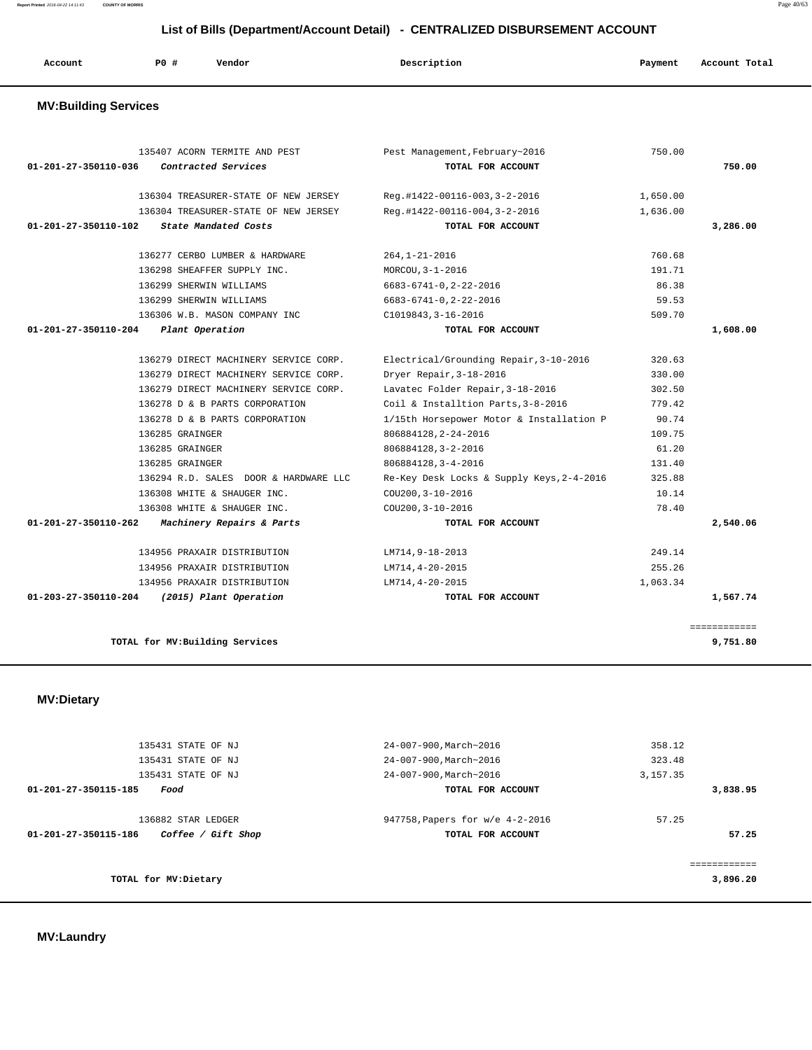**Report Printed** 2016-04-22 14:11:43 **COUNTY OF MORRIS** Page 40/63

 **List of Bills (Department/Account Detail) - CENTRALIZED DISBURSEMENT ACCOUNT**

| Account<br>. | PO# | Vendor | Description | Payment | Account Total |
|--------------|-----|--------|-------------|---------|---------------|
|              |     |        |             |         |               |

## **MV:Building Services**

|          | 750.00   | Pest Management, February~2016            | 135407 ACORN TERMITE AND PEST         |                                |
|----------|----------|-------------------------------------------|---------------------------------------|--------------------------------|
| 750.00   |          | TOTAL FOR ACCOUNT                         | Contracted Services                   | 01-201-27-350110-036           |
|          | 1,650.00 | Reg.#1422-00116-003,3-2-2016              | 136304 TREASURER-STATE OF NEW JERSEY  |                                |
|          | 1,636.00 | Reg.#1422-00116-004,3-2-2016              | 136304 TREASURER-STATE OF NEW JERSEY  |                                |
| 3,286.00 |          | TOTAL FOR ACCOUNT                         | State Mandated Costs                  | $01 - 201 - 27 - 350110 - 102$ |
|          | 760.68   | $264, 1 - 21 - 2016$                      | 136277 CERBO LUMBER & HARDWARE        |                                |
|          | 191.71   | MORCOU, 3-1-2016                          | 136298 SHEAFFER SUPPLY INC.           |                                |
|          | 86.38    | $6683 - 6741 - 0, 2 - 22 - 2016$          | 136299 SHERWIN WILLIAMS               |                                |
|          | 59.53    | $6683 - 6741 - 0, 2 - 22 - 2016$          | 136299 SHERWIN WILLIAMS               |                                |
|          | 509.70   | C1019843, 3-16-2016                       | 136306 W.B. MASON COMPANY INC         |                                |
| 1,608.00 |          | TOTAL FOR ACCOUNT                         | Plant Operation                       | 01-201-27-350110-204           |
|          | 320.63   | Electrical/Grounding Repair, 3-10-2016    | 136279 DIRECT MACHINERY SERVICE CORP. |                                |
|          | 330.00   | Dryer Repair, 3-18-2016                   | 136279 DIRECT MACHINERY SERVICE CORP. |                                |
|          | 302.50   | Lavatec Folder Repair, 3-18-2016          | 136279 DIRECT MACHINERY SERVICE CORP. |                                |
|          | 779.42   | Coil & Installtion Parts, 3-8-2016        | 136278 D & B PARTS CORPORATION        |                                |
|          | 90.74    | 1/15th Horsepower Motor & Installation P  | 136278 D & B PARTS CORPORATION        |                                |
|          | 109.75   | 806884128, 2-24-2016                      | 136285 GRAINGER                       |                                |
|          | 61.20    | 806884128, 3-2-2016                       | 136285 GRAINGER                       |                                |
|          | 131.40   | 806884128, 3-4-2016                       | 136285 GRAINGER                       |                                |
|          | 325.88   | Re-Key Desk Locks & Supply Keys, 2-4-2016 | 136294 R.D. SALES DOOR & HARDWARE LLC |                                |
|          | 10.14    | COU200, 3-10-2016                         | 136308 WHITE & SHAUGER INC.           |                                |
|          | 78.40    | COU200, 3-10-2016                         | 136308 WHITE & SHAUGER INC.           |                                |
| 2,540.06 |          | TOTAL FOR ACCOUNT                         | Machinery Repairs & Parts             | 01-201-27-350110-262           |
|          | 249.14   | LM714,9-18-2013                           | 134956 PRAXAIR DISTRIBUTION           |                                |
|          | 255.26   | LM714, 4-20-2015                          | 134956 PRAXAIR DISTRIBUTION           |                                |
|          | 1,063.34 | LM714, 4-20-2015                          | 134956 PRAXAIR DISTRIBUTION           |                                |
| 1,567.74 |          | TOTAL FOR ACCOUNT                         | (2015) Plant Operation                | 01-203-27-350110-204           |

 **MV:Dietary** 

| 135431 STATE OF NJ                                | 24-007-900, March~2016          | 358.12    |
|---------------------------------------------------|---------------------------------|-----------|
| 135431 STATE OF NJ                                | 24-007-900, March~2016          | 323.48    |
| 135431 STATE OF NJ                                | 24-007-900, March~2016          | 3, 157.35 |
| 01-201-27-350115-185<br>Food                      | TOTAL FOR ACCOUNT               | 3,838.95  |
| 136882 STAR LEDGER                                | 947758, Papers for w/e 4-2-2016 | 57.25     |
| 01-201-27-350115-186<br><i>Coffee / Gift Shop</i> | TOTAL FOR ACCOUNT               | 57.25     |
|                                                   |                                 |           |
| TOTAL for MV:Dietary                              |                                 | 3,896.20  |
|                                                   |                                 |           |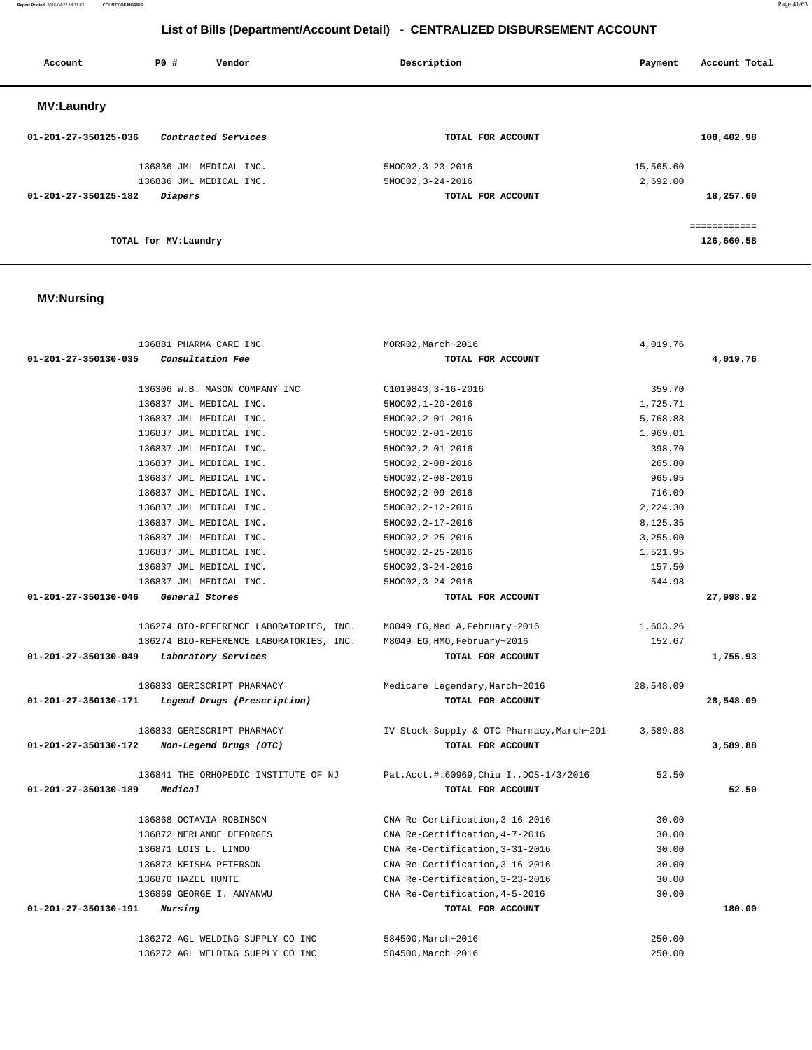**Report Printed** 2016-04-22 14:11:43 **COUNTY OF MORRIS** Page 41/63

## **List of Bills (Department/Account Detail) - CENTRALIZED DISBURSEMENT ACCOUNT**

| Account              | PO#                   | Vendor                  | Description       | Payment   | Account Total |
|----------------------|-----------------------|-------------------------|-------------------|-----------|---------------|
| <b>MV:Laundry</b>    |                       |                         |                   |           |               |
| 01-201-27-350125-036 |                       | Contracted Services     | TOTAL FOR ACCOUNT |           | 108,402.98    |
|                      |                       | 136836 JML MEDICAL INC. | 5MOC02, 3-23-2016 | 15,565.60 |               |
|                      |                       | 136836 JML MEDICAL INC. | 5MOC02, 3-24-2016 | 2,692.00  |               |
| 01-201-27-350125-182 | Diapers               |                         | TOTAL FOR ACCOUNT |           | 18,257.60     |
|                      |                       |                         |                   |           | ============  |
|                      | TOTAL for MV: Laundry |                         |                   |           | 126,660.58    |

## **MV:Nursing**

| 136881 PHARMA CARE INC                              | MORR02, March~2016                        | 4,019.76  |           |
|-----------------------------------------------------|-------------------------------------------|-----------|-----------|
| 01-201-27-350130-035<br>Consultation Fee            | TOTAL FOR ACCOUNT                         |           | 4,019.76  |
|                                                     |                                           |           |           |
| 136306 W.B. MASON COMPANY INC                       | C1019843, 3-16-2016                       | 359.70    |           |
| 136837 JML MEDICAL INC.                             | 5MOC02, 1-20-2016                         | 1,725.71  |           |
| 136837 JML MEDICAL INC.                             | 5MOC02, 2-01-2016                         | 5,768.88  |           |
| 136837 JML MEDICAL INC.                             | 5MOC02, 2-01-2016                         | 1,969.01  |           |
| 136837 JML MEDICAL INC.                             | $5MOC02, 2-01-2016$                       | 398.70    |           |
| 136837 JML MEDICAL INC.                             | $5MOC02, 2-08-2016$                       | 265.80    |           |
| 136837 JML MEDICAL INC.                             | $5MOC02, 2-08-2016$                       | 965.95    |           |
| 136837 JML MEDICAL INC.                             | 5MOC02, 2-09-2016                         | 716.09    |           |
| 136837 JML MEDICAL INC.                             | 5MOC02, 2-12-2016                         | 2,224.30  |           |
| 136837 JML MEDICAL INC.                             | 5MOC02, 2-17-2016                         | 8,125.35  |           |
| 136837 JML MEDICAL INC.                             | $5MOC02, 2-25-2016$                       | 3,255.00  |           |
| 136837 JML MEDICAL INC.                             | $5MOC02, 2-25-2016$                       | 1,521.95  |           |
| 136837 JML MEDICAL INC.                             | 5MOC02, 3-24-2016                         | 157.50    |           |
| 136837 JML MEDICAL INC.                             | $5MOC02, 3-24-2016$                       | 544.98    |           |
| 01-201-27-350130-046<br>General Stores              | TOTAL FOR ACCOUNT                         |           | 27,998.92 |
|                                                     |                                           |           |           |
| 136274 BIO-REFERENCE LABORATORIES, INC.             | M8049 EG, Med A, February~2016            | 1,603.26  |           |
| 136274 BIO-REFERENCE LABORATORIES, INC.             | M8049 EG, HMO, February~2016              | 152.67    |           |
| 01-201-27-350130-049<br>Laboratory Services         | TOTAL FOR ACCOUNT                         |           | 1,755.93  |
|                                                     |                                           |           |           |
| 136833 GERISCRIPT PHARMACY                          | Medicare Legendary, March~2016            | 28,548.09 |           |
| 01-201-27-350130-171<br>Legend Drugs (Prescription) | TOTAL FOR ACCOUNT                         |           | 28,548.09 |
| 136833 GERISCRIPT PHARMACY                          | IV Stock Supply & OTC Pharmacy, March~201 | 3,589.88  |           |
| Non-Legend Drugs (OTC)<br>01-201-27-350130-172      | TOTAL FOR ACCOUNT                         |           | 3,589.88  |
|                                                     |                                           |           |           |
| 136841 THE ORHOPEDIC INSTITUTE OF NJ                | Pat.Acct.#:60969, Chiu I., DOS-1/3/2016   | 52.50     |           |
| Medical<br>01-201-27-350130-189                     | TOTAL FOR ACCOUNT                         |           | 52.50     |
|                                                     |                                           |           |           |
| 136868 OCTAVIA ROBINSON                             | CNA Re-Certification, 3-16-2016           | 30.00     |           |
| 136872 NERLANDE DEFORGES                            | CNA Re-Certification, 4-7-2016            | 30.00     |           |
| 136871 LOIS L. LINDO                                | CNA Re-Certification, 3-31-2016           | 30.00     |           |
| 136873 KEISHA PETERSON                              | CNA Re-Certification, 3-16-2016           | 30.00     |           |
| 136870 HAZEL HUNTE                                  | CNA Re-Certification, 3-23-2016           | 30.00     |           |
| 136869 GEORGE I. ANYANWU                            | CNA Re-Certification, 4-5-2016            | 30.00     |           |
| 01-201-27-350130-191<br>Nursing                     | TOTAL FOR ACCOUNT                         |           | 180.00    |
|                                                     |                                           |           |           |
| 136272 AGL WELDING SUPPLY CO INC                    | 584500, March~2016                        | 250.00    |           |
| 136272 AGL WELDING SUPPLY CO INC                    | 584500, March~2016                        | 250.00    |           |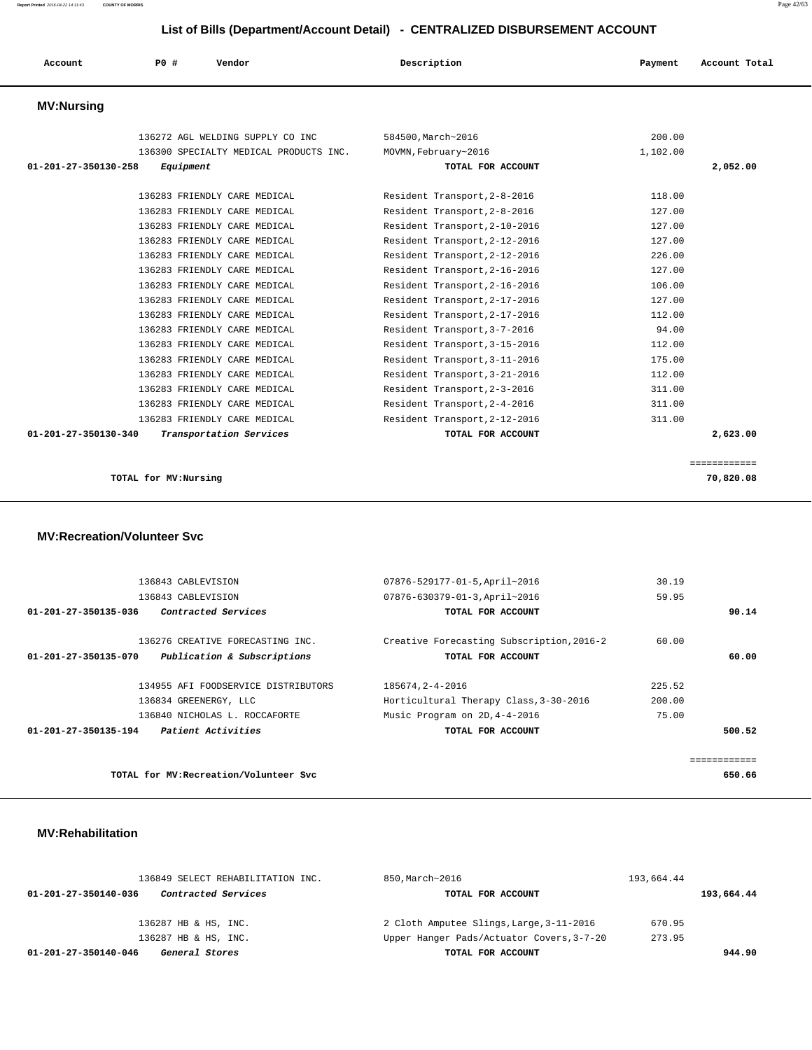| Account              | P0 #      | Vendor                                 | Description                   | Payment  | Account Total |
|----------------------|-----------|----------------------------------------|-------------------------------|----------|---------------|
|                      |           |                                        |                               |          |               |
| <b>MV:Nursing</b>    |           |                                        |                               |          |               |
|                      |           |                                        |                               |          |               |
|                      |           | 136272 AGL WELDING SUPPLY CO INC       | 584500, March~2016            | 200.00   |               |
|                      |           | 136300 SPECIALTY MEDICAL PRODUCTS INC. | MOVMN, February~2016          | 1,102.00 |               |
| 01-201-27-350130-258 | Equipment |                                        | TOTAL FOR ACCOUNT             |          | 2,052.00      |
|                      |           |                                        |                               |          |               |
|                      |           | 136283 FRIENDLY CARE MEDICAL           | Resident Transport, 2-8-2016  | 118.00   |               |
|                      |           | 136283 FRIENDLY CARE MEDICAL           | Resident Transport, 2-8-2016  | 127.00   |               |
|                      |           | 136283 FRIENDLY CARE MEDICAL           | Resident Transport, 2-10-2016 | 127.00   |               |
|                      |           | 136283 FRIENDLY CARE MEDICAL           | Resident Transport, 2-12-2016 | 127.00   |               |
|                      |           | 136283 FRIENDLY CARE MEDICAL           | Resident Transport, 2-12-2016 | 226.00   |               |
|                      |           | 136283 FRIENDLY CARE MEDICAL           | Resident Transport, 2-16-2016 | 127.00   |               |
|                      |           | 136283 FRIENDLY CARE MEDICAL           | Resident Transport, 2-16-2016 | 106.00   |               |
|                      |           | 136283 FRIENDLY CARE MEDICAL           | Resident Transport, 2-17-2016 | 127.00   |               |
|                      |           | 136283 FRIENDLY CARE MEDICAL           | Resident Transport, 2-17-2016 | 112.00   |               |
|                      |           | 136283 FRIENDLY CARE MEDICAL           | Resident Transport, 3-7-2016  | 94.00    |               |
|                      |           | 136283 FRIENDLY CARE MEDICAL           | Resident Transport, 3-15-2016 | 112.00   |               |
|                      |           | 136283 FRIENDLY CARE MEDICAL           | Resident Transport, 3-11-2016 | 175.00   |               |
|                      |           | 136283 FRIENDLY CARE MEDICAL           | Resident Transport, 3-21-2016 | 112.00   |               |
|                      |           | 136283 FRIENDLY CARE MEDICAL           | Resident Transport, 2-3-2016  | 311.00   |               |
|                      |           | 136283 FRIENDLY CARE MEDICAL           | Resident Transport, 2-4-2016  | 311.00   |               |
|                      |           | 136283 FRIENDLY CARE MEDICAL           | Resident Transport, 2-12-2016 | 311.00   |               |
| 01-201-27-350130-340 |           | Transportation Services                | TOTAL FOR ACCOUNT             |          | 2,623.00      |
|                      |           |                                        |                               |          |               |

============

```
 TOTAL for MV:Nursing 70,820.08
```
 **MV:Recreation/Volunteer Svc**

| 136843 CABLEVISION                                  | 07876-529177-01-5, April~2016             | 30.19  |        |
|-----------------------------------------------------|-------------------------------------------|--------|--------|
| 136843 CABLEVISION                                  | 07876-630379-01-3, April~2016             | 59.95  |        |
| Contracted Services<br>01-201-27-350135-036         | TOTAL FOR ACCOUNT                         |        | 90.14  |
| 136276 CREATIVE FORECASTING INC.                    | Creative Forecasting Subscription, 2016-2 | 60.00  |        |
| Publication & Subscriptions<br>01-201-27-350135-070 | TOTAL FOR ACCOUNT                         |        | 60.00  |
| 134955 AFI FOODSERVICE DISTRIBUTORS                 | 185674.2-4-2016                           | 225.52 |        |
| 136834 GREENERGY, LLC                               | Horticultural Therapy Class, 3-30-2016    | 200.00 |        |
| 136840 NICHOLAS L. ROCCAFORTE                       | Music Program on 2D, 4-4-2016             | 75.00  |        |
| Patient Activities<br>01-201-27-350135-194          | TOTAL FOR ACCOUNT                         |        | 500.52 |
|                                                     |                                           |        |        |
| TOTAL for MV: Recreation/Volunteer Svc              |                                           |        | 650.66 |

#### **MV:Rehabilitation**

|                                        | 136849 SELECT REHABILITATION INC. | 850, March~2016                           | 193,664.44 |            |
|----------------------------------------|-----------------------------------|-------------------------------------------|------------|------------|
| 01-201-27-350140-036                   | <i>Contracted Services</i>        | TOTAL FOR ACCOUNT                         |            | 193,664.44 |
|                                        |                                   |                                           |            |            |
| 136287 HB & HS, INC.                   |                                   | 2 Cloth Amputee Slings, Large, 3-11-2016  | 670.95     |            |
| 136287 HB & HS, INC.                   |                                   | Upper Hanger Pads/Actuator Covers, 3-7-20 | 273.95     |            |
| General Stores<br>01-201-27-350140-046 |                                   | TOTAL FOR ACCOUNT                         |            | 944.90     |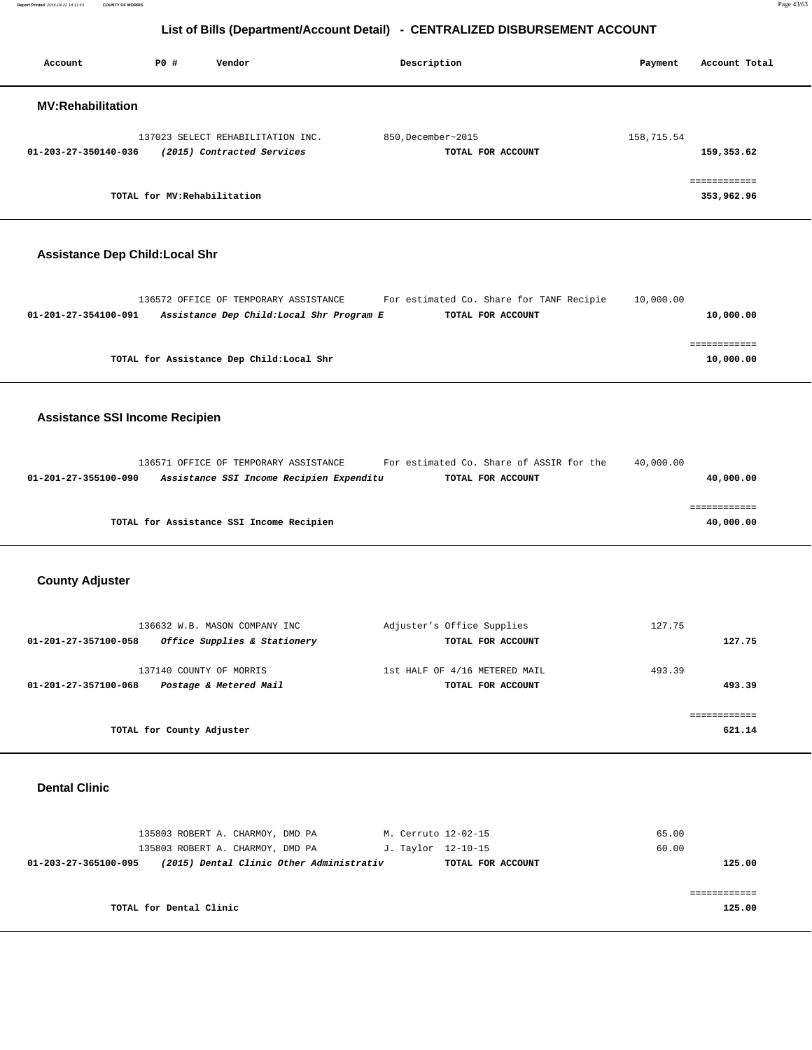**Report Printed** 2016-04-22 14:11:43 **COUNTY OF MORRIS** Page 43/63

## **List of Bills (Department/Account Detail) - CENTRALIZED DISBURSEMENT ACCOUNT**

| Account                  | PO#                          | Vendor                                                          | Description                             | Account Total<br>Payment   |
|--------------------------|------------------------------|-----------------------------------------------------------------|-----------------------------------------|----------------------------|
| <b>MV:Rehabilitation</b> |                              |                                                                 |                                         |                            |
| 01-203-27-350140-036     |                              | 137023 SELECT REHABILITATION INC.<br>(2015) Contracted Services | 850, December~2015<br>TOTAL FOR ACCOUNT | 158,715.54<br>159,353.62   |
|                          | TOTAL for MV: Rehabilitation |                                                                 |                                         | essessessess<br>353,962.96 |

# **Assistance Dep Child:Local Shr**

| 136572 OFFICE OF TEMPORARY ASSISTANCE                            | For estimated Co. Share for TANF Recipie | 10,000.00 |           |
|------------------------------------------------------------------|------------------------------------------|-----------|-----------|
| Assistance Dep Child:Local Shr Program E<br>01-201-27-354100-091 | TOTAL FOR ACCOUNT                        |           | 10,000.00 |
|                                                                  |                                          |           |           |
|                                                                  |                                          |           |           |
| TOTAL for Assistance Dep Child: Local Shr                        |                                          |           | 10,000.00 |
|                                                                  |                                          |           |           |

## **Assistance SSI Income Recipien**

|                      | 136571 OFFICE OF TEMPORARY ASSISTANCE    |                                          |                   | For estimated Co. Share of ASSIR for the | 40,000.00 |           |
|----------------------|------------------------------------------|------------------------------------------|-------------------|------------------------------------------|-----------|-----------|
| 01-201-27-355100-090 |                                          | Assistance SSI Income Recipien Expenditu | TOTAL FOR ACCOUNT |                                          |           | 40,000.00 |
|                      |                                          |                                          |                   |                                          |           |           |
|                      |                                          |                                          |                   |                                          |           |           |
|                      | TOTAL for Assistance SSI Income Recipien |                                          |                   |                                          |           | 40,000.00 |
|                      |                                          |                                          |                   |                                          |           |           |

# **County Adjuster**

| 136632 W.B. MASON COMPANY INC<br>Office Supplies & Stationery<br>01-201-27-357100-058 | Adjuster's Office Supplies<br>TOTAL FOR ACCOUNT    | 127.75<br>127.75 |
|---------------------------------------------------------------------------------------|----------------------------------------------------|------------------|
| 137140 COUNTY OF MORRIS<br>Postage & Metered Mail<br>01-201-27-357100-068             | 1st HALF OF 4/16 METERED MAIL<br>TOTAL FOR ACCOUNT | 493.39<br>493.39 |
| TOTAL for County Adjuster                                                             |                                                    | 621.14           |

#### **Dental Clinic**

| 135803 ROBERT A. CHARMOY, DMD PA |                                          | M. Cerruto 12-02-15 | 65.00  |
|----------------------------------|------------------------------------------|---------------------|--------|
| 135803 ROBERT A. CHARMOY, DMD PA |                                          | J. Taylor 12-10-15  | 60.00  |
| 01-203-27-365100-095             | (2015) Dental Clinic Other Administrativ | TOTAL FOR ACCOUNT   | 125.00 |
|                                  |                                          |                     |        |
|                                  |                                          |                     |        |
| TOTAL for Dental Clinic          |                                          |                     | 125.00 |
|                                  |                                          |                     |        |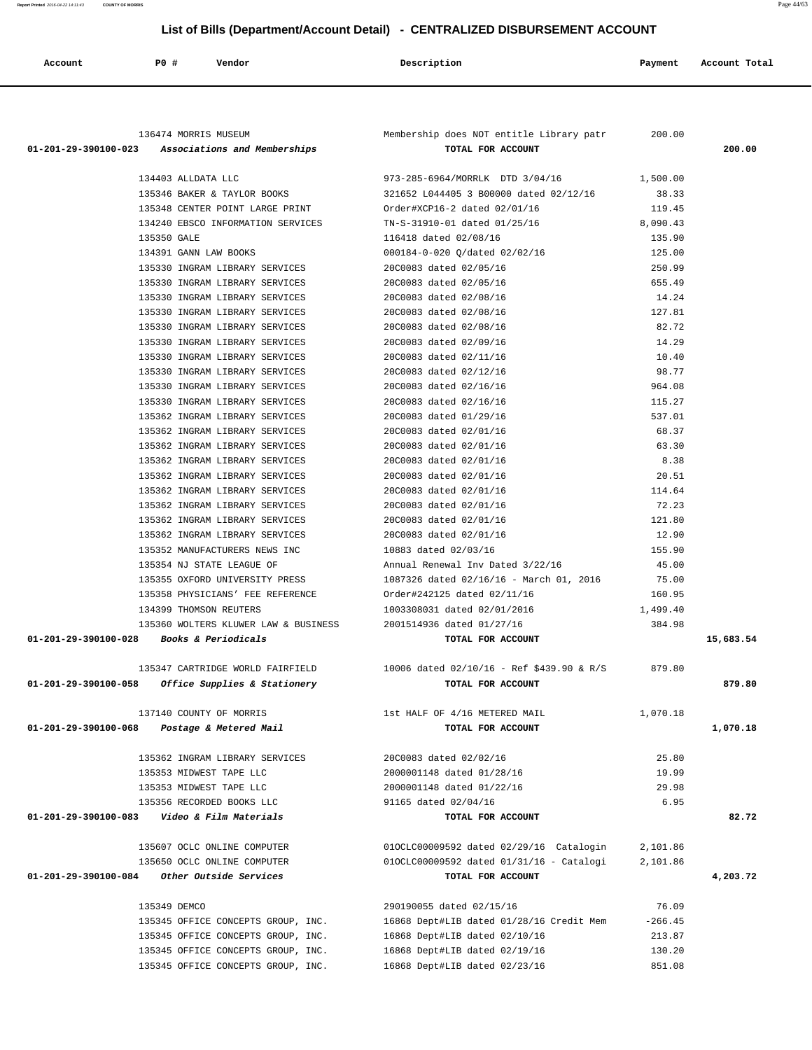| 136474 MORRIS MUSEUM                                                                  | Membership does NOT entitle Library patr                       | 200.00             |           |
|---------------------------------------------------------------------------------------|----------------------------------------------------------------|--------------------|-----------|
| 01-201-29-390100-023 Associations and Memberships                                     | TOTAL FOR ACCOUNT                                              |                    | 200.00    |
| 134403 ALLDATA LLC                                                                    | 973-285-6964/MORRLK DTD 3/04/16                                | 1,500.00           |           |
| 135346 BAKER & TAYLOR BOOKS                                                           | 321652 L044405 3 B00000 dated 02/12/16                         | 38.33              |           |
| 135348 CENTER POINT LARGE PRINT                                                       | Order#XCP16-2 dated 02/01/16                                   | 119.45             |           |
| 134240 EBSCO INFORMATION SERVICES                                                     | TN-S-31910-01 dated 01/25/16                                   | 8,090.43           |           |
| 135350 GALE                                                                           | 116418 dated 02/08/16                                          | 135.90             |           |
| 134391 GANN LAW BOOKS                                                                 | 000184-0-020 Q/dated 02/02/16                                  | 125.00             |           |
| 135330 INGRAM LIBRARY SERVICES                                                        | 20C0083 dated 02/05/16                                         | 250.99             |           |
| 135330 INGRAM LIBRARY SERVICES                                                        | 20C0083 dated 02/05/16                                         | 655.49             |           |
| 135330 INGRAM LIBRARY SERVICES                                                        | 20C0083 dated 02/08/16                                         | 14.24              |           |
| 135330 INGRAM LIBRARY SERVICES                                                        | 20C0083 dated 02/08/16                                         | 127.81             |           |
| 135330 INGRAM LIBRARY SERVICES                                                        | 20C0083 dated 02/08/16                                         | 82.72              |           |
| 135330 INGRAM LIBRARY SERVICES                                                        | 20C0083 dated 02/09/16                                         | 14.29              |           |
| 135330 INGRAM LIBRARY SERVICES                                                        | 20C0083 dated 02/11/16                                         | 10.40              |           |
| 135330 INGRAM LIBRARY SERVICES                                                        | 20C0083 dated 02/12/16                                         | 98.77              |           |
| 135330 INGRAM LIBRARY SERVICES                                                        | 20C0083 dated 02/16/16                                         | 964.08             |           |
| 135330 INGRAM LIBRARY SERVICES                                                        | 20C0083 dated 02/16/16                                         | 115.27             |           |
| 135362 INGRAM LIBRARY SERVICES                                                        | 20C0083 dated 01/29/16                                         | 537.01             |           |
| 135362 INGRAM LIBRARY SERVICES                                                        | 20C0083 dated 02/01/16                                         | 68.37              |           |
| 135362 INGRAM LIBRARY SERVICES                                                        | 20C0083 dated 02/01/16                                         | 63.30              |           |
| 135362 INGRAM LIBRARY SERVICES                                                        | 20C0083 dated 02/01/16                                         | 8.38               |           |
| 135362 INGRAM LIBRARY SERVICES                                                        | 20C0083 dated 02/01/16                                         | 20.51              |           |
| 135362 INGRAM LIBRARY SERVICES                                                        | 20C0083 dated 02/01/16                                         | 114.64             |           |
| 135362 INGRAM LIBRARY SERVICES                                                        | 20C0083 dated 02/01/16                                         | 72.23              |           |
| 135362 INGRAM LIBRARY SERVICES                                                        | 20C0083 dated 02/01/16                                         | 121.80             |           |
| 135362 INGRAM LIBRARY SERVICES                                                        | 20C0083 dated 02/01/16                                         | 12.90              |           |
| 135352 MANUFACTURERS NEWS INC                                                         | 10883 dated 02/03/16                                           | 155.90             |           |
| 135354 NJ STATE LEAGUE OF                                                             | Annual Renewal Inv Dated 3/22/16                               | 45.00              |           |
| 135355 OXFORD UNIVERSITY PRESS                                                        | 1087326 dated 02/16/16 - March 01, 2016                        | 75.00              |           |
| 135358 PHYSICIANS' FEE REFERENCE                                                      | Order#242125 dated 02/11/16                                    | 160.95             |           |
| 134399 THOMSON REUTERS                                                                | 1003308031 dated 02/01/2016                                    | 1,499.40           |           |
| 135360 WOLTERS KLUWER LAW & BUSINESS                                                  | 2001514936 dated 01/27/16                                      | 384.98             |           |
| 01-201-29-390100-028 Books & Periodicals                                              | TOTAL FOR ACCOUNT                                              |                    | 15,683.54 |
| 135347 CARTRIDGE WORLD FAIRFIELD<br>01-201-29-390100-058 Office Supplies & Stationery | 10006 dated 02/10/16 - Ref \$439.90 & R/S<br>TOTAL FOR ACCOUNT | 879.80             | 879.80    |
|                                                                                       |                                                                |                    |           |
| 137140 COUNTY OF MORRIS<br>01-201-29-390100-068<br>Postage & Metered Mail             | 1st HALF OF 4/16 METERED MAIL<br>TOTAL FOR ACCOUNT             | 1,070.18           | 1,070.18  |
|                                                                                       |                                                                |                    |           |
| 135362 INGRAM LIBRARY SERVICES                                                        | 20C0083 dated 02/02/16                                         | 25.80              |           |
| 135353 MIDWEST TAPE LLC                                                               | 2000001148 dated 01/28/16                                      | 19.99              |           |
| 135353 MIDWEST TAPE LLC                                                               | 2000001148 dated 01/22/16                                      | 29.98              |           |
| 135356 RECORDED BOOKS LLC                                                             | 91165 dated 02/04/16                                           | 6.95               |           |
| 01-201-29-390100-083    Video & Film Materials                                        | TOTAL FOR ACCOUNT                                              |                    | 82.72     |
| 135607 OCLC ONLINE COMPUTER                                                           | 010CLC00009592 dated 02/29/16 Catalogin                        | 2,101.86           |           |
| 135650 OCLC ONLINE COMPUTER                                                           | 010CLC00009592 dated 01/31/16 - Catalogi                       | 2,101.86           |           |
| 01-201-29-390100-084 Other Outside Services                                           | TOTAL FOR ACCOUNT                                              |                    | 4,203.72  |
|                                                                                       |                                                                |                    |           |
|                                                                                       |                                                                |                    |           |
| 135349 DEMCO                                                                          | 290190055 dated 02/15/16                                       | 76.09<br>$-266.45$ |           |
| 135345 OFFICE CONCEPTS GROUP, INC.                                                    | 16868 Dept#LIB dated 01/28/16 Credit Mem                       | 213.87             |           |
| 135345 OFFICE CONCEPTS GROUP, INC.<br>135345 OFFICE CONCEPTS GROUP, INC.              | 16868 Dept#LIB dated 02/10/16<br>16868 Dept#LIB dated 02/19/16 | 130.20             |           |

Account **1888** PO **#** Vendor **Description Payment** Account Total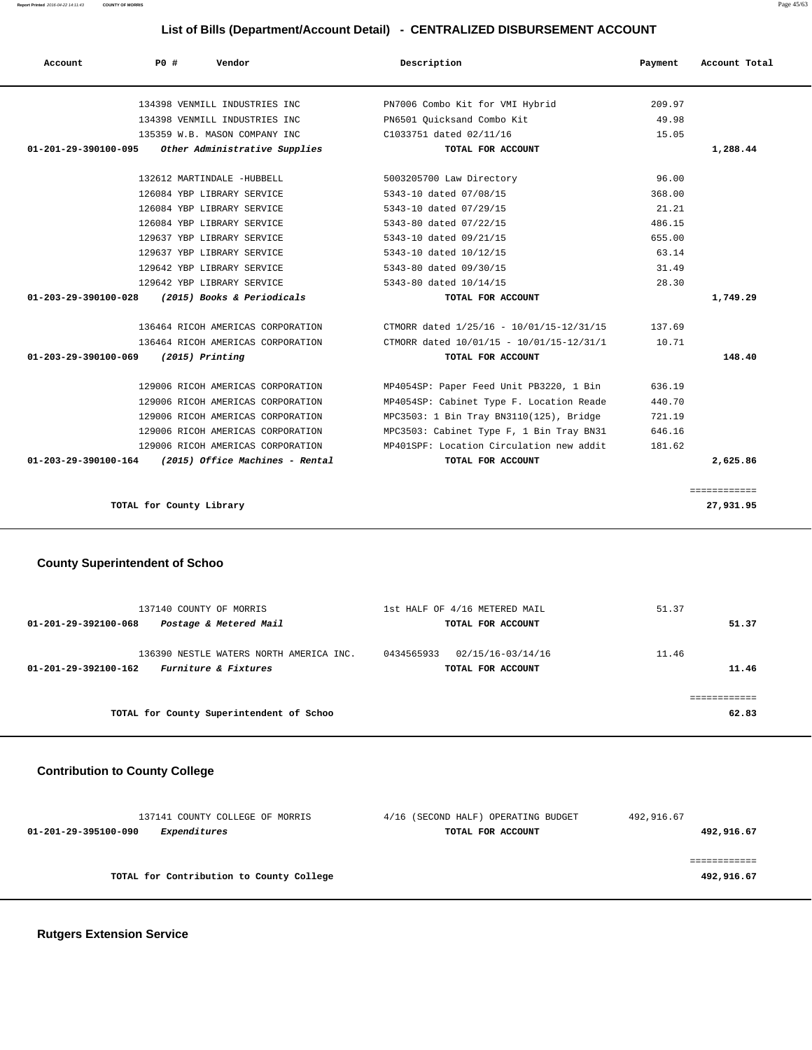| Account Total | Payment | Description                              | PO#<br>Vendor                                          | Account                        |
|---------------|---------|------------------------------------------|--------------------------------------------------------|--------------------------------|
|               | 209.97  | PN7006 Combo Kit for VMI Hybrid          | 134398 VENMILL INDUSTRIES INC                          |                                |
|               | 49.98   | PN6501 Ouicksand Combo Kit               | 134398 VENMILL INDUSTRIES INC                          |                                |
|               | 15.05   | C1033751 dated 02/11/16                  | 135359 W.B. MASON COMPANY INC                          |                                |
| 1,288.44      |         | TOTAL FOR ACCOUNT                        | Other Administrative Supplies                          | 01-201-29-390100-095           |
|               | 96.00   | 5003205700 Law Directory                 | 132612 MARTINDALE -HUBBELL                             |                                |
|               | 368.00  | 5343-10 dated 07/08/15                   | 126084 YBP LIBRARY SERVICE                             |                                |
|               | 21.21   | 5343-10 dated 07/29/15                   | 126084 YBP LIBRARY SERVICE                             |                                |
|               | 486.15  | 5343-80 dated 07/22/15                   | 126084 YBP LIBRARY SERVICE                             |                                |
|               | 655.00  | 5343-10 dated 09/21/15                   | 129637 YBP LIBRARY SERVICE                             |                                |
|               | 63.14   | 5343-10 dated 10/12/15                   | 129637 YBP LIBRARY SERVICE                             |                                |
|               | 31.49   | 5343-80 dated 09/30/15                   | 129642 YBP LIBRARY SERVICE                             |                                |
|               | 28.30   | 5343-80 dated 10/14/15                   | 129642 YBP LIBRARY SERVICE                             |                                |
| 1,749.29      |         | TOTAL FOR ACCOUNT                        | (2015) Books & Periodicals                             | $01 - 203 - 29 - 390100 - 028$ |
|               | 137.69  | CTMORR dated 1/25/16 - 10/01/15-12/31/15 | 136464 RICOH AMERICAS CORPORATION                      |                                |
|               | 10.71   | CTMORR dated 10/01/15 - 10/01/15-12/31/1 | 136464 RICOH AMERICAS CORPORATION                      |                                |
| 148.40        |         | TOTAL FOR ACCOUNT                        | $(2015)$ Printing                                      | 01-203-29-390100-069           |
|               | 636.19  | MP4054SP: Paper Feed Unit PB3220, 1 Bin  | 129006 RICOH AMERICAS CORPORATION                      |                                |
|               | 440.70  | MP4054SP: Cabinet Type F. Location Reade | 129006 RICOH AMERICAS CORPORATION                      |                                |
|               | 721.19  | MPC3503: 1 Bin Tray BN3110(125), Bridge  | 129006 RICOH AMERICAS CORPORATION                      |                                |
|               | 646.16  | MPC3503: Cabinet Type F, 1 Bin Tray BN31 | 129006 RICOH AMERICAS CORPORATION                      |                                |
|               | 181.62  | MP401SPF: Location Circulation new addit | 129006 RICOH AMERICAS CORPORATION                      |                                |
|               |         |                                          | $01-203-29-390100-164$ (2015) Office Machines - Rental |                                |

## **County Superintendent of Schoo**

| 137140 COUNTY OF MORRIS<br>Postage & Metered Mail<br>01-201-29-392100-068               | 1st HALF OF 4/16 METERED MAIL<br>TOTAL FOR ACCOUNT   | 51.37<br>51.37 |
|-----------------------------------------------------------------------------------------|------------------------------------------------------|----------------|
| 136390 NESTLE WATERS NORTH AMERICA INC.<br>Furniture & Fixtures<br>01-201-29-392100-162 | 0434565933<br>02/15/16-03/14/16<br>TOTAL FOR ACCOUNT | 11.46<br>11.46 |
| TOTAL for County Superintendent of Schoo                                                |                                                      | 62.83          |

## **Contribution to County College**

| 137141 COUNTY COLLEGE OF MORRIS          | 4/16 (SECOND HALF) OPERATING BUDGET | 492,916.67 |
|------------------------------------------|-------------------------------------|------------|
| Expenditures<br>01-201-29-395100-090     | TOTAL FOR ACCOUNT                   | 492,916.67 |
|                                          |                                     |            |
|                                          |                                     |            |
| TOTAL for Contribution to County College |                                     | 492,916.67 |
|                                          |                                     |            |

 **Rutgers Extension Service**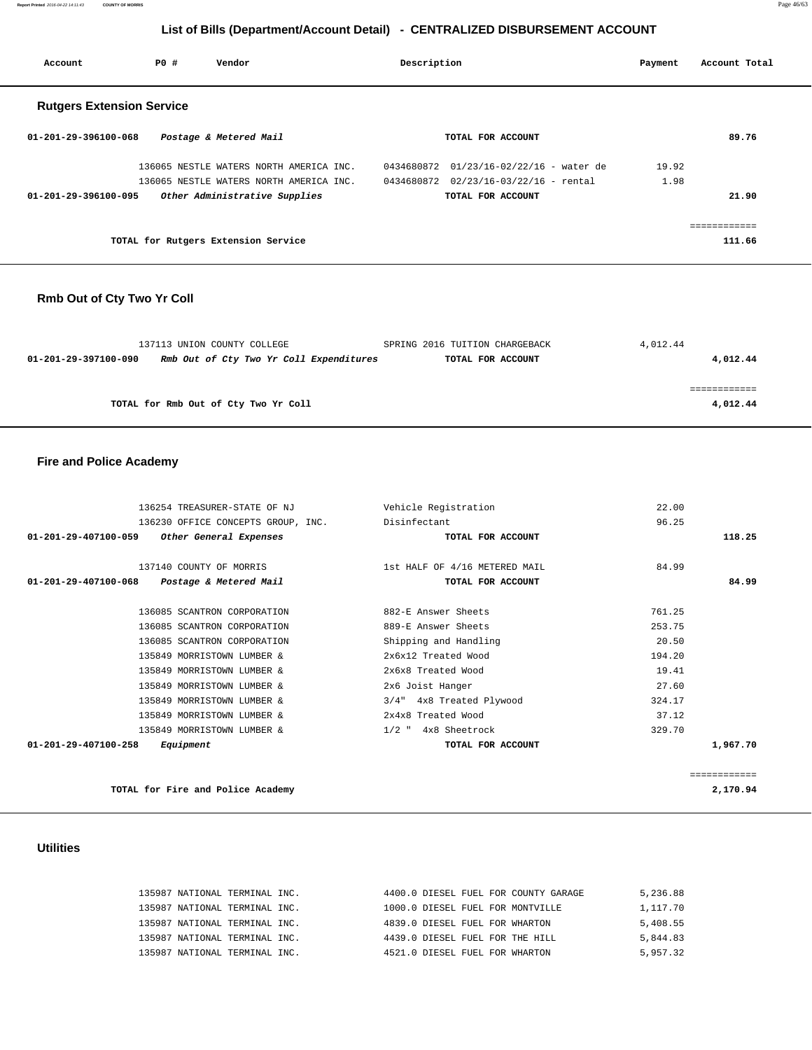**Report Printed** 2016-04-22 14:11:43 **COUNTY OF MORRIS** Page 46/63

## **List of Bills (Department/Account Detail) - CENTRALIZED DISBURSEMENT ACCOUNT**

| Account                          | PO# | Vendor                                  | Description |                                       | Payment | Account Total |
|----------------------------------|-----|-----------------------------------------|-------------|---------------------------------------|---------|---------------|
| <b>Rutgers Extension Service</b> |     |                                         |             |                                       |         |               |
| 01-201-29-396100-068             |     | Postage & Metered Mail                  |             | TOTAL FOR ACCOUNT                     |         | 89.76         |
|                                  |     | 136065 NESTLE WATERS NORTH AMERICA INC. | 0434680872  | $01/23/16 - 02/22/16$ - water de      | 19.92   |               |
|                                  |     | 136065 NESTLE WATERS NORTH AMERICA INC. |             | 0434680872 02/23/16-03/22/16 - rental | 1.98    |               |
| $01 - 201 - 29 - 396100 - 095$   |     | Other Administrative Supplies           |             | TOTAL FOR ACCOUNT                     |         | 21.90         |
|                                  |     |                                         |             |                                       |         | ------------  |
|                                  |     | TOTAL for Rutgers Extension Service     |             |                                       |         | 111.66        |

## **Rmb Out of Cty Two Yr Coll**

|                      | 137113 UNION COUNTY COLLEGE             | SPRING 2016 TUITION CHARGEBACK | 4,012.44 |
|----------------------|-----------------------------------------|--------------------------------|----------|
| 01-201-29-397100-090 | Rmb Out of Cty Two Yr Coll Expenditures | TOTAL FOR ACCOUNT              | 4,012.44 |
|                      |                                         |                                |          |
|                      |                                         |                                |          |
|                      | TOTAL for Rmb Out of Cty Two Yr Coll    |                                | 4,012.44 |

#### **Fire and Police Academy**

| 136254 TREASURER-STATE OF NJ                   | Vehicle Registration          | 22.00        |
|------------------------------------------------|-------------------------------|--------------|
| 136230 OFFICE CONCEPTS GROUP, INC.             | Disinfectant                  | 96.25        |
| 01-201-29-407100-059<br>Other General Expenses | TOTAL FOR ACCOUNT             | 118.25       |
|                                                |                               |              |
| 137140 COUNTY OF MORRIS                        | 1st HALF OF 4/16 METERED MAIL | 84.99        |
| 01-201-29-407100-068 Postage & Metered Mail    | TOTAL FOR ACCOUNT             | 84.99        |
| 136085 SCANTRON CORPORATION                    | 882-E Answer Sheets           | 761.25       |
| 136085 SCANTRON CORPORATION                    | 889-E Answer Sheets           | 253.75       |
| 136085 SCANTRON CORPORATION                    | Shipping and Handling         | 20.50        |
| 135849 MORRISTOWN LUMBER &                     | 2x6x12 Treated Wood           | 194.20       |
| 135849 MORRISTOWN LUMBER &                     | 2x6x8 Treated Wood            | 19.41        |
| 135849 MORRISTOWN LUMBER &                     | 2x6 Joist Hanger              | 27.60        |
| 135849 MORRISTOWN LUMBER &                     | 3/4" 4x8 Treated Plywood      | 324.17       |
| 135849 MORRISTOWN LUMBER &                     | 2x4x8 Treated Wood            | 37.12        |
| 135849 MORRISTOWN LUMBER &                     | $1/2$ " $4x8$ Sheetrock       | 329.70       |
| 01-201-29-407100-258<br>Equipment              | TOTAL FOR ACCOUNT             | 1,967.70     |
|                                                |                               | ============ |
| TOTAL for Fire and Police Academy              |                               | 2,170.94     |

#### **Utilities**

| 135987 NATIONAL TERMINAL INC. | 4400.0 DIESEL FUEL FOR COUNTY GARAGE | 5,236.88 |
|-------------------------------|--------------------------------------|----------|
| 135987 NATIONAL TERMINAL INC. | 1000.0 DIESEL FUEL FOR MONTVILLE     | 1,117.70 |
| 135987 NATIONAL TERMINAL INC. | 4839.0 DIESEL FUEL FOR WHARTON       | 5,408.55 |
| 135987 NATIONAL TERMINAL INC. | 4439.0 DIESEL FUEL FOR THE HILL      | 5,844.83 |
| 135987 NATIONAL TERMINAL INC. | 4521.0 DIESEL FUEL FOR WHARTON       | 5,957.32 |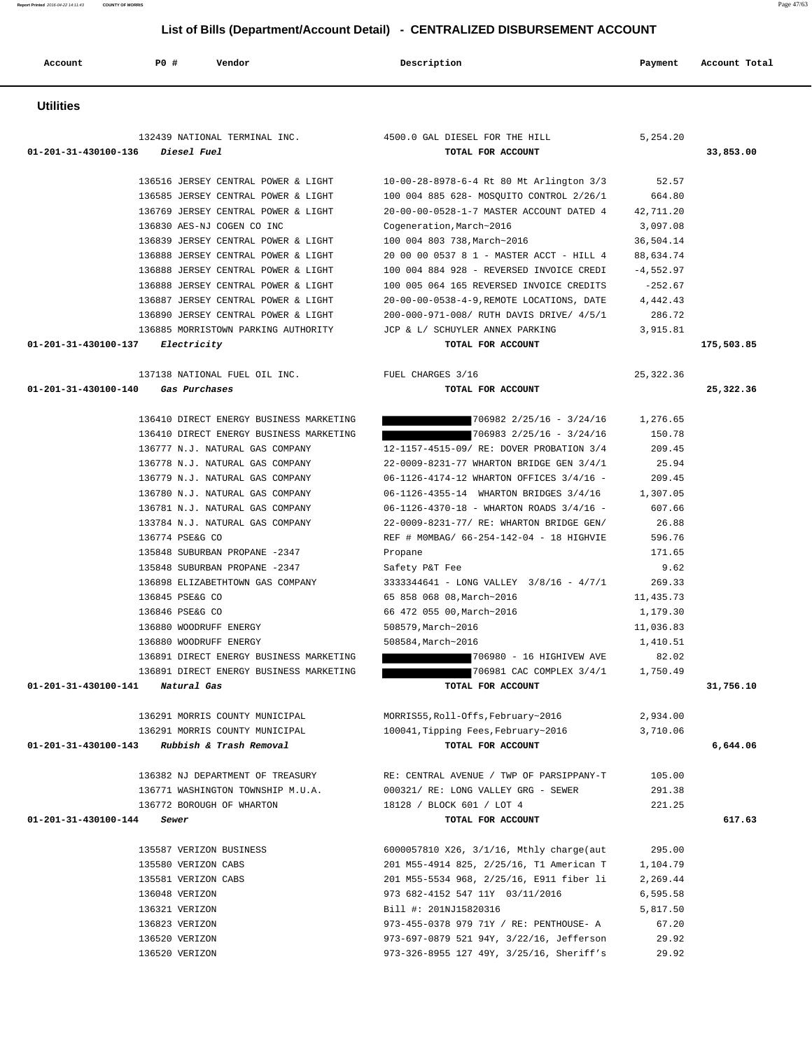**Report Printed** 2016-04-22 14:11:43 **COUNTY OF MORRIS** Page 47/63

# **List of Bills (Department/Account Detail) - CENTRALIZED DISBURSEMENT ACCOUNT**

|                      | List of Bills (Bepartment/Recognit Betail)                        | <b>PLITTIMERED DIODOROEMENT ACCO</b>                                                 |                       |               |
|----------------------|-------------------------------------------------------------------|--------------------------------------------------------------------------------------|-----------------------|---------------|
| Account              | P0 #<br>Vendor                                                    | Description                                                                          | Payment               | Account Total |
| <b>Utilities</b>     |                                                                   |                                                                                      |                       |               |
|                      | 132439 NATIONAL TERMINAL INC. 4500.0 GAL DIESEL FOR THE HILL      |                                                                                      | 5,254.20              |               |
|                      | 01-201-31-430100-136 Diesel Fuel                                  | TOTAL FOR ACCOUNT                                                                    |                       | 33,853.00     |
|                      |                                                                   |                                                                                      |                       |               |
|                      | 136516 JERSEY CENTRAL POWER & LIGHT                               | 10-00-28-8978-6-4 Rt 80 Mt Arlington 3/3                                             | 52.57                 |               |
|                      | 136585 JERSEY CENTRAL POWER & LIGHT                               | 100 004 885 628- MOSQUITO CONTROL 2/26/1                                             | 664.80                |               |
|                      | 136769 JERSEY CENTRAL POWER & LIGHT                               | 20-00-00-0528-1-7 MASTER ACCOUNT DATED 4                                             | 42,711.20             |               |
|                      | 136830 AES-NJ COGEN CO INC<br>136839 JERSEY CENTRAL POWER & LIGHT | Cogeneration, March~2016<br>100 004 803 738, March~2016                              | 3,097.08<br>36,504.14 |               |
|                      | 136888 JERSEY CENTRAL POWER & LIGHT                               | 20 00 00 0537 8 1 - MASTER ACCT - HILL 4                                             | 88,634.74             |               |
|                      | 136888 JERSEY CENTRAL POWER & LIGHT                               | 100 004 884 928 - REVERSED INVOICE CREDI                                             | $-4,552.97$           |               |
|                      | 136888 JERSEY CENTRAL POWER & LIGHT                               | 100 005 064 165 REVERSED INVOICE CREDITS                                             | $-252.67$             |               |
|                      | 136887 JERSEY CENTRAL POWER & LIGHT                               | 20-00-00-0538-4-9, REMOTE LOCATIONS, DATE                                            | 4,442.43              |               |
|                      | 136890 JERSEY CENTRAL POWER & LIGHT                               | 200-000-971-008/ RUTH DAVIS DRIVE/ 4/5/1                                             | 286.72                |               |
|                      | 136885 MORRISTOWN PARKING AUTHORITY                               | JCP & L/ SCHUYLER ANNEX PARKING                                                      | 3,915.81              |               |
|                      | 01-201-31-430100-137 Electricity                                  | TOTAL FOR ACCOUNT                                                                    |                       | 175,503.85    |
|                      | 137138 NATIONAL FUEL OIL INC.                                     | FUEL CHARGES 3/16                                                                    | 25, 322.36            |               |
| 01-201-31-430100-140 | Gas Purchases                                                     | TOTAL FOR ACCOUNT                                                                    |                       | 25,322.36     |
|                      | 136410 DIRECT ENERGY BUSINESS MARKETING                           | $706982$ $2/25/16$ - $3/24/16$                                                       | 1,276.65              |               |
|                      | 136410 DIRECT ENERGY BUSINESS MARKETING                           | $706983$ $2/25/16$ - $3/24/16$                                                       | 150.78                |               |
|                      | 136777 N.J. NATURAL GAS COMPANY                                   | 12-1157-4515-09/ RE: DOVER PROBATION 3/4                                             | 209.45                |               |
|                      | 136778 N.J. NATURAL GAS COMPANY                                   | 22-0009-8231-77 WHARTON BRIDGE GEN 3/4/1                                             | 25.94                 |               |
|                      | 136779 N.J. NATURAL GAS COMPANY                                   | 06-1126-4174-12 WHARTON OFFICES 3/4/16 -                                             | 209.45                |               |
|                      | 136780 N.J. NATURAL GAS COMPANY                                   | 06-1126-4355-14 WHARTON BRIDGES 3/4/16                                               | 1,307.05              |               |
|                      | 136781 N.J. NATURAL GAS COMPANY                                   | 06-1126-4370-18 - WHARTON ROADS 3/4/16 -                                             | 607.66                |               |
|                      | 133784 N.J. NATURAL GAS COMPANY<br>136774 PSE&G CO                | 22-0009-8231-77/ RE: WHARTON BRIDGE GEN/<br>REF # MOMBAG/ 66-254-142-04 - 18 HIGHVIE | 26.88<br>596.76       |               |
|                      | 135848 SUBURBAN PROPANE -2347                                     | Propane                                                                              | 171.65                |               |
|                      | 135848 SUBURBAN PROPANE -2347                                     | Safety P&T Fee                                                                       | 9.62                  |               |
|                      | 136898 ELIZABETHTOWN GAS COMPANY                                  | 3333344641 - LONG VALLEY 3/8/16 - 4/7/1                                              | 269.33                |               |
|                      | 136845 PSE&G CO                                                   | 65 858 068 08, March~2016                                                            | 11,435.73             |               |
|                      | 136846 PSE&G CO                                                   | 66 472 055 00, March~2016                                                            | 1,179.30              |               |
|                      | 136880 WOODRUFF ENERGY                                            | 508579, March~2016                                                                   | 11,036.83             |               |
|                      | 136880 WOODRUFF ENERGY                                            | 508584, March~2016                                                                   | 1,410.51              |               |
|                      | 136891 DIRECT ENERGY BUSINESS MARKETING                           | 706980 - 16 HIGHIVEW AVE                                                             | 82.02                 |               |
|                      | 136891 DIRECT ENERGY BUSINESS MARKETING                           | 706981 CAC COMPLEX 3/4/1 1,750.49                                                    |                       |               |
|                      | 01-201-31-430100-141 Natural Gas                                  | TOTAL FOR ACCOUNT                                                                    |                       | 31,756.10     |
|                      | 136291 MORRIS COUNTY MUNICIPAL                                    | MORRIS55, Roll-Offs, February~2016                                                   | 2,934.00              |               |
|                      | 136291 MORRIS COUNTY MUNICIPAL                                    | 100041, Tipping Fees, February~2016                                                  | 3,710.06              |               |
|                      | 01-201-31-430100-143 Rubbish & Trash Removal                      | TOTAL FOR ACCOUNT                                                                    |                       | 6,644.06      |
|                      | 136382 NJ DEPARTMENT OF TREASURY                                  | RE: CENTRAL AVENUE / TWP OF PARSIPPANY-T                                             | 105.00                |               |
|                      | 136771 WASHINGTON TOWNSHIP M.U.A.                                 | 000321/ RE: LONG VALLEY GRG - SEWER                                                  | 291.38                |               |
|                      | 136772 BOROUGH OF WHARTON                                         | 18128 / BLOCK 601 / LOT 4                                                            | 221.25                |               |
| 01-201-31-430100-144 | Sewer                                                             | TOTAL FOR ACCOUNT                                                                    |                       | 617.63        |
|                      | 135587 VERIZON BUSINESS                                           | 6000057810 X26, 3/1/16, Mthly charge(aut                                             | 295.00                |               |
|                      | 135580 VERIZON CABS                                               | 201 M55-4914 825, 2/25/16, T1 American T                                             | 1,104.79              |               |
|                      | 135581 VERIZON CABS                                               | 201 M55-5534 968, 2/25/16, E911 fiber li                                             | 2,269.44              |               |
|                      | 136048 VERIZON                                                    | 973 682-4152 547 11Y 03/11/2016                                                      | 6,595.58              |               |
|                      | 136321 VERIZON                                                    | Bill #: 201NJ15820316                                                                | 5,817.50              |               |
|                      | 136823 VERIZON                                                    | 973-455-0378 979 71Y / RE: PENTHOUSE- A                                              | 67.20                 |               |
|                      | 136520 VERIZON                                                    | 973-697-0879 521 94Y, 3/22/16, Jefferson                                             | 29.92                 |               |
|                      | 136520 VERIZON                                                    | 973-326-8955 127 49Y, 3/25/16, Sheriff's                                             | 29.92                 |               |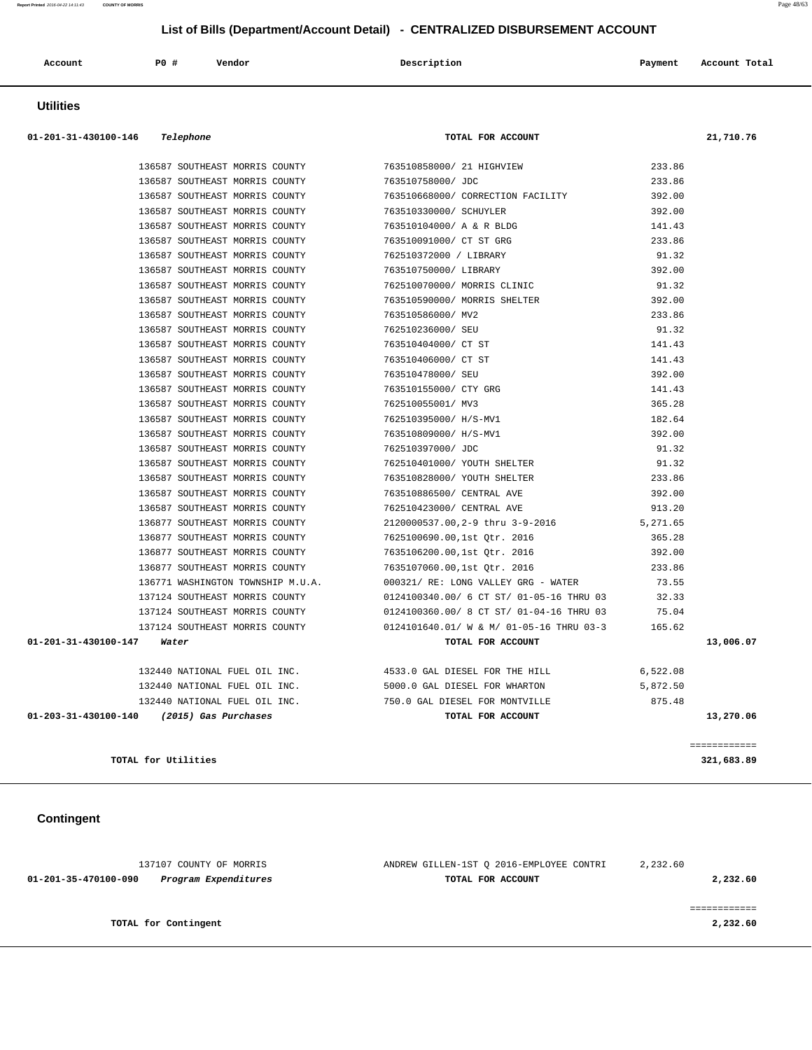| Account<br>. | PO# | Vendor<br>. | Description | Payment | Account Total<br>. |
|--------------|-----|-------------|-------------|---------|--------------------|
|              |     |             |             |         |                    |

## **Utilities**

| 01-201-31-430100-146 Telephone            | TOTAL FOR ACCOUNT                                            |          | 21,710.76 |
|-------------------------------------------|--------------------------------------------------------------|----------|-----------|
| 136587 SOUTHEAST MORRIS COUNTY            | 763510858000/ 21 HIGHVIEW                                    | 233.86   |           |
| 136587 SOUTHEAST MORRIS COUNTY            | 763510758000/ JDC                                            | 233.86   |           |
| 136587 SOUTHEAST MORRIS COUNTY            | 763510668000/ CORRECTION FACILITY                            | 392.00   |           |
| 136587 SOUTHEAST MORRIS COUNTY            | 763510330000/ SCHUYLER                                       | 392.00   |           |
| 136587 SOUTHEAST MORRIS COUNTY            | 763510104000/ A & R BLDG                                     | 141.43   |           |
| 136587 SOUTHEAST MORRIS COUNTY            | 763510091000/ CT ST GRG                                      | 233.86   |           |
| 136587 SOUTHEAST MORRIS COUNTY            | 762510372000 / LIBRARY                                       | 91.32    |           |
| 136587 SOUTHEAST MORRIS COUNTY            | 763510750000/ LIBRARY                                        | 392.00   |           |
| 136587 SOUTHEAST MORRIS COUNTY            | 762510070000/ MORRIS CLINIC                                  | 91.32    |           |
| 136587 SOUTHEAST MORRIS COUNTY            | 763510590000/ MORRIS SHELTER                                 | 392.00   |           |
| 136587 SOUTHEAST MORRIS COUNTY            | 763510586000/ MV2                                            | 233.86   |           |
| 136587 SOUTHEAST MORRIS COUNTY            | 762510236000/SEU                                             | 91.32    |           |
| 136587 SOUTHEAST MORRIS COUNTY            | 763510404000/ CT ST                                          | 141.43   |           |
| 136587 SOUTHEAST MORRIS COUNTY            | 763510406000/ CT ST                                          | 141.43   |           |
| 136587 SOUTHEAST MORRIS COUNTY            | 763510478000/ SEU                                            | 392.00   |           |
| 136587 SOUTHEAST MORRIS COUNTY            | 763510155000/ CTY GRG                                        | 141.43   |           |
| 136587 SOUTHEAST MORRIS COUNTY            | 762510055001/ MV3                                            | 365.28   |           |
| 136587 SOUTHEAST MORRIS COUNTY            | 762510395000/ H/S-MV1                                        | 182.64   |           |
| 136587 SOUTHEAST MORRIS COUNTY            | 763510809000/ H/S-MV1                                        | 392.00   |           |
| 136587 SOUTHEAST MORRIS COUNTY            | 762510397000/ JDC                                            | 91.32    |           |
| 136587 SOUTHEAST MORRIS COUNTY            | 762510401000/ YOUTH SHELTER                                  | 91.32    |           |
| 136587 SOUTHEAST MORRIS COUNTY            | 763510828000/ YOUTH SHELTER                                  | 233.86   |           |
| 136587 SOUTHEAST MORRIS COUNTY            | 763510886500/ CENTRAL AVE                                    | 392.00   |           |
| 136587 SOUTHEAST MORRIS COUNTY            | 762510423000/ CENTRAL AVE                                    | 913.20   |           |
| 136877 SOUTHEAST MORRIS COUNTY            | 2120000537.00,2-9 thru 3-9-2016                              | 5,271.65 |           |
| 136877 SOUTHEAST MORRIS COUNTY            | 7625100690.00,1st Otr. 2016                                  | 365.28   |           |
| 136877 SOUTHEAST MORRIS COUNTY            | 7635106200.00,1st Otr. 2016                                  | 392.00   |           |
| 136877 SOUTHEAST MORRIS COUNTY            | 7635107060.00,1st Otr. 2016                                  | 233.86   |           |
| 136771 WASHINGTON TOWNSHIP M.U.A.         | 000321/ RE: LONG VALLEY GRG - WATER                          | 73.55    |           |
| 137124 SOUTHEAST MORRIS COUNTY            | 0124100340.00/ 6 CT ST/ 01-05-16 THRU 03                     | 32.33    |           |
| 137124 SOUTHEAST MORRIS COUNTY            | 0124100360.00/ 8 CT ST/ 01-04-16 THRU 03                     | 75.04    |           |
| 137124 SOUTHEAST MORRIS COUNTY            | 0124101640.01/ W & M/ 01-05-16 THRU 03-3 165.62              |          |           |
| 01-201-31-430100-147<br>Water             | TOTAL FOR ACCOUNT                                            |          | 13,006.07 |
|                                           | 132440 NATIONAL FUEL OIL INC. 4533.0 GAL DIESEL FOR THE HILL | 6,522.08 |           |
| 132440 NATIONAL FUEL OIL INC.             | 5000.0 GAL DIESEL FOR WHARTON                                | 5,872.50 |           |
| 132440 NATIONAL FUEL OIL INC.             | 750.0 GAL DIESEL FOR MONTVILLE                               | 875.48   |           |
| 01-203-31-430100-140 (2015) Gas Purchases | TOTAL FOR ACCOUNT                                            |          | 13,270.06 |

**TOTAL for Utilities 321,683.89**

# **Contingent**

| 137107 COUNTY OF MORRIS                      | ANDREW GILLEN-1ST O 2016-EMPLOYEE CONTRI | 2,232.60 |
|----------------------------------------------|------------------------------------------|----------|
| Program Expenditures<br>01-201-35-470100-090 | TOTAL FOR ACCOUNT                        | 2,232.60 |
|                                              |                                          |          |
|                                              |                                          |          |
| TOTAL for Contingent                         |                                          | 2,232.60 |
|                                              |                                          |          |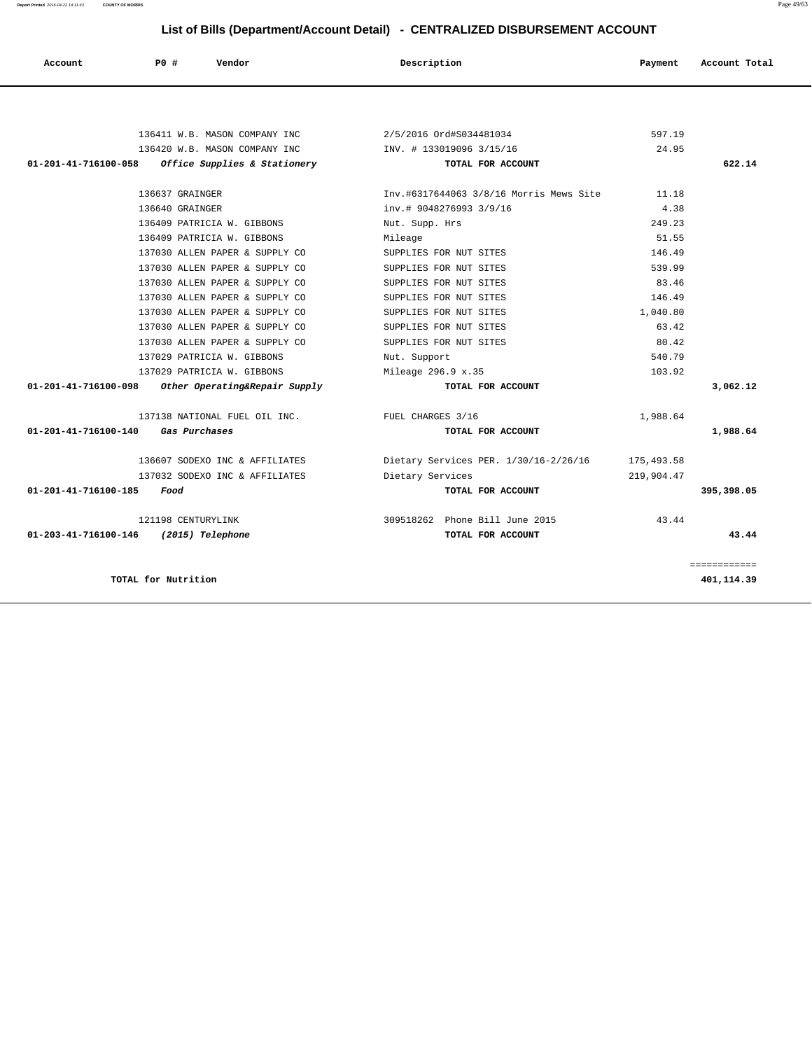**Report Printed** 2016-04-22 14:11:43 **COUNTY OF MORRIS** Page 49/63

# **List of Bills (Department/Account Detail) - CENTRALIZED DISBURSEMENT ACCOUNT**

| Account              | PO#                 | Vendor                        | Description                                                                                                                                                                                                                                                                                                                                                 | Payment | Account Total |
|----------------------|---------------------|-------------------------------|-------------------------------------------------------------------------------------------------------------------------------------------------------------------------------------------------------------------------------------------------------------------------------------------------------------------------------------------------------------|---------|---------------|
|                      |                     |                               |                                                                                                                                                                                                                                                                                                                                                             |         |               |
|                      |                     | 136411 W.B. MASON COMPANY INC | 2/5/2016 Ord#S034481034                                                                                                                                                                                                                                                                                                                                     | 597.19  |               |
|                      |                     | 136420 W.B. MASON COMPANY INC | INV. # 133019096 3/15/16                                                                                                                                                                                                                                                                                                                                    | 24.95   |               |
| 01-201-41-716100-058 |                     | Office Supplies & Stationery  | TOTAL FOR ACCOUNT                                                                                                                                                                                                                                                                                                                                           |         | 622.14        |
|                      | 136637 GRAINGER     |                               | Inv.#6317644063 3/8/16 Morris Mews Site                                                                                                                                                                                                                                                                                                                     | 11.18   |               |
|                      | $126640$ $22372727$ |                               | $\mathcal{L}$ $\mathcal{L}$ $\mathcal{L}$ $\mathcal{L}$ $\mathcal{L}$ $\mathcal{L}$ $\mathcal{L}$ $\mathcal{L}$ $\mathcal{L}$ $\mathcal{L}$ $\mathcal{L}$ $\mathcal{L}$ $\mathcal{L}$ $\mathcal{L}$ $\mathcal{L}$ $\mathcal{L}$ $\mathcal{L}$ $\mathcal{L}$ $\mathcal{L}$ $\mathcal{L}$ $\mathcal{L}$ $\mathcal{L}$ $\mathcal{L}$ $\mathcal{L}$ $\mathcal{$ | $\sim$  |               |

| TOTAL for Nutrition                                      |                                                  |                  | 401,114.39   |
|----------------------------------------------------------|--------------------------------------------------|------------------|--------------|
|                                                          |                                                  |                  | ============ |
| 01-203-41-716100-146<br>(2015) Telephone                 | TOTAL FOR ACCOUNT                                |                  | 43.44        |
| 121198 CENTURYLINK                                       | 309518262 Phone Bill June 2015                   | 43.44            |              |
| 01-201-41-716100-185<br>Food                             | TOTAL FOR ACCOUNT                                |                  | 395,398.05   |
| 137032 SODEXO INC & AFFILIATES                           | Dietary Services                                 | 219,904.47       |              |
| 136607 SODEXO INC & AFFILIATES                           | Dietary Services PER. 1/30/16-2/26/16 175,493.58 |                  |              |
| 01-201-41-716100-140<br>Gas Purchases                    | TOTAL FOR ACCOUNT                                |                  | 1,988.64     |
| 137138 NATIONAL FUEL OIL INC. THE FUEL CHARGES 3/16      |                                                  | 1,988.64         |              |
|                                                          |                                                  |                  |              |
| $01-201-41-716100-098$ Other Operating&Repair Supply     | TOTAL FOR ACCOUNT                                |                  | 3,062.12     |
| 137029 PATRICIA W. GIBBONS<br>137029 PATRICIA W. GIBBONS | Nut. Support<br>Mileage 296.9 x.35               | 540.79<br>103.92 |              |
| 137030 ALLEN PAPER & SUPPLY CO                           | SUPPLIES FOR NUT SITES                           | 80.42            |              |
| 137030 ALLEN PAPER & SUPPLY CO                           | SUPPLIES FOR NUT SITES                           | 63.42            |              |
| 137030 ALLEN PAPER & SUPPLY CO                           | SUPPLIES FOR NUT SITES                           | 1,040.80         |              |
| 137030 ALLEN PAPER & SUPPLY CO                           | SUPPLIES FOR NUT SITES                           | 146.49           |              |
| 137030 ALLEN PAPER & SUPPLY CO                           | SUPPLIES FOR NUT SITES                           | 83.46            |              |
| 137030 ALLEN PAPER & SUPPLY CO                           | SUPPLIES FOR NUT SITES                           | 539.99           |              |
| 137030 ALLEN PAPER & SUPPLY CO                           | SUPPLIES FOR NUT SITES                           | 146.49           |              |
| 136409 PATRICIA W. GIBBONS                               | Mileage                                          | 51.55            |              |
| 136409 PATRICIA W. GIBBONS                               | Nut. Supp. Hrs                                   | 249.23           |              |
| 136640 GRAINGER                                          | inv.# 9048276993 3/9/16                          | 4.38             |              |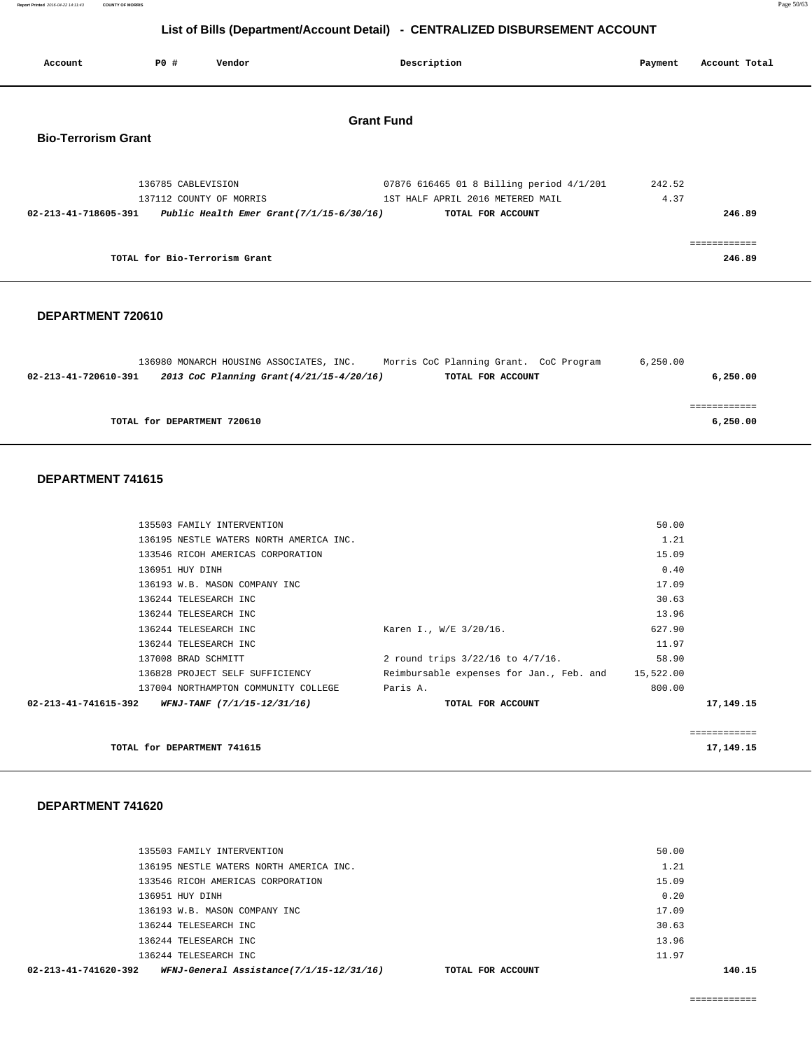**Report Printed** 2016-04-22 14:11:43 **COUNTY OF MORRIS** Page 50/63

## **List of Bills (Department/Account Detail) - CENTRALIZED DISBURSEMENT ACCOUNT**

| Account                    | PO#                | Vendor                        | Description                                                                                                                                      | Payment        | Account Total          |
|----------------------------|--------------------|-------------------------------|--------------------------------------------------------------------------------------------------------------------------------------------------|----------------|------------------------|
| <b>Bio-Terrorism Grant</b> |                    |                               | <b>Grant Fund</b>                                                                                                                                |                |                        |
| 02-213-41-718605-391       | 136785 CABLEVISION | 137112 COUNTY OF MORRIS       | 07876 616465 01 8 Billing period 4/1/201<br>1ST HALF APRIL 2016 METERED MAIL<br>Public Health Emer Grant $(7/1/15-6/30/16)$<br>TOTAL FOR ACCOUNT | 242.52<br>4.37 | 246.89                 |
|                            |                    | TOTAL for Bio-Terrorism Grant |                                                                                                                                                  |                | ============<br>246.89 |

#### **DEPARTMENT 720610**

|                      | 136980 MONARCH HOUSING ASSOCIATES, INC.  | Morris CoC Planning Grant. CoC Program | 6.250.00 |
|----------------------|------------------------------------------|----------------------------------------|----------|
| 02-213-41-720610-391 | 2013 CoC Planning Grant(4/21/15-4/20/16) | TOTAL FOR ACCOUNT                      | 6,250.00 |
|                      |                                          |                                        |          |
|                      |                                          |                                        |          |
|                      | TOTAL for DEPARTMENT 720610              |                                        | 6,250.00 |

#### **DEPARTMENT 741615**

|                      | TOTAL for DEPARTMENT 741615             |                                                    |        | 17,149.15    |
|----------------------|-----------------------------------------|----------------------------------------------------|--------|--------------|
|                      |                                         |                                                    |        | ============ |
| 02-213-41-741615-392 | <i>WFNJ-TANF (7/1/15-12/31/16)</i>      | TOTAL FOR ACCOUNT                                  |        | 17, 149. 15  |
|                      | 137004 NORTHAMPTON COMMUNITY COLLEGE    | Paris A.                                           | 800.00 |              |
|                      | 136828 PROJECT SELF SUFFICIENCY         | Reimbursable expenses for Jan., Feb. and 15,522.00 |        |              |
|                      | 137008 BRAD SCHMITT                     | 2 round trips $3/22/16$ to $4/7/16$ .              | 58.90  |              |
|                      | 136244 TELESEARCH INC                   |                                                    | 11.97  |              |
|                      | 136244 TELESEARCH INC                   | Karen I., W/E 3/20/16.                             | 627.90 |              |
|                      | 136244 TELESEARCH INC                   |                                                    | 13.96  |              |
|                      | 136244 TELESEARCH INC                   |                                                    | 30.63  |              |
|                      | 136193 W.B. MASON COMPANY INC           |                                                    | 17.09  |              |
|                      | 136951 HUY DINH                         |                                                    | 0.40   |              |
|                      | 133546 RICOH AMERICAS CORPORATION       |                                                    | 15.09  |              |
|                      | 136195 NESTLE WATERS NORTH AMERICA INC. |                                                    | 1.21   |              |
|                      | 135503 FAMILY INTERVENTION              |                                                    | 50.00  |              |
|                      |                                         |                                                    |        |              |

| WFNJ-General Assistance(7/1/15-12/31/16)<br>02-213-41-741620-392 | TOTAL FOR ACCOUNT |       | 140.15 |
|------------------------------------------------------------------|-------------------|-------|--------|
| 136244 TELESEARCH INC                                            |                   | 11.97 |        |
| 136244 TELESEARCH INC                                            |                   | 13.96 |        |
| 136244 TELESEARCH INC                                            |                   | 30.63 |        |
| 136193 W.B. MASON COMPANY INC                                    |                   | 17.09 |        |
| 136951 HUY DINH                                                  |                   | 0.20  |        |
| 133546 RICOH AMERICAS CORPORATION                                |                   | 15.09 |        |
| 136195 NESTLE WATERS NORTH AMERICA INC.                          |                   | 1.21  |        |
| 135503 FAMILY INTERVENTION                                       |                   | 50.00 |        |
|                                                                  |                   |       |        |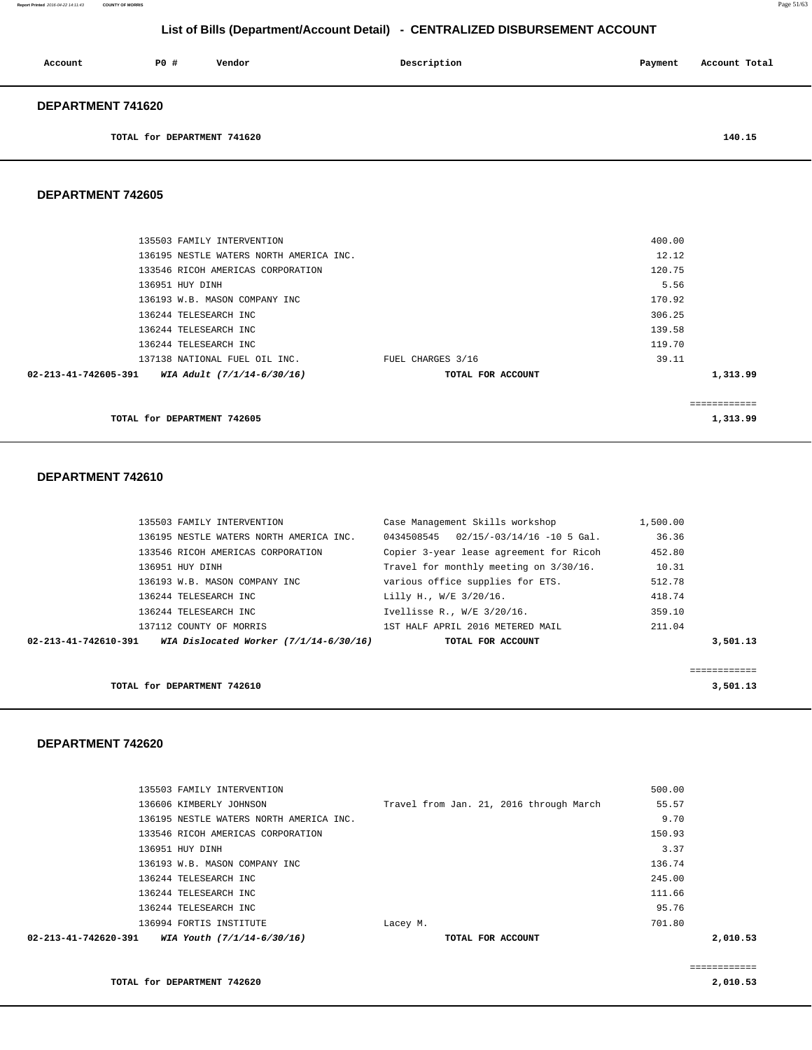| Account                  | PO# | Vendor | Description | Payment | Account Total |
|--------------------------|-----|--------|-------------|---------|---------------|
| <b>DEPARTMENT 741620</b> |     |        |             |         |               |

**TOTAL for DEPARTMENT 741620** 140.15

#### **DEPARTMENT 742605**

|                      | TOTAL for DEPARTMENT 742605             |                   |        | 1,313.99     |
|----------------------|-----------------------------------------|-------------------|--------|--------------|
|                      |                                         |                   |        | ============ |
| 02-213-41-742605-391 | WIA Adult (7/1/14-6/30/16)              | TOTAL FOR ACCOUNT |        | 1,313.99     |
|                      | 137138 NATIONAL FUEL OIL INC.           | FUEL CHARGES 3/16 | 39.11  |              |
|                      | 136244 TELESEARCH INC                   |                   | 119.70 |              |
|                      | 136244 TELESEARCH INC                   |                   | 139.58 |              |
|                      | 136244 TELESEARCH INC                   |                   | 306.25 |              |
|                      | 136193 W.B. MASON COMPANY INC           |                   | 170.92 |              |
| 136951 HUY DINH      |                                         |                   | 5.56   |              |
|                      | 133546 RICOH AMERICAS CORPORATION       |                   | 120.75 |              |
|                      | 136195 NESTLE WATERS NORTH AMERICA INC. |                   | 12.12  |              |
|                      | 135503 FAMILY INTERVENTION              |                   | 400.00 |              |
|                      |                                         |                   |        |              |

#### **DEPARTMENT 742610**

|                             | 135503 FAMILY INTERVENTION              | Case Management Skills workshop           | 1,500.00 |          |
|-----------------------------|-----------------------------------------|-------------------------------------------|----------|----------|
|                             | 136195 NESTLE WATERS NORTH AMERICA INC. | $0434508545$ $02/15/-03/14/16$ -10 5 Gal. | 36.36    |          |
|                             | 133546 RICOH AMERICAS CORPORATION       | Copier 3-year lease agreement for Ricoh   | 452.80   |          |
| 136951 HUY DINH             |                                         | Travel for monthly meeting on 3/30/16.    | 10.31    |          |
|                             | 136193 W.B. MASON COMPANY INC           | various office supplies for ETS.          | 512.78   |          |
|                             | 136244 TELESEARCH INC                   | Lilly H., W/E 3/20/16.                    | 418.74   |          |
|                             | 136244 TELESEARCH INC                   | Ivellisse R., W/E 3/20/16.                | 359.10   |          |
|                             | 137112 COUNTY OF MORRIS                 | 1ST HALF APRIL 2016 METERED MAIL          | 211.04   |          |
| 02-213-41-742610-391        | WIA Dislocated Worker (7/1/14-6/30/16)  | TOTAL FOR ACCOUNT                         |          | 3,501.13 |
|                             |                                         |                                           |          |          |
|                             |                                         |                                           |          |          |
| TOTAL for DEPARTMENT 742610 |                                         |                                           |          | 3,501.13 |

#### **DEPARTMENT 742620**

| $02 - 213 - 41 - 742620 - 391$<br>WIA Youth (7/1/14-6/30/16) | TOTAL FOR ACCOUNT                       | 2,010.53 |
|--------------------------------------------------------------|-----------------------------------------|----------|
| 136994 FORTIS INSTITUTE                                      | Lacey M.                                | 701.80   |
| 136244 TELESEARCH INC                                        |                                         | 95.76    |
| 136244 TELESEARCH INC                                        |                                         | 111.66   |
| 136244 TELESEARCH INC                                        |                                         | 245.00   |
| 136193 W.B. MASON COMPANY INC                                |                                         | 136.74   |
| 136951 HUY DINH                                              |                                         | 3.37     |
| 133546 RICOH AMERICAS CORPORATION                            |                                         | 150.93   |
| 136195 NESTLE WATERS NORTH AMERICA INC.                      |                                         | 9.70     |
| 136606 KIMBERLY JOHNSON                                      | Travel from Jan. 21, 2016 through March | 55.57    |
| 135503 FAMILY INTERVENTION                                   |                                         | 500.00   |

============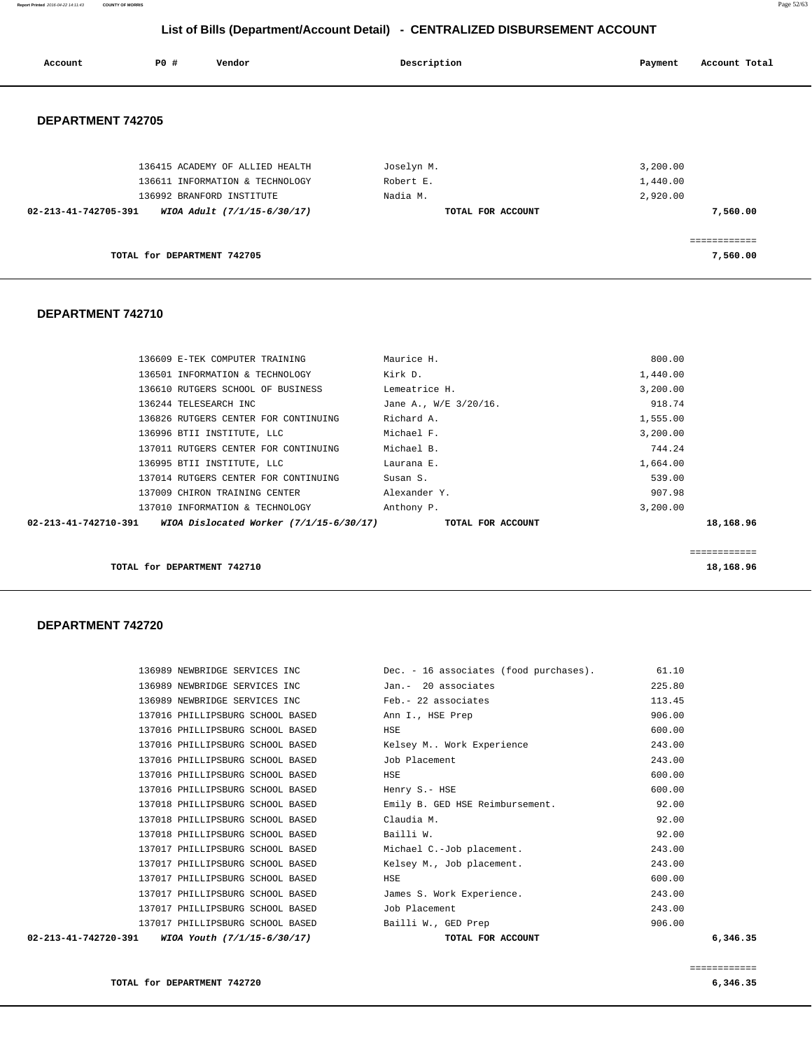**Report Printed** 2016-04-22 14:11:43 **COUNTY OF MORRIS** Page 52/63

## **List of Bills (Department/Account Detail) - CENTRALIZED DISBURSEMENT ACCOUNT**

| Account              | <b>PO #</b>                 | Vendor                          | Description       | Account Total<br>Payment |
|----------------------|-----------------------------|---------------------------------|-------------------|--------------------------|
| DEPARTMENT 742705    |                             |                                 |                   |                          |
|                      |                             | 136415 ACADEMY OF ALLIED HEALTH | Joselyn M.        | 3,200.00                 |
|                      |                             | 136611 INFORMATION & TECHNOLOGY | Robert E.         | 1,440.00                 |
|                      |                             | 136992 BRANFORD INSTITUTE       | Nadia M.          | 2,920.00                 |
| 02-213-41-742705-391 |                             | WIOA Adult (7/1/15-6/30/17)     | TOTAL FOR ACCOUNT | 7,560.00                 |
|                      |                             |                                 |                   |                          |
|                      | TOTAL for DEPARTMENT 742705 |                                 |                   | 7,560.00                 |

## **DEPARTMENT 742710**

|           | 800.00   | Maurice H.            | 136609 E-TEK COMPUTER TRAINING          |                      |
|-----------|----------|-----------------------|-----------------------------------------|----------------------|
|           | 1,440.00 | Kirk D.               | 136501 INFORMATION & TECHNOLOGY         |                      |
|           | 3,200.00 | Lemeatrice H.         | 136610 RUTGERS SCHOOL OF BUSINESS       |                      |
|           | 918.74   | Jane A., W/E 3/20/16. | 136244 TELESEARCH INC                   |                      |
|           | 1,555.00 | Richard A.            | 136826 RUTGERS CENTER FOR CONTINUING    |                      |
|           | 3,200.00 | Michael F.            | 136996 BTII INSTITUTE, LLC              |                      |
|           | 744.24   | Michael B.            | 137011 RUTGERS CENTER FOR CONTINUING    |                      |
|           | 1,664.00 | Laurana E.            | 136995 BTII INSTITUTE, LLC              |                      |
|           | 539.00   | Susan S.              | 137014 RUTGERS CENTER FOR CONTINUING    |                      |
|           | 907.98   | Alexander Y.          | 137009 CHIRON TRAINING CENTER           |                      |
|           | 3.200.00 | Anthony P.            | 137010 INFORMATION & TECHNOLOGY         |                      |
| 18,168.96 |          | TOTAL FOR ACCOUNT     | WIOA Dislocated Worker (7/1/15-6/30/17) | 02-213-41-742710-391 |
|           |          |                       |                                         |                      |
|           |          |                       |                                         |                      |
|           |          |                       |                                         |                      |

**TOTAL for DEPARTMENT 742710** 18,168.96

| $02 - 213 - 41 - 742720 - 391$ WIOA Youth $(7/1/15 - 6/30/17)$ | TOTAL FOR ACCOUNT                      | 6,346.35 |
|----------------------------------------------------------------|----------------------------------------|----------|
| 137017 PHILLIPSBURG SCHOOL BASED                               | Bailli W., GED Prep                    | 906.00   |
| 137017 PHILLIPSBURG SCHOOL BASED                               | Job Placement                          | 243.00   |
| 137017 PHILLIPSBURG SCHOOL BASED                               | James S. Work Experience.              | 243.00   |
| 137017 PHILLIPSBURG SCHOOL BASED                               | HSE                                    | 600.00   |
| 137017 PHILLIPSBURG SCHOOL BASED                               | Kelsey M., Job placement.              | 243.00   |
| 137017 PHILLIPSBURG SCHOOL BASED                               | Michael C.-Job placement.              | 243.00   |
| 137018 PHILLIPSBURG SCHOOL BASED                               | Bailli W.                              | 92.00    |
| 137018 PHILLIPSBURG SCHOOL BASED                               | Claudia M.                             | 92.00    |
| 137018 PHILLIPSBURG SCHOOL BASED                               | Emily B. GED HSE Reimbursement.        | 92.00    |
| 137016 PHILLIPSBURG SCHOOL BASED                               | Henry S.- HSE                          | 600.00   |
| 137016 PHILLIPSBURG SCHOOL BASED                               | HSE                                    | 600.00   |
| 137016 PHILLIPSBURG SCHOOL BASED                               | Job Placement                          | 243.00   |
| 137016 PHILLIPSBURG SCHOOL BASED                               | Kelsey M Work Experience               | 243.00   |
| 137016 PHILLIPSBURG SCHOOL BASED                               | HSE                                    | 600.00   |
| 137016 PHILLIPSBURG SCHOOL BASED                               | Ann I., HSE Prep                       | 906.00   |
| 136989 NEWBRIDGE SERVICES INC                                  | Feb.- 22 associates                    | 113.45   |
| 136989 NEWBRIDGE SERVICES INC                                  | Jan.- 20 associates                    | 225.80   |
| 136989 NEWBRIDGE SERVICES INC                                  | Dec. - 16 associates (food purchases). | 61.10    |
|                                                                |                                        |          |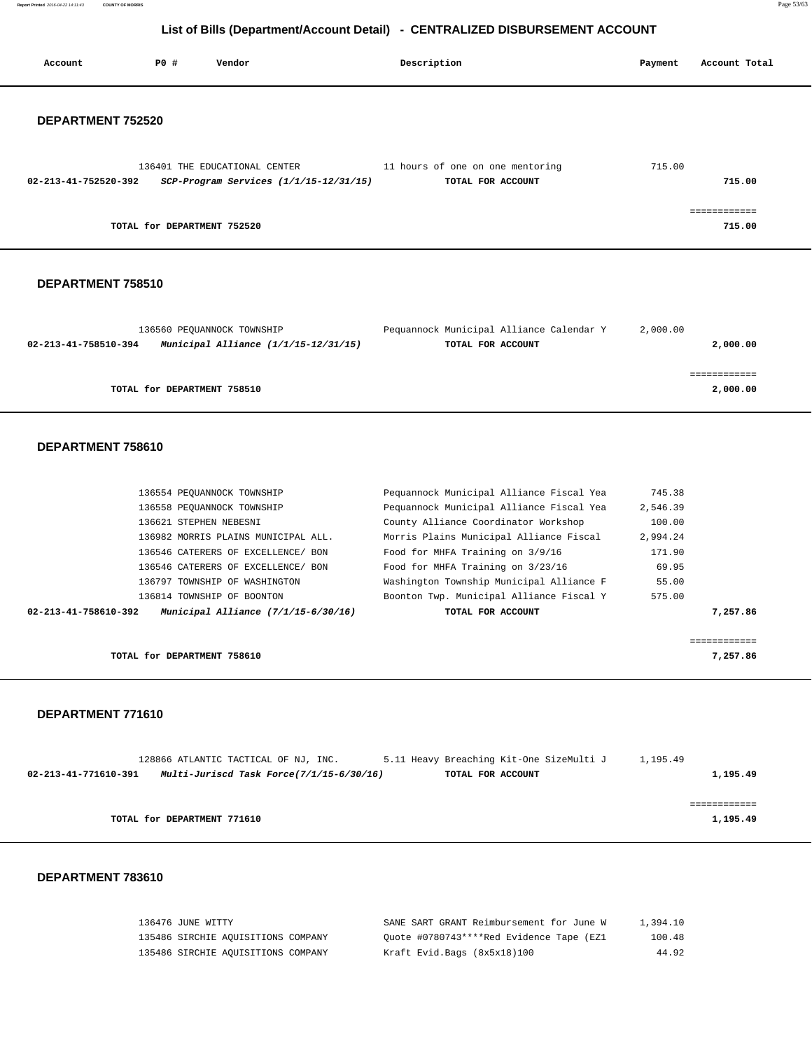**Report Printed** 2016-04-22 14:11:43 **COUNTY OF MORRIS** Page 53/63

## **List of Bills (Department/Account Detail) - CENTRALIZED DISBURSEMENT ACCOUNT**

| Account                        | P0 #                          | Vendor                                     | Description                                           | Payment  | Account Total          |
|--------------------------------|-------------------------------|--------------------------------------------|-------------------------------------------------------|----------|------------------------|
| DEPARTMENT 752520              |                               |                                            |                                                       |          |                        |
| $02 - 213 - 41 - 752520 - 392$ | 136401 THE EDUCATIONAL CENTER | $SCP-Program$ Services $(1/1/15-12/31/15)$ | 11 hours of one on one mentoring<br>TOTAL FOR ACCOUNT | 715.00   | 715.00                 |
|                                | TOTAL for DEPARTMENT 752520   |                                            |                                                       |          | ============<br>715.00 |
| DEPARTMENT 758510              |                               |                                            |                                                       |          |                        |
|                                | 136560 PEQUANNOCK TOWNSHIP    |                                            | Pequannock Municipal Alliance Calendar Y              | 2,000.00 |                        |

| 02-213-41-758510-394 | Municipal Alliance (1/1/15-12/31/15) | TOTAL FOR ACCOUNT | 2,000.00 |
|----------------------|--------------------------------------|-------------------|----------|
|                      |                                      |                   |          |
|                      |                                      |                   |          |
|                      | TOTAL for DEPARTMENT 758510          |                   | 2,000.00 |

#### **DEPARTMENT 758610**

| 136554 PEQUANNOCK TOWNSHIP                                  | Pequannock Municipal Alliance Fiscal Yea | 745.38       |
|-------------------------------------------------------------|------------------------------------------|--------------|
| 136558 PEOUANNOCK TOWNSHIP                                  | Pequannock Municipal Alliance Fiscal Yea | 2,546.39     |
| 136621 STEPHEN NEBESNI                                      | County Alliance Coordinator Workshop     | 100.00       |
| 136982 MORRIS PLAINS MUNICIPAL ALL.                         | Morris Plains Municipal Alliance Fiscal  | 2,994.24     |
| 136546 CATERERS OF EXCELLENCE/ BON                          | Food for MHFA Training on 3/9/16         | 171.90       |
| 136546 CATERERS OF EXCELLENCE/ BON                          | Food for MHFA Training on 3/23/16        | 69.95        |
| 136797 TOWNSHIP OF WASHINGTON                               | Washington Township Municipal Alliance F | 55.00        |
| 136814 TOWNSHIP OF BOONTON                                  | Boonton Twp. Municipal Alliance Fiscal Y | 575.00       |
| Municipal Alliance (7/1/15-6/30/16)<br>02-213-41-758610-392 | TOTAL FOR ACCOUNT                        | 7,257.86     |
|                                                             |                                          |              |
|                                                             |                                          | ============ |
| TOTAL for DEPARTMENT 758610                                 |                                          | 7,257.86     |

#### **DEPARTMENT 771610**

|                      | 128866 ATLANTIC TACTICAL OF NJ, INC.     | 5.11 Heavy Breaching Kit-One SizeMulti J | 1,195.49 |
|----------------------|------------------------------------------|------------------------------------------|----------|
| 02-213-41-771610-391 | Multi-Juriscd Task Force(7/1/15-6/30/16) | TOTAL FOR ACCOUNT                        | 1,195.49 |
|                      |                                          |                                          |          |
|                      |                                          |                                          |          |
|                      | TOTAL for DEPARTMENT 771610              |                                          | 1,195.49 |

| 136476 JUNE WITTY                  | SANE SART GRANT Reimbursement for June W | 1,394.10 |
|------------------------------------|------------------------------------------|----------|
| 135486 SIRCHIE AQUISITIONS COMPANY | Ouote #0780743****Red Evidence Tape (EZ1 | 100.48   |
| 135486 SIRCHIE AOUISITIONS COMPANY | Kraft Evid.Bags (8x5x18)100              | 44.92    |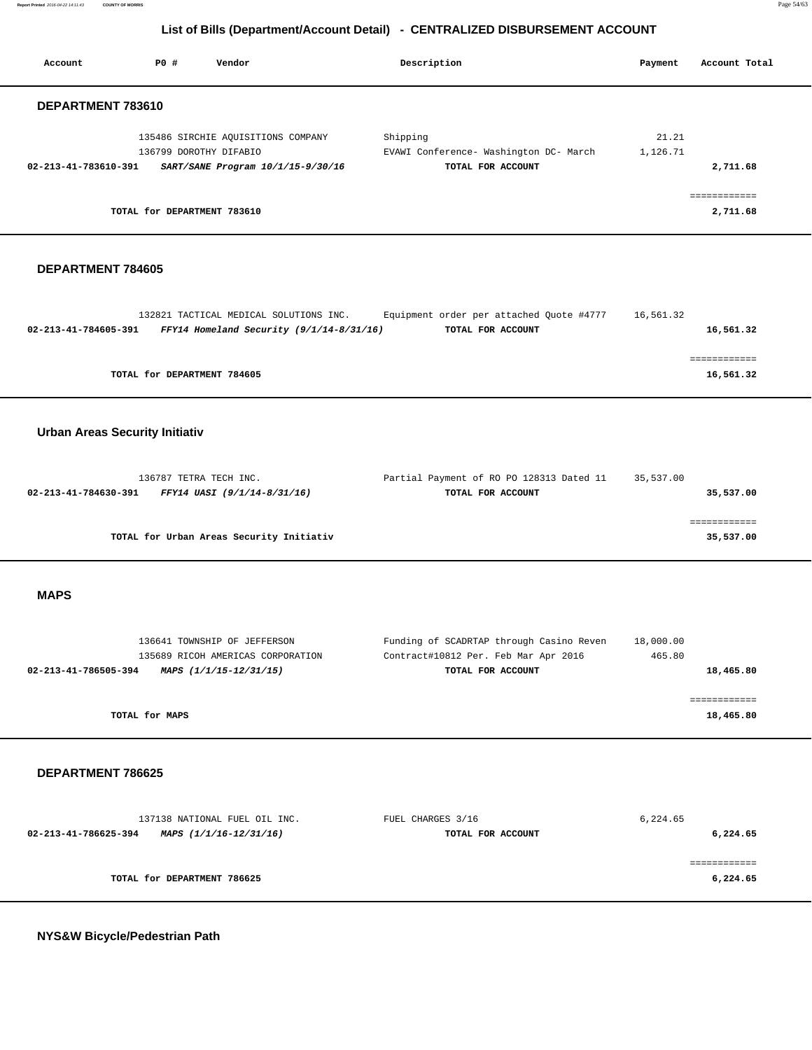| Account                               | P0 #                                                    | Vendor                                                                             | Description                                                                                           | Payment             | Account Total             |
|---------------------------------------|---------------------------------------------------------|------------------------------------------------------------------------------------|-------------------------------------------------------------------------------------------------------|---------------------|---------------------------|
| DEPARTMENT 783610                     |                                                         |                                                                                    |                                                                                                       |                     |                           |
| 02-213-41-783610-391                  | 136799 DOROTHY DIFABIO                                  | 135486 SIRCHIE AQUISITIONS COMPANY<br>SART/SANE Program 10/1/15-9/30/16            | Shipping<br>EVAWI Conference- Washington DC- March<br>TOTAL FOR ACCOUNT                               | 21.21<br>1,126.71   | 2,711.68                  |
|                                       | TOTAL for DEPARTMENT 783610                             |                                                                                    |                                                                                                       |                     | 2,711.68                  |
| DEPARTMENT 784605                     |                                                         |                                                                                    |                                                                                                       |                     |                           |
| 02-213-41-784605-391                  |                                                         | 132821 TACTICAL MEDICAL SOLUTIONS INC.<br>FFY14 Homeland Security (9/1/14-8/31/16) | Equipment order per attached Quote #4777<br>TOTAL FOR ACCOUNT                                         | 16,561.32           | 16,561.32<br>============ |
|                                       | TOTAL for DEPARTMENT 784605                             |                                                                                    |                                                                                                       |                     | 16,561.32                 |
| <b>Urban Areas Security Initiativ</b> |                                                         |                                                                                    |                                                                                                       |                     |                           |
| 02-213-41-784630-391                  | 136787 TETRA TECH INC.                                  | FFY14 UASI (9/1/14-8/31/16)                                                        | Partial Payment of RO PO 128313 Dated 11<br>TOTAL FOR ACCOUNT                                         | 35,537.00           | 35,537.00                 |
|                                       |                                                         | TOTAL for Urban Areas Security Initiativ                                           |                                                                                                       |                     | ============<br>35,537.00 |
| <b>MAPS</b>                           |                                                         |                                                                                    |                                                                                                       |                     |                           |
| 02-213-41-786505-394                  | 136641 TOWNSHIP OF JEFFERSON<br>MAPS (1/1/15-12/31/15)  | 135689 RICOH AMERICAS CORPORATION                                                  | Funding of SCADRTAP through Casino Reven<br>Contract#10812 Per. Feb Mar Apr 2016<br>TOTAL FOR ACCOUNT | 18,000.00<br>465.80 | 18,465.80                 |
|                                       | TOTAL for MAPS                                          |                                                                                    |                                                                                                       |                     | ============<br>18,465.80 |
| DEPARTMENT 786625                     |                                                         |                                                                                    |                                                                                                       |                     |                           |
| 02-213-41-786625-394                  | 137138 NATIONAL FUEL OIL INC.<br>MAPS (1/1/16-12/31/16) |                                                                                    | FUEL CHARGES 3/16<br>TOTAL FOR ACCOUNT                                                                | 6,224.65            | 6,224.65                  |
|                                       | TOTAL for DEPARTMENT 786625                             |                                                                                    |                                                                                                       |                     | ============<br>6,224.65  |
| NYS&W Bicycle/Pedestrian Path         |                                                         |                                                                                    |                                                                                                       |                     |                           |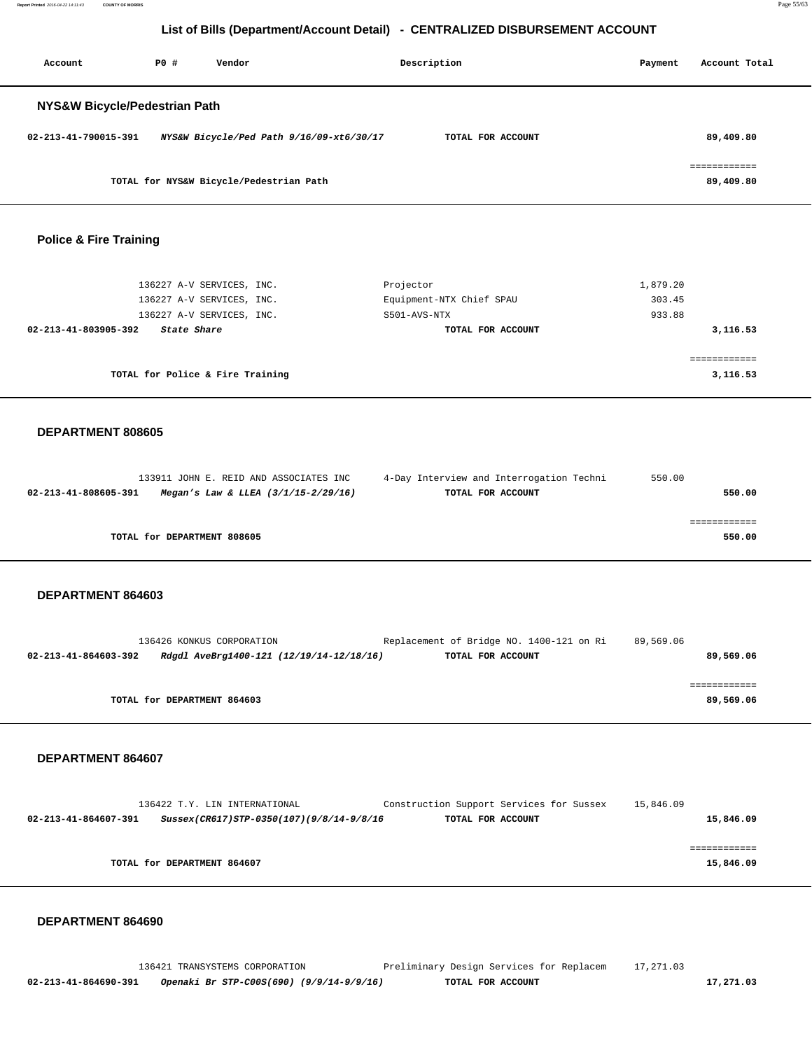**Report Printed** 2016-04-22 14:11:43 **COUNTY OF MORRIS** Page 55/63

## **List of Bills (Department/Account Detail) - CENTRALIZED DISBURSEMENT ACCOUNT**

| Account                       | PO# | Vendor                                   | Description       | Payment | Account Total |
|-------------------------------|-----|------------------------------------------|-------------------|---------|---------------|
| NYS&W Bicycle/Pedestrian Path |     |                                          |                   |         |               |
| 02-213-41-790015-391          |     | NYS&W Bicycle/Ped Path 9/16/09-xt6/30/17 | TOTAL FOR ACCOUNT |         | 89,409.80     |
|                               |     | TOTAL for NYS&W Bicycle/Pedestrian Path  |                   |         | 89,409.80     |

#### **Police & Fire Training**

| 136227 A-V SERVICES, INC.           | Projector                | 1,879.20 |
|-------------------------------------|--------------------------|----------|
| 136227 A-V SERVICES, INC.           | Equipment-NTX Chief SPAU | 303.45   |
| 136227 A-V SERVICES, INC.           | S501-AVS-NTX             | 933.88   |
| 02-213-41-803905-392<br>State Share | TOTAL FOR ACCOUNT        | 3,116.53 |
|                                     |                          |          |
|                                     |                          |          |
| TOTAL for Police & Fire Training    |                          | 3,116.53 |
|                                     |                          |          |

#### **DEPARTMENT 808605**

|                      | 133911 JOHN E. REID AND ASSOCIATES INC  | 4-Day Interview and Interrogation Techni | 550.00 |
|----------------------|-----------------------------------------|------------------------------------------|--------|
| 02-213-41-808605-391 | Megan's Law & LLEA $(3/1/15 - 2/29/16)$ | TOTAL FOR ACCOUNT                        | 550.00 |
|                      |                                         |                                          |        |
|                      |                                         |                                          |        |
|                      | TOTAL for DEPARTMENT 808605             |                                          | 550.00 |

#### **DEPARTMENT 864603**

| 136426 KONKUS CORPORATION                                        | Replacement of Bridge NO. 1400-121 on Ri | 89,569.06 |
|------------------------------------------------------------------|------------------------------------------|-----------|
| 02-213-41-864603-392<br>Rdgdl AveBrg1400-121 (12/19/14-12/18/16) | TOTAL FOR ACCOUNT                        | 89,569.06 |
|                                                                  |                                          |           |
|                                                                  |                                          |           |
| TOTAL for DEPARTMENT 864603                                      |                                          | 89,569.06 |
|                                                                  |                                          |           |

 **DEPARTMENT 864607** 

|                      | 136422 T.Y. LIN INTERNATIONAL            | Construction Support Services for Sussex | 15,846.09 |
|----------------------|------------------------------------------|------------------------------------------|-----------|
| 02-213-41-864607-391 | Sussex(CR617)STP-0350(107)(9/8/14-9/8/16 | TOTAL FOR ACCOUNT                        | 15,846.09 |
|                      |                                          |                                          |           |
|                      |                                          |                                          |           |
|                      | TOTAL for DEPARTMENT 864607              |                                          | 15,846.09 |
|                      |                                          |                                          |           |

#### **DEPARTMENT 864690**

 136421 TRANSYSTEMS CORPORATION Preliminary Design Services for Replacem 17,271.03  **02-213-41-864690-391 Openaki Br STP-C00S(690) (9/9/14-9/9/16) TOTAL FOR ACCOUNT 17,271.03**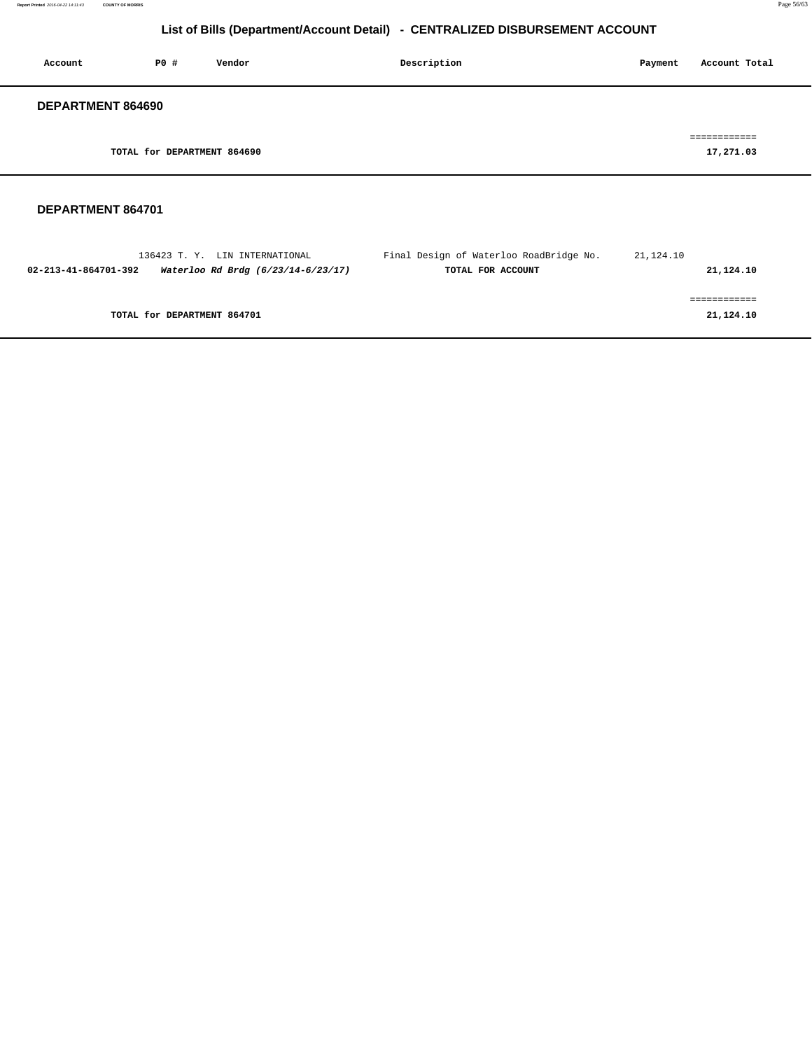| Account           | PO#                         | Vendor | Description | Account Total<br>Payment  |
|-------------------|-----------------------------|--------|-------------|---------------------------|
| DEPARTMENT 864690 |                             |        |             |                           |
|                   | TOTAL for DEPARTMENT 864690 |        |             | eessessesses<br>17,271.03 |
|                   |                             |        |             |                           |

| 136423 T.Y. LIN INTERNATIONAL                              | Final Design of Waterloo RoadBridge No. | 21,124.10 |
|------------------------------------------------------------|-----------------------------------------|-----------|
| Waterloo Rd Brdg (6/23/14-6/23/17)<br>02-213-41-864701-392 | TOTAL FOR ACCOUNT                       | 21,124.10 |
|                                                            |                                         |           |
|                                                            |                                         |           |
| TOTAL for DEPARTMENT 864701                                |                                         | 21,124.10 |
|                                                            |                                         |           |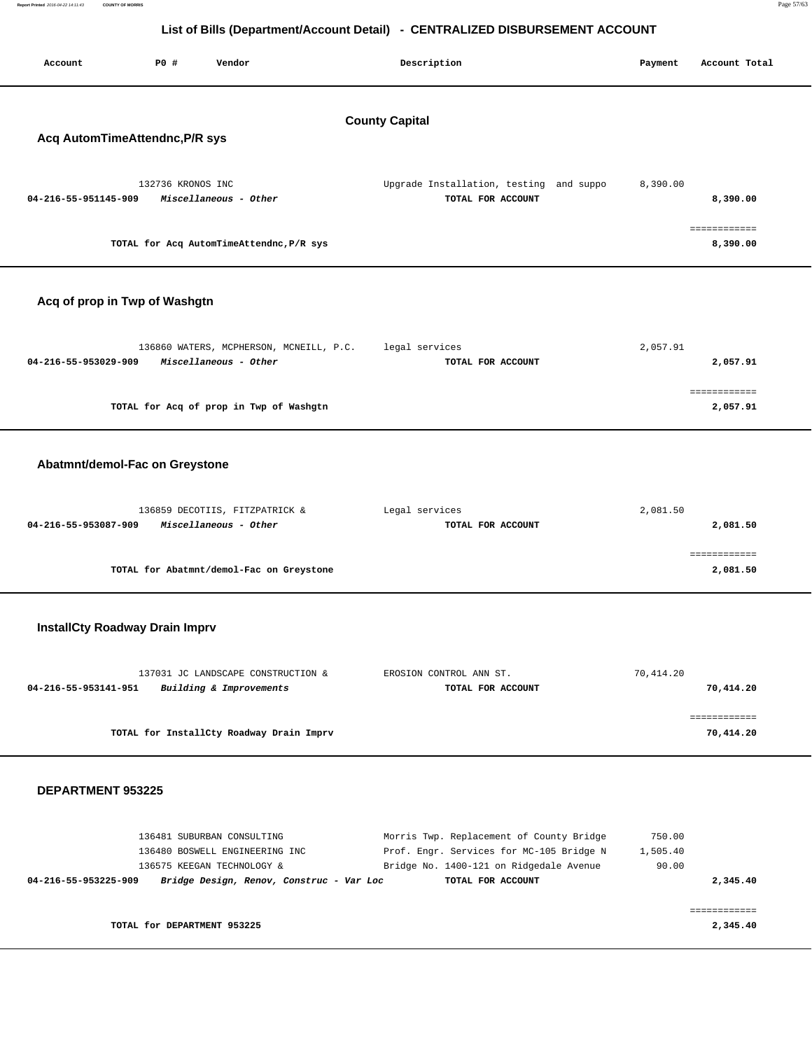| Report Printed 2016-04-22 14:11:43 | <b>COUNTY OF MORRIS</b>                 |                   |                                          |                                                                              |          | Page 57/63               |
|------------------------------------|-----------------------------------------|-------------------|------------------------------------------|------------------------------------------------------------------------------|----------|--------------------------|
|                                    |                                         |                   |                                          | List of Bills (Department/Account Detail) - CENTRALIZED DISBURSEMENT ACCOUNT |          |                          |
| Account                            | Description<br>PO#<br>Vendor<br>Payment |                   |                                          |                                                                              |          | Account Total            |
|                                    |                                         |                   |                                          | <b>County Capital</b>                                                        |          |                          |
| Acq AutomTimeAttendnc, P/R sys     |                                         |                   |                                          |                                                                              |          |                          |
|                                    |                                         | 132736 KRONOS INC |                                          | Upgrade Installation, testing and suppo                                      | 8,390.00 |                          |
| 04-216-55-951145-909               |                                         |                   | Miscellaneous - Other                    | TOTAL FOR ACCOUNT                                                            |          | 8,390.00                 |
|                                    |                                         |                   | TOTAL for Acq AutomTimeAttendnc, P/R sys |                                                                              |          | ============<br>8,390.00 |
|                                    |                                         |                   |                                          |                                                                              |          |                          |
| Acq of prop in Twp of Washgtn      |                                         |                   |                                          |                                                                              |          |                          |

| 136860 WATERS, MCPHERSON, MCNEILL, P.C.       | legal services    | 2,057.91 |
|-----------------------------------------------|-------------------|----------|
| 04-216-55-953029-909<br>Miscellaneous - Other | TOTAL FOR ACCOUNT | 2,057.91 |
|                                               |                   |          |
|                                               |                   |          |
| TOTAL for Acq of prop in Twp of Washgtn       |                   | 2,057.91 |
|                                               |                   |          |

## **Abatmnt/demol-Fac on Greystone**

| 136859 DECOTIIS, FITZPATRICK &                | Legal services    | 2,081.50 |
|-----------------------------------------------|-------------------|----------|
| Miscellaneous - Other<br>04-216-55-953087-909 | TOTAL FOR ACCOUNT | 2,081.50 |
|                                               |                   |          |
|                                               |                   |          |
| TOTAL for Abatmnt/demol-Fac on Greystone      |                   | 2,081.50 |

## **InstallCty Roadway Drain Imprv**

| 137031 JC LANDSCAPE CONSTRUCTION &              | EROSION CONTROL ANN ST. | 70,414.20 |
|-------------------------------------------------|-------------------------|-----------|
| Building & Improvements<br>04-216-55-953141-951 | TOTAL FOR ACCOUNT       | 70,414.20 |
|                                                 |                         |           |
|                                                 |                         |           |
| TOTAL for InstallCty Roadway Drain Imprv        |                         | 70,414.20 |

#### **DEPARTMENT 953225**

| 136481 SUBURBAN CONSULTING                                       | Morris Twp. Replacement of County Bridge | 750.00   |
|------------------------------------------------------------------|------------------------------------------|----------|
| 136480 BOSWELL ENGINEERING INC                                   | Prof. Engr. Services for MC-105 Bridge N | 1,505.40 |
| 136575 KEEGAN TECHNOLOGY &                                       | Bridge No. 1400-121 on Ridgedale Avenue  | 90.00    |
| Bridge Design, Renov, Construc - Var Loc<br>04-216-55-953225-909 | TOTAL FOR ACCOUNT                        | 2,345.40 |
|                                                                  |                                          |          |
|                                                                  |                                          |          |
| TOTAL for DEPARTMENT 953225                                      |                                          | 2,345.40 |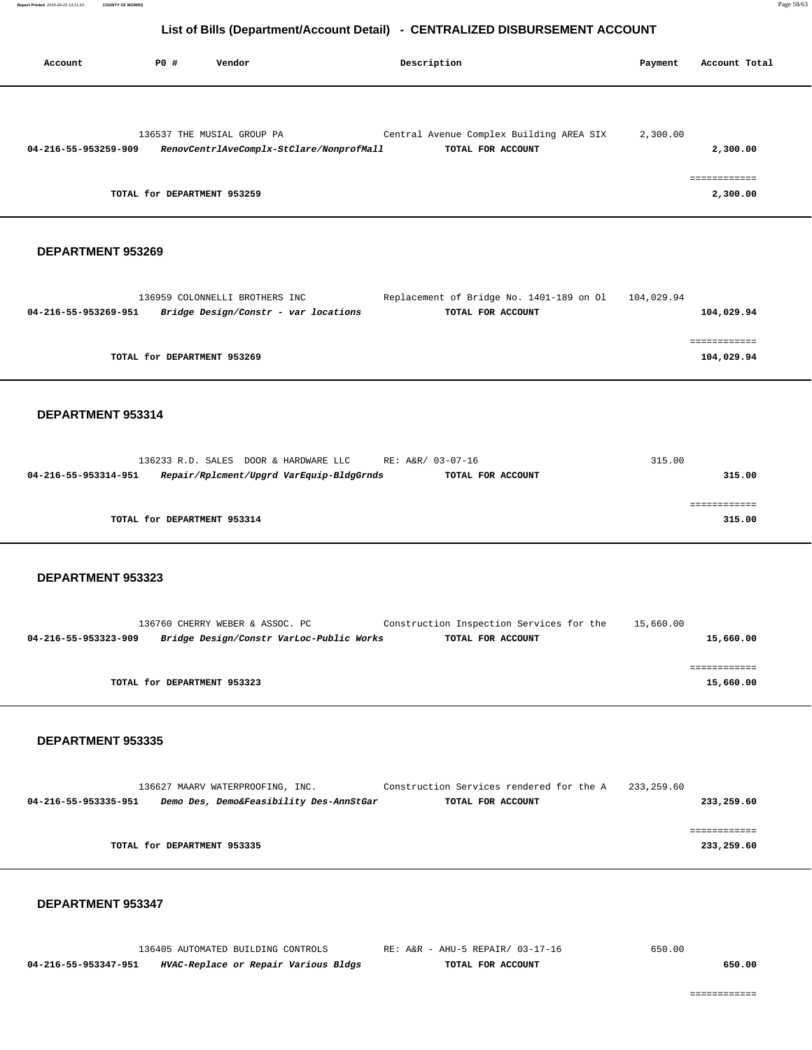| Account              | PO#                         | Vendor                                   | Description                              | Payment  | Account Total |
|----------------------|-----------------------------|------------------------------------------|------------------------------------------|----------|---------------|
|                      |                             | 136537 THE MUSIAL GROUP PA               | Central Avenue Complex Building AREA SIX | 2,300.00 |               |
| 04-216-55-953259-909 |                             | RenovCentrlAveComplx-StClare/NonprofMall | TOTAL FOR ACCOUNT                        |          | 2,300.00      |
|                      | TOTAL for DEPARTMENT 953259 |                                          |                                          |          | 2,300.00      |

## **DEPARTMENT 953269**

| 136959 COLONNELLI BROTHERS INC                               | Replacement of Bridge No. 1401-189 on Ol | 104,029.94 |
|--------------------------------------------------------------|------------------------------------------|------------|
| Bridge Design/Constr - var locations<br>04-216-55-953269-951 | TOTAL FOR ACCOUNT                        | 104,029.94 |
|                                                              |                                          |            |
|                                                              |                                          |            |
| TOTAL for DEPARTMENT 953269                                  |                                          | 104,029.94 |
|                                                              |                                          |            |

#### **DEPARTMENT 953314**

|                             | 136233 R.D. SALES DOOR & HARDWARE LLC    | RE: A&R/ 03-07-16 | 315.00 |
|-----------------------------|------------------------------------------|-------------------|--------|
| 04-216-55-953314-951        | Repair/Rplcment/Upgrd VarEquip-BldgGrnds | TOTAL FOR ACCOUNT | 315.00 |
|                             |                                          |                   |        |
|                             |                                          |                   |        |
| TOTAL for DEPARTMENT 953314 |                                          |                   | 315.00 |
|                             |                                          |                   |        |

#### **DEPARTMENT 953323**

|                      | 136760 CHERRY WEBER & ASSOC. PC          | Construction Inspection Services for the | 15,660.00 |
|----------------------|------------------------------------------|------------------------------------------|-----------|
| 04-216-55-953323-909 | Bridge Design/Constr VarLoc-Public Works | TOTAL FOR ACCOUNT                        | 15,660.00 |
|                      |                                          |                                          |           |
|                      |                                          |                                          |           |
|                      | TOTAL for DEPARTMENT 953323              |                                          | 15,660.00 |
|                      |                                          |                                          |           |

#### **DEPARTMENT 953335**

|                      |                             | 136627 MAARV WATERPROOFING, INC. |                                         | Construction Services rendered for the A | 233,259.60 |            |
|----------------------|-----------------------------|----------------------------------|-----------------------------------------|------------------------------------------|------------|------------|
| 04-216-55-953335-951 |                             |                                  | Demo Des, Demo&Feasibility Des-AnnStGar | TOTAL FOR ACCOUNT                        |            | 233,259.60 |
|                      |                             |                                  |                                         |                                          |            |            |
|                      |                             |                                  |                                         |                                          |            |            |
|                      | TOTAL for DEPARTMENT 953335 |                                  |                                         |                                          |            | 233,259.60 |
|                      |                             |                                  |                                         |                                          |            |            |

|                      | 136405 AUTOMATED BUILDING CONTROLS   | RE: A&R - AHU-5 REPAIR/ 03-17-16 | 650.00 |
|----------------------|--------------------------------------|----------------------------------|--------|
| 04-216-55-953347-951 | HVAC-Replace or Repair Various Bldgs | TOTAL FOR ACCOUNT                | 650.00 |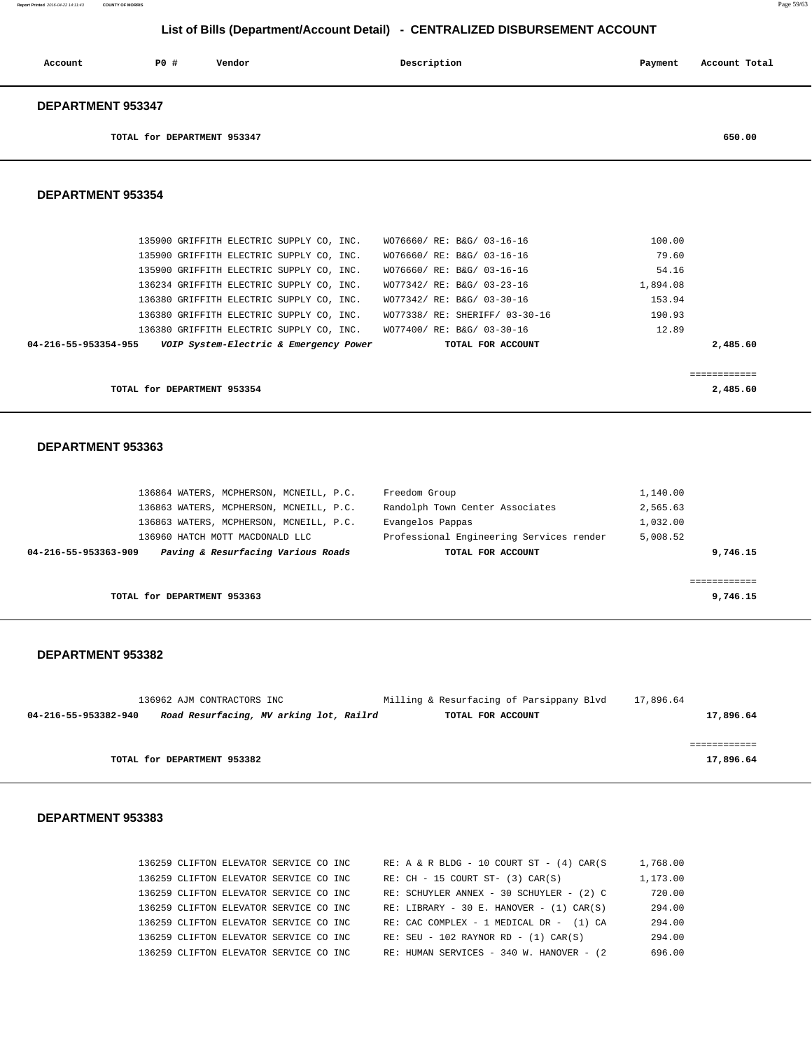| Account                  | PO# | Vendor | Description | Payment | Account Total |
|--------------------------|-----|--------|-------------|---------|---------------|
| <b>DEPARTMENT 953347</b> |     |        |             |         |               |

**TOTAL for DEPARTMENT 953347 650.00**

#### **DEPARTMENT 953354**

| TOTAL for DEPARTMENT 953354 |                                          |  |  |  |                            |  |                                |          | 2,485.60 |
|-----------------------------|------------------------------------------|--|--|--|----------------------------|--|--------------------------------|----------|----------|
|                             |                                          |  |  |  |                            |  |                                |          |          |
| 04-216-55-953354-955        | VOIP System-Electric & Emergency Power   |  |  |  |                            |  | TOTAL FOR ACCOUNT              |          | 2,485.60 |
|                             | 136380 GRIFFITH ELECTRIC SUPPLY CO. INC. |  |  |  | WO77400/ RE: B&G/ 03-30-16 |  |                                | 12.89    |          |
|                             | 136380 GRIFFITH ELECTRIC SUPPLY CO. INC. |  |  |  |                            |  | WO77338/ RE: SHERIFF/ 03-30-16 | 190.93   |          |
|                             | 136380 GRIFFITH ELECTRIC SUPPLY CO. INC. |  |  |  | WO77342/ RE: B&G/ 03-30-16 |  |                                | 153.94   |          |
|                             | 136234 GRIFFITH ELECTRIC SUPPLY CO. INC. |  |  |  | WO77342/ RE: B&G/ 03-23-16 |  |                                | 1,894.08 |          |
|                             | 135900 GRIFFITH ELECTRIC SUPPLY CO, INC. |  |  |  | WO76660/ RE: B&G/ 03-16-16 |  |                                | 54.16    |          |
|                             | 135900 GRIFFITH ELECTRIC SUPPLY CO. INC. |  |  |  | WO76660/ RE: B&G/ 03-16-16 |  |                                | 79.60    |          |
|                             | 135900 GRIFFITH ELECTRIC SUPPLY CO, INC. |  |  |  | WO76660/ RE: B&G/ 03-16-16 |  |                                | 100.00   |          |

#### **DEPARTMENT 953363**

|                      | 136864 WATERS, MCPHERSON, MCNEILL, P.C. | Freedom Group                            | 1,140.00 |
|----------------------|-----------------------------------------|------------------------------------------|----------|
|                      | 136863 WATERS, MCPHERSON, MCNEILL, P.C. | Randolph Town Center Associates          | 2,565.63 |
|                      | 136863 WATERS, MCPHERSON, MCNEILL, P.C. | Evangelos Pappas                         | 1,032.00 |
|                      | 136960 HATCH MOTT MACDONALD LLC         | Professional Engineering Services render | 5,008.52 |
| 04-216-55-953363-909 | Paving & Resurfacing Various Roads      | TOTAL FOR ACCOUNT                        | 9,746.15 |
|                      |                                         |                                          |          |
|                      |                                         |                                          |          |
|                      | TOTAL for DEPARTMENT 953363             |                                          | 9,746.15 |

## **DEPARTMENT 953382**

| 136962 AJM CONTRACTORS INC                                      | Milling & Resurfacing of Parsippany Blvd | 17,896.64 |  |
|-----------------------------------------------------------------|------------------------------------------|-----------|--|
| Road Resurfacing, MV arking lot, Railrd<br>04-216-55-953382-940 | TOTAL FOR ACCOUNT                        | 17,896.64 |  |
|                                                                 |                                          |           |  |
|                                                                 |                                          |           |  |
| TOTAL for DEPARTMENT 953382                                     |                                          | 17,896.64 |  |

| 136259 CLIFTON ELEVATOR SERVICE CO INC |  |  | $RE: A & R BLDG - 10 COURT ST - (4) CAR(S)$   | 1,768.00 |
|----------------------------------------|--|--|-----------------------------------------------|----------|
| 136259 CLIFTON ELEVATOR SERVICE CO INC |  |  | $RE: CH - 15 COURT ST- (3) CAR(S)$            | 1,173.00 |
| 136259 CLIFTON ELEVATOR SERVICE CO INC |  |  | RE: SCHUYLER ANNEX - 30 SCHUYLER - (2) C      | 720.00   |
| 136259 CLIFTON ELEVATOR SERVICE CO INC |  |  | RE: LIBRARY - 30 E. HANOVER - $(1)$ CAR $(S)$ | 294.00   |
| 136259 CLIFTON ELEVATOR SERVICE CO INC |  |  | RE: CAC COMPLEX - 1 MEDICAL DR - (1) CA       | 294.00   |
| 136259 CLIFTON ELEVATOR SERVICE CO INC |  |  | $RE: SEU - 102 RAYNOR RD - (1) CAR(S)$        | 294.00   |
| 136259 CLIFTON ELEVATOR SERVICE CO INC |  |  | RE: HUMAN SERVICES - 340 W. HANOVER - (2)     | 696.00   |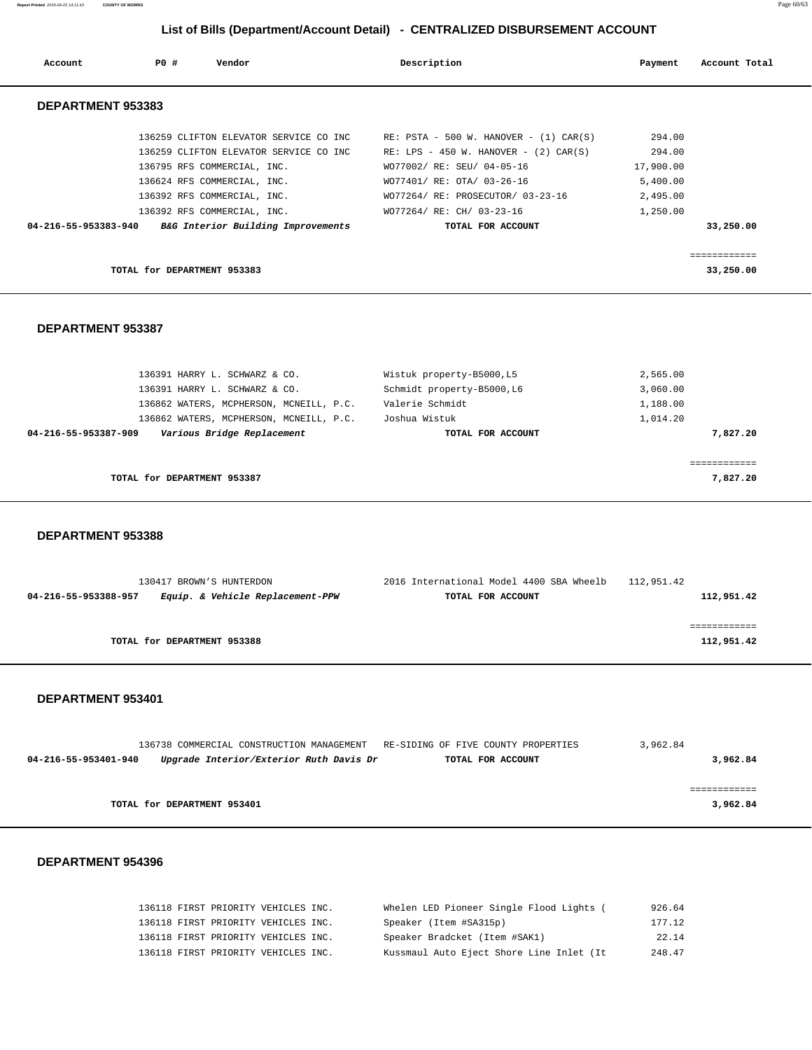**Report Printed** 2016-04-22 14:11:43 **COUNTY OF MORRIS** Page 60/63

## **List of Bills (Department/Account Detail) - CENTRALIZED DISBURSEMENT ACCOUNT**

| Account              | PO# | Vendor                                                                                                                                         | Description |                                                                                                                                                     | Payment                                   | Account Total          |
|----------------------|-----|------------------------------------------------------------------------------------------------------------------------------------------------|-------------|-----------------------------------------------------------------------------------------------------------------------------------------------------|-------------------------------------------|------------------------|
| DEPARTMENT 953383    |     |                                                                                                                                                |             |                                                                                                                                                     |                                           |                        |
|                      |     | 136259 CLIFTON ELEVATOR SERVICE CO INC<br>136259 CLIFTON ELEVATOR SERVICE CO INC<br>136795 RFS COMMERCIAL, INC.<br>136624 RFS COMMERCIAL, INC. |             | RE: $PSTA - 500 W$ . HANOVER - (1) CAR(S)<br>RE: LPS - 450 W. HANOVER - $(2)$ CAR $(S)$<br>WO77002/ RE: SEU/ 04-05-16<br>WO77401/ RE: OTA/ 03-26-16 | 294.00<br>294.00<br>17,900.00<br>5,400.00 |                        |
| 04-216-55-953383-940 |     | 136392 RFS COMMERCIAL, INC.<br>136392 RFS COMMERCIAL, INC.<br>B&G Interior Building Improvements                                               |             | WO77264/ RE: PROSECUTOR/ 03-23-16<br>WO77264/ RE: CH/ 03-23-16<br>TOTAL FOR ACCOUNT                                                                 | 2,495.00<br>1,250.00                      | 33,250.00              |
|                      |     | TOTAL for DEPARTMENT 953383                                                                                                                    |             |                                                                                                                                                     |                                           | eeeeeeeee<br>33,250.00 |
|                      |     |                                                                                                                                                |             |                                                                                                                                                     |                                           |                        |

## **DEPARTMENT 953387**

| 136391 HARRY L. SCHWARZ & CO.                      | Wistuk property-B5000, L5  | 2,565.00 |
|----------------------------------------------------|----------------------------|----------|
| 136391 HARRY L. SCHWARZ & CO.                      | Schmidt property-B5000, L6 | 3,060.00 |
| 136862 WATERS, MCPHERSON, MCNEILL, P.C.            | Valerie Schmidt            | 1,188.00 |
| 136862 WATERS, MCPHERSON, MCNEILL, P.C.            | Joshua Wistuk              | 1,014.20 |
| Various Bridge Replacement<br>04-216-55-953387-909 | TOTAL FOR ACCOUNT          | 7,827.20 |
|                                                    |                            |          |
|                                                    |                            |          |
| TOTAL for DEPARTMENT 953387                        |                            | 7,827,20 |
|                                                    |                            |          |

#### **DEPARTMENT 953388**

| 130417 BROWN'S HUNTERDON                                 | 2016 International Model 4400 SBA Wheelb | 112,951.42 |
|----------------------------------------------------------|------------------------------------------|------------|
| Equip. & Vehicle Replacement-PPW<br>04-216-55-953388-957 | TOTAL FOR ACCOUNT                        | 112,951.42 |
|                                                          |                                          |            |
|                                                          |                                          |            |
| TOTAL for DEPARTMENT 953388                              |                                          | 112,951.42 |
|                                                          |                                          |            |

#### **DEPARTMENT 953401**

|                      | 136738 COMMERCIAL CONSTRUCTION MANAGEMENT RE-SIDING OF FIVE COUNTY PROPERTIES |                   | 3,962.84 |
|----------------------|-------------------------------------------------------------------------------|-------------------|----------|
| 04-216-55-953401-940 | Upgrade Interior/Exterior Ruth Davis Dr                                       | TOTAL FOR ACCOUNT | 3,962.84 |
|                      |                                                                               |                   |          |
|                      |                                                                               |                   |          |
|                      | TOTAL for DEPARTMENT 953401                                                   |                   | 3,962.84 |

|  | 136118 FIRST PRIORITY VEHICLES INC. |  | Whelen LED Pioneer Single Flood Lights ( | 926.64 |
|--|-------------------------------------|--|------------------------------------------|--------|
|  | 136118 FIRST PRIORITY VEHICLES INC. |  | Speaker (Item #SA315p)                   | 177.12 |
|  | 136118 FIRST PRIORITY VEHICLES INC. |  | Speaker Bradcket (Item #SAK1)            | 22.14  |
|  | 136118 FIRST PRIORITY VEHICLES INC. |  | Kussmaul Auto Eject Shore Line Inlet (It | 248.47 |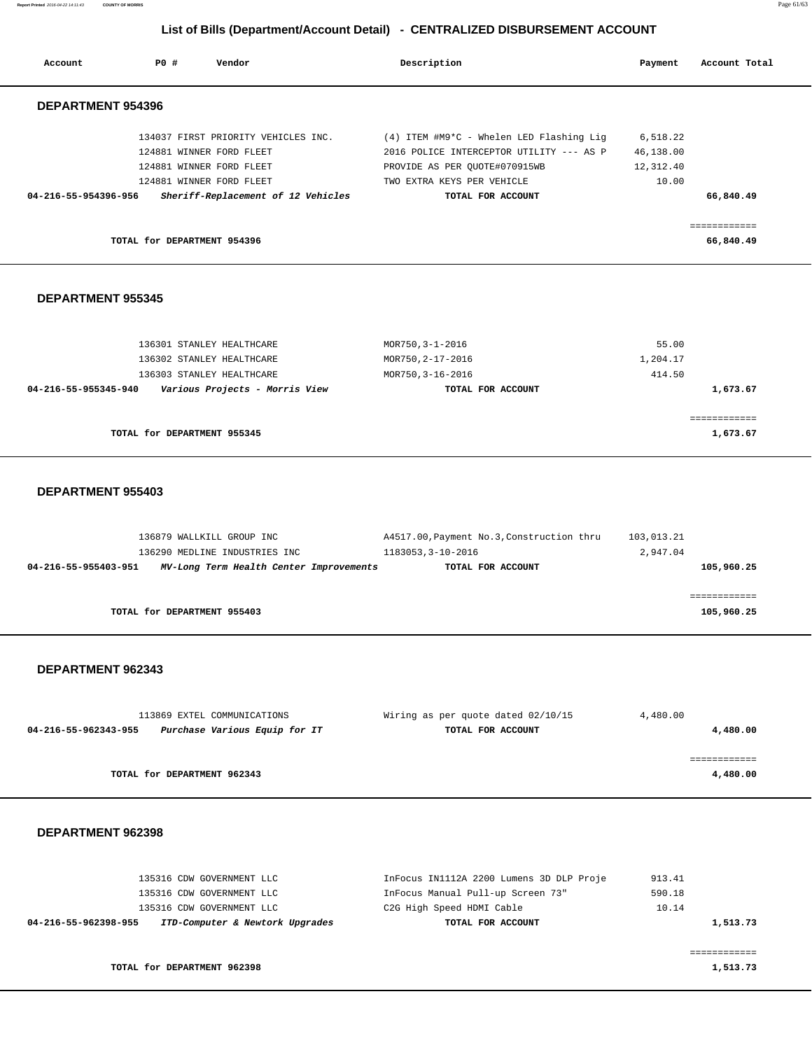**Report Printed** 2016-04-22 14:11:43 **COUNTY OF MORRIS** Page 61/63

## **List of Bills (Department/Account Detail) - CENTRALIZED DISBURSEMENT ACCOUNT**

| Account                  | PO#                         | Vendor                              | Description                              | Payment   | Account Total             |
|--------------------------|-----------------------------|-------------------------------------|------------------------------------------|-----------|---------------------------|
| <b>DEPARTMENT 954396</b> |                             |                                     |                                          |           |                           |
|                          |                             | 134037 FIRST PRIORITY VEHICLES INC. | (4) ITEM #M9*C - Whelen LED Flashing Lig | 6,518.22  |                           |
|                          |                             | 124881 WINNER FORD FLEET            | 2016 POLICE INTERCEPTOR UTILITY --- AS P | 46,138.00 |                           |
|                          |                             | 124881 WINNER FORD FLEET            | PROVIDE AS PER OUOTE#070915WB            | 12,312.40 |                           |
|                          |                             | 124881 WINNER FORD FLEET            | TWO EXTRA KEYS PER VEHICLE               | 10.00     |                           |
| 04-216-55-954396-956     |                             | Sheriff-Replacement of 12 Vehicles  | TOTAL FOR ACCOUNT                        |           | 66,840.49                 |
|                          |                             |                                     |                                          |           |                           |
|                          |                             |                                     |                                          |           |                           |
|                          | TOTAL for DEPARTMENT 954396 |                                     |                                          |           | ============<br>66,840.49 |

#### **DEPARTMENT 955345**

| TOTAL for DEPARTMENT 955345                            |                   | 1,673.67 |
|--------------------------------------------------------|-------------------|----------|
|                                                        |                   |          |
| Various Projects - Morris View<br>04-216-55-955345-940 | TOTAL FOR ACCOUNT | 1,673.67 |
| 136303 STANLEY HEALTHCARE                              | MOR750, 3-16-2016 | 414.50   |
| 136302 STANLEY HEALTHCARE                              | MOR750, 2-17-2016 | 1,204.17 |
| 136301 STANLEY HEALTHCARE                              | MOR750, 3-1-2016  | 55.00    |

#### **DEPARTMENT 955403**

|                      | 136879 WALLKILL GROUP INC<br>136290 MEDLINE INDUSTRIES INC | A4517.00, Payment No.3, Construction thru<br>1183053, 3-10-2016 | 103,013.21<br>2,947.04 |
|----------------------|------------------------------------------------------------|-----------------------------------------------------------------|------------------------|
| 04-216-55-955403-951 | MV-Long Term Health Center Improvements                    | TOTAL FOR ACCOUNT                                               | 105,960.25             |
|                      | TOTAL for DEPARTMENT 955403                                |                                                                 | 105,960.25             |

#### **DEPARTMENT 962343**

| 113869 EXTEL COMMUNICATIONS                           | Wiring as per quote dated 02/10/15 | 4,480.00 |
|-------------------------------------------------------|------------------------------------|----------|
| Purchase Various Equip for IT<br>04-216-55-962343-955 | TOTAL FOR ACCOUNT                  | 4,480.00 |
|                                                       |                                    |          |
|                                                       |                                    |          |
| TOTAL for DEPARTMENT 962343                           |                                    | 4,480.00 |

| 135316 CDW GOVERNMENT LLC<br>135316 CDW GOVERNMENT LLC  | InFocus IN1112A 2200 Lumens 3D DLP Proje<br>InFocus Manual Pull-up Screen 73" | 913.41<br>590.18 |
|---------------------------------------------------------|-------------------------------------------------------------------------------|------------------|
| 135316 CDW GOVERNMENT LLC                               | C2G High Speed HDMI Cable                                                     | 10.14            |
| ITD-Computer & Newtork Upgrades<br>04-216-55-962398-955 | TOTAL FOR ACCOUNT                                                             | 1,513.73         |
|                                                         |                                                                               |                  |
| TOTAL for DEPARTMENT 962398                             |                                                                               | 1,513.73         |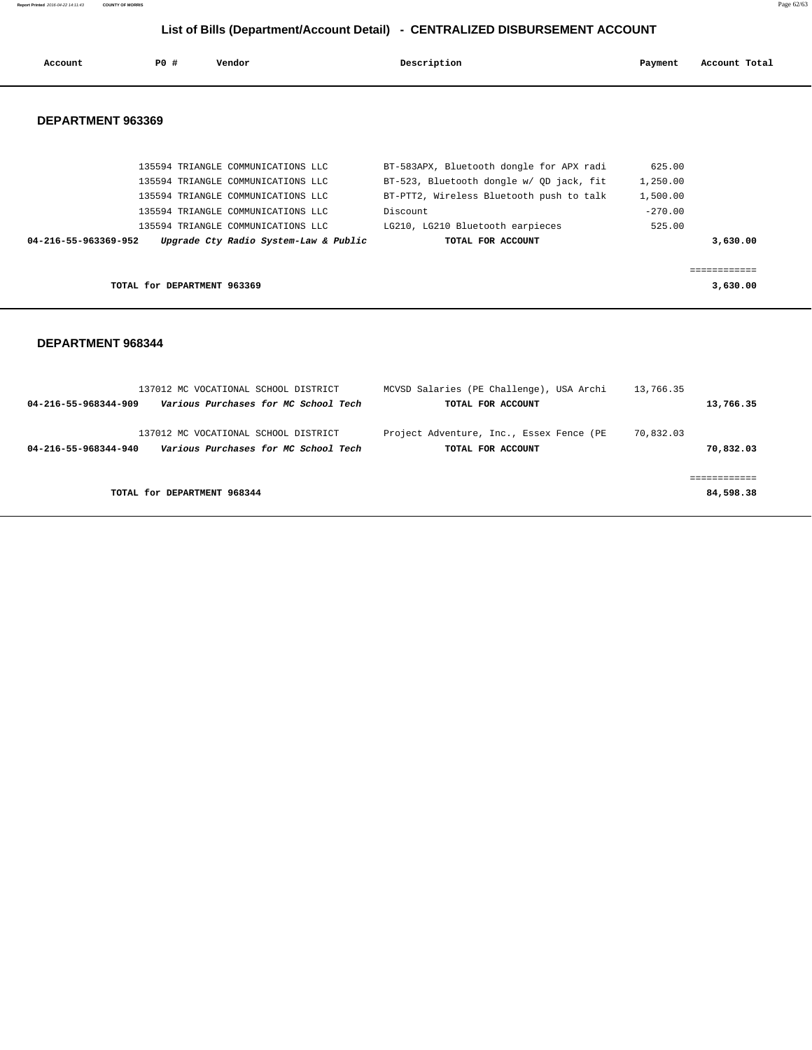**Report Printed** 2016-04-22 14:11:43 **COUNTY OF MORRIS** Page 62/63

## **List of Bills (Department/Account Detail) - CENTRALIZED DISBURSEMENT ACCOUNT**

| Account              | PO#                         | Vendor                                | Description                              | Payment   | Account Total |
|----------------------|-----------------------------|---------------------------------------|------------------------------------------|-----------|---------------|
| DEPARTMENT 963369    |                             |                                       |                                          |           |               |
|                      |                             | 135594 TRIANGLE COMMUNICATIONS LLC    | BT-583APX, Bluetooth dongle for APX radi | 625.00    |               |
|                      |                             | 135594 TRIANGLE COMMUNICATIONS LLC    | BT-523, Bluetooth dongle w/ QD jack, fit | 1,250.00  |               |
|                      |                             | 135594 TRIANGLE COMMUNICATIONS LLC    | BT-PTT2, Wireless Bluetooth push to talk | 1,500.00  |               |
|                      |                             | 135594 TRIANGLE COMMUNICATIONS LLC    | Discount                                 | $-270.00$ |               |
|                      |                             | 135594 TRIANGLE COMMUNICATIONS LLC    | LG210, LG210 Bluetooth earpieces         | 525.00    |               |
| 04-216-55-963369-952 |                             | Upgrade Cty Radio System-Law & Public | TOTAL FOR ACCOUNT                        |           | 3,630.00      |
|                      |                             |                                       |                                          |           |               |
|                      |                             |                                       |                                          |           | ============  |
|                      | TOTAL for DEPARTMENT 963369 |                                       |                                          |           | 3,630.00      |

|                      | 137012 MC VOCATIONAL SCHOOL DISTRICT                                         | MCVSD Salaries (PE Challenge), USA Archi                      | 13,766.35              |
|----------------------|------------------------------------------------------------------------------|---------------------------------------------------------------|------------------------|
| 04-216-55-968344-909 | Various Purchases for MC School Tech                                         | TOTAL FOR ACCOUNT                                             | 13,766.35              |
| 04-216-55-968344-940 | 137012 MC VOCATIONAL SCHOOL DISTRICT<br>Various Purchases for MC School Tech | Project Adventure, Inc., Essex Fence (PE<br>TOTAL FOR ACCOUNT | 70,832.03<br>70,832.03 |
|                      | TOTAL for DEPARTMENT 968344                                                  |                                                               | 84,598.38              |
|                      |                                                                              |                                                               |                        |